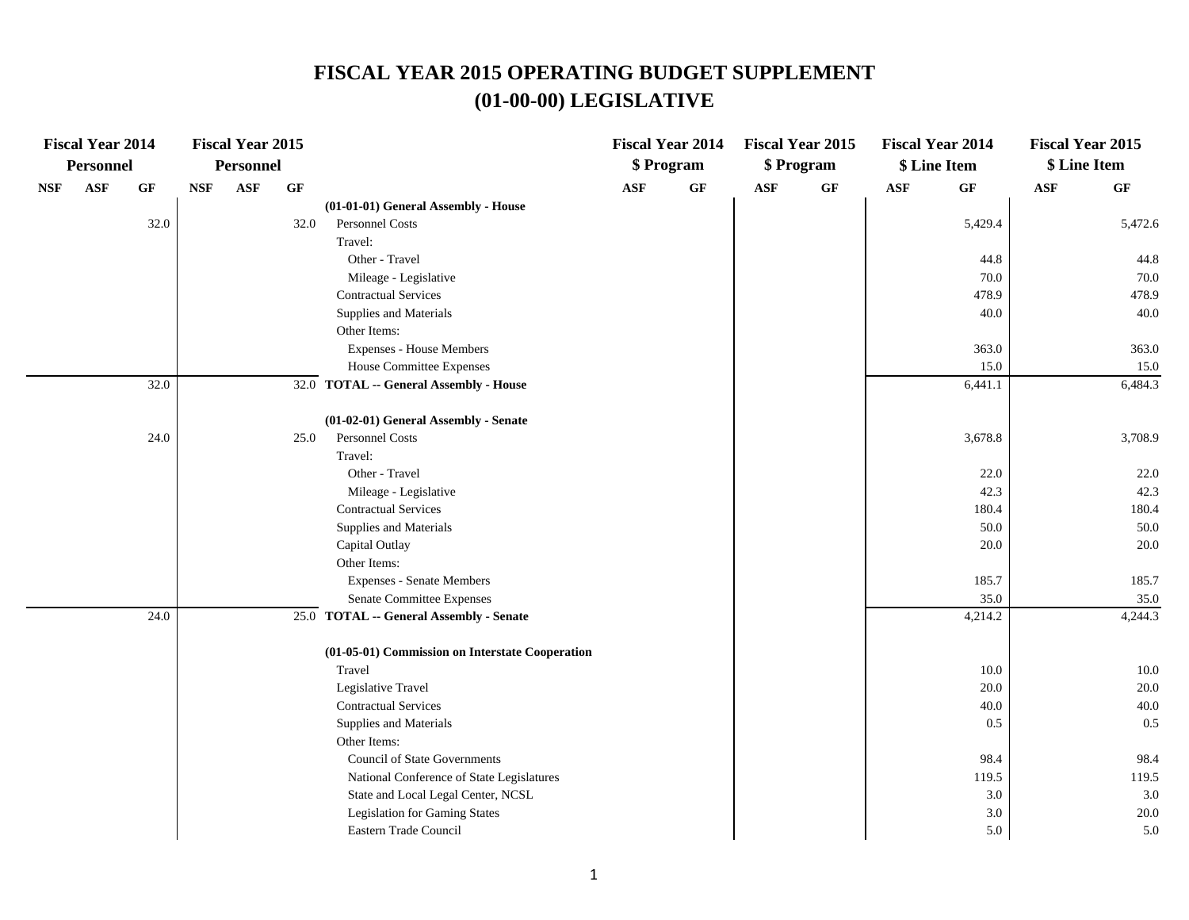# **(01-00-00) LEGISLATIVE FISCAL YEAR 2015 OPERATING BUDGET SUPPLEMENT**

|            | <b>Fiscal Year 2014</b> |          |            | <b>Fiscal Year 2015</b> |      |                                                 |                | <b>Fiscal Year 2014</b> |     | <b>Fiscal Year 2015</b> |                | <b>Fiscal Year 2014</b> | <b>Fiscal Year 2015</b> |         |
|------------|-------------------------|----------|------------|-------------------------|------|-------------------------------------------------|----------------|-------------------------|-----|-------------------------|----------------|-------------------------|-------------------------|---------|
|            | <b>Personnel</b>        |          |            | <b>Personnel</b>        |      |                                                 |                | \$ Program              |     | \$ Program              |                | \$ Line Item            | \$ Line Item            |         |
| <b>NSF</b> | <b>ASF</b>              | $\bf GF$ | <b>NSF</b> | $\mathbf{ASF}$          | GF   |                                                 | $\mathbf{ASF}$ | GF                      | ASF | $\bf GF$                | $\mathbf{ASF}$ | $\bf GF$                | $\mathbf{ASF}$          | GF      |
|            |                         |          |            |                         |      | (01-01-01) General Assembly - House             |                |                         |     |                         |                |                         |                         |         |
|            |                         | 32.0     |            |                         | 32.0 | Personnel Costs                                 |                |                         |     |                         |                | 5,429.4                 |                         | 5,472.6 |
|            |                         |          |            |                         |      | Travel:                                         |                |                         |     |                         |                |                         |                         |         |
|            |                         |          |            |                         |      | Other - Travel                                  |                |                         |     |                         |                | 44.8                    |                         | 44.8    |
|            |                         |          |            |                         |      | Mileage - Legislative                           |                |                         |     |                         |                | 70.0                    |                         | 70.0    |
|            |                         |          |            |                         |      | <b>Contractual Services</b>                     |                |                         |     |                         |                | 478.9                   |                         | 478.9   |
|            |                         |          |            |                         |      | Supplies and Materials                          |                |                         |     |                         |                | 40.0                    |                         | 40.0    |
|            |                         |          |            |                         |      | Other Items:                                    |                |                         |     |                         |                |                         |                         |         |
|            |                         |          |            |                         |      | <b>Expenses - House Members</b>                 |                |                         |     |                         |                | 363.0                   |                         | 363.0   |
|            |                         |          |            |                         |      | House Committee Expenses                        |                |                         |     |                         |                | 15.0                    |                         | 15.0    |
|            |                         | 32.0     |            |                         |      | 32.0 TOTAL -- General Assembly - House          |                |                         |     |                         |                | 6,441.1                 |                         | 6,484.3 |
|            |                         |          |            |                         |      | (01-02-01) General Assembly - Senate            |                |                         |     |                         |                |                         |                         |         |
|            |                         | 24.0     |            |                         | 25.0 | Personnel Costs                                 |                |                         |     |                         |                | 3,678.8                 |                         | 3,708.9 |
|            |                         |          |            |                         |      | Travel:                                         |                |                         |     |                         |                |                         |                         |         |
|            |                         |          |            |                         |      | Other - Travel                                  |                |                         |     |                         |                | 22.0                    |                         | 22.0    |
|            |                         |          |            |                         |      | Mileage - Legislative                           |                |                         |     |                         |                | 42.3                    |                         | 42.3    |
|            |                         |          |            |                         |      | <b>Contractual Services</b>                     |                |                         |     |                         |                | 180.4                   |                         | 180.4   |
|            |                         |          |            |                         |      | Supplies and Materials                          |                |                         |     |                         |                | 50.0                    |                         | 50.0    |
|            |                         |          |            |                         |      | Capital Outlay                                  |                |                         |     |                         |                | 20.0                    |                         | 20.0    |
|            |                         |          |            |                         |      | Other Items:                                    |                |                         |     |                         |                |                         |                         |         |
|            |                         |          |            |                         |      | <b>Expenses - Senate Members</b>                |                |                         |     |                         |                | 185.7                   |                         | 185.7   |
|            |                         |          |            |                         |      | Senate Committee Expenses                       |                |                         |     |                         |                | 35.0                    |                         | 35.0    |
|            |                         | 24.0     |            |                         |      | 25.0 TOTAL -- General Assembly - Senate         |                |                         |     |                         |                | 4,214.2                 |                         | 4,244.3 |
|            |                         |          |            |                         |      | (01-05-01) Commission on Interstate Cooperation |                |                         |     |                         |                |                         |                         |         |
|            |                         |          |            |                         |      | Travel                                          |                |                         |     |                         |                | 10.0                    |                         | 10.0    |
|            |                         |          |            |                         |      | Legislative Travel                              |                |                         |     |                         |                | 20.0                    |                         | 20.0    |
|            |                         |          |            |                         |      | <b>Contractual Services</b>                     |                |                         |     |                         |                | 40.0                    |                         | 40.0    |
|            |                         |          |            |                         |      | Supplies and Materials                          |                |                         |     |                         |                | 0.5                     |                         | 0.5     |
|            |                         |          |            |                         |      | Other Items:                                    |                |                         |     |                         |                |                         |                         |         |
|            |                         |          |            |                         |      | <b>Council of State Governments</b>             |                |                         |     |                         |                | 98.4                    |                         | 98.4    |
|            |                         |          |            |                         |      | National Conference of State Legislatures       |                |                         |     |                         |                | 119.5                   |                         | 119.5   |
|            |                         |          |            |                         |      | State and Local Legal Center, NCSL              |                |                         |     |                         |                | 3.0                     |                         | 3.0     |
|            |                         |          |            |                         |      | <b>Legislation for Gaming States</b>            |                |                         |     |                         |                | $3.0\,$                 |                         | 20.0    |
|            |                         |          |            |                         |      | Eastern Trade Council                           |                |                         |     |                         |                | 5.0                     |                         | 5.0     |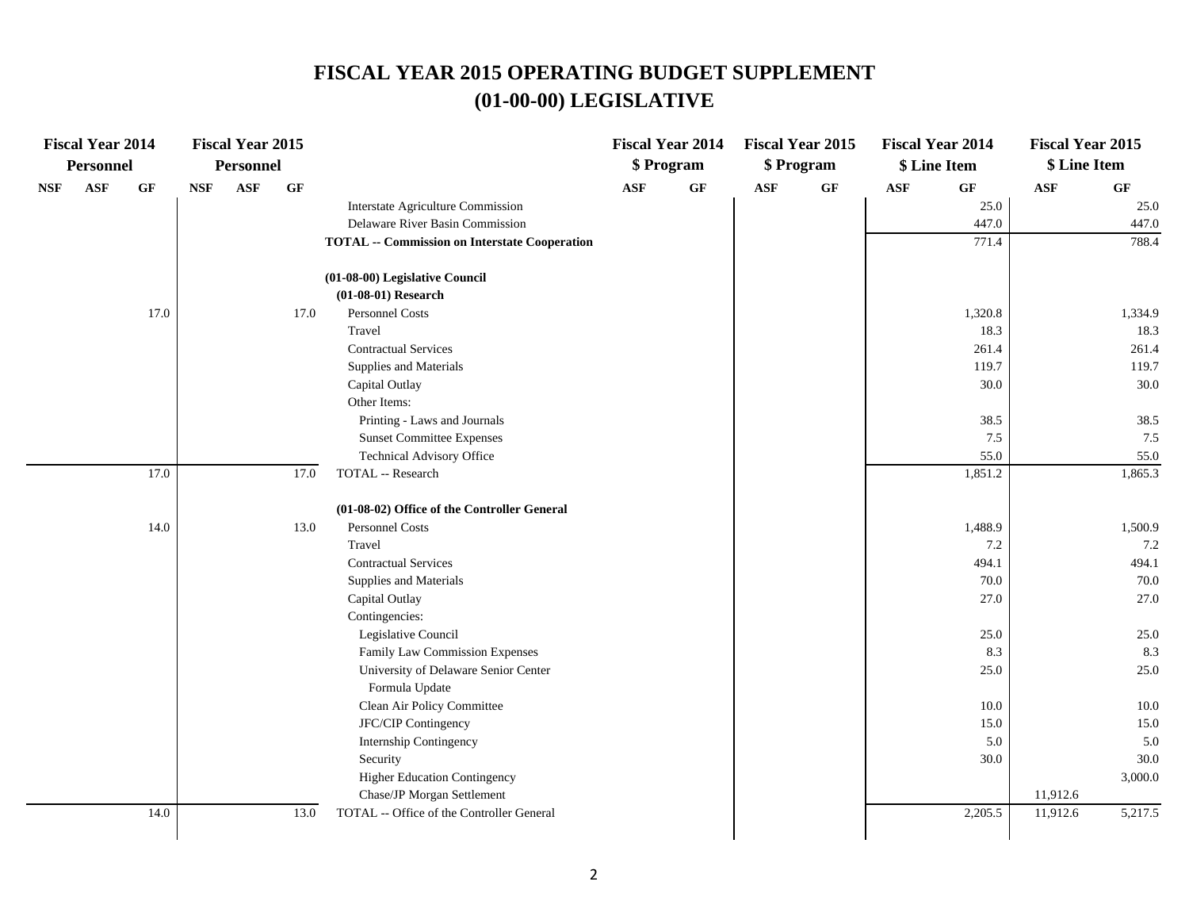# **(01-00-00) LEGISLATIVE FISCAL YEAR 2015 OPERATING BUDGET SUPPLEMENT**

|     | <b>Fiscal Year 2014</b> |                 |            | <b>Fiscal Year 2015</b> |          |                                                      |                | <b>Fiscal Year 2014</b> |     | <b>Fiscal Year 2015</b> |            | <b>Fiscal Year 2014</b> | <b>Fiscal Year 2015</b> |                 |
|-----|-------------------------|-----------------|------------|-------------------------|----------|------------------------------------------------------|----------------|-------------------------|-----|-------------------------|------------|-------------------------|-------------------------|-----------------|
|     | Personnel               |                 |            | <b>Personnel</b>        |          |                                                      |                | \$ Program              |     | \$ Program              |            | \$ Line Item            | \$ Line Item            |                 |
| NSF | <b>ASF</b>              | $\bf{G} \bf{F}$ | <b>NSF</b> | <b>ASF</b>              | $\bf GF$ |                                                      | $\mathbf{ASF}$ | GF                      | ASF | GF                      | <b>ASF</b> | $\bf GF$                | $\mathbf{ASF}$          | $\bf{G} \bf{F}$ |
|     |                         |                 |            |                         |          | Interstate Agriculture Commission                    |                |                         |     |                         |            | 25.0                    |                         | 25.0            |
|     |                         |                 |            |                         |          | Delaware River Basin Commission                      |                |                         |     |                         |            | 447.0                   |                         | 447.0           |
|     |                         |                 |            |                         |          | <b>TOTAL -- Commission on Interstate Cooperation</b> |                |                         |     |                         |            | 771.4                   |                         | 788.4           |
|     |                         |                 |            |                         |          | (01-08-00) Legislative Council                       |                |                         |     |                         |            |                         |                         |                 |
|     |                         |                 |            |                         |          | $(01-08-01)$ Research                                |                |                         |     |                         |            |                         |                         |                 |
|     |                         | 17.0            |            |                         | 17.0     | <b>Personnel Costs</b>                               |                |                         |     |                         |            | 1,320.8                 |                         | 1,334.9         |
|     |                         |                 |            |                         |          | Travel                                               |                |                         |     |                         |            | 18.3                    |                         | 18.3            |
|     |                         |                 |            |                         |          | <b>Contractual Services</b>                          |                |                         |     |                         |            | 261.4                   |                         | 261.4           |
|     |                         |                 |            |                         |          | Supplies and Materials                               |                |                         |     |                         |            | 119.7                   |                         | 119.7           |
|     |                         |                 |            |                         |          | Capital Outlay                                       |                |                         |     |                         |            | 30.0                    |                         | 30.0            |
|     |                         |                 |            |                         |          | Other Items:                                         |                |                         |     |                         |            |                         |                         |                 |
|     |                         |                 |            |                         |          | Printing - Laws and Journals                         |                |                         |     |                         |            | 38.5                    |                         | 38.5            |
|     |                         |                 |            |                         |          | <b>Sunset Committee Expenses</b>                     |                |                         |     |                         |            | 7.5                     |                         | 7.5             |
|     |                         |                 |            |                         |          | Technical Advisory Office                            |                |                         |     |                         |            | 55.0                    |                         | 55.0            |
|     |                         | 17.0            |            |                         | 17.0     | TOTAL -- Research                                    |                |                         |     |                         |            | 1,851.2                 |                         | 1,865.3         |
|     |                         |                 |            |                         |          | (01-08-02) Office of the Controller General          |                |                         |     |                         |            |                         |                         |                 |
|     |                         | 14.0            |            |                         | 13.0     | Personnel Costs                                      |                |                         |     |                         |            | 1,488.9                 |                         | 1,500.9         |
|     |                         |                 |            |                         |          | Travel                                               |                |                         |     |                         |            | 7.2                     |                         | 7.2             |
|     |                         |                 |            |                         |          | <b>Contractual Services</b>                          |                |                         |     |                         |            | 494.1                   |                         | 494.1           |
|     |                         |                 |            |                         |          | Supplies and Materials                               |                |                         |     |                         |            | 70.0                    |                         | 70.0            |
|     |                         |                 |            |                         |          | Capital Outlay                                       |                |                         |     |                         |            | 27.0                    |                         | 27.0            |
|     |                         |                 |            |                         |          | Contingencies:                                       |                |                         |     |                         |            |                         |                         |                 |
|     |                         |                 |            |                         |          | Legislative Council                                  |                |                         |     |                         |            | 25.0                    |                         | 25.0            |
|     |                         |                 |            |                         |          | Family Law Commission Expenses                       |                |                         |     |                         |            | 8.3                     |                         | 8.3             |
|     |                         |                 |            |                         |          | University of Delaware Senior Center                 |                |                         |     |                         |            | 25.0                    |                         | 25.0            |
|     |                         |                 |            |                         |          | Formula Update                                       |                |                         |     |                         |            |                         |                         |                 |
|     |                         |                 |            |                         |          | Clean Air Policy Committee                           |                |                         |     |                         |            | 10.0                    |                         | 10.0            |
|     |                         |                 |            |                         |          | JFC/CIP Contingency                                  |                |                         |     |                         |            | 15.0                    |                         | 15.0            |
|     |                         |                 |            |                         |          | Internship Contingency                               |                |                         |     |                         |            | 5.0                     |                         | 5.0             |
|     |                         |                 |            |                         |          | Security                                             |                |                         |     |                         |            | 30.0                    |                         | 30.0            |
|     |                         |                 |            |                         |          | <b>Higher Education Contingency</b>                  |                |                         |     |                         |            |                         |                         | 3,000.0         |
|     |                         |                 |            |                         |          | Chase/JP Morgan Settlement                           |                |                         |     |                         |            |                         | 11,912.6                |                 |
|     |                         | 14.0            |            |                         | 13.0     | TOTAL -- Office of the Controller General            |                |                         |     |                         |            | 2,205.5                 | 11,912.6                | 5,217.5         |
|     |                         |                 |            |                         |          |                                                      |                |                         |     |                         |            |                         |                         |                 |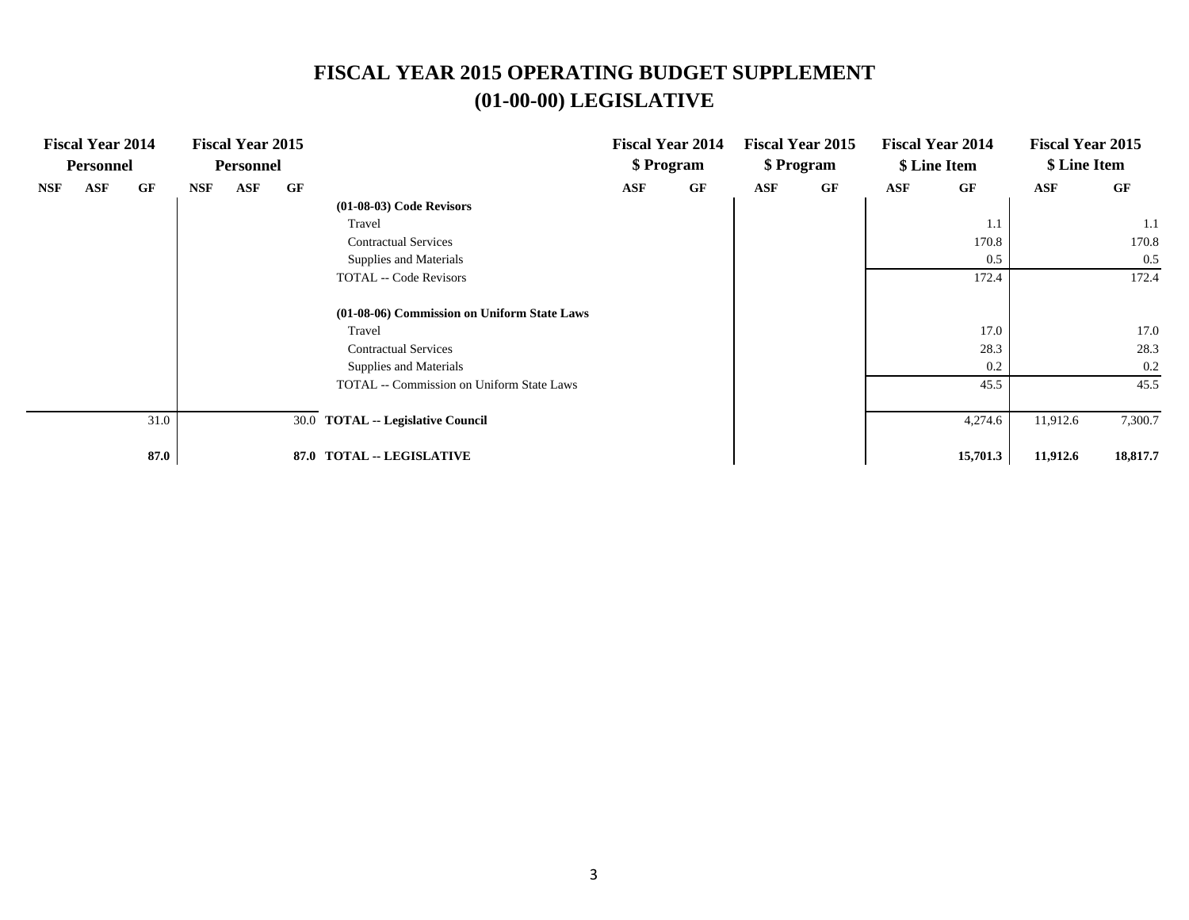# **(01-00-00) LEGISLATIVE FISCAL YEAR 2015 OPERATING BUDGET SUPPLEMENT**

|            | <b>Fiscal Year 2014</b><br><b>Personnel</b> |      |            | <b>Fiscal Year 2015</b><br><b>Personnel</b> |      |                                             |            | <b>Fiscal Year 2014</b><br>\$ Program |            | <b>Fiscal Year 2015</b><br>\$ Program |     | <b>Fiscal Year 2014</b><br>\$ Line Item | <b>Fiscal Year 2015</b><br>\$ Line Item |          |
|------------|---------------------------------------------|------|------------|---------------------------------------------|------|---------------------------------------------|------------|---------------------------------------|------------|---------------------------------------|-----|-----------------------------------------|-----------------------------------------|----------|
| <b>NSF</b> | <b>ASF</b>                                  | GF   | <b>NSF</b> | ASF                                         | GF   |                                             | <b>ASF</b> | GF                                    | <b>ASF</b> | GF                                    | ASF | GF                                      | ASF                                     | GF       |
|            |                                             |      |            |                                             |      | $(01-08-03)$ Code Revisors                  |            |                                       |            |                                       |     |                                         |                                         |          |
|            |                                             |      |            |                                             |      | Travel                                      |            |                                       |            |                                       |     | 1.1                                     |                                         | 1.1      |
|            |                                             |      |            |                                             |      | <b>Contractual Services</b>                 |            |                                       |            |                                       |     | 170.8                                   |                                         | 170.8    |
|            |                                             |      |            |                                             |      | Supplies and Materials                      |            |                                       |            |                                       |     | 0.5                                     |                                         | 0.5      |
|            |                                             |      |            |                                             |      | <b>TOTAL -- Code Revisors</b>               |            |                                       |            |                                       |     | 172.4                                   |                                         | 172.4    |
|            |                                             |      |            |                                             |      | (01-08-06) Commission on Uniform State Laws |            |                                       |            |                                       |     |                                         |                                         |          |
|            |                                             |      |            |                                             |      | Travel                                      |            |                                       |            |                                       |     | 17.0                                    |                                         | 17.0     |
|            |                                             |      |            |                                             |      | <b>Contractual Services</b>                 |            |                                       |            |                                       |     | 28.3                                    |                                         | 28.3     |
|            |                                             |      |            |                                             |      | Supplies and Materials                      |            |                                       |            |                                       |     | 0.2                                     |                                         | 0.2      |
|            |                                             |      |            |                                             |      | TOTAL -- Commission on Uniform State Laws   |            |                                       |            |                                       |     | 45.5                                    |                                         | 45.5     |
|            |                                             | 31.0 |            |                                             |      | 30.0 TOTAL -- Legislative Council           |            |                                       |            |                                       |     | 4,274.6                                 | 11,912.6                                | 7,300.7  |
|            |                                             | 87.0 |            |                                             | 87.0 | <b>TOTAL -- LEGISLATIVE</b>                 |            |                                       |            |                                       |     | 15,701.3                                | 11,912.6                                | 18,817.7 |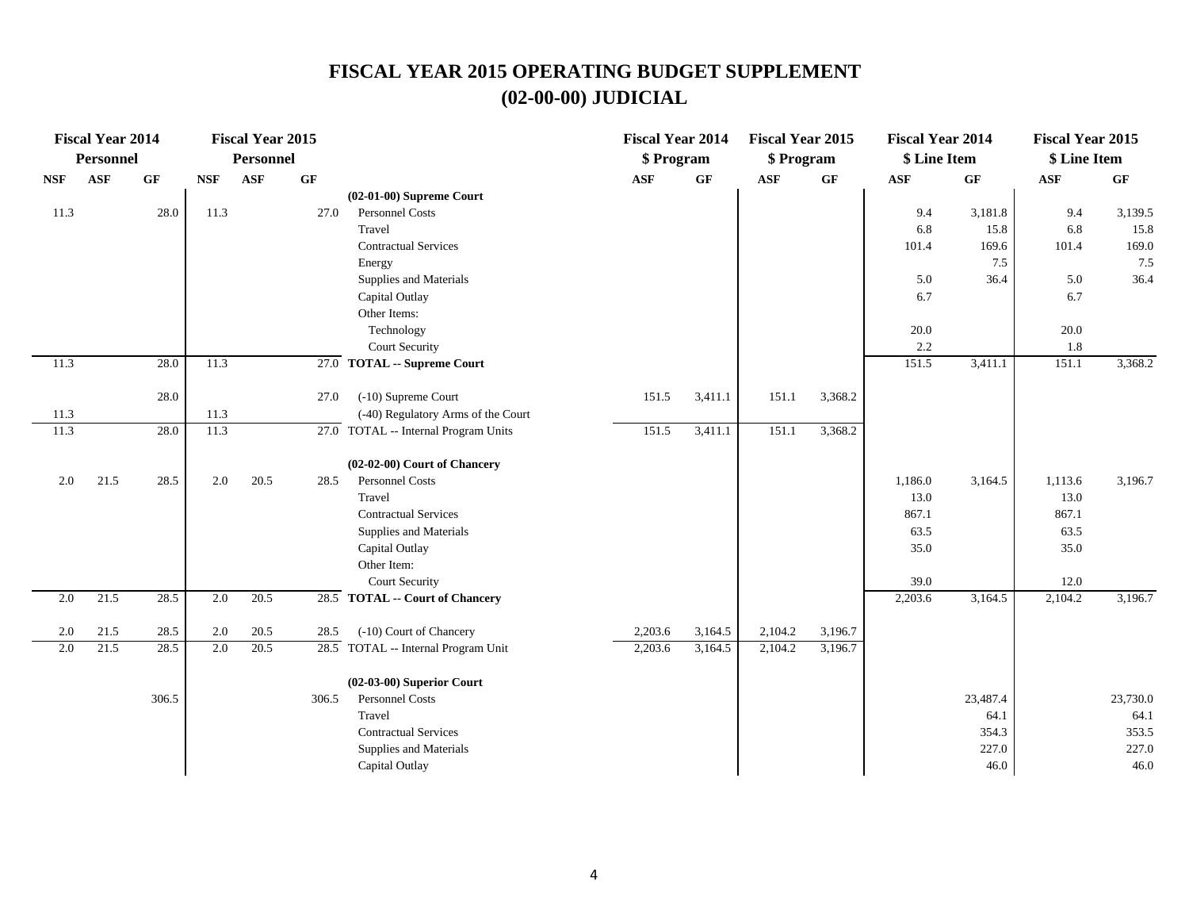|            | <b>Fiscal Year 2014</b> |          |            | <b>Fiscal Year 2015</b> |                 |                                      | <b>Fiscal Year 2014</b> |         | <b>Fiscal Year 2015</b> |                 | <b>Fiscal Year 2014</b> |                 | <b>Fiscal Year 2015</b> |                 |
|------------|-------------------------|----------|------------|-------------------------|-----------------|--------------------------------------|-------------------------|---------|-------------------------|-----------------|-------------------------|-----------------|-------------------------|-----------------|
|            | Personnel               |          |            | Personnel               |                 |                                      | \$ Program              |         | \$ Program              |                 | \$ Line Item            |                 | \$ Line Item            |                 |
| <b>NSF</b> | ASF                     | $\bf GF$ | <b>NSF</b> | <b>ASF</b>              | $\bf{G} \bf{F}$ |                                      | <b>ASF</b>              | GF      | <b>ASF</b>              | $\bf{G} \bf{F}$ | $\mathbf{ASF}$          | $\bf{G} \bf{F}$ | $\mathbf{ASF}$          | $\bf{G} \bf{F}$ |
|            |                         |          |            |                         |                 | $(02-01-00)$ Supreme Court           |                         |         |                         |                 |                         |                 |                         |                 |
| 11.3       |                         | 28.0     | 11.3       |                         | 27.0            | <b>Personnel Costs</b>               |                         |         |                         |                 | 9.4                     | 3,181.8         | 9.4                     | 3,139.5         |
|            |                         |          |            |                         |                 | Travel                               |                         |         |                         |                 | 6.8                     | 15.8            | 6.8                     | 15.8            |
|            |                         |          |            |                         |                 | <b>Contractual Services</b>          |                         |         |                         |                 | 101.4                   | 169.6           | 101.4                   | 169.0           |
|            |                         |          |            |                         |                 | Energy                               |                         |         |                         |                 |                         | 7.5             |                         | 7.5             |
|            |                         |          |            |                         |                 | Supplies and Materials               |                         |         |                         |                 | 5.0                     | 36.4            | 5.0                     | 36.4            |
|            |                         |          |            |                         |                 | Capital Outlay                       |                         |         |                         |                 | 6.7                     |                 | 6.7                     |                 |
|            |                         |          |            |                         |                 | Other Items:                         |                         |         |                         |                 |                         |                 |                         |                 |
|            |                         |          |            |                         |                 | Technology                           |                         |         |                         |                 | 20.0                    |                 | 20.0                    |                 |
|            |                         |          |            |                         |                 | Court Security                       |                         |         |                         |                 | 2.2                     |                 | 1.8                     |                 |
| 11.3       |                         | 28.0     | 11.3       |                         |                 | $27.0$ TOTAL -- Supreme Court        |                         |         |                         |                 | 151.5                   | 3,411.1         | 151.1                   | 3,368.2         |
|            |                         | 28.0     |            |                         | 27.0            | (-10) Supreme Court                  | 151.5                   | 3,411.1 | 151.1                   | 3,368.2         |                         |                 |                         |                 |
| 11.3       |                         |          | 11.3       |                         |                 | (-40) Regulatory Arms of the Court   |                         |         |                         |                 |                         |                 |                         |                 |
| 11.3       |                         | 28.0     | 11.3       |                         |                 | 27.0 TOTAL -- Internal Program Units | 151.5                   | 3,411.1 | 151.1                   | 3,368.2         |                         |                 |                         |                 |
|            |                         |          |            |                         |                 |                                      |                         |         |                         |                 |                         |                 |                         |                 |
|            |                         |          |            |                         |                 | (02-02-00) Court of Chancery         |                         |         |                         |                 |                         |                 |                         |                 |
| 2.0        | 21.5                    | 28.5     | 2.0        | 20.5                    | 28.5            | Personnel Costs                      |                         |         |                         |                 | 1,186.0                 | 3,164.5         | 1,113.6                 | 3,196.7         |
|            |                         |          |            |                         |                 | Travel                               |                         |         |                         |                 | 13.0                    |                 | 13.0                    |                 |
|            |                         |          |            |                         |                 | <b>Contractual Services</b>          |                         |         |                         |                 | 867.1                   |                 | 867.1                   |                 |
|            |                         |          |            |                         |                 | Supplies and Materials               |                         |         |                         |                 | 63.5                    |                 | 63.5                    |                 |
|            |                         |          |            |                         |                 | Capital Outlay                       |                         |         |                         |                 | 35.0                    |                 | 35.0                    |                 |
|            |                         |          |            |                         |                 | Other Item:                          |                         |         |                         |                 |                         |                 |                         |                 |
|            |                         |          |            |                         |                 | Court Security                       |                         |         |                         |                 | 39.0                    |                 | 12.0                    |                 |
| 2.0        | 21.5                    | 28.5     | 2.0        | 20.5                    |                 | 28.5 TOTAL -- Court of Chancery      |                         |         |                         |                 | 2,203.6                 | 3,164.5         | 2,104.2                 | 3,196.7         |
| 2.0        | 21.5                    | 28.5     | 2.0        | 20.5                    | 28.5            | (-10) Court of Chancery              | 2,203.6                 | 3,164.5 | 2,104.2                 | 3,196.7         |                         |                 |                         |                 |
| 2.0        | 21.5                    | 28.5     | 2.0        | 20.5                    |                 | 28.5 TOTAL -- Internal Program Unit  | 2,203.6                 | 3,164.5 | 2,104.2                 | 3,196.7         |                         |                 |                         |                 |
|            |                         |          |            |                         |                 |                                      |                         |         |                         |                 |                         |                 |                         |                 |
|            |                         |          |            |                         |                 | $(02-03-00)$ Superior Court          |                         |         |                         |                 |                         |                 |                         |                 |
|            |                         | 306.5    |            |                         | 306.5           | Personnel Costs                      |                         |         |                         |                 |                         | 23,487.4        |                         | 23,730.0        |
|            |                         |          |            |                         |                 | Travel                               |                         |         |                         |                 |                         | 64.1            |                         | 64.1            |
|            |                         |          |            |                         |                 | <b>Contractual Services</b>          |                         |         |                         |                 |                         | 354.3           |                         | 353.5           |
|            |                         |          |            |                         |                 | Supplies and Materials               |                         |         |                         |                 |                         | 227.0           |                         | 227.0           |
|            |                         |          |            |                         |                 | Capital Outlay                       |                         |         |                         |                 |                         | 46.0            |                         | 46.0            |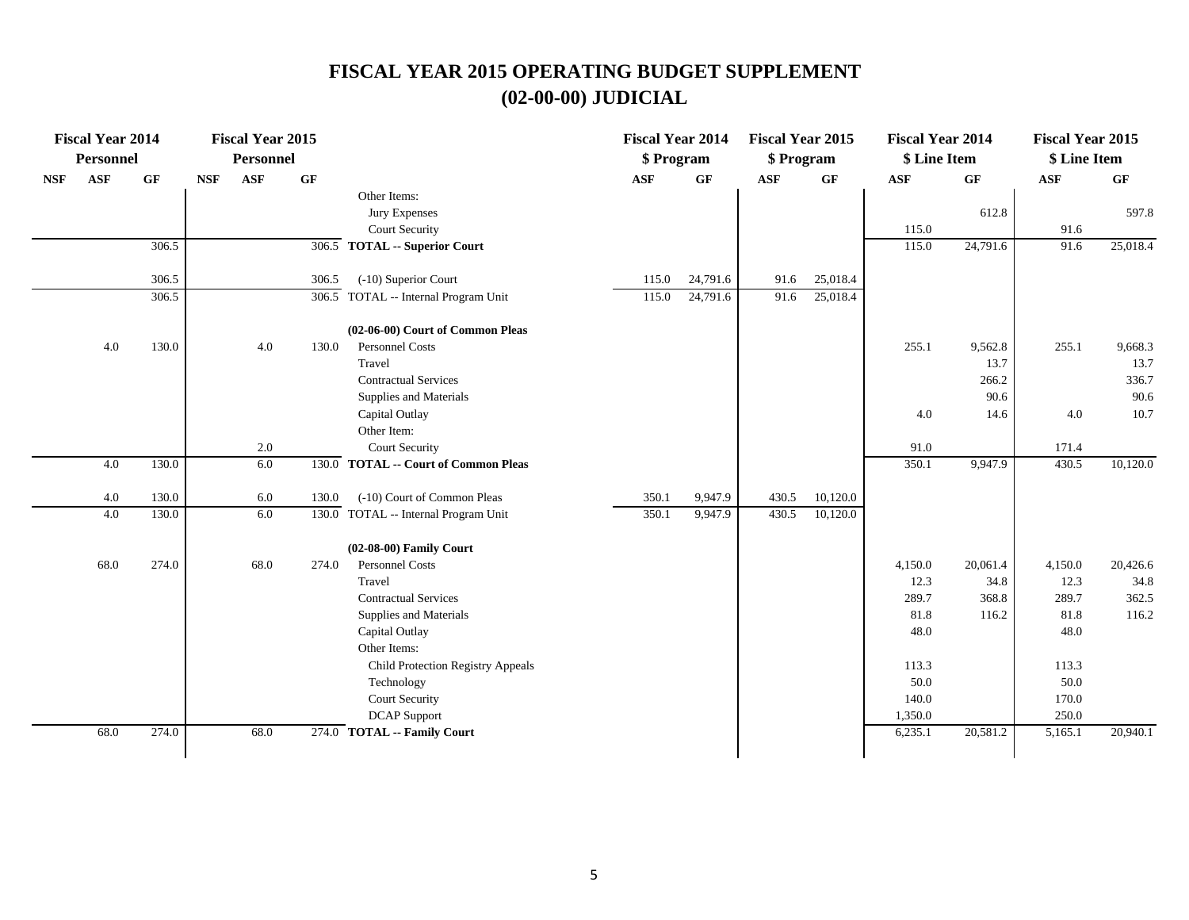|            | <b>Fiscal Year 2014</b> |                 |            | <b>Fiscal Year 2015</b> |       |                                      | <b>Fiscal Year 2014</b> |          | <b>Fiscal Year 2015</b> |                 | <b>Fiscal Year 2014</b> |           | <b>Fiscal Year 2015</b> |          |
|------------|-------------------------|-----------------|------------|-------------------------|-------|--------------------------------------|-------------------------|----------|-------------------------|-----------------|-------------------------|-----------|-------------------------|----------|
|            | <b>Personnel</b>        |                 |            | <b>Personnel</b>        |       |                                      | \$ Program              |          | \$ Program              |                 | \$ Line Item            |           | \$ Line Item            |          |
| <b>NSF</b> | <b>ASF</b>              | $\bf{G} \bf{F}$ | <b>NSF</b> | <b>ASF</b>              | GF    |                                      | ASF                     | GF       | <b>ASF</b>              | $\bf{G} \bf{F}$ | <b>ASF</b>              | $\bf{G}F$ | ASF                     | GF       |
|            |                         |                 |            |                         |       | Other Items:                         |                         |          |                         |                 |                         |           |                         |          |
|            |                         |                 |            |                         |       | Jury Expenses                        |                         |          |                         |                 |                         | 612.8     |                         | 597.8    |
|            |                         |                 |            |                         |       | Court Security                       |                         |          |                         |                 | 115.0                   |           | 91.6                    |          |
|            |                         | 306.5           |            |                         |       | 306.5 TOTAL -- Superior Court        |                         |          |                         |                 | 115.0                   | 24,791.6  | 91.6                    | 25,018.4 |
|            |                         | 306.5           |            |                         | 306.5 | (-10) Superior Court                 | 115.0                   | 24,791.6 | 91.6                    | 25,018.4        |                         |           |                         |          |
|            |                         | 306.5           |            |                         |       | 306.5 TOTAL -- Internal Program Unit | 115.0                   | 24,791.6 | 91.6                    | 25,018.4        |                         |           |                         |          |
|            |                         |                 |            |                         |       | (02-06-00) Court of Common Pleas     |                         |          |                         |                 |                         |           |                         |          |
|            | 4.0                     | 130.0           |            | 4.0                     | 130.0 | Personnel Costs                      |                         |          |                         |                 | 255.1                   | 9,562.8   | 255.1                   | 9,668.3  |
|            |                         |                 |            |                         |       | Travel                               |                         |          |                         |                 |                         | 13.7      |                         | 13.7     |
|            |                         |                 |            |                         |       | <b>Contractual Services</b>          |                         |          |                         |                 |                         | 266.2     |                         | 336.7    |
|            |                         |                 |            |                         |       | Supplies and Materials               |                         |          |                         |                 |                         | 90.6      |                         | 90.6     |
|            |                         |                 |            |                         |       | Capital Outlay                       |                         |          |                         |                 | 4.0                     | 14.6      | 4.0                     | 10.7     |
|            |                         |                 |            |                         |       | Other Item:                          |                         |          |                         |                 |                         |           |                         |          |
|            |                         |                 |            | 2.0                     |       | <b>Court Security</b>                |                         |          |                         |                 | 91.0                    |           | 171.4                   |          |
|            | 4.0                     | 130.0           |            | 6.0                     |       | 130.0 TOTAL -- Court of Common Pleas |                         |          |                         |                 | 350.1                   | 9,947.9   | 430.5                   | 10,120.0 |
|            | 4.0                     | 130.0           |            | 6.0                     | 130.0 | (-10) Court of Common Pleas          | 350.1                   | 9.947.9  | 430.5                   | 10,120.0        |                         |           |                         |          |
|            | 4.0                     | 130.0           |            | 6.0                     |       | 130.0 TOTAL -- Internal Program Unit | 350.1                   | 9,947.9  | 430.5                   | 10,120.0        |                         |           |                         |          |
|            |                         |                 |            |                         |       | (02-08-00) Family Court              |                         |          |                         |                 |                         |           |                         |          |
|            | 68.0                    | 274.0           |            | 68.0                    | 274.0 | <b>Personnel Costs</b>               |                         |          |                         |                 | 4,150.0                 | 20,061.4  | 4,150.0                 | 20,426.6 |
|            |                         |                 |            |                         |       | Travel                               |                         |          |                         |                 | 12.3                    | 34.8      | 12.3                    | 34.8     |
|            |                         |                 |            |                         |       | <b>Contractual Services</b>          |                         |          |                         |                 | 289.7                   | 368.8     | 289.7                   | 362.5    |
|            |                         |                 |            |                         |       | Supplies and Materials               |                         |          |                         |                 | 81.8                    | 116.2     | 81.8                    | 116.2    |
|            |                         |                 |            |                         |       | Capital Outlay                       |                         |          |                         |                 | 48.0                    |           | 48.0                    |          |
|            |                         |                 |            |                         |       | Other Items:                         |                         |          |                         |                 |                         |           |                         |          |
|            |                         |                 |            |                         |       | Child Protection Registry Appeals    |                         |          |                         |                 | 113.3                   |           | 113.3                   |          |
|            |                         |                 |            |                         |       | Technology                           |                         |          |                         |                 | 50.0                    |           | 50.0                    |          |
|            |                         |                 |            |                         |       | <b>Court Security</b>                |                         |          |                         |                 | 140.0                   |           | 170.0                   |          |
|            |                         |                 |            |                         |       | <b>DCAP</b> Support                  |                         |          |                         |                 | 1,350.0                 |           | 250.0                   |          |
|            | 68.0                    | 274.0           |            | 68.0                    |       | 274.0 TOTAL -- Family Court          |                         |          |                         |                 | 6,235.1                 | 20,581.2  | 5,165.1                 | 20,940.1 |
|            |                         |                 |            |                         |       |                                      |                         |          |                         |                 |                         |           |                         |          |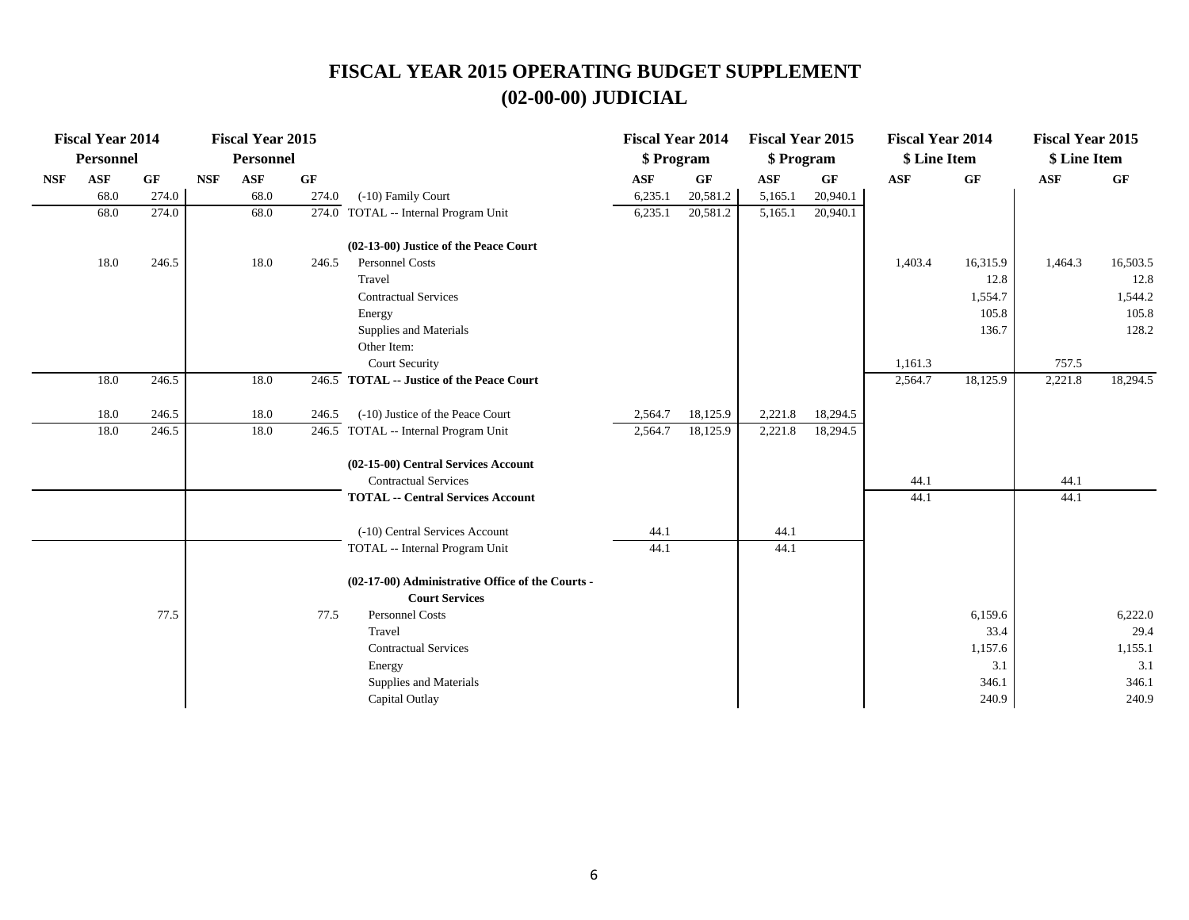|            | <b>Fiscal Year 2014</b> |           |            | <b>Fiscal Year 2015</b> |       |                                                                           | <b>Fiscal Year 2014</b> |          | <b>Fiscal Year 2015</b> |          | <b>Fiscal Year 2014</b> |           | <b>Fiscal Year 2015</b> |          |
|------------|-------------------------|-----------|------------|-------------------------|-------|---------------------------------------------------------------------------|-------------------------|----------|-------------------------|----------|-------------------------|-----------|-------------------------|----------|
|            | <b>Personnel</b>        |           |            | Personnel               |       |                                                                           | \$ Program              |          | \$ Program              |          | \$ Line Item            |           | \$ Line Item            |          |
| <b>NSF</b> | <b>ASF</b>              | <b>GF</b> | <b>NSF</b> | <b>ASF</b>              | GF    |                                                                           | <b>ASF</b>              | GF       | <b>ASF</b>              | GF       | <b>ASF</b>              | <b>GF</b> | ASF                     | GF       |
|            | 68.0                    | 274.0     |            | 68.0                    | 274.0 | (-10) Family Court                                                        | 6,235.1                 | 20,581.2 | 5,165.1                 | 20,940.1 |                         |           |                         |          |
|            | 68.0                    | 274.0     |            | 68.0                    |       | 274.0 TOTAL -- Internal Program Unit                                      | 6,235.1                 | 20,581.2 | 5,165.1                 | 20,940.1 |                         |           |                         |          |
|            |                         |           |            |                         |       | (02-13-00) Justice of the Peace Court                                     |                         |          |                         |          |                         |           |                         |          |
|            | 18.0                    | 246.5     |            | 18.0                    | 246.5 | Personnel Costs                                                           |                         |          |                         |          | 1,403.4                 | 16,315.9  | 1,464.3                 | 16,503.5 |
|            |                         |           |            |                         |       | Travel                                                                    |                         |          |                         |          |                         | 12.8      |                         | 12.8     |
|            |                         |           |            |                         |       | <b>Contractual Services</b>                                               |                         |          |                         |          |                         | 1,554.7   |                         | 1,544.2  |
|            |                         |           |            |                         |       | Energy                                                                    |                         |          |                         |          |                         | 105.8     |                         | 105.8    |
|            |                         |           |            |                         |       | Supplies and Materials                                                    |                         |          |                         |          |                         | 136.7     |                         | 128.2    |
|            |                         |           |            |                         |       | Other Item:                                                               |                         |          |                         |          |                         |           |                         |          |
|            |                         |           |            |                         |       | <b>Court Security</b>                                                     |                         |          |                         |          | 1,161.3                 |           | 757.5                   |          |
|            | 18.0                    | 246.5     |            | 18.0                    |       | 246.5 TOTAL -- Justice of the Peace Court                                 |                         |          |                         |          | 2,564.7                 | 18,125.9  | 2,221.8                 | 18,294.5 |
|            | 18.0                    | 246.5     |            | 18.0                    | 246.5 | (-10) Justice of the Peace Court                                          | 2,564.7                 | 18,125.9 | 2,221.8                 | 18,294.5 |                         |           |                         |          |
|            | 18.0                    | 246.5     |            | 18.0                    |       | 246.5 TOTAL -- Internal Program Unit                                      | 2,564.7                 | 18,125.9 | 2,221.8                 | 18,294.5 |                         |           |                         |          |
|            |                         |           |            |                         |       | (02-15-00) Central Services Account                                       |                         |          |                         |          |                         |           |                         |          |
|            |                         |           |            |                         |       | <b>Contractual Services</b>                                               |                         |          |                         |          | 44.1                    |           | 44.1                    |          |
|            |                         |           |            |                         |       | <b>TOTAL -- Central Services Account</b>                                  |                         |          |                         |          | 44.1                    |           | 44.1                    |          |
|            |                         |           |            |                         |       | (-10) Central Services Account                                            | 44.1                    |          | 44.1                    |          |                         |           |                         |          |
|            |                         |           |            |                         |       | TOTAL -- Internal Program Unit                                            | 44.1                    |          | 44.1                    |          |                         |           |                         |          |
|            |                         |           |            |                         |       | (02-17-00) Administrative Office of the Courts -<br><b>Court Services</b> |                         |          |                         |          |                         |           |                         |          |
|            |                         | 77.5      |            |                         | 77.5  | <b>Personnel Costs</b>                                                    |                         |          |                         |          |                         | 6,159.6   |                         | 6,222.0  |
|            |                         |           |            |                         |       | Travel                                                                    |                         |          |                         |          |                         | 33.4      |                         | 29.4     |
|            |                         |           |            |                         |       | <b>Contractual Services</b>                                               |                         |          |                         |          |                         | 1,157.6   |                         | 1,155.1  |
|            |                         |           |            |                         |       | Energy                                                                    |                         |          |                         |          |                         | 3.1       |                         | 3.1      |
|            |                         |           |            |                         |       | Supplies and Materials                                                    |                         |          |                         |          |                         | 346.1     |                         | 346.1    |
|            |                         |           |            |                         |       | Capital Outlay                                                            |                         |          |                         |          |                         | 240.9     |                         | 240.9    |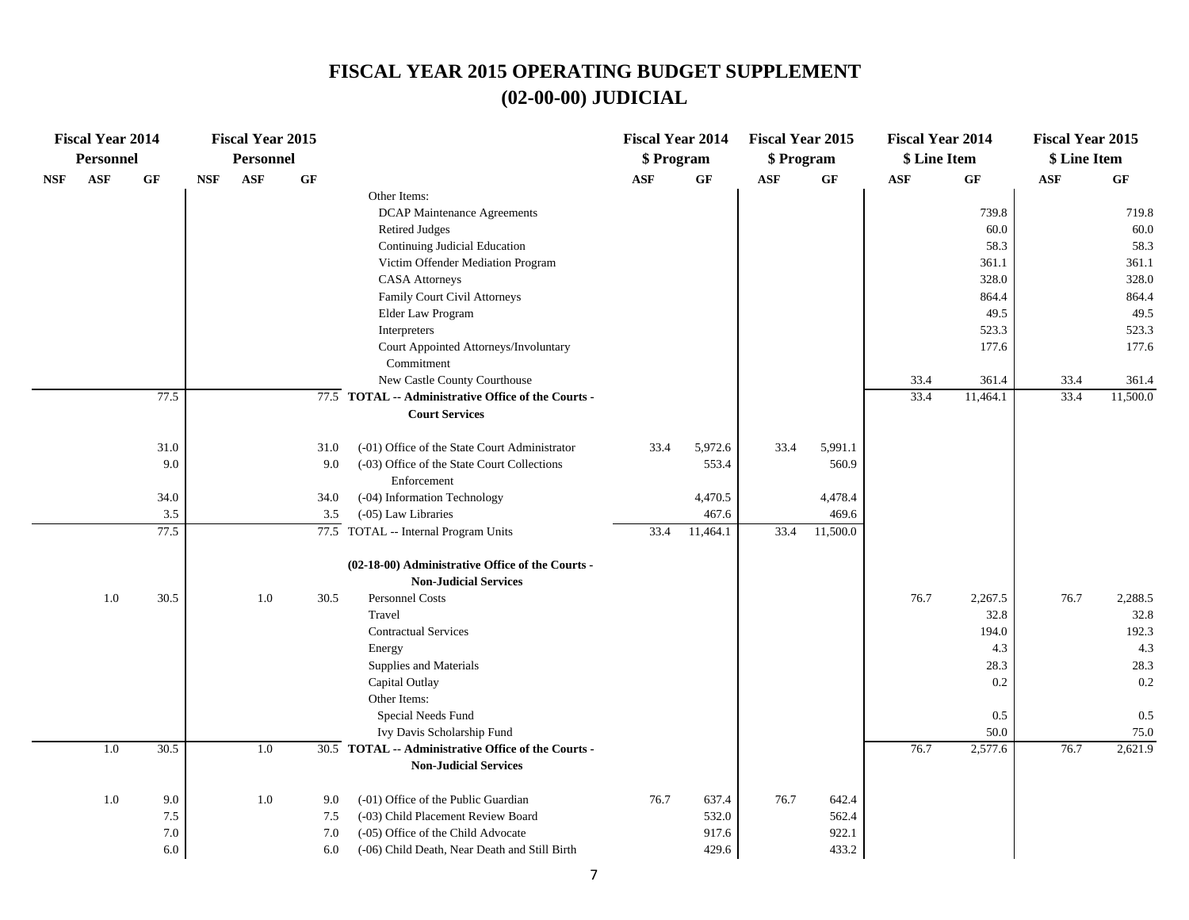|     | <b>Fiscal Year 2014</b><br><b>Personnel</b> |                                  |            | <b>Fiscal Year 2015</b><br><b>Personnel</b> |                          |                                                                                                                                                                                                                                                                                                                                                               | <b>Fiscal Year 2014</b><br>\$ Program |                                  | <b>Fiscal Year 2015</b><br>\$ Program |                                  | <b>Fiscal Year 2014</b><br>\$ Line Item |                                                                          | <b>Fiscal Year 2015</b><br>\$ Line Item |                                                                          |
|-----|---------------------------------------------|----------------------------------|------------|---------------------------------------------|--------------------------|---------------------------------------------------------------------------------------------------------------------------------------------------------------------------------------------------------------------------------------------------------------------------------------------------------------------------------------------------------------|---------------------------------------|----------------------------------|---------------------------------------|----------------------------------|-----------------------------------------|--------------------------------------------------------------------------|-----------------------------------------|--------------------------------------------------------------------------|
| NSF | $\mathbf{ASF}$                              | GF                               | <b>NSF</b> | ASF                                         | GF                       |                                                                                                                                                                                                                                                                                                                                                               | ASF                                   | GF                               | $\mathbf{ASF}$                        | $\bf{G} \bf{F}$                  | ASF                                     | $\bf{G} \bf{F}$                                                          | <b>ASF</b>                              | $\bf{G} \bf{F}$                                                          |
|     |                                             |                                  |            |                                             |                          | Other Items:<br><b>DCAP Maintenance Agreements</b><br><b>Retired Judges</b><br>Continuing Judicial Education<br>Victim Offender Mediation Program<br><b>CASA</b> Attorneys<br>Family Court Civil Attorneys<br>Elder Law Program                                                                                                                               |                                       |                                  |                                       |                                  |                                         | 739.8<br>60.0<br>58.3<br>361.1<br>328.0<br>864.4<br>49.5                 |                                         | 719.8<br>60.0<br>58.3<br>361.1<br>328.0<br>864.4<br>49.5                 |
|     |                                             |                                  |            |                                             |                          | Interpreters<br>Court Appointed Attorneys/Involuntary<br>Commitment<br>New Castle County Courthouse                                                                                                                                                                                                                                                           |                                       |                                  |                                       |                                  | 33.4                                    | 523.3<br>177.6<br>361.4                                                  | 33.4                                    | 523.3<br>177.6<br>361.4                                                  |
|     |                                             | 77.5                             |            |                                             |                          | 77.5 TOTAL -- Administrative Office of the Courts -<br><b>Court Services</b>                                                                                                                                                                                                                                                                                  |                                       |                                  |                                       |                                  | 33.4                                    | 11,464.1                                                                 | 33.4                                    | 11,500.0                                                                 |
|     |                                             | 31.0<br>9.0                      |            |                                             | 31.0<br>9.0              | (-01) Office of the State Court Administrator<br>(-03) Office of the State Court Collections<br>Enforcement                                                                                                                                                                                                                                                   | 33.4                                  | 5,972.6<br>553.4                 | 33.4                                  | 5,991.1<br>560.9                 |                                         |                                                                          |                                         |                                                                          |
|     |                                             | 34.0                             |            |                                             | 34.0                     | (-04) Information Technology                                                                                                                                                                                                                                                                                                                                  |                                       | 4,470.5                          |                                       | 4,478.4                          |                                         |                                                                          |                                         |                                                                          |
|     |                                             | 3.5<br>77.5                      |            |                                             | 3.5                      | (-05) Law Libraries<br>77.5 TOTAL -- Internal Program Units                                                                                                                                                                                                                                                                                                   | 33.4                                  | 467.6<br>11,464.1                | 33.4                                  | 469.6<br>11,500.0                |                                         |                                                                          |                                         |                                                                          |
|     | 1.0<br>1.0                                  | 30.5<br>30.5                     |            | 1.0<br>1.0                                  | 30.5                     | (02-18-00) Administrative Office of the Courts -<br><b>Non-Judicial Services</b><br>Personnel Costs<br>Travel<br><b>Contractual Services</b><br>Energy<br>Supplies and Materials<br>Capital Outlay<br>Other Items:<br>Special Needs Fund<br>Ivy Davis Scholarship Fund<br>30.5 TOTAL -- Administrative Office of the Courts -<br><b>Non-Judicial Services</b> |                                       |                                  |                                       |                                  | 76.7<br>76.7                            | 2,267.5<br>32.8<br>194.0<br>4.3<br>28.3<br>0.2<br>0.5<br>50.0<br>2,577.6 | 76.7<br>76.7                            | 2,288.5<br>32.8<br>192.3<br>4.3<br>28.3<br>0.2<br>0.5<br>75.0<br>2,621.9 |
|     | $1.0\,$                                     | 9.0<br>7.5<br>$7.0\,$<br>$6.0\,$ |            | 1.0                                         | 9.0<br>7.5<br>7.0<br>6.0 | (-01) Office of the Public Guardian<br>(-03) Child Placement Review Board<br>(-05) Office of the Child Advocate<br>(-06) Child Death, Near Death and Still Birth                                                                                                                                                                                              | 76.7                                  | 637.4<br>532.0<br>917.6<br>429.6 | 76.7                                  | 642.4<br>562.4<br>922.1<br>433.2 |                                         |                                                                          |                                         |                                                                          |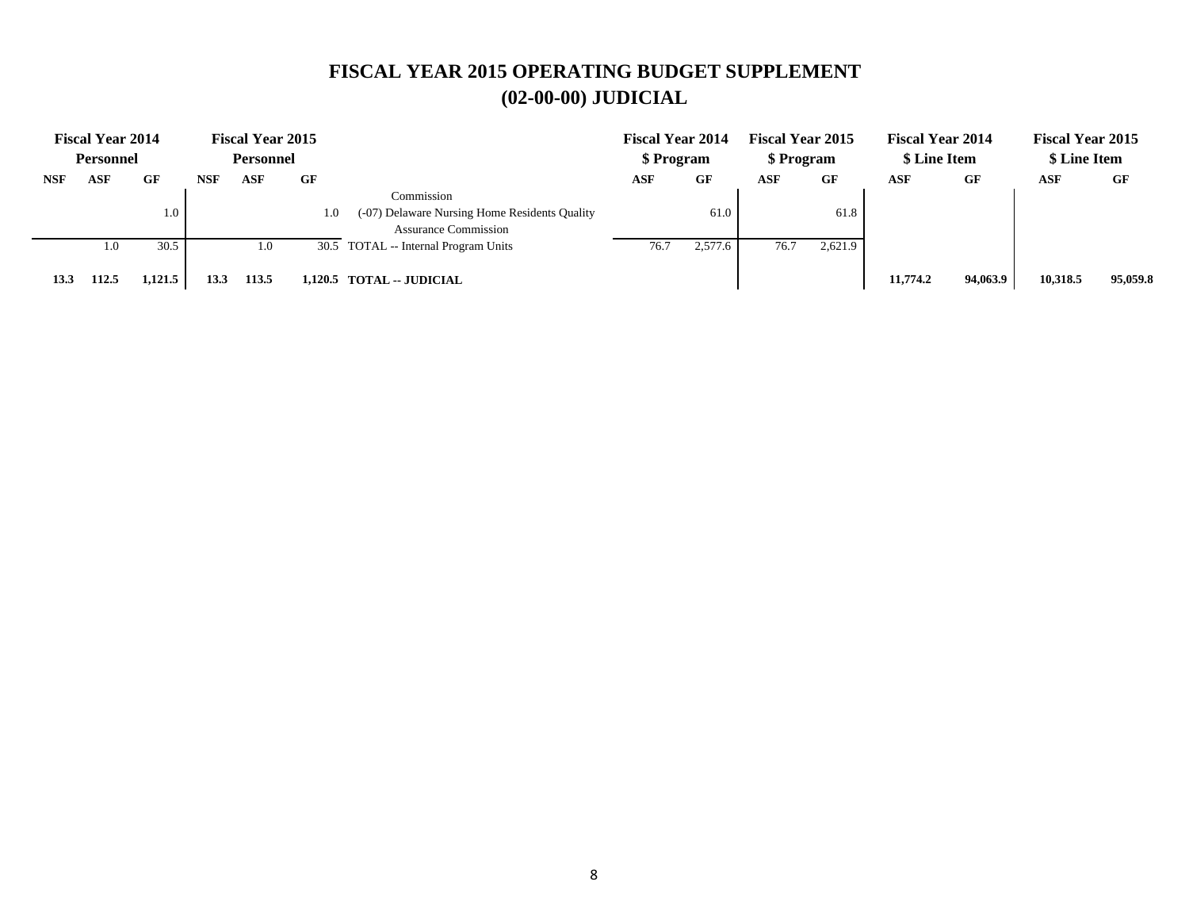|            | <b>Fiscal Year 2014</b> |         |            | <b>Fiscal Year 2015</b> |     |                                                                                            | <b>Fiscal Year 2014</b> |         | <b>Fiscal Year 2015</b> |         | <b>Fiscal Year 2014</b> |           | <b>Fiscal Year 2015</b> |          |
|------------|-------------------------|---------|------------|-------------------------|-----|--------------------------------------------------------------------------------------------|-------------------------|---------|-------------------------|---------|-------------------------|-----------|-------------------------|----------|
|            | <b>Personnel</b>        |         |            | Personnel               |     |                                                                                            | \$ Program              |         | \$ Program              |         | \$ Line Item            |           | \$ Line Item            |          |
| <b>NSF</b> | ASF                     | GF      | <b>NSF</b> | ASF                     | GF  |                                                                                            | ASF                     | GF      | ASF                     | GF      | ASF                     | <b>GF</b> | ASF                     | GF       |
|            |                         | 1.0     |            |                         | 1.0 | Commission<br>(-07) Delaware Nursing Home Residents Quality<br><b>Assurance Commission</b> |                         | 61.0    |                         | 61.8    |                         |           |                         |          |
|            | 1.0                     | 30.5    |            | 1.0                     |     | 30.5 TOTAL -- Internal Program Units                                                       | 76.7                    | 2,577.6 | 76.7                    | 2,621.9 |                         |           |                         |          |
| 13.3       | 112.5                   | 1,121.5 | 13.3       | 113.5                   |     | 1,120.5 TOTAL -- JUDICIAL                                                                  |                         |         |                         |         | 11,774.2                | 94,063.9  | 10,318.5                | 95,059.8 |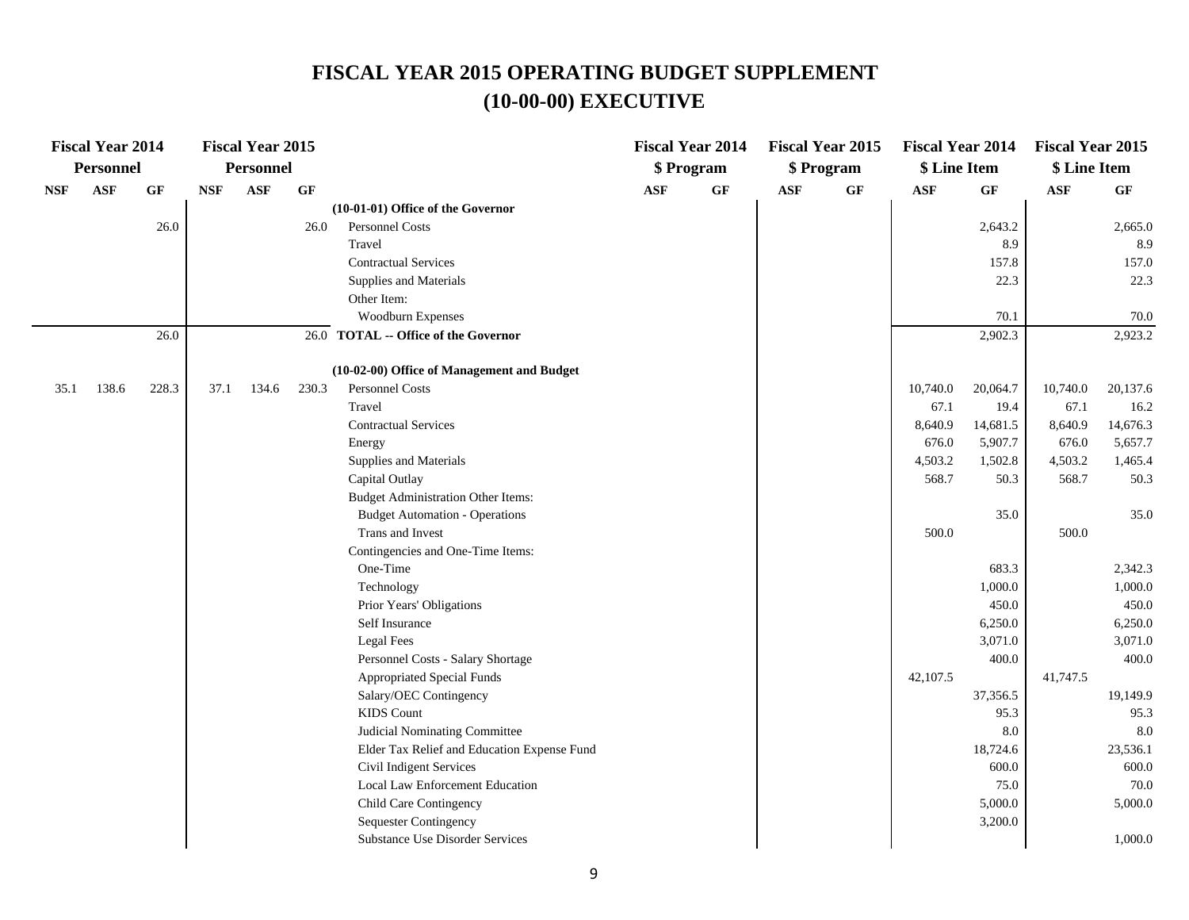|            | <b>Fiscal Year 2014</b> |       |            | <b>Fiscal Year 2015</b> |       |                                             |            | <b>Fiscal Year 2014</b> |            | <b>Fiscal Year 2015</b> | <b>Fiscal Year 2014</b> |                    | <b>Fiscal Year 2015</b> |          |
|------------|-------------------------|-------|------------|-------------------------|-------|---------------------------------------------|------------|-------------------------|------------|-------------------------|-------------------------|--------------------|-------------------------|----------|
|            | <b>Personnel</b>        |       |            | <b>Personnel</b>        |       |                                             |            | \$ Program              |            | \$ Program              | \$ Line Item            |                    | \$ Line Item            |          |
| <b>NSF</b> | <b>ASF</b>              | GF    | <b>NSF</b> | <b>ASF</b>              | GF    |                                             | <b>ASF</b> | GF                      | <b>ASF</b> | GF                      | <b>ASF</b>              | GF                 | $\mathbf{ASF}$          | GF       |
|            |                         |       |            |                         |       | (10-01-01) Office of the Governor           |            |                         |            |                         |                         |                    |                         |          |
|            |                         | 26.0  |            |                         | 26.0  | Personnel Costs                             |            |                         |            |                         |                         | 2,643.2            |                         | 2,665.0  |
|            |                         |       |            |                         |       | Travel                                      |            |                         |            |                         |                         | 8.9                |                         | 8.9      |
|            |                         |       |            |                         |       | <b>Contractual Services</b>                 |            |                         |            |                         |                         | 157.8              |                         | 157.0    |
|            |                         |       |            |                         |       | Supplies and Materials                      |            |                         |            |                         |                         | 22.3               |                         | 22.3     |
|            |                         |       |            |                         |       | Other Item:                                 |            |                         |            |                         |                         |                    |                         |          |
|            |                         |       |            |                         |       | Woodburn Expenses                           |            |                         |            |                         |                         | 70.1               |                         | 70.0     |
|            |                         | 26.0  |            |                         |       | 26.0 TOTAL -- Office of the Governor        |            |                         |            |                         |                         | 2,902.3            |                         | 2,923.2  |
|            |                         |       |            |                         |       | (10-02-00) Office of Management and Budget  |            |                         |            |                         |                         |                    |                         |          |
| 35.1       | 138.6                   | 228.3 | 37.1       | 134.6                   | 230.3 | Personnel Costs                             |            |                         |            |                         | 10,740.0                | 20,064.7           | 10,740.0                | 20,137.6 |
|            |                         |       |            |                         |       | Travel                                      |            |                         |            |                         | 67.1                    | 19.4               | 67.1                    | 16.2     |
|            |                         |       |            |                         |       | <b>Contractual Services</b>                 |            |                         |            |                         | 8,640.9                 | 14,681.5           | 8,640.9                 | 14,676.3 |
|            |                         |       |            |                         |       | Energy                                      |            |                         |            |                         | 676.0                   | 5,907.7            | 676.0                   | 5,657.7  |
|            |                         |       |            |                         |       | Supplies and Materials                      |            |                         |            |                         | 4,503.2                 | 1,502.8            | 4,503.2                 | 1,465.4  |
|            |                         |       |            |                         |       | Capital Outlay                              |            |                         |            |                         | 568.7                   | 50.3               | 568.7                   | 50.3     |
|            |                         |       |            |                         |       | <b>Budget Administration Other Items:</b>   |            |                         |            |                         |                         |                    |                         |          |
|            |                         |       |            |                         |       | <b>Budget Automation - Operations</b>       |            |                         |            |                         |                         | 35.0               |                         | 35.0     |
|            |                         |       |            |                         |       | Trans and Invest                            |            |                         |            |                         | 500.0                   |                    | 500.0                   |          |
|            |                         |       |            |                         |       | Contingencies and One-Time Items:           |            |                         |            |                         |                         |                    |                         |          |
|            |                         |       |            |                         |       | One-Time                                    |            |                         |            |                         |                         | 683.3              |                         | 2,342.3  |
|            |                         |       |            |                         |       | Technology                                  |            |                         |            |                         |                         | 1,000.0            |                         | 1,000.0  |
|            |                         |       |            |                         |       | Prior Years' Obligations                    |            |                         |            |                         |                         | 450.0              |                         | 450.0    |
|            |                         |       |            |                         |       | Self Insurance                              |            |                         |            |                         |                         | 6,250.0            |                         | 6,250.0  |
|            |                         |       |            |                         |       | Legal Fees                                  |            |                         |            |                         |                         | 3,071.0            |                         | 3,071.0  |
|            |                         |       |            |                         |       | Personnel Costs - Salary Shortage           |            |                         |            |                         |                         | 400.0              |                         | 400.0    |
|            |                         |       |            |                         |       | <b>Appropriated Special Funds</b>           |            |                         |            |                         | 42,107.5                |                    | 41,747.5                |          |
|            |                         |       |            |                         |       | Salary/OEC Contingency                      |            |                         |            |                         |                         | 37,356.5           |                         | 19,149.9 |
|            |                         |       |            |                         |       | <b>KIDS</b> Count                           |            |                         |            |                         |                         | 95.3               |                         | 95.3     |
|            |                         |       |            |                         |       | Judicial Nominating Committee               |            |                         |            |                         |                         | 8.0                |                         | 8.0      |
|            |                         |       |            |                         |       | Elder Tax Relief and Education Expense Fund |            |                         |            |                         |                         | 18,724.6           |                         | 23,536.1 |
|            |                         |       |            |                         |       | Civil Indigent Services                     |            |                         |            |                         |                         | 600.0              |                         | 600.0    |
|            |                         |       |            |                         |       | Local Law Enforcement Education             |            |                         |            |                         |                         | 75.0               |                         | 70.0     |
|            |                         |       |            |                         |       | Child Care Contingency                      |            |                         |            |                         |                         | 5,000.0<br>3,200.0 |                         | 5,000.0  |
|            |                         |       |            |                         |       | <b>Sequester Contingency</b>                |            |                         |            |                         |                         |                    |                         |          |
|            |                         |       |            |                         |       | Substance Use Disorder Services             |            |                         |            |                         |                         |                    |                         | 1,000.0  |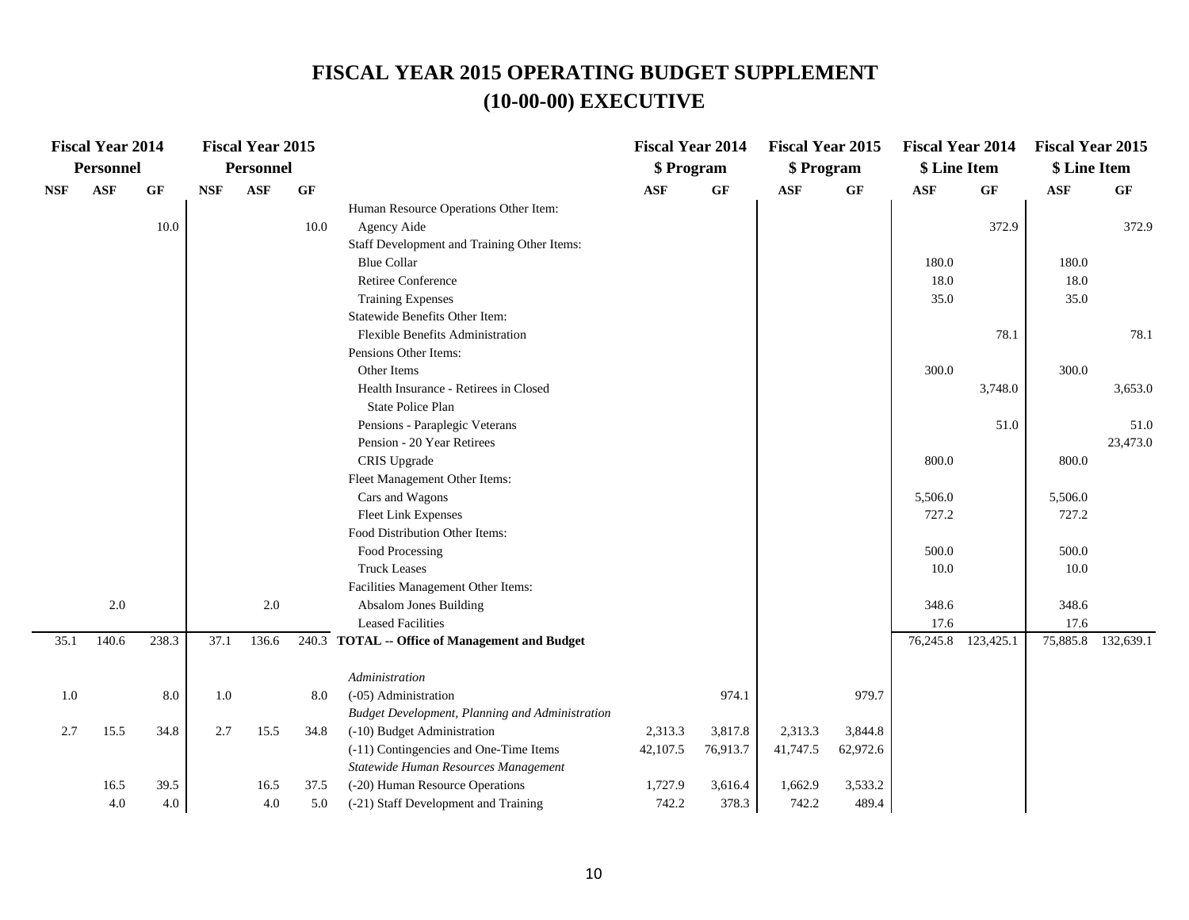| Personnel<br><b>Personnel</b><br>\$ Program<br>\$ Program<br>\$ Line Item                                                                              | \$ Line Item       |
|--------------------------------------------------------------------------------------------------------------------------------------------------------|--------------------|
| <b>ASF</b><br><b>ASF</b><br>$\bf{G} \bf{F}$<br>GF<br>$\bf{G} \bf{F}$<br>GF<br><b>NSF</b><br><b>ASF</b><br><b>ASF</b><br><b>ASF</b><br>GF<br><b>NSF</b> | <b>ASF</b><br>GF   |
| Human Resource Operations Other Item:                                                                                                                  |                    |
| 10.0<br>$10.0\,$<br>372.9<br>Agency Aide                                                                                                               | 372.9              |
| Staff Development and Training Other Items:                                                                                                            |                    |
| <b>Blue Collar</b><br>180.0                                                                                                                            | 180.0              |
| <b>Retiree Conference</b><br>18.0                                                                                                                      | 18.0               |
| <b>Training Expenses</b><br>35.0                                                                                                                       | 35.0               |
| Statewide Benefits Other Item:                                                                                                                         |                    |
| Flexible Benefits Administration<br>78.1                                                                                                               | 78.1               |
| Pensions Other Items:                                                                                                                                  |                    |
| Other Items<br>300.0                                                                                                                                   | 300.0              |
| Health Insurance - Retirees in Closed<br>3,748.0                                                                                                       | 3,653.0            |
| State Police Plan                                                                                                                                      |                    |
| Pensions - Paraplegic Veterans<br>51.0                                                                                                                 | 51.0               |
| Pension - 20 Year Retirees                                                                                                                             | 23,473.0           |
| CRIS Upgrade<br>800.0                                                                                                                                  | 800.0              |
| Fleet Management Other Items:                                                                                                                          |                    |
| Cars and Wagons<br>5,506.0                                                                                                                             | 5,506.0            |
| <b>Fleet Link Expenses</b><br>727.2                                                                                                                    | 727.2              |
| Food Distribution Other Items:                                                                                                                         |                    |
| Food Processing<br>500.0                                                                                                                               | 500.0              |
| <b>Truck Leases</b><br>10.0                                                                                                                            | 10.0               |
| Facilities Management Other Items:                                                                                                                     |                    |
| $2.0\,$<br>Absalom Jones Building<br>2.0<br>348.6                                                                                                      | 348.6              |
| <b>Leased Facilities</b><br>17.6                                                                                                                       | 17.6               |
| 238.3<br>76, 245.8 123, 425.1<br>140.6<br>37.1<br>136.6<br>240.3 TOTAL -- Office of Management and Budget<br>35.1                                      | 75,885.8 132,639.1 |
| Administration                                                                                                                                         |                    |
| 974.1<br>979.7<br>$1.0\,$<br>8.0<br>1.0<br>8.0<br>(-05) Administration                                                                                 |                    |
| Budget Development, Planning and Administration                                                                                                        |                    |
| 34.8<br>2.7<br>2.7<br>15.5<br>34.8<br>(-10) Budget Administration<br>2,313.3<br>3,817.8<br>2,313.3<br>3,844.8<br>15.5                                  |                    |
| 62,972.6<br>(-11) Contingencies and One-Time Items<br>42,107.5<br>76,913.7<br>41,747.5                                                                 |                    |
| Statewide Human Resources Management                                                                                                                   |                    |
| (-20) Human Resource Operations<br>1,727.9<br>3,533.2<br>16.5<br>39.5<br>16.5<br>37.5<br>3,616.4<br>1,662.9                                            |                    |
| 4.0<br>$4.0\,$<br>4.0<br>742.2<br>378.3<br>742.2<br>489.4<br>5.0<br>(-21) Staff Development and Training                                               |                    |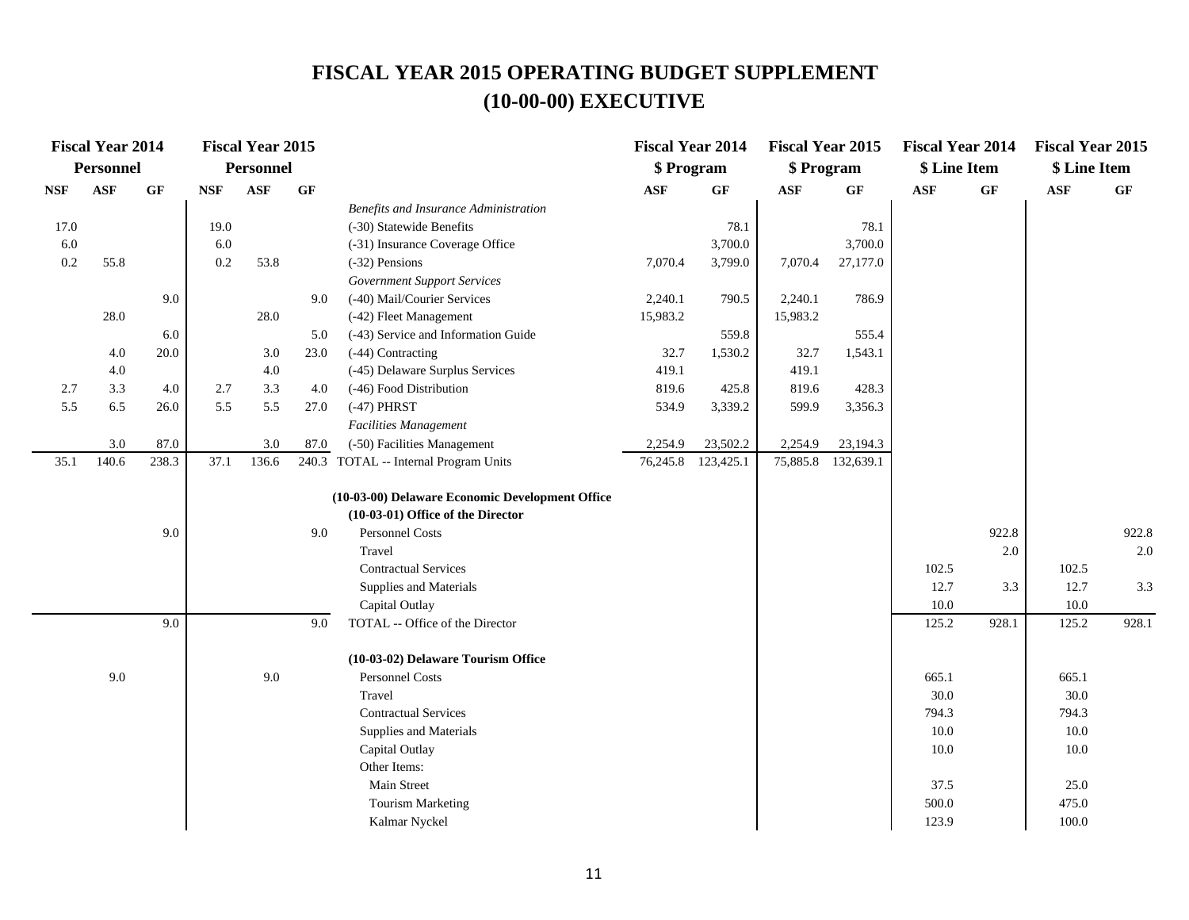|            | <b>Fiscal Year 2014</b> |         |            | <b>Fiscal Year 2015</b> |           |                                                                                      | <b>Fiscal Year 2014</b> |                      | <b>Fiscal Year 2015</b> |                    | <b>Fiscal Year 2014</b> |       | <b>Fiscal Year 2015</b> |           |
|------------|-------------------------|---------|------------|-------------------------|-----------|--------------------------------------------------------------------------------------|-------------------------|----------------------|-------------------------|--------------------|-------------------------|-------|-------------------------|-----------|
|            | Personnel               |         |            | <b>Personnel</b>        |           |                                                                                      | \$ Program              |                      | \$ Program              |                    | \$ Line Item            |       | \$ Line Item            |           |
| <b>NSF</b> | <b>ASF</b>              | GF      | <b>NSF</b> | ASF                     | <b>GF</b> |                                                                                      | $\mathbf{ASF}$          | <b>GF</b>            | ASF                     | <b>GF</b>          | <b>ASF</b>              | GF    | $\mathbf{ASF}$          | <b>GF</b> |
|            |                         |         |            |                         |           | Benefits and Insurance Administration                                                |                         |                      |                         |                    |                         |       |                         |           |
| 17.0       |                         |         | 19.0       |                         |           | (-30) Statewide Benefits                                                             |                         | 78.1                 |                         | 78.1               |                         |       |                         |           |
| 6.0        |                         |         | 6.0        |                         |           | (-31) Insurance Coverage Office                                                      |                         | 3,700.0              |                         | 3,700.0            |                         |       |                         |           |
| $0.2\,$    | 55.8                    |         | 0.2        | 53.8                    |           | (-32) Pensions                                                                       | 7,070.4                 | 3,799.0              | 7,070.4                 | 27,177.0           |                         |       |                         |           |
|            |                         |         |            |                         |           | <b>Government Support Services</b>                                                   |                         |                      |                         |                    |                         |       |                         |           |
|            |                         | 9.0     |            |                         | 9.0       | (-40) Mail/Courier Services                                                          | 2,240.1                 | 790.5                | 2,240.1                 | 786.9              |                         |       |                         |           |
|            | 28.0                    |         |            | 28.0                    |           | (-42) Fleet Management                                                               | 15,983.2                |                      | 15,983.2                |                    |                         |       |                         |           |
|            |                         | 6.0     |            |                         | 5.0       | (-43) Service and Information Guide                                                  |                         | 559.8                |                         | 555.4              |                         |       |                         |           |
|            | 4.0                     | 20.0    |            | 3.0                     | 23.0      | (-44) Contracting                                                                    | 32.7                    | 1,530.2              | 32.7                    | 1,543.1            |                         |       |                         |           |
|            | 4.0                     |         |            | $4.0\,$                 |           | (-45) Delaware Surplus Services                                                      | 419.1                   |                      | 419.1                   |                    |                         |       |                         |           |
| 2.7        | 3.3                     | $4.0\,$ | 2.7        | 3.3                     | 4.0       | (-46) Food Distribution                                                              | 819.6                   | 425.8                | 819.6                   | 428.3              |                         |       |                         |           |
| 5.5        | 6.5                     | 26.0    | 5.5        | 5.5                     | 27.0      | $(-47)$ PHRST                                                                        | 534.9                   | 3,339.2              | 599.9                   | 3,356.3            |                         |       |                         |           |
|            |                         |         |            |                         |           | Facilities Management                                                                |                         |                      |                         |                    |                         |       |                         |           |
|            | 3.0                     | 87.0    |            | 3.0                     | 87.0      | (-50) Facilities Management                                                          | 2,254.9                 | 23,502.2             | 2,254.9                 | 23,194.3           |                         |       |                         |           |
| 35.1       | 140.6                   | 238.3   | 37.1       | 136.6                   |           | 240.3 TOTAL -- Internal Program Units                                                |                         | 76, 245.8 123, 425.1 |                         | 75,885.8 132,639.1 |                         |       |                         |           |
|            |                         |         |            |                         |           |                                                                                      |                         |                      |                         |                    |                         |       |                         |           |
|            |                         |         |            |                         |           | (10-03-00) Delaware Economic Development Office<br>(10-03-01) Office of the Director |                         |                      |                         |                    |                         |       |                         |           |
|            |                         | 9.0     |            |                         |           | Personnel Costs                                                                      |                         |                      |                         |                    |                         | 922.8 |                         | 922.8     |
|            |                         |         |            |                         | 9.0       | Travel                                                                               |                         |                      |                         |                    |                         | 2.0   |                         | 2.0       |
|            |                         |         |            |                         |           | <b>Contractual Services</b>                                                          |                         |                      |                         |                    |                         |       |                         |           |
|            |                         |         |            |                         |           |                                                                                      |                         |                      |                         |                    | 102.5<br>12.7           | 3.3   | 102.5<br>12.7           | 3.3       |
|            |                         |         |            |                         |           | Supplies and Materials<br>Capital Outlay                                             |                         |                      |                         |                    | 10.0                    |       | 10.0                    |           |
|            |                         | 9.0     |            |                         | 9.0       | TOTAL -- Office of the Director                                                      |                         |                      |                         |                    | 125.2                   | 928.1 | 125.2                   | 928.1     |
|            |                         |         |            |                         |           |                                                                                      |                         |                      |                         |                    |                         |       |                         |           |
|            |                         |         |            |                         |           | (10-03-02) Delaware Tourism Office                                                   |                         |                      |                         |                    |                         |       |                         |           |
|            | 9.0                     |         |            | 9.0                     |           | <b>Personnel Costs</b>                                                               |                         |                      |                         |                    | 665.1                   |       | 665.1                   |           |
|            |                         |         |            |                         |           | Travel                                                                               |                         |                      |                         |                    | 30.0                    |       | 30.0                    |           |
|            |                         |         |            |                         |           | <b>Contractual Services</b>                                                          |                         |                      |                         |                    | 794.3                   |       | 794.3                   |           |
|            |                         |         |            |                         |           | Supplies and Materials                                                               |                         |                      |                         |                    | 10.0                    |       | 10.0                    |           |
|            |                         |         |            |                         |           | Capital Outlay                                                                       |                         |                      |                         |                    | 10.0                    |       | 10.0                    |           |
|            |                         |         |            |                         |           | Other Items:                                                                         |                         |                      |                         |                    |                         |       |                         |           |
|            |                         |         |            |                         |           | <b>Main Street</b>                                                                   |                         |                      |                         |                    | 37.5                    |       | 25.0                    |           |
|            |                         |         |            |                         |           | <b>Tourism Marketing</b>                                                             |                         |                      |                         |                    | 500.0                   |       | 475.0                   |           |
|            |                         |         |            |                         |           | Kalmar Nyckel                                                                        |                         |                      |                         |                    | 123.9                   |       | 100.0                   |           |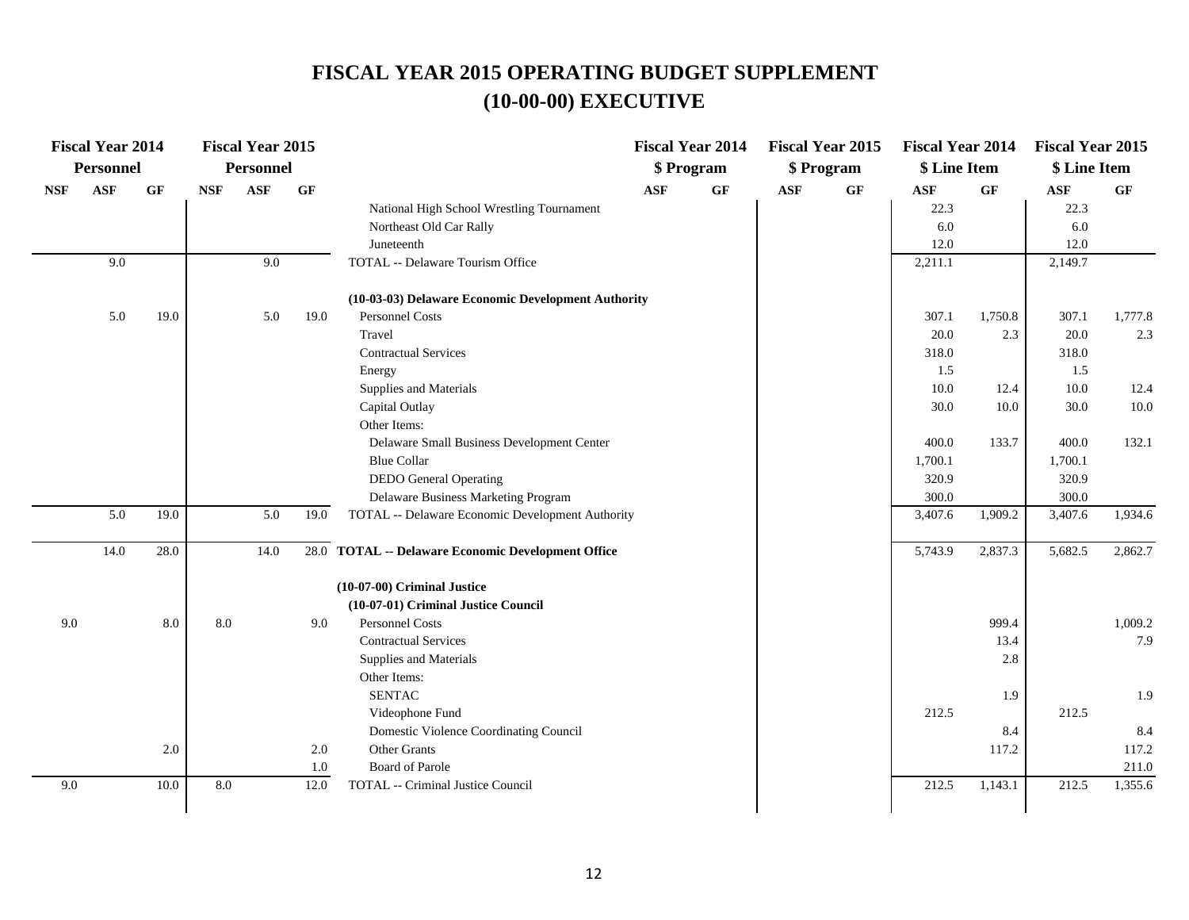|            | <b>Fiscal Year 2014</b> |      |            | <b>Fiscal Year 2015</b> |             |                                                    |            | <b>Fiscal Year 2014</b> |            | <b>Fiscal Year 2015</b> | <b>Fiscal Year 2014</b> |         | <b>Fiscal Year 2015</b> |         |
|------------|-------------------------|------|------------|-------------------------|-------------|----------------------------------------------------|------------|-------------------------|------------|-------------------------|-------------------------|---------|-------------------------|---------|
|            | <b>Personnel</b>        |      |            | <b>Personnel</b>        |             |                                                    |            | \$ Program              |            | \$ Program              | \$ Line Item            |         | \$ Line Item            |         |
| <b>NSF</b> | <b>ASF</b>              | GF   | <b>NSF</b> | <b>ASF</b>              | <b>GF</b>   |                                                    | <b>ASF</b> | GF                      | <b>ASF</b> | $\bf{G} \bf{F}$         | <b>ASF</b>              | GF      | <b>ASF</b>              | GF      |
|            |                         |      |            |                         |             | National High School Wrestling Tournament          |            |                         |            |                         | 22.3                    |         | 22.3                    |         |
|            |                         |      |            |                         |             | Northeast Old Car Rally                            |            |                         |            |                         | 6.0                     |         | 6.0                     |         |
|            |                         |      |            |                         |             | Juneteenth                                         |            |                         |            |                         | 12.0                    |         | 12.0                    |         |
|            | 9.0                     |      |            | 9.0                     |             | TOTAL -- Delaware Tourism Office                   |            |                         |            |                         | 2,211.1                 |         | 2,149.7                 |         |
|            |                         |      |            |                         |             | (10-03-03) Delaware Economic Development Authority |            |                         |            |                         |                         |         |                         |         |
|            | 5.0                     | 19.0 |            | 5.0                     | 19.0        | Personnel Costs                                    |            |                         |            |                         | 307.1                   | 1,750.8 | 307.1                   | 1,777.8 |
|            |                         |      |            |                         |             | Travel                                             |            |                         |            |                         | 20.0                    | 2.3     | 20.0                    | 2.3     |
|            |                         |      |            |                         |             | <b>Contractual Services</b>                        |            |                         |            |                         | 318.0                   |         | 318.0                   |         |
|            |                         |      |            |                         |             | Energy                                             |            |                         |            |                         | 1.5                     |         | 1.5                     |         |
|            |                         |      |            |                         |             | Supplies and Materials                             |            |                         |            |                         | 10.0                    | 12.4    | 10.0                    | 12.4    |
|            |                         |      |            |                         |             | Capital Outlay                                     |            |                         |            |                         | 30.0                    | 10.0    | 30.0                    | 10.0    |
|            |                         |      |            |                         |             | Other Items:                                       |            |                         |            |                         |                         |         |                         |         |
|            |                         |      |            |                         |             | Delaware Small Business Development Center         |            |                         |            |                         | 400.0                   | 133.7   | 400.0                   | 132.1   |
|            |                         |      |            |                         |             | <b>Blue Collar</b>                                 |            |                         |            |                         | 1,700.1                 |         | 1,700.1                 |         |
|            |                         |      |            |                         |             | <b>DEDO</b> General Operating                      |            |                         |            |                         | 320.9                   |         | 320.9                   |         |
|            |                         |      |            |                         |             | Delaware Business Marketing Program                |            |                         |            |                         | 300.0                   |         | 300.0                   |         |
|            | 5.0                     | 19.0 |            | 5.0                     | 19.0        | TOTAL -- Delaware Economic Development Authority   |            |                         |            |                         | 3,407.6                 | 1,909.2 | 3,407.6                 | 1,934.6 |
|            | 14.0                    | 28.0 |            | 14.0                    |             | 28.0 TOTAL -- Delaware Economic Development Office |            |                         |            |                         | 5,743.9                 | 2,837.3 | 5,682.5                 | 2,862.7 |
|            |                         |      |            |                         |             | (10-07-00) Criminal Justice                        |            |                         |            |                         |                         |         |                         |         |
|            |                         |      |            |                         |             | (10-07-01) Criminal Justice Council                |            |                         |            |                         |                         |         |                         |         |
| 9.0        |                         | 8.0  | 8.0        |                         | 9.0         | Personnel Costs                                    |            |                         |            |                         |                         | 999.4   |                         | 1,009.2 |
|            |                         |      |            |                         |             | <b>Contractual Services</b>                        |            |                         |            |                         |                         | 13.4    |                         | 7.9     |
|            |                         |      |            |                         |             | Supplies and Materials                             |            |                         |            |                         |                         | 2.8     |                         |         |
|            |                         |      |            |                         |             | Other Items:                                       |            |                         |            |                         |                         |         |                         |         |
|            |                         |      |            |                         |             | <b>SENTAC</b>                                      |            |                         |            |                         |                         | 1.9     |                         | 1.9     |
|            |                         |      |            |                         |             | Videophone Fund                                    |            |                         |            |                         | 212.5                   |         | 212.5                   |         |
|            |                         |      |            |                         |             | Domestic Violence Coordinating Council             |            |                         |            |                         |                         | 8.4     |                         | 8.4     |
|            |                         | 2.0  |            |                         | 2.0         | Other Grants                                       |            |                         |            |                         |                         | 117.2   |                         | 117.2   |
|            |                         |      | 8.0        |                         | 1.0<br>12.0 | Board of Parole                                    |            |                         |            |                         |                         |         |                         | 211.0   |
| 9.0        |                         | 10.0 |            |                         |             | TOTAL -- Criminal Justice Council                  |            |                         |            |                         | 212.5                   | 1,143.1 | 212.5                   | 1,355.6 |
|            |                         |      |            |                         |             |                                                    |            |                         |            |                         |                         |         |                         |         |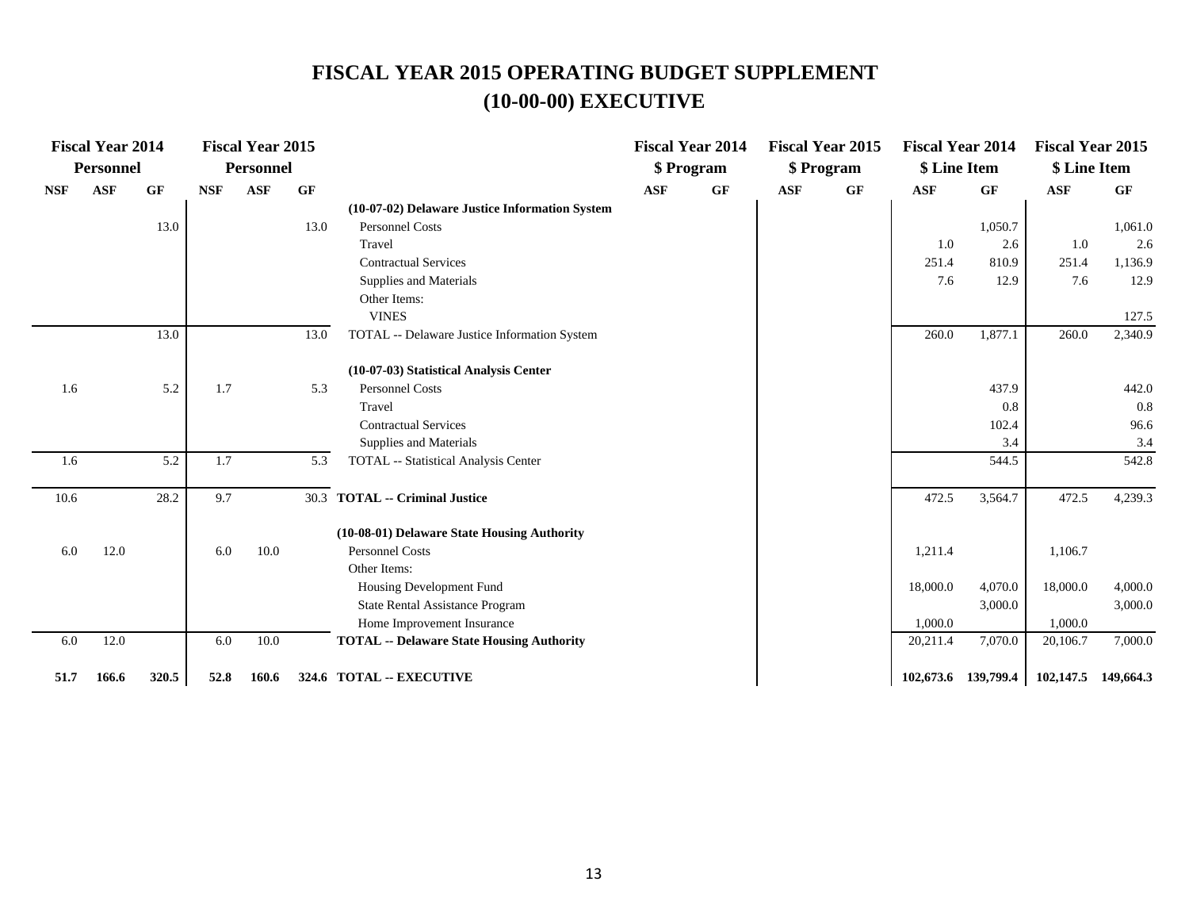|            | <b>Fiscal Year 2014</b> |       |            | <b>Fiscal Year 2015</b> |      |                                                  |            | <b>Fiscal Year 2014</b> |            | <b>Fiscal Year 2015</b> | <b>Fiscal Year 2014</b> |           | <b>Fiscal Year 2015</b> |         |
|------------|-------------------------|-------|------------|-------------------------|------|--------------------------------------------------|------------|-------------------------|------------|-------------------------|-------------------------|-----------|-------------------------|---------|
|            | Personnel               |       |            | <b>Personnel</b>        |      |                                                  |            | \$ Program              |            | \$ Program              | \$ Line Item            |           | \$ Line Item            |         |
| <b>NSF</b> | <b>ASF</b>              | GF    | <b>NSF</b> | <b>ASF</b>              | GF   |                                                  | <b>ASF</b> | GF                      | <b>ASF</b> | GF                      | <b>ASF</b>              | <b>GF</b> | <b>ASF</b>              | GF      |
|            |                         |       |            |                         |      | (10-07-02) Delaware Justice Information System   |            |                         |            |                         |                         |           |                         |         |
|            |                         | 13.0  |            |                         | 13.0 | <b>Personnel Costs</b>                           |            |                         |            |                         |                         | 1,050.7   |                         | 1,061.0 |
|            |                         |       |            |                         |      | Travel                                           |            |                         |            |                         | 1.0                     | 2.6       | 1.0                     | 2.6     |
|            |                         |       |            |                         |      | <b>Contractual Services</b>                      |            |                         |            |                         | 251.4                   | 810.9     | 251.4                   | 1,136.9 |
|            |                         |       |            |                         |      | Supplies and Materials                           |            |                         |            |                         | 7.6                     | 12.9      | 7.6                     | 12.9    |
|            |                         |       |            |                         |      | Other Items:                                     |            |                         |            |                         |                         |           |                         |         |
|            |                         |       |            |                         |      | <b>VINES</b>                                     |            |                         |            |                         |                         |           |                         | 127.5   |
|            |                         | 13.0  |            |                         | 13.0 | TOTAL -- Delaware Justice Information System     |            |                         |            |                         | 260.0                   | 1,877.1   | 260.0                   | 2,340.9 |
|            |                         |       |            |                         |      | (10-07-03) Statistical Analysis Center           |            |                         |            |                         |                         |           |                         |         |
| 1.6        |                         | 5.2   | 1.7        |                         | 5.3  | <b>Personnel Costs</b>                           |            |                         |            |                         |                         | 437.9     |                         | 442.0   |
|            |                         |       |            |                         |      | Travel                                           |            |                         |            |                         |                         | 0.8       |                         | 0.8     |
|            |                         |       |            |                         |      | <b>Contractual Services</b>                      |            |                         |            |                         |                         | 102.4     |                         | 96.6    |
|            |                         |       |            |                         |      | Supplies and Materials                           |            |                         |            |                         |                         | 3.4       |                         | 3.4     |
| 1.6        |                         | 5.2   | 1.7        |                         | 5.3  | TOTAL -- Statistical Analysis Center             |            |                         |            |                         |                         | 544.5     |                         | 542.8   |
| 10.6       |                         | 28.2  | 9.7        |                         |      | 30.3 TOTAL -- Criminal Justice                   |            |                         |            |                         | 472.5                   | 3,564.7   | 472.5                   | 4,239.3 |
|            |                         |       |            |                         |      | (10-08-01) Delaware State Housing Authority      |            |                         |            |                         |                         |           |                         |         |
| 6.0        | 12.0                    |       | 6.0        | 10.0                    |      | <b>Personnel Costs</b>                           |            |                         |            |                         | 1,211.4                 |           | 1,106.7                 |         |
|            |                         |       |            |                         |      | Other Items:                                     |            |                         |            |                         |                         |           |                         |         |
|            |                         |       |            |                         |      | Housing Development Fund                         |            |                         |            |                         | 18,000.0                | 4,070.0   | 18,000.0                | 4,000.0 |
|            |                         |       |            |                         |      | State Rental Assistance Program                  |            |                         |            |                         |                         | 3,000.0   |                         | 3,000.0 |
|            |                         |       |            |                         |      | Home Improvement Insurance                       |            |                         |            |                         | 1,000.0                 |           | 1,000.0                 |         |
| 6.0        | 12.0                    |       | 6.0        | 10.0                    |      | <b>TOTAL -- Delaware State Housing Authority</b> |            |                         |            |                         | 20,211.4                | 7,070.0   | 20,106.7                | 7,000.0 |
| 51.7       | 166.6                   | 320.5 | 52.8       | 160.6                   |      | 324.6 TOTAL -- EXECUTIVE                         |            |                         |            |                         | 102,673.6 139,799.4     |           | 102,147.5 149,664.3     |         |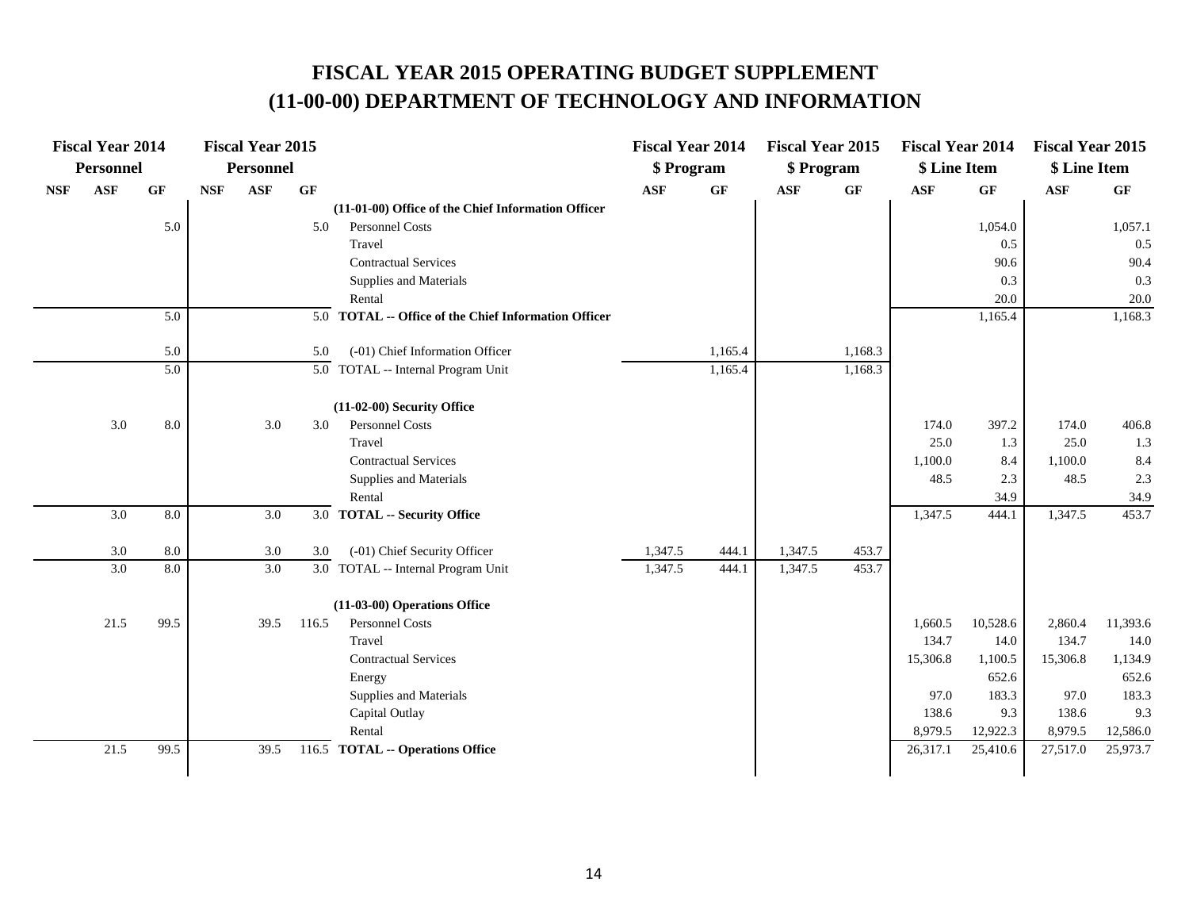# **FISCAL YEAR 2015 OPERATING BUDGET SUPPLEMENT (11-00-00) DEPARTMENT OF TECHNOLOGY AND INFORMATION**

|            | <b>Fiscal Year 2014</b> |                 |            | <b>Fiscal Year 2015</b> |                 |                                                      | <b>Fiscal Year 2014</b> |           | <b>Fiscal Year 2015</b> |         | <b>Fiscal Year 2014</b> |          | <b>Fiscal Year 2015</b> |          |
|------------|-------------------------|-----------------|------------|-------------------------|-----------------|------------------------------------------------------|-------------------------|-----------|-------------------------|---------|-------------------------|----------|-------------------------|----------|
|            | Personnel               |                 |            | <b>Personnel</b>        |                 |                                                      | \$ Program              |           | \$ Program              |         | \$ Line Item            |          | \$ Line Item            |          |
| <b>NSF</b> | <b>ASF</b>              | $\bf{G} \bf{F}$ | <b>NSF</b> | <b>ASF</b>              | $\bf{G} \bf{F}$ |                                                      | <b>ASF</b>              | <b>GF</b> | <b>ASF</b>              | GF      | <b>ASF</b>              | GF       | ASF                     | GF       |
|            |                         |                 |            |                         |                 | (11-01-00) Office of the Chief Information Officer   |                         |           |                         |         |                         |          |                         |          |
|            |                         | 5.0             |            |                         | 5.0             | <b>Personnel Costs</b>                               |                         |           |                         |         |                         | 1,054.0  |                         | 1,057.1  |
|            |                         |                 |            |                         |                 | Travel                                               |                         |           |                         |         |                         | 0.5      |                         | 0.5      |
|            |                         |                 |            |                         |                 | <b>Contractual Services</b>                          |                         |           |                         |         |                         | 90.6     |                         | 90.4     |
|            |                         |                 |            |                         |                 | Supplies and Materials                               |                         |           |                         |         |                         | 0.3      |                         | 0.3      |
|            |                         |                 |            |                         |                 | Rental                                               |                         |           |                         |         |                         | 20.0     |                         | 20.0     |
|            |                         | 5.0             |            |                         |                 | 5.0 TOTAL -- Office of the Chief Information Officer |                         |           |                         |         |                         | 1,165.4  |                         | 1,168.3  |
|            |                         | 5.0             |            |                         | 5.0             | (-01) Chief Information Officer                      |                         | 1,165.4   |                         | 1,168.3 |                         |          |                         |          |
|            |                         | 5.0             |            |                         |                 | $\overline{5.0}$ TOTAL -- Internal Program Unit      |                         | 1,165.4   |                         | 1,168.3 |                         |          |                         |          |
|            |                         |                 |            |                         |                 |                                                      |                         |           |                         |         |                         |          |                         |          |
|            |                         |                 |            |                         |                 | (11-02-00) Security Office                           |                         |           |                         |         |                         |          |                         |          |
|            | 3.0                     | 8.0             |            | 3.0                     | 3.0             | <b>Personnel Costs</b>                               |                         |           |                         |         | 174.0                   | 397.2    | 174.0                   | 406.8    |
|            |                         |                 |            |                         |                 | Travel                                               |                         |           |                         |         | 25.0                    | 1.3      | 25.0                    | 1.3      |
|            |                         |                 |            |                         |                 | <b>Contractual Services</b>                          |                         |           |                         |         | 1,100.0                 | 8.4      | 1,100.0                 | 8.4      |
|            |                         |                 |            |                         |                 | Supplies and Materials                               |                         |           |                         |         | 48.5                    | 2.3      | 48.5                    | 2.3      |
|            |                         |                 |            |                         |                 | Rental                                               |                         |           |                         |         |                         | 34.9     |                         | 34.9     |
|            | 3.0                     | $8.0\,$         |            | 3.0                     |                 | 3.0 TOTAL -- Security Office                         |                         |           |                         |         | 1,347.5                 | 444.1    | 1,347.5                 | 453.7    |
|            | $3.0\,$                 | 8.0             |            | $3.0\,$                 | 3.0             | (-01) Chief Security Officer                         | 1,347.5                 | 444.1     | 1,347.5                 | 453.7   |                         |          |                         |          |
|            | 3.0                     | 8.0             |            | 3.0                     |                 | 3.0 TOTAL -- Internal Program Unit                   | 1,347.5                 | 444.1     | 1,347.5                 | 453.7   |                         |          |                         |          |
|            |                         |                 |            |                         |                 | (11-03-00) Operations Office                         |                         |           |                         |         |                         |          |                         |          |
|            | 21.5                    | 99.5            |            | 39.5                    | 116.5           | <b>Personnel Costs</b>                               |                         |           |                         |         | 1,660.5                 | 10,528.6 | 2,860.4                 | 11,393.6 |
|            |                         |                 |            |                         |                 | Travel                                               |                         |           |                         |         | 134.7                   | 14.0     | 134.7                   | 14.0     |
|            |                         |                 |            |                         |                 | <b>Contractual Services</b>                          |                         |           |                         |         | 15,306.8                | 1,100.5  | 15,306.8                | 1,134.9  |
|            |                         |                 |            |                         |                 | Energy                                               |                         |           |                         |         |                         | 652.6    |                         | 652.6    |
|            |                         |                 |            |                         |                 | Supplies and Materials                               |                         |           |                         |         | 97.0                    | 183.3    | 97.0                    | 183.3    |
|            |                         |                 |            |                         |                 | Capital Outlay                                       |                         |           |                         |         | 138.6                   | 9.3      | 138.6                   | 9.3      |
|            |                         |                 |            |                         |                 | Rental                                               |                         |           |                         |         | 8,979.5                 | 12,922.3 | 8,979.5                 | 12,586.0 |
|            | 21.5                    | 99.5            |            | 39.5                    |                 | 116.5 TOTAL -- Operations Office                     |                         |           |                         |         | 26,317.1                | 25,410.6 | 27,517.0                | 25,973.7 |
|            |                         |                 |            |                         |                 |                                                      |                         |           |                         |         |                         |          |                         |          |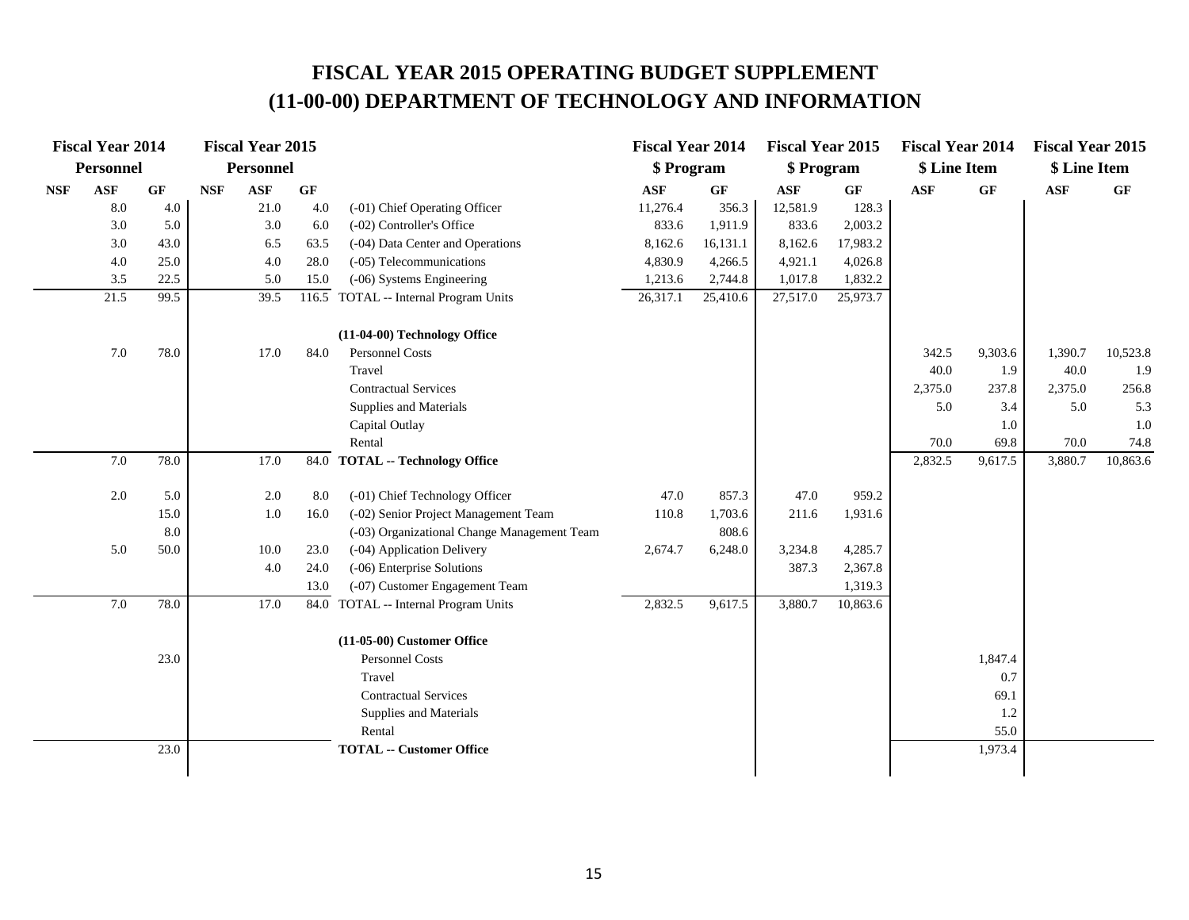# **FISCAL YEAR 2015 OPERATING BUDGET SUPPLEMENT (11-00-00) DEPARTMENT OF TECHNOLOGY AND INFORMATION**

|                             | <b>Fiscal Year 2014</b> |      |            | <b>Fiscal Year 2015</b> |       |                                             | <b>Fiscal Year 2014</b> |                 | <b>Fiscal Year 2015</b> |                 | <b>Fiscal Year 2014</b> |                 | <b>Fiscal Year 2015</b> |          |
|-----------------------------|-------------------------|------|------------|-------------------------|-------|---------------------------------------------|-------------------------|-----------------|-------------------------|-----------------|-------------------------|-----------------|-------------------------|----------|
|                             | <b>Personnel</b>        |      |            | <b>Personnel</b>        |       |                                             | \$ Program              |                 | \$ Program              |                 | \$ Line Item            |                 | \$ Line Item            |          |
| $\ensuremath{\mathbf{NSF}}$ | <b>ASF</b>              | GF   | <b>NSF</b> | $\mathbf{ASF}$          | GF    |                                             | <b>ASF</b>              | $\bf{G} \bf{F}$ | <b>ASF</b>              | $\bf{G} \bf{F}$ | <b>ASF</b>              | $\bf{G} \bf{F}$ | <b>ASF</b>              | GF       |
|                             | 8.0                     | 4.0  |            | 21.0                    | 4.0   | (-01) Chief Operating Officer               | 11,276.4                | 356.3           | 12,581.9                | 128.3           |                         |                 |                         |          |
|                             | 3.0                     | 5.0  |            | 3.0                     | 6.0   | (-02) Controller's Office                   | 833.6                   | 1,911.9         | 833.6                   | 2,003.2         |                         |                 |                         |          |
|                             | 3.0                     | 43.0 |            | 6.5                     | 63.5  | (-04) Data Center and Operations            | 8,162.6                 | 16,131.1        | 8,162.6                 | 17,983.2        |                         |                 |                         |          |
|                             | 4.0                     | 25.0 |            | 4.0                     | 28.0  | (-05) Telecommunications                    | 4,830.9                 | 4,266.5         | 4,921.1                 | 4,026.8         |                         |                 |                         |          |
|                             | 3.5                     | 22.5 |            | 5.0                     | 15.0  | (-06) Systems Engineering                   | 1,213.6                 | 2,744.8         | 1,017.8                 | 1,832.2         |                         |                 |                         |          |
|                             | 21.5                    | 99.5 |            | 39.5                    | 116.5 | TOTAL -- Internal Program Units             | 26,317.1                | 25,410.6        | 27,517.0                | 25,973.7        |                         |                 |                         |          |
|                             |                         |      |            |                         |       | (11-04-00) Technology Office                |                         |                 |                         |                 |                         |                 |                         |          |
|                             | 7.0                     | 78.0 |            | 17.0                    | 84.0  | Personnel Costs                             |                         |                 |                         |                 | 342.5                   | 9,303.6         | 1,390.7                 | 10,523.8 |
|                             |                         |      |            |                         |       | Travel                                      |                         |                 |                         |                 | 40.0                    | 1.9             | 40.0                    | 1.9      |
|                             |                         |      |            |                         |       | <b>Contractual Services</b>                 |                         |                 |                         |                 | 2,375.0                 | 237.8           | 2,375.0                 | 256.8    |
|                             |                         |      |            |                         |       | Supplies and Materials                      |                         |                 |                         |                 | 5.0                     | 3.4             | 5.0                     | 5.3      |
|                             |                         |      |            |                         |       | Capital Outlay                              |                         |                 |                         |                 |                         | 1.0             |                         | 1.0      |
|                             |                         |      |            |                         |       | Rental                                      |                         |                 |                         |                 | 70.0                    | 69.8            | 70.0                    | 74.8     |
|                             | 7.0                     | 78.0 |            | 17.0                    | 84.0  | <b>TOTAL -- Technology Office</b>           |                         |                 |                         |                 | 2,832.5                 | 9,617.5         | 3,880.7                 | 10,863.6 |
|                             | 2.0                     | 5.0  |            | 2.0                     | 8.0   | (-01) Chief Technology Officer              | 47.0                    | 857.3           | 47.0                    | 959.2           |                         |                 |                         |          |
|                             |                         | 15.0 |            | 1.0                     | 16.0  | (-02) Senior Project Management Team        | 110.8                   | 1,703.6         | 211.6                   | 1,931.6         |                         |                 |                         |          |
|                             |                         | 8.0  |            |                         |       | (-03) Organizational Change Management Team |                         | 808.6           |                         |                 |                         |                 |                         |          |
|                             | 5.0                     | 50.0 |            | 10.0                    | 23.0  | (-04) Application Delivery                  | 2,674.7                 | 6,248.0         | 3,234.8                 | 4,285.7         |                         |                 |                         |          |
|                             |                         |      |            | 4.0                     | 24.0  | (-06) Enterprise Solutions                  |                         |                 | 387.3                   | 2,367.8         |                         |                 |                         |          |
|                             |                         |      |            |                         | 13.0  | (-07) Customer Engagement Team              |                         |                 |                         | 1,319.3         |                         |                 |                         |          |
|                             | 7.0                     | 78.0 |            | 17.0                    |       | 84.0 TOTAL -- Internal Program Units        | 2,832.5                 | 9,617.5         | 3,880.7                 | 10,863.6        |                         |                 |                         |          |
|                             |                         |      |            |                         |       | (11-05-00) Customer Office                  |                         |                 |                         |                 |                         |                 |                         |          |
|                             |                         | 23.0 |            |                         |       | <b>Personnel Costs</b>                      |                         |                 |                         |                 |                         | 1,847.4         |                         |          |
|                             |                         |      |            |                         |       | Travel                                      |                         |                 |                         |                 |                         | 0.7             |                         |          |
|                             |                         |      |            |                         |       | <b>Contractual Services</b>                 |                         |                 |                         |                 |                         | 69.1            |                         |          |
|                             |                         |      |            |                         |       | Supplies and Materials                      |                         |                 |                         |                 |                         | 1.2             |                         |          |
|                             |                         |      |            |                         |       | Rental                                      |                         |                 |                         |                 |                         | 55.0            |                         |          |
|                             |                         | 23.0 |            |                         |       | <b>TOTAL -- Customer Office</b>             |                         |                 |                         |                 |                         | 1,973.4         |                         |          |
|                             |                         |      |            |                         |       |                                             |                         |                 |                         |                 |                         |                 |                         |          |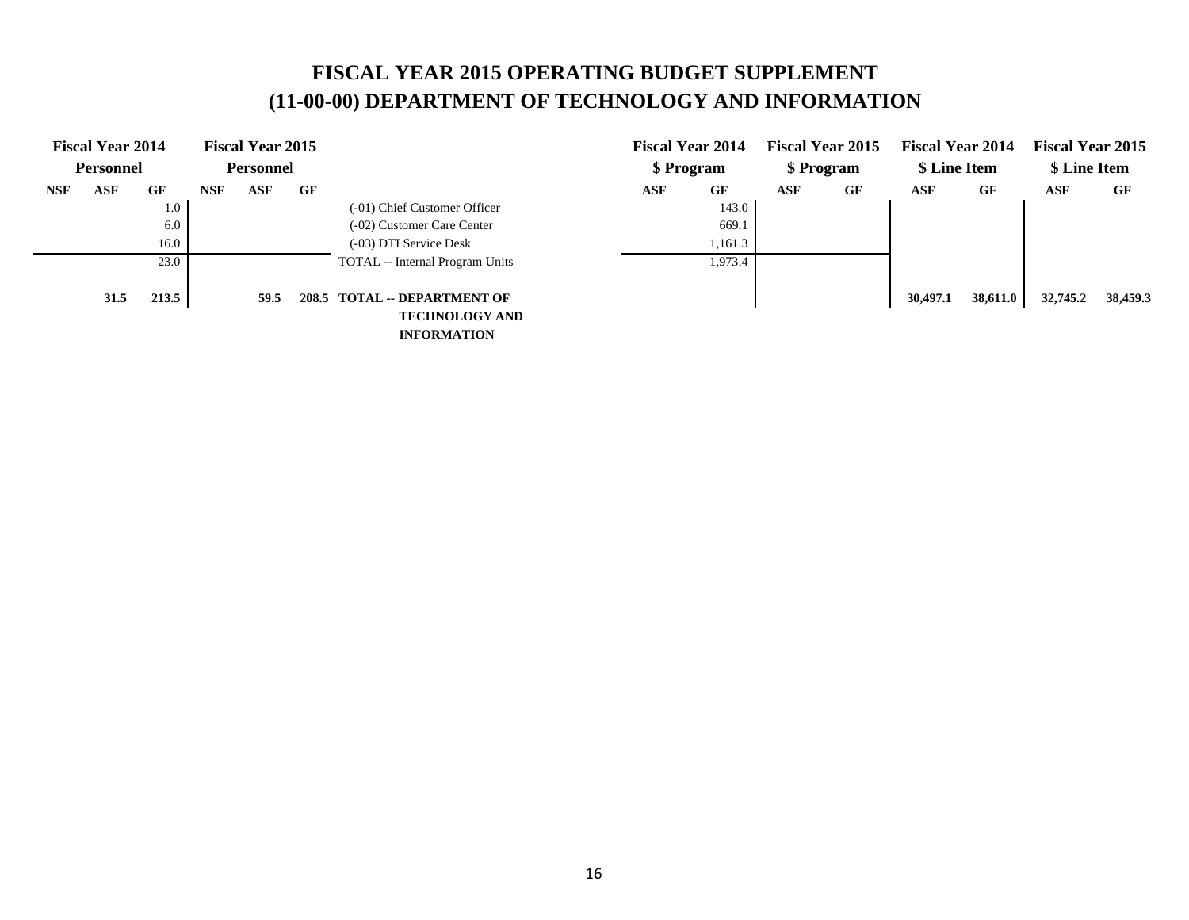# **FISCAL YEAR 2015 OPERATING BUDGET SUPPLEMENT (11-00-00) DEPARTMENT OF TECHNOLOGY AND INFORMATION**

|            | <b>Fiscal Year 2014</b> |       |            | <b>Fiscal Year 2015</b> |           |                                 |            | <b>Fiscal Year 2014</b> |            | <b>Fiscal Year 2015</b> | <b>Fiscal Year 2014</b> |          | <b>Fiscal Year 2015</b> |          |
|------------|-------------------------|-------|------------|-------------------------|-----------|---------------------------------|------------|-------------------------|------------|-------------------------|-------------------------|----------|-------------------------|----------|
|            | <b>Personnel</b>        |       |            | <b>Personnel</b>        |           |                                 |            | \$ Program              |            | \$ Program              | \$ Line Item            |          | \$ Line Item            |          |
| <b>NSF</b> | <b>ASF</b>              | GF    | <b>NSF</b> | <b>ASF</b>              | $\bf{G}F$ |                                 | <b>ASF</b> | GF                      | <b>ASF</b> | GF                      | ASF                     | GF       | ASF                     | GF       |
|            |                         | 1.0   |            |                         |           | (-01) Chief Customer Officer    |            | 143.0                   |            |                         |                         |          |                         |          |
|            |                         | 6.0   |            |                         |           | (-02) Customer Care Center      |            | 669.1                   |            |                         |                         |          |                         |          |
|            |                         | 16.0  |            |                         |           | (-03) DTI Service Desk          |            | 1,161.3                 |            |                         |                         |          |                         |          |
|            |                         | 23.0  |            |                         |           | TOTAL -- Internal Program Units |            | 1,973.4                 |            |                         |                         |          |                         |          |
|            |                         |       |            |                         |           |                                 |            |                         |            |                         |                         |          |                         |          |
|            | 31.5                    | 213.5 |            | 59.5                    |           | 208.5 TOTAL -- DEPARTMENT OF    |            |                         |            |                         | 30,497.1                | 38,611.0 | 32,745.2                | 38,459.3 |
|            |                         |       |            |                         |           | <b>TECHNOLOGY AND</b>           |            |                         |            |                         |                         |          |                         |          |
|            |                         |       |            |                         |           | <b>INFORMATION</b>              |            |                         |            |                         |                         |          |                         |          |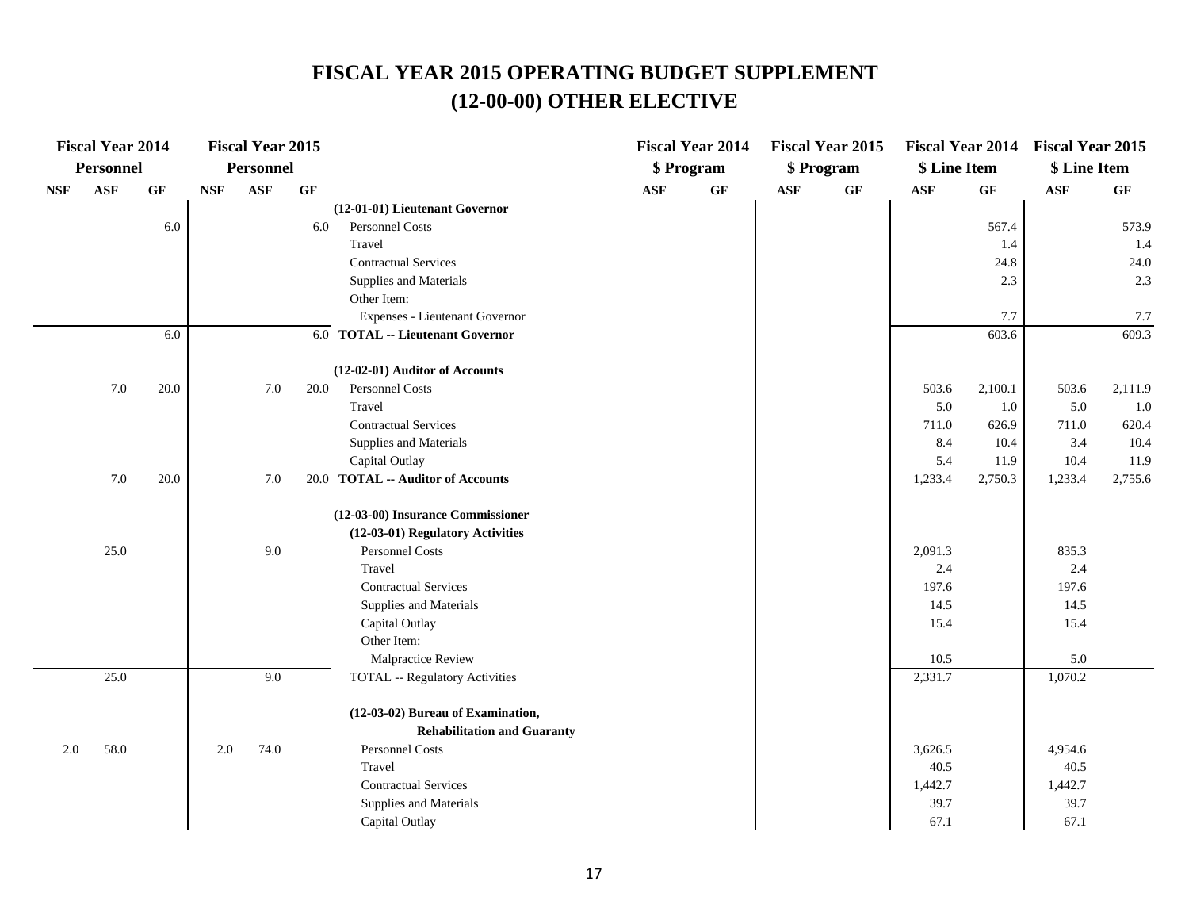|            | <b>Fiscal Year 2014</b> |                 |            | <b>Fiscal Year 2015</b> |      |                                       |            | <b>Fiscal Year 2014</b> |            | <b>Fiscal Year 2015</b> |              |         | Fiscal Year 2014 Fiscal Year 2015 |         |
|------------|-------------------------|-----------------|------------|-------------------------|------|---------------------------------------|------------|-------------------------|------------|-------------------------|--------------|---------|-----------------------------------|---------|
|            | Personnel               |                 |            | Personnel               |      |                                       |            | \$ Program              |            | \$ Program              | \$ Line Item |         | \$ Line Item                      |         |
| <b>NSF</b> | <b>ASF</b>              | $\bf{G} \bf{F}$ | <b>NSF</b> | ASF                     | GF   |                                       | <b>ASF</b> | GF                      | <b>ASF</b> | $\bf{G} \bf{F}$         | <b>ASF</b>   | GF      | <b>ASF</b>                        | GF      |
|            |                         |                 |            |                         |      | (12-01-01) Lieutenant Governor        |            |                         |            |                         |              |         |                                   |         |
|            |                         | 6.0             |            |                         | 6.0  | Personnel Costs                       |            |                         |            |                         |              | 567.4   |                                   | 573.9   |
|            |                         |                 |            |                         |      | Travel                                |            |                         |            |                         |              | 1.4     |                                   | 1.4     |
|            |                         |                 |            |                         |      | <b>Contractual Services</b>           |            |                         |            |                         |              | 24.8    |                                   | 24.0    |
|            |                         |                 |            |                         |      | Supplies and Materials                |            |                         |            |                         |              | 2.3     |                                   | 2.3     |
|            |                         |                 |            |                         |      | Other Item:                           |            |                         |            |                         |              |         |                                   |         |
|            |                         |                 |            |                         |      | Expenses - Lieutenant Governor        |            |                         |            |                         |              | 7.7     |                                   | 7.7     |
|            |                         | 6.0             |            |                         |      | 6.0 TOTAL -- Lieutenant Governor      |            |                         |            |                         |              | 603.6   |                                   | 609.3   |
|            |                         |                 |            |                         |      | (12-02-01) Auditor of Accounts        |            |                         |            |                         |              |         |                                   |         |
|            | $7.0\,$                 | 20.0            |            | 7.0                     | 20.0 | Personnel Costs                       |            |                         |            |                         | 503.6        | 2,100.1 | 503.6                             | 2,111.9 |
|            |                         |                 |            |                         |      | Travel                                |            |                         |            |                         | 5.0          | 1.0     | 5.0                               | 1.0     |
|            |                         |                 |            |                         |      | <b>Contractual Services</b>           |            |                         |            |                         | 711.0        | 626.9   | 711.0                             | 620.4   |
|            |                         |                 |            |                         |      | Supplies and Materials                |            |                         |            |                         | 8.4          | 10.4    | 3.4                               | 10.4    |
|            |                         |                 |            |                         |      | Capital Outlay                        |            |                         |            |                         | 5.4          | 11.9    | 10.4                              | 11.9    |
|            | 7.0                     | 20.0            |            | 7.0                     |      | 20.0 TOTAL -- Auditor of Accounts     |            |                         |            |                         | 1,233.4      | 2,750.3 | 1,233.4                           | 2,755.6 |
|            |                         |                 |            |                         |      | (12-03-00) Insurance Commissioner     |            |                         |            |                         |              |         |                                   |         |
|            |                         |                 |            |                         |      | (12-03-01) Regulatory Activities      |            |                         |            |                         |              |         |                                   |         |
|            | 25.0                    |                 |            | 9.0                     |      | Personnel Costs                       |            |                         |            |                         | 2,091.3      |         | 835.3                             |         |
|            |                         |                 |            |                         |      | Travel                                |            |                         |            |                         | 2.4          |         | 2.4                               |         |
|            |                         |                 |            |                         |      | <b>Contractual Services</b>           |            |                         |            |                         | 197.6        |         | 197.6                             |         |
|            |                         |                 |            |                         |      | Supplies and Materials                |            |                         |            |                         | 14.5         |         | 14.5                              |         |
|            |                         |                 |            |                         |      | Capital Outlay                        |            |                         |            |                         | 15.4         |         | 15.4                              |         |
|            |                         |                 |            |                         |      | Other Item:                           |            |                         |            |                         |              |         |                                   |         |
|            |                         |                 |            |                         |      | Malpractice Review                    |            |                         |            |                         | 10.5         |         | 5.0                               |         |
|            | 25.0                    |                 |            | 9.0                     |      | <b>TOTAL -- Regulatory Activities</b> |            |                         |            |                         | 2,331.7      |         | 1,070.2                           |         |
|            |                         |                 |            |                         |      | (12-03-02) Bureau of Examination,     |            |                         |            |                         |              |         |                                   |         |
|            |                         |                 |            |                         |      | <b>Rehabilitation and Guaranty</b>    |            |                         |            |                         |              |         |                                   |         |
| 2.0        | 58.0                    |                 | 2.0        | 74.0                    |      | Personnel Costs                       |            |                         |            |                         | 3,626.5      |         | 4,954.6                           |         |
|            |                         |                 |            |                         |      | Travel                                |            |                         |            |                         | 40.5         |         | 40.5                              |         |
|            |                         |                 |            |                         |      | <b>Contractual Services</b>           |            |                         |            |                         | 1,442.7      |         | 1,442.7                           |         |
|            |                         |                 |            |                         |      | Supplies and Materials                |            |                         |            |                         | 39.7         |         | 39.7                              |         |
|            |                         |                 |            |                         |      | Capital Outlay                        |            |                         |            |                         | 67.1         |         | 67.1                              |         |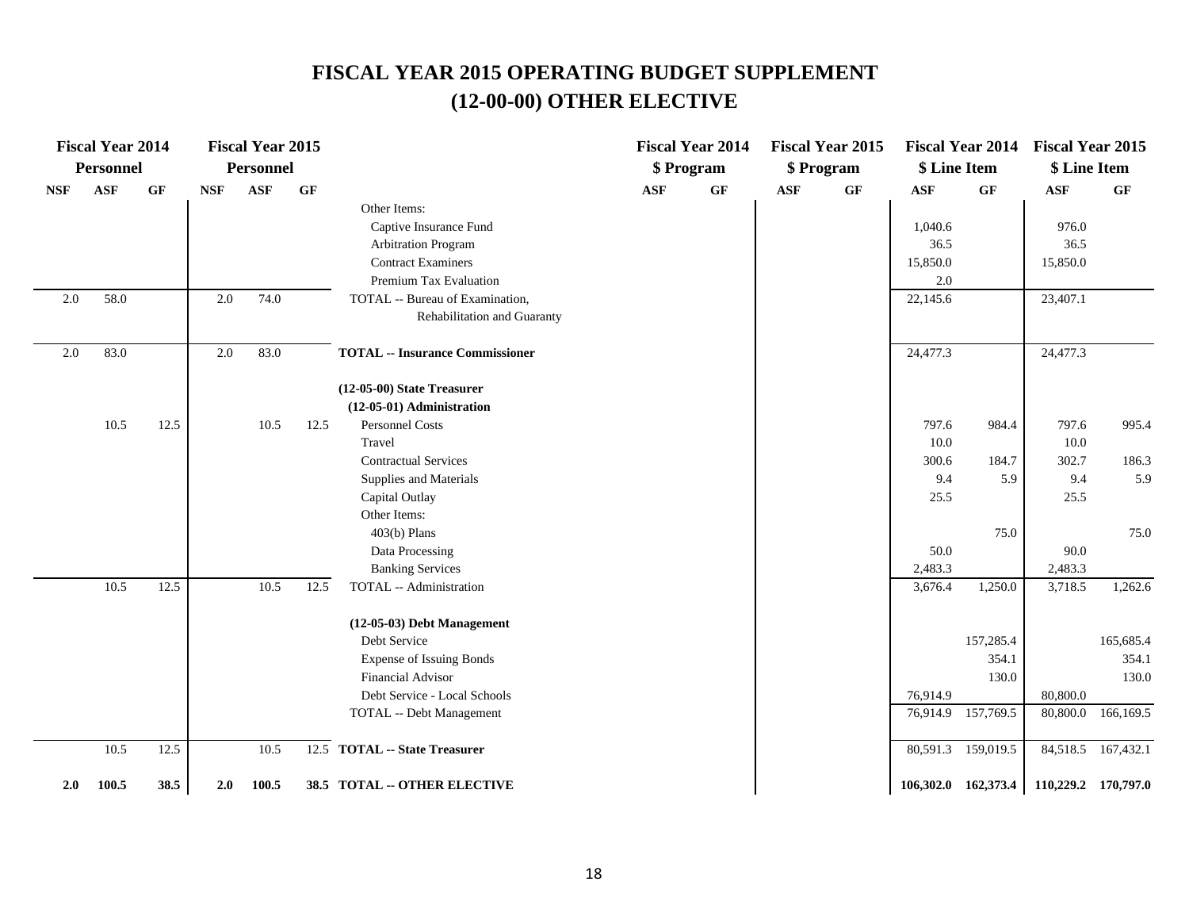|            | <b>Fiscal Year 2014</b> |      |            | <b>Fiscal Year 2015</b> |           |                                        |            | <b>Fiscal Year 2014</b> |            | <b>Fiscal Year 2015</b> |              | <b>Fiscal Year 2014</b> | <b>Fiscal Year 2015</b>                 |                    |
|------------|-------------------------|------|------------|-------------------------|-----------|----------------------------------------|------------|-------------------------|------------|-------------------------|--------------|-------------------------|-----------------------------------------|--------------------|
|            | Personnel               |      |            | <b>Personnel</b>        |           |                                        |            | \$ Program              |            | \$ Program              | \$ Line Item |                         | \$ Line Item                            |                    |
| <b>NSF</b> | <b>ASF</b>              | GF   | <b>NSF</b> | <b>ASF</b>              | <b>GF</b> |                                        | <b>ASF</b> | $\bf{G} \bf{F}$         | <b>ASF</b> | $\bf{G} \bf{F}$         | <b>ASF</b>   | GF                      | ASF                                     | GF                 |
|            |                         |      |            |                         |           | Other Items:                           |            |                         |            |                         |              |                         |                                         |                    |
|            |                         |      |            |                         |           | Captive Insurance Fund                 |            |                         |            |                         | 1,040.6      |                         | 976.0                                   |                    |
|            |                         |      |            |                         |           | <b>Arbitration Program</b>             |            |                         |            |                         | 36.5         |                         | 36.5                                    |                    |
|            |                         |      |            |                         |           | <b>Contract Examiners</b>              |            |                         |            |                         | 15,850.0     |                         | 15,850.0                                |                    |
|            |                         |      |            |                         |           | Premium Tax Evaluation                 |            |                         |            |                         | 2.0          |                         |                                         |                    |
| 2.0        | 58.0                    |      | $2.0\,$    | 74.0                    |           | TOTAL -- Bureau of Examination,        |            |                         |            |                         | 22,145.6     |                         | 23,407.1                                |                    |
|            |                         |      |            |                         |           | Rehabilitation and Guaranty            |            |                         |            |                         |              |                         |                                         |                    |
| 2.0        | 83.0                    |      | $2.0\,$    | 83.0                    |           | <b>TOTAL -- Insurance Commissioner</b> |            |                         |            |                         | 24,477.3     |                         | 24,477.3                                |                    |
|            |                         |      |            |                         |           | $(12-05-00)$ State Treasurer           |            |                         |            |                         |              |                         |                                         |                    |
|            |                         |      |            |                         |           | (12-05-01) Administration              |            |                         |            |                         |              |                         |                                         |                    |
|            | $10.5\,$                | 12.5 |            | 10.5                    | 12.5      | Personnel Costs                        |            |                         |            |                         | 797.6        | 984.4                   | 797.6                                   | 995.4              |
|            |                         |      |            |                         |           | Travel                                 |            |                         |            |                         | $10.0\,$     |                         | $10.0\,$                                |                    |
|            |                         |      |            |                         |           | <b>Contractual Services</b>            |            |                         |            |                         | 300.6        | 184.7                   | 302.7                                   | 186.3              |
|            |                         |      |            |                         |           | Supplies and Materials                 |            |                         |            |                         | 9.4          | 5.9                     | 9.4                                     | 5.9                |
|            |                         |      |            |                         |           | Capital Outlay                         |            |                         |            |                         | 25.5         |                         | 25.5                                    |                    |
|            |                         |      |            |                         |           | Other Items:                           |            |                         |            |                         |              |                         |                                         |                    |
|            |                         |      |            |                         |           | $403(b)$ Plans                         |            |                         |            |                         |              | 75.0                    |                                         | 75.0               |
|            |                         |      |            |                         |           | Data Processing                        |            |                         |            |                         | 50.0         |                         | 90.0                                    |                    |
|            |                         |      |            |                         |           | <b>Banking Services</b>                |            |                         |            |                         | 2,483.3      |                         | 2,483.3                                 |                    |
|            | 10.5                    | 12.5 |            | 10.5                    | 12.5      | TOTAL -- Administration                |            |                         |            |                         | 3,676.4      | 1,250.0                 | 3,718.5                                 | 1,262.6            |
|            |                         |      |            |                         |           | $(12-05-03)$ Debt Management           |            |                         |            |                         |              |                         |                                         |                    |
|            |                         |      |            |                         |           | Debt Service                           |            |                         |            |                         |              | 157,285.4               |                                         | 165,685.4          |
|            |                         |      |            |                         |           | <b>Expense of Issuing Bonds</b>        |            |                         |            |                         |              | 354.1                   |                                         | 354.1              |
|            |                         |      |            |                         |           | <b>Financial Advisor</b>               |            |                         |            |                         |              | 130.0                   |                                         | 130.0              |
|            |                         |      |            |                         |           | Debt Service - Local Schools           |            |                         |            |                         | 76,914.9     |                         | 80,800.0                                |                    |
|            |                         |      |            |                         |           | TOTAL -- Debt Management               |            |                         |            |                         |              | 76,914.9 157,769.5      | 80,800.0                                | 166,169.5          |
|            | 10.5                    | 12.5 |            | 10.5                    |           | 12.5 TOTAL -- State Treasurer          |            |                         |            |                         |              | 80,591.3 159,019.5      |                                         | 84,518.5 167,432.1 |
| 2.0        | 100.5                   | 38.5 | 2.0        | 100.5                   |           | 38.5 TOTAL -- OTHER ELECTIVE           |            |                         |            |                         |              |                         | 106,302.0 162,373.4 110,229.2 170,797.0 |                    |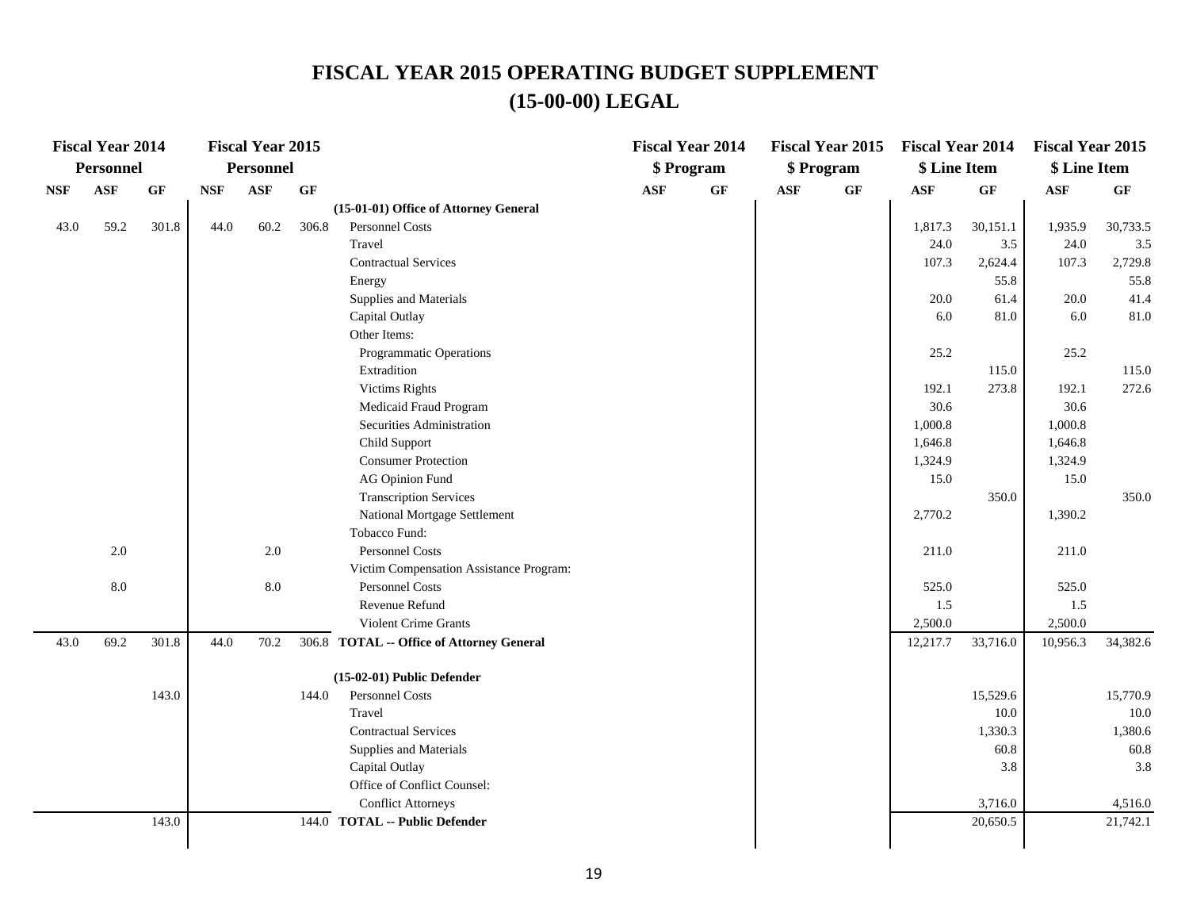# **FISCAL YEAR 2015 OPERATING BUDGET SUPPLEMENT (15-00-00) LEGAL**

|            | <b>Fiscal Year 2014</b> |           |            | <b>Fiscal Year 2015</b> |       |                                           |     | <b>Fiscal Year 2014</b> |            | <b>Fiscal Year 2015</b> | <b>Fiscal Year 2014</b> |          | <b>Fiscal Year 2015</b> |                 |
|------------|-------------------------|-----------|------------|-------------------------|-------|-------------------------------------------|-----|-------------------------|------------|-------------------------|-------------------------|----------|-------------------------|-----------------|
|            | Personnel               |           |            | Personnel               |       |                                           |     | \$ Program              |            | \$ Program              | \$ Line Item            |          | \$ Line Item            |                 |
| <b>NSF</b> | <b>ASF</b>              | <b>GF</b> | <b>NSF</b> | ASF                     | GF    |                                           | ASF | $\bf{G} \bf{F}$         | <b>ASF</b> | $\bf{G} \bf{F}$         | <b>ASF</b>              | GF       | $\mathbf{ASF}$          | $\bf{G} \bf{F}$ |
|            |                         |           |            |                         |       | (15-01-01) Office of Attorney General     |     |                         |            |                         |                         |          |                         |                 |
| 43.0       | 59.2                    | 301.8     | 44.0       | 60.2                    | 306.8 | Personnel Costs                           |     |                         |            |                         | 1,817.3                 | 30,151.1 | 1,935.9                 | 30,733.5        |
|            |                         |           |            |                         |       | Travel                                    |     |                         |            |                         | 24.0                    | 3.5      | 24.0                    | $3.5$           |
|            |                         |           |            |                         |       | <b>Contractual Services</b>               |     |                         |            |                         | 107.3                   | 2,624.4  | 107.3                   | 2,729.8         |
|            |                         |           |            |                         |       | Energy                                    |     |                         |            |                         |                         | 55.8     |                         | 55.8            |
|            |                         |           |            |                         |       | Supplies and Materials                    |     |                         |            |                         | 20.0                    | 61.4     | 20.0                    | 41.4            |
|            |                         |           |            |                         |       | Capital Outlay                            |     |                         |            |                         | 6.0                     | 81.0     | 6.0                     | 81.0            |
|            |                         |           |            |                         |       | Other Items:                              |     |                         |            |                         |                         |          |                         |                 |
|            |                         |           |            |                         |       | Programmatic Operations                   |     |                         |            |                         | 25.2                    |          | 25.2                    |                 |
|            |                         |           |            |                         |       | Extradition                               |     |                         |            |                         |                         | 115.0    |                         | 115.0           |
|            |                         |           |            |                         |       | <b>Victims Rights</b>                     |     |                         |            |                         | 192.1                   | 273.8    | 192.1                   | 272.6           |
|            |                         |           |            |                         |       | Medicaid Fraud Program                    |     |                         |            |                         | 30.6                    |          | 30.6                    |                 |
|            |                         |           |            |                         |       | Securities Administration                 |     |                         |            |                         | 1,000.8                 |          | 1,000.8                 |                 |
|            |                         |           |            |                         |       | Child Support                             |     |                         |            |                         | 1,646.8                 |          | 1,646.8                 |                 |
|            |                         |           |            |                         |       | <b>Consumer Protection</b>                |     |                         |            |                         | 1,324.9                 |          | 1,324.9                 |                 |
|            |                         |           |            |                         |       | <b>AG Opinion Fund</b>                    |     |                         |            |                         | 15.0                    |          | 15.0                    |                 |
|            |                         |           |            |                         |       | <b>Transcription Services</b>             |     |                         |            |                         |                         | 350.0    |                         | 350.0           |
|            |                         |           |            |                         |       | National Mortgage Settlement              |     |                         |            |                         | 2,770.2                 |          | 1,390.2                 |                 |
|            |                         |           |            |                         |       | Tobacco Fund:                             |     |                         |            |                         |                         |          |                         |                 |
|            | 2.0                     |           |            | 2.0                     |       | Personnel Costs                           |     |                         |            |                         | 211.0                   |          | 211.0                   |                 |
|            |                         |           |            |                         |       | Victim Compensation Assistance Program:   |     |                         |            |                         |                         |          |                         |                 |
|            | $8.0\,$                 |           |            | 8.0                     |       | Personnel Costs                           |     |                         |            |                         | 525.0                   |          | 525.0                   |                 |
|            |                         |           |            |                         |       | Revenue Refund                            |     |                         |            |                         | 1.5                     |          | $1.5\,$                 |                 |
|            |                         |           |            |                         |       | Violent Crime Grants                      |     |                         |            |                         | 2,500.0                 |          | 2,500.0                 |                 |
| 43.0       | 69.2                    | 301.8     | 44.0       | 70.2                    |       | 306.8 TOTAL -- Office of Attorney General |     |                         |            |                         | 12,217.7                | 33,716.0 | 10,956.3                | 34,382.6        |
|            |                         |           |            |                         |       | (15-02-01) Public Defender                |     |                         |            |                         |                         |          |                         |                 |
|            |                         | 143.0     |            |                         | 144.0 | <b>Personnel Costs</b>                    |     |                         |            |                         |                         | 15,529.6 |                         | 15,770.9        |
|            |                         |           |            |                         |       | Travel                                    |     |                         |            |                         |                         | 10.0     |                         | $10.0\,$        |
|            |                         |           |            |                         |       | <b>Contractual Services</b>               |     |                         |            |                         |                         | 1,330.3  |                         | 1,380.6         |
|            |                         |           |            |                         |       | Supplies and Materials                    |     |                         |            |                         |                         | 60.8     |                         | 60.8            |
|            |                         |           |            |                         |       | Capital Outlay                            |     |                         |            |                         |                         | 3.8      |                         | 3.8             |
|            |                         |           |            |                         |       | Office of Conflict Counsel:               |     |                         |            |                         |                         |          |                         |                 |
|            |                         |           |            |                         |       | <b>Conflict Attorneys</b>                 |     |                         |            |                         |                         | 3,716.0  |                         | 4,516.0         |
|            |                         | 143.0     |            |                         |       | 144.0 TOTAL -- Public Defender            |     |                         |            |                         |                         | 20,650.5 |                         | 21,742.1        |
|            |                         |           |            |                         |       |                                           |     |                         |            |                         |                         |          |                         |                 |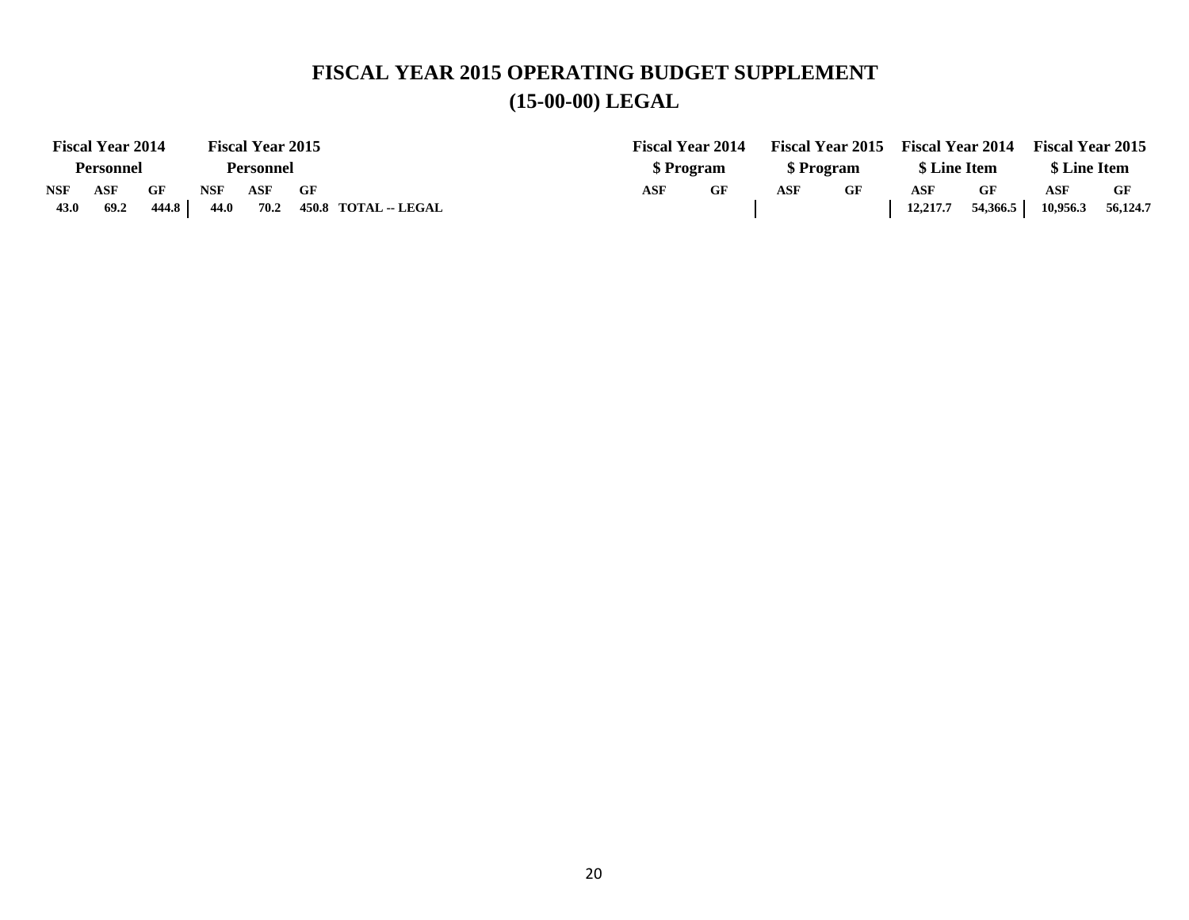## **FISCAL YEAR 2015 OPERATING BUDGET SUPPLEMENT (15-00-00) LEGAL**

|            | <b>Fiscal Year 2014</b> |       |            | <b>Fiscal Year 2015</b> |    |                      | <b>Fiscal Year 2014</b> |            |  |            |    | Fiscal Year 2015 Fiscal Year 2014 |          | <b>Fiscal Year 2015</b> |          |
|------------|-------------------------|-------|------------|-------------------------|----|----------------------|-------------------------|------------|--|------------|----|-----------------------------------|----------|-------------------------|----------|
|            | <b>Personnel</b>        |       |            | Personnel               |    |                      |                         | \$ Program |  | \$ Program |    | \$ Line Item                      |          | \$ Line Item            |          |
| <b>NSF</b> | ASF                     | GF    | <b>NSF</b> | ASF                     | GF |                      | ASF                     | GF<br>ASF  |  |            | GF | ASF                               | GF       | ASF                     | GF       |
| 43.0       | 69.2                    | 444.8 | 44.0       | 70.2                    |    | 450.8 TOTAL -- LEGAL |                         |            |  |            |    | 12,217.7                          | 54,366.5 | 10,956.3                | 56,124.7 |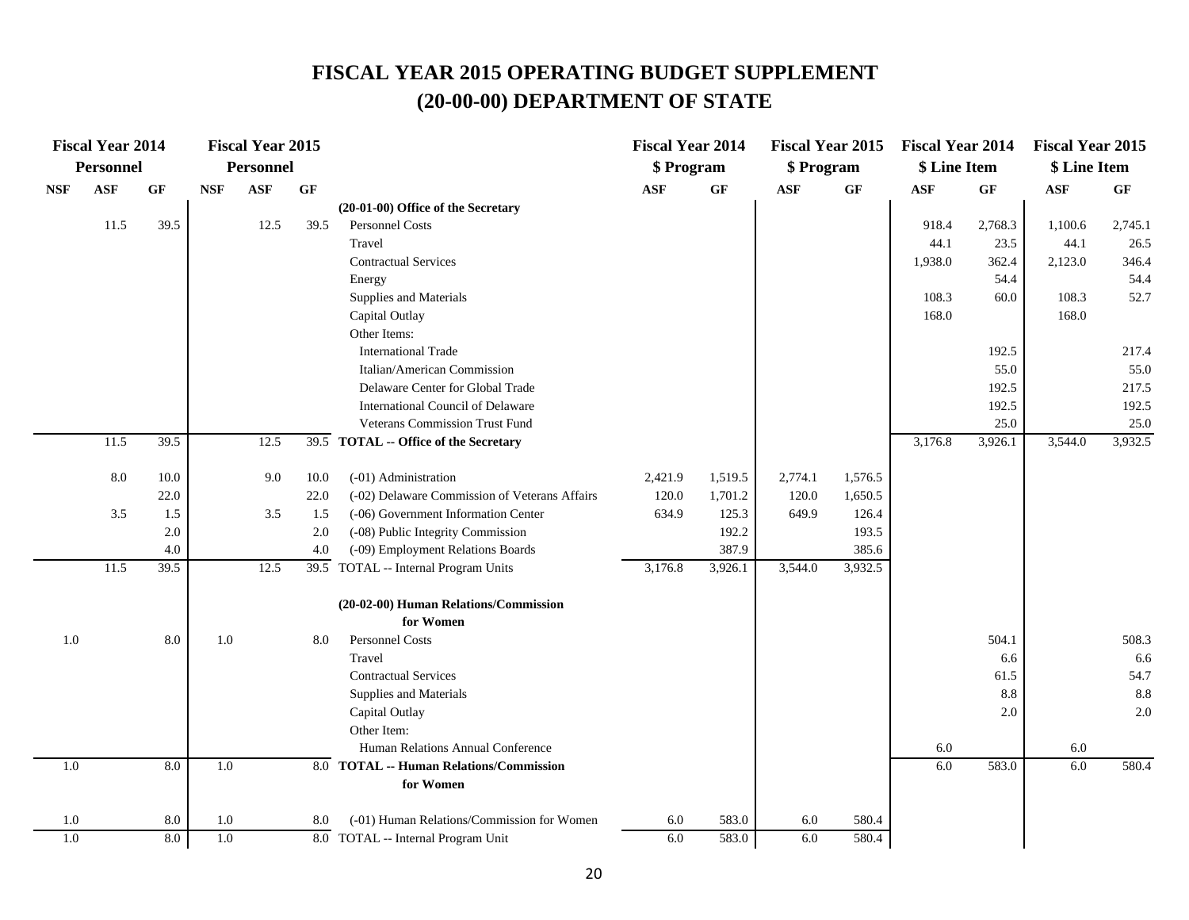|            | <b>Fiscal Year 2014</b> |            |            | <b>Fiscal Year 2015</b> |      |                                                      | <b>Fiscal Year 2014</b> |                | <b>Fiscal Year 2015</b> |                | <b>Fiscal Year 2014</b> |         | <b>Fiscal Year 2015</b> |         |
|------------|-------------------------|------------|------------|-------------------------|------|------------------------------------------------------|-------------------------|----------------|-------------------------|----------------|-------------------------|---------|-------------------------|---------|
|            | <b>Personnel</b>        |            |            | <b>Personnel</b>        |      |                                                      | \$ Program              |                | \$ Program              |                | \$ Line Item            |         | \$ Line Item            |         |
| <b>NSF</b> | $\mathbf{ASF}$          | GF         | <b>NSF</b> | ASF                     | GF   |                                                      | ASF                     | GF             | <b>ASF</b>              | GF             | <b>ASF</b>              | GF      | $\mathbf{ASF}$          | GF      |
|            |                         |            |            |                         |      | $(20-01-00)$ Office of the Secretary                 |                         |                |                         |                |                         |         |                         |         |
|            | 11.5                    | 39.5       |            | 12.5                    | 39.5 | Personnel Costs                                      |                         |                |                         |                | 918.4                   | 2,768.3 | 1,100.6                 | 2,745.1 |
|            |                         |            |            |                         |      | Travel                                               |                         |                |                         |                | 44.1                    | 23.5    | 44.1                    | 26.5    |
|            |                         |            |            |                         |      | <b>Contractual Services</b>                          |                         |                |                         |                | 1,938.0                 | 362.4   | 2,123.0                 | 346.4   |
|            |                         |            |            |                         |      | Energy                                               |                         |                |                         |                |                         | 54.4    |                         | 54.4    |
|            |                         |            |            |                         |      | Supplies and Materials                               |                         |                |                         |                | 108.3                   | 60.0    | 108.3                   | 52.7    |
|            |                         |            |            |                         |      | Capital Outlay                                       |                         |                |                         |                | 168.0                   |         | 168.0                   |         |
|            |                         |            |            |                         |      | Other Items:                                         |                         |                |                         |                |                         |         |                         |         |
|            |                         |            |            |                         |      | <b>International Trade</b>                           |                         |                |                         |                |                         | 192.5   |                         | 217.4   |
|            |                         |            |            |                         |      | Italian/American Commission                          |                         |                |                         |                |                         | 55.0    |                         | 55.0    |
|            |                         |            |            |                         |      | Delaware Center for Global Trade                     |                         |                |                         |                |                         | 192.5   |                         | 217.5   |
|            |                         |            |            |                         |      | International Council of Delaware                    |                         |                |                         |                |                         | 192.5   |                         | 192.5   |
|            |                         |            |            |                         |      | <b>Veterans Commission Trust Fund</b>                |                         |                |                         |                |                         | 25.0    |                         | 25.0    |
|            | 11.5                    | 39.5       |            | 12.5                    |      | 39.5 TOTAL -- Office of the Secretary                |                         |                |                         |                | 3,176.8                 | 3,926.1 | 3,544.0                 | 3,932.5 |
|            | 8.0                     | 10.0       |            | 9.0                     | 10.0 | (-01) Administration                                 | 2,421.9                 | 1,519.5        | 2,774.1                 | 1,576.5        |                         |         |                         |         |
|            |                         | 22.0       |            |                         | 22.0 | (-02) Delaware Commission of Veterans Affairs        | 120.0                   | 1,701.2        | 120.0                   | 1,650.5        |                         |         |                         |         |
|            | 3.5                     | 1.5        |            | 3.5                     | 1.5  | (-06) Government Information Center                  | 634.9                   | 125.3          | 649.9                   | 126.4          |                         |         |                         |         |
|            |                         | 2.0        |            |                         | 2.0  | (-08) Public Integrity Commission                    |                         | 192.2          |                         | 193.5          |                         |         |                         |         |
|            |                         | 4.0        |            |                         | 4.0  | (-09) Employment Relations Boards                    |                         | 387.9          |                         | 385.6          |                         |         |                         |         |
|            | 11.5                    | 39.5       |            | 12.5                    |      | 39.5 TOTAL -- Internal Program Units                 | 3,176.8                 | 3,926.1        | 3,544.0                 | 3,932.5        |                         |         |                         |         |
|            |                         |            |            |                         |      | (20-02-00) Human Relations/Commission                |                         |                |                         |                |                         |         |                         |         |
|            |                         |            |            |                         |      | for Women                                            |                         |                |                         |                |                         |         |                         |         |
| 1.0        |                         | 8.0        | 1.0        |                         | 8.0  | Personnel Costs                                      |                         |                |                         |                |                         | 504.1   |                         | 508.3   |
|            |                         |            |            |                         |      | Travel                                               |                         |                |                         |                |                         | 6.6     |                         | 6.6     |
|            |                         |            |            |                         |      | <b>Contractual Services</b>                          |                         |                |                         |                |                         | 61.5    |                         | 54.7    |
|            |                         |            |            |                         |      | Supplies and Materials                               |                         |                |                         |                |                         | 8.8     |                         | 8.8     |
|            |                         |            |            |                         |      | Capital Outlay                                       |                         |                |                         |                |                         | 2.0     |                         | 2.0     |
|            |                         |            |            |                         |      | Other Item:                                          |                         |                |                         |                |                         |         |                         |         |
|            |                         |            |            |                         |      | Human Relations Annual Conference                    |                         |                |                         |                | 6.0                     |         | 6.0                     |         |
| 1.0        |                         | 8.0        | 1.0        |                         |      | 8.0 TOTAL -- Human Relations/Commission<br>for Women |                         |                |                         |                | 6.0                     | 583.0   | 6.0                     | 580.4   |
|            |                         |            |            |                         |      | (-01) Human Relations/Commission for Women           |                         |                |                         |                |                         |         |                         |         |
| 1.0<br>1.0 |                         | 8.0<br>8.0 | 1.0<br>1.0 |                         | 8.0  | 8.0 TOTAL -- Internal Program Unit                   | 6.0<br>6.0              | 583.0<br>583.0 | 6.0<br>6.0              | 580.4<br>580.4 |                         |         |                         |         |
|            |                         |            |            |                         |      |                                                      |                         |                |                         |                |                         |         |                         |         |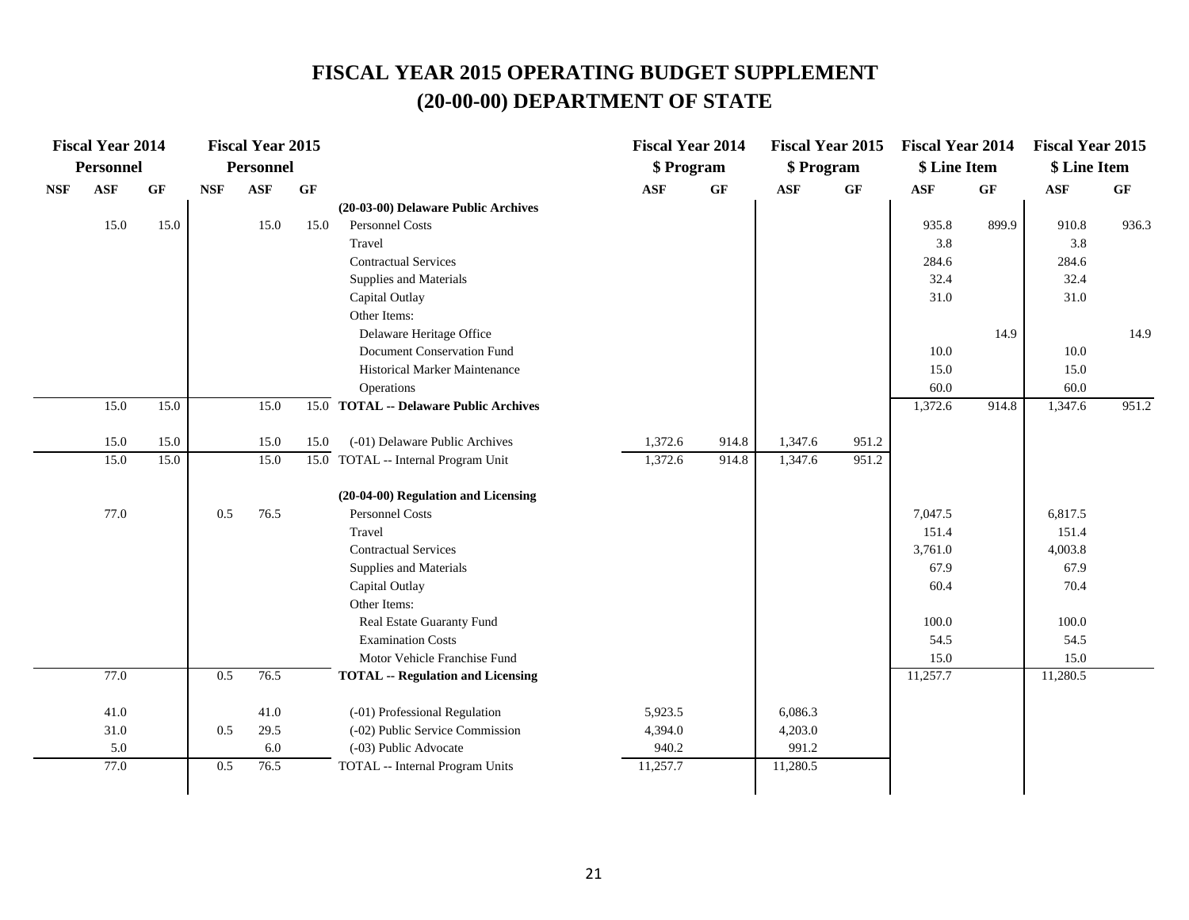|            | <b>Fiscal Year 2014</b> |      |            | <b>Fiscal Year 2015</b> |      |                                          | <b>Fiscal Year 2014</b> |       | <b>Fiscal Year 2015</b> |       | <b>Fiscal Year 2014</b> |                 | <b>Fiscal Year 2015</b> |                 |
|------------|-------------------------|------|------------|-------------------------|------|------------------------------------------|-------------------------|-------|-------------------------|-------|-------------------------|-----------------|-------------------------|-----------------|
|            | <b>Personnel</b>        |      |            | <b>Personnel</b>        |      |                                          | \$ Program              |       | \$ Program              |       | \$ Line Item            |                 | \$ Line Item            |                 |
| <b>NSF</b> | $\mathbf{ASF}$          | GF   | <b>NSF</b> | ASF                     | GF   |                                          | $\mathbf{ASF}$          | GF    | <b>ASF</b>              | GF    | $\mathbf{ASF}$          | $\bf{G} \bf{F}$ | $\mathbf{ASF}$          | $\bf{G} \bf{F}$ |
|            |                         |      |            |                         |      | (20-03-00) Delaware Public Archives      |                         |       |                         |       |                         |                 |                         |                 |
|            | 15.0                    | 15.0 |            | 15.0                    | 15.0 | <b>Personnel Costs</b>                   |                         |       |                         |       | 935.8                   | 899.9           | 910.8                   | 936.3           |
|            |                         |      |            |                         |      | Travel                                   |                         |       |                         |       | 3.8                     |                 | 3.8                     |                 |
|            |                         |      |            |                         |      | <b>Contractual Services</b>              |                         |       |                         |       | 284.6                   |                 | 284.6                   |                 |
|            |                         |      |            |                         |      | Supplies and Materials                   |                         |       |                         |       | 32.4                    |                 | 32.4                    |                 |
|            |                         |      |            |                         |      | Capital Outlay                           |                         |       |                         |       | 31.0                    |                 | 31.0                    |                 |
|            |                         |      |            |                         |      | Other Items:                             |                         |       |                         |       |                         |                 |                         |                 |
|            |                         |      |            |                         |      | Delaware Heritage Office                 |                         |       |                         |       |                         | 14.9            |                         | 14.9            |
|            |                         |      |            |                         |      | Document Conservation Fund               |                         |       |                         |       | 10.0                    |                 | 10.0                    |                 |
|            |                         |      |            |                         |      | Historical Marker Maintenance            |                         |       |                         |       | 15.0                    |                 | 15.0                    |                 |
|            |                         |      |            |                         |      | Operations                               |                         |       |                         |       | 60.0                    |                 | 60.0                    |                 |
|            | 15.0                    | 15.0 |            | 15.0                    |      | 15.0 TOTAL -- Delaware Public Archives   |                         |       |                         |       | 1,372.6                 | 914.8           | 1,347.6                 | 951.2           |
|            | 15.0                    | 15.0 |            | 15.0                    | 15.0 | (-01) Delaware Public Archives           | 1,372.6                 | 914.8 | 1,347.6                 | 951.2 |                         |                 |                         |                 |
|            | 15.0                    | 15.0 |            | 15.0                    |      | 15.0 TOTAL -- Internal Program Unit      | 1,372.6                 | 914.8 | 1,347.6                 | 951.2 |                         |                 |                         |                 |
|            |                         |      |            |                         |      |                                          |                         |       |                         |       |                         |                 |                         |                 |
|            |                         |      |            |                         |      | (20-04-00) Regulation and Licensing      |                         |       |                         |       |                         |                 |                         |                 |
|            | 77.0                    |      | 0.5        | 76.5                    |      | <b>Personnel Costs</b>                   |                         |       |                         |       | 7.047.5                 |                 | 6,817.5                 |                 |
|            |                         |      |            |                         |      | Travel                                   |                         |       |                         |       | 151.4                   |                 | 151.4                   |                 |
|            |                         |      |            |                         |      | <b>Contractual Services</b>              |                         |       |                         |       | 3,761.0                 |                 | 4,003.8                 |                 |
|            |                         |      |            |                         |      | Supplies and Materials                   |                         |       |                         |       | 67.9                    |                 | 67.9                    |                 |
|            |                         |      |            |                         |      | Capital Outlay                           |                         |       |                         |       | 60.4                    |                 | 70.4                    |                 |
|            |                         |      |            |                         |      | Other Items:                             |                         |       |                         |       |                         |                 |                         |                 |
|            |                         |      |            |                         |      | Real Estate Guaranty Fund                |                         |       |                         |       | 100.0                   |                 | 100.0                   |                 |
|            |                         |      |            |                         |      | <b>Examination Costs</b>                 |                         |       |                         |       | 54.5                    |                 | 54.5                    |                 |
|            |                         |      |            |                         |      | Motor Vehicle Franchise Fund             |                         |       |                         |       | 15.0                    |                 | 15.0                    |                 |
|            | 77.0                    |      | 0.5        | 76.5                    |      | <b>TOTAL -- Regulation and Licensing</b> |                         |       |                         |       | 11,257.7                |                 | 11,280.5                |                 |
|            | 41.0                    |      |            | 41.0                    |      | (-01) Professional Regulation            | 5,923.5                 |       | 6,086.3                 |       |                         |                 |                         |                 |
|            | 31.0                    |      | 0.5        | 29.5                    |      | (-02) Public Service Commission          | 4,394.0                 |       | 4,203.0                 |       |                         |                 |                         |                 |
|            | 5.0                     |      |            | $6.0\,$                 |      | (-03) Public Advocate                    | 940.2                   |       | 991.2                   |       |                         |                 |                         |                 |
|            | 77.0                    |      | 0.5        | 76.5                    |      | TOTAL -- Internal Program Units          | 11,257.7                |       | 11,280.5                |       |                         |                 |                         |                 |
|            |                         |      |            |                         |      |                                          |                         |       |                         |       |                         |                 |                         |                 |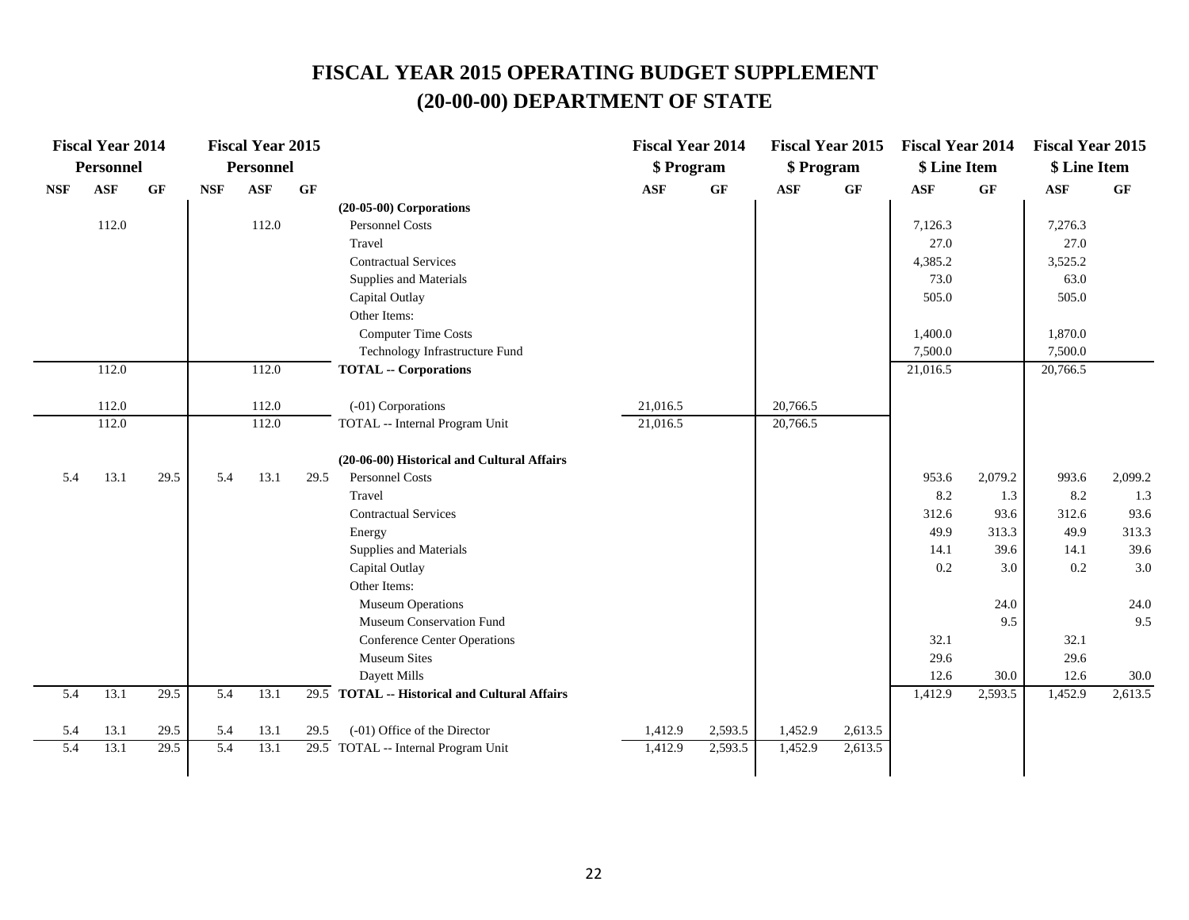|            | <b>Fiscal Year 2014</b> |           |            | <b>Fiscal Year 2015</b> |      |                                               | <b>Fiscal Year 2014</b> |         | <b>Fiscal Year 2015</b> |                 | <b>Fiscal Year 2014</b> |               | <b>Fiscal Year 2015</b> |               |
|------------|-------------------------|-----------|------------|-------------------------|------|-----------------------------------------------|-------------------------|---------|-------------------------|-----------------|-------------------------|---------------|-------------------------|---------------|
|            | <b>Personnel</b>        |           |            | Personnel               |      |                                               | \$ Program              |         | \$ Program              |                 | \$ Line Item            |               | \$ Line Item            |               |
| <b>NSF</b> | ASF                     | <b>GF</b> | <b>NSF</b> | <b>ASF</b>              | GF   |                                               | $\mathbf{ASF}$          | GF      | $\mathbf{ASF}$          | $\bf{G} \bf{F}$ | ASF                     | GF            | $\mathbf{ASF}$          | GF            |
|            |                         |           |            |                         |      | $(20-05-00)$ Corporations                     |                         |         |                         |                 |                         |               |                         |               |
|            | 112.0                   |           |            | 112.0                   |      | <b>Personnel Costs</b>                        |                         |         |                         |                 | 7,126.3                 |               | 7,276.3                 |               |
|            |                         |           |            |                         |      | Travel                                        |                         |         |                         |                 | 27.0                    |               | 27.0                    |               |
|            |                         |           |            |                         |      | <b>Contractual Services</b>                   |                         |         |                         |                 | 4,385.2                 |               | 3,525.2                 |               |
|            |                         |           |            |                         |      | Supplies and Materials                        |                         |         |                         |                 | 73.0                    |               | 63.0                    |               |
|            |                         |           |            |                         |      | Capital Outlay                                |                         |         |                         |                 | 505.0                   |               | 505.0                   |               |
|            |                         |           |            |                         |      | Other Items:                                  |                         |         |                         |                 |                         |               |                         |               |
|            |                         |           |            |                         |      | <b>Computer Time Costs</b>                    |                         |         |                         |                 | 1,400.0                 |               | 1,870.0                 |               |
|            |                         |           |            |                         |      | Technology Infrastructure Fund                |                         |         |                         |                 | 7,500.0                 |               | 7,500.0                 |               |
|            | 112.0                   |           |            | 112.0                   |      | <b>TOTAL -- Corporations</b>                  |                         |         |                         |                 | 21,016.5                |               | 20,766.5                |               |
|            |                         |           |            |                         |      |                                               |                         |         |                         |                 |                         |               |                         |               |
|            | 112.0                   |           |            | 112.0                   |      | (-01) Corporations                            | 21,016.5                |         | 20,766.5                |                 |                         |               |                         |               |
|            | 112.0                   |           |            | 112.0                   |      | TOTAL -- Internal Program Unit                | 21,016.5                |         | 20,766.5                |                 |                         |               |                         |               |
|            |                         |           |            |                         |      |                                               |                         |         |                         |                 |                         |               |                         |               |
|            |                         |           |            |                         |      | (20-06-00) Historical and Cultural Affairs    |                         |         |                         |                 |                         |               |                         |               |
| 5.4        | 13.1                    | 29.5      | 5.4        | 13.1                    | 29.5 | Personnel Costs<br>Travel                     |                         |         |                         |                 | 953.6                   | 2,079.2       | 993.6<br>8.2            | 2,099.2       |
|            |                         |           |            |                         |      |                                               |                         |         |                         |                 | 8.2                     | 1.3           |                         | 1.3           |
|            |                         |           |            |                         |      | <b>Contractual Services</b>                   |                         |         |                         |                 | 312.6                   | 93.6          | 312.6                   | 93.6          |
|            |                         |           |            |                         |      | Energy                                        |                         |         |                         |                 | 49.9                    | 313.3<br>39.6 | 49.9<br>14.1            | 313.3<br>39.6 |
|            |                         |           |            |                         |      | Supplies and Materials<br>Capital Outlay      |                         |         |                         |                 | 14.1<br>0.2             | 3.0           | 0.2                     | 3.0           |
|            |                         |           |            |                         |      | Other Items:                                  |                         |         |                         |                 |                         |               |                         |               |
|            |                         |           |            |                         |      | <b>Museum Operations</b>                      |                         |         |                         |                 |                         | 24.0          |                         | 24.0          |
|            |                         |           |            |                         |      | Museum Conservation Fund                      |                         |         |                         |                 |                         | 9.5           |                         | 9.5           |
|            |                         |           |            |                         |      | <b>Conference Center Operations</b>           |                         |         |                         |                 | 32.1                    |               | 32.1                    |               |
|            |                         |           |            |                         |      | <b>Museum Sites</b>                           |                         |         |                         |                 | 29.6                    |               | 29.6                    |               |
|            |                         |           |            |                         |      | Dayett Mills                                  |                         |         |                         |                 | 12.6                    | 30.0          | 12.6                    | 30.0          |
| 5.4        | 13.1                    | 29.5      | 5.4        | 13.1                    |      | 29.5 TOTAL -- Historical and Cultural Affairs |                         |         |                         |                 | 1,412.9                 | 2,593.5       | 1,452.9                 | 2,613.5       |
|            |                         |           |            |                         |      |                                               |                         |         |                         |                 |                         |               |                         |               |
| 5.4        | 13.1                    | 29.5      | 5.4        | 13.1                    | 29.5 | (-01) Office of the Director                  | 1,412.9                 | 2,593.5 | 1,452.9                 | 2,613.5         |                         |               |                         |               |
| 5.4        | 13.1                    | 29.5      | 5.4        | 13.1                    |      | 29.5 TOTAL -- Internal Program Unit           | 1,412.9                 | 2,593.5 | 1,452.9                 | 2,613.5         |                         |               |                         |               |
|            |                         |           |            |                         |      |                                               |                         |         |                         |                 |                         |               |                         |               |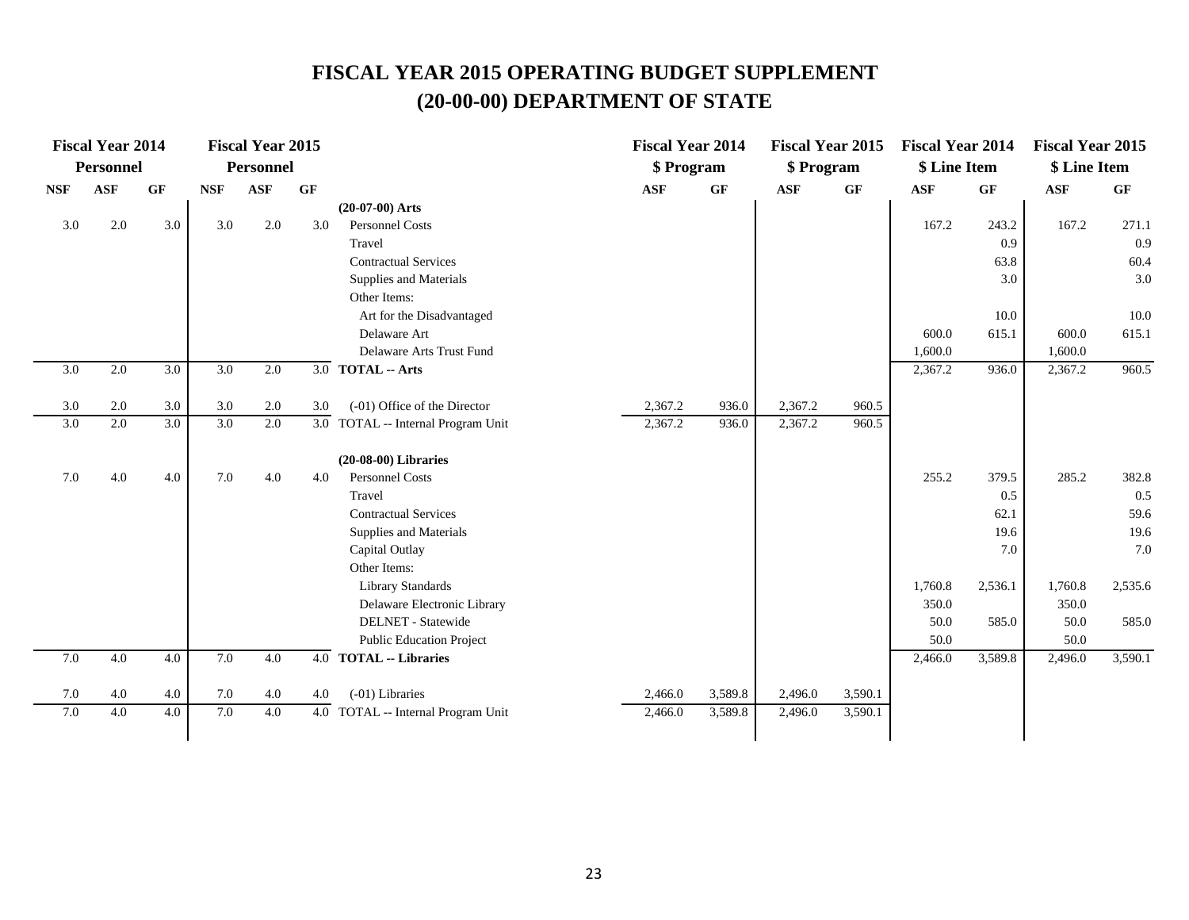|                  | <b>Fiscal Year 2014</b> |                  |                  | <b>Fiscal Year 2015</b> |     |                                    | <b>Fiscal Year 2014</b> |         |            | <b>Fiscal Year 2015</b> | <b>Fiscal Year 2014</b> |                 | <b>Fiscal Year 2015</b> |         |
|------------------|-------------------------|------------------|------------------|-------------------------|-----|------------------------------------|-------------------------|---------|------------|-------------------------|-------------------------|-----------------|-------------------------|---------|
|                  | Personnel               |                  |                  | Personnel               |     |                                    | \$ Program              |         | \$ Program |                         | \$ Line Item            |                 | \$ Line Item            |         |
| <b>NSF</b>       | <b>ASF</b>              | $\bf{G} \bf{F}$  | <b>NSF</b>       | ASF                     | GF  |                                    | <b>ASF</b>              | GF      | <b>ASF</b> | $\bf{G} \bf{F}$         | <b>ASF</b>              | $\bf{G} \bf{F}$ | <b>ASF</b>              | GF      |
|                  |                         |                  |                  |                         |     | $(20-07-00)$ Arts                  |                         |         |            |                         |                         |                 |                         |         |
| 3.0              | 2.0                     | 3.0              | 3.0              | 2.0                     | 3.0 | <b>Personnel Costs</b>             |                         |         |            |                         | 167.2                   | 243.2           | 167.2                   | 271.1   |
|                  |                         |                  |                  |                         |     | Travel                             |                         |         |            |                         |                         | 0.9             |                         | 0.9     |
|                  |                         |                  |                  |                         |     | <b>Contractual Services</b>        |                         |         |            |                         |                         | 63.8            |                         | 60.4    |
|                  |                         |                  |                  |                         |     | Supplies and Materials             |                         |         |            |                         |                         | 3.0             |                         | 3.0     |
|                  |                         |                  |                  |                         |     | Other Items:                       |                         |         |            |                         |                         |                 |                         |         |
|                  |                         |                  |                  |                         |     | Art for the Disadvantaged          |                         |         |            |                         |                         | 10.0            |                         | 10.0    |
|                  |                         |                  |                  |                         |     | Delaware Art                       |                         |         |            |                         | 600.0                   | 615.1           | 600.0                   | 615.1   |
|                  |                         |                  |                  |                         |     | Delaware Arts Trust Fund           |                         |         |            |                         | 1,600.0                 |                 | 1,600.0                 |         |
| 3.0              | 2.0                     | 3.0              | 3.0              | 2.0                     |     | 3.0 TOTAL -- Arts                  |                         |         |            |                         | 2,367.2                 | 936.0           | 2,367.2                 | 960.5   |
| 3.0              | 2.0                     | 3.0              | 3.0              | 2.0                     | 3.0 | (-01) Office of the Director       | 2,367.2                 | 936.0   | 2,367.2    | 960.5                   |                         |                 |                         |         |
| $\overline{3.0}$ | $\overline{2.0}$        | $\overline{3.0}$ | $\overline{3.0}$ | 2.0                     |     | 3.0 TOTAL -- Internal Program Unit | 2,367.2                 | 936.0   | 2,367.2    | 960.5                   |                         |                 |                         |         |
|                  |                         |                  |                  |                         |     |                                    |                         |         |            |                         |                         |                 |                         |         |
|                  |                         |                  |                  |                         |     | $(20-08-00)$ Libraries             |                         |         |            |                         |                         |                 |                         |         |
| 7.0              | 4.0                     | 4.0              | 7.0              | 4.0                     | 4.0 | Personnel Costs                    |                         |         |            |                         | 255.2                   | 379.5           | 285.2                   | 382.8   |
|                  |                         |                  |                  |                         |     | Travel                             |                         |         |            |                         |                         | 0.5             |                         | 0.5     |
|                  |                         |                  |                  |                         |     | <b>Contractual Services</b>        |                         |         |            |                         |                         | 62.1            |                         | 59.6    |
|                  |                         |                  |                  |                         |     | Supplies and Materials             |                         |         |            |                         |                         | 19.6            |                         | 19.6    |
|                  |                         |                  |                  |                         |     | Capital Outlay                     |                         |         |            |                         |                         | 7.0             |                         | 7.0     |
|                  |                         |                  |                  |                         |     | Other Items:                       |                         |         |            |                         |                         |                 |                         |         |
|                  |                         |                  |                  |                         |     | Library Standards                  |                         |         |            |                         | 1,760.8                 | 2,536.1         | 1,760.8                 | 2,535.6 |
|                  |                         |                  |                  |                         |     | Delaware Electronic Library        |                         |         |            |                         | 350.0                   |                 | 350.0                   |         |
|                  |                         |                  |                  |                         |     | DELNET - Statewide                 |                         |         |            |                         | 50.0                    | 585.0           | 50.0                    | 585.0   |
|                  |                         |                  |                  |                         |     | <b>Public Education Project</b>    |                         |         |            |                         | 50.0                    |                 | 50.0                    |         |
| 7.0              | 4.0                     | 4.0              | 7.0              | 4.0                     |     | 4.0 TOTAL -- Libraries             |                         |         |            |                         | 2,466.0                 | 3,589.8         | 2,496.0                 | 3,590.1 |
| 7.0              | 4.0                     | 4.0              | 7.0              | 4.0                     | 4.0 | (-01) Libraries                    | 2,466.0                 | 3,589.8 | 2,496.0    | 3,590.1                 |                         |                 |                         |         |
| 7.0              | 4.0                     | 4.0              | 7.0              | 4.0                     |     | 4.0 TOTAL -- Internal Program Unit | 2,466.0                 | 3,589.8 | 2,496.0    | 3,590.1                 |                         |                 |                         |         |
|                  |                         |                  |                  |                         |     |                                    |                         |         |            |                         |                         |                 |                         |         |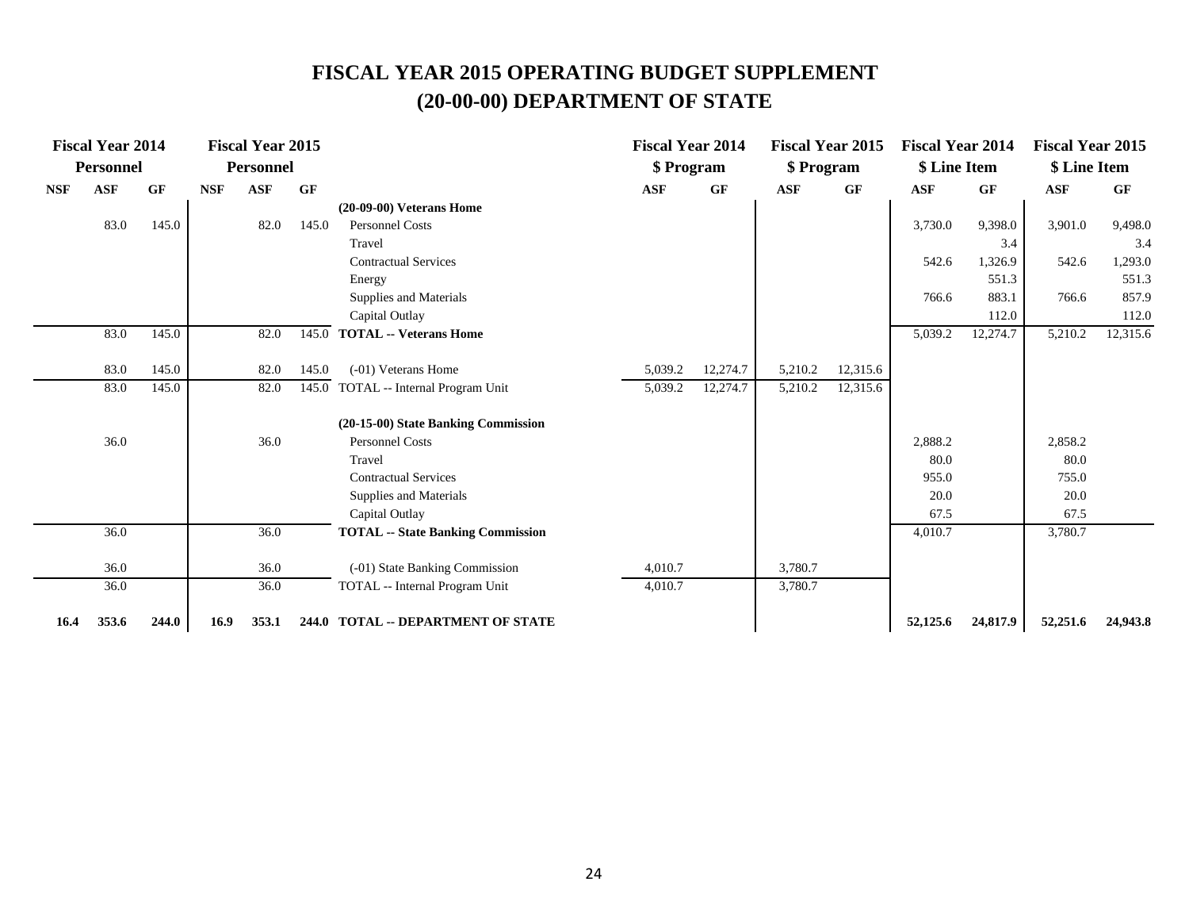|            | <b>Fiscal Year 2014</b> |           |            | <b>Fiscal Year 2015</b> |       |                                          | <b>Fiscal Year 2014</b> |          |            | <b>Fiscal Year 2015</b> | <b>Fiscal Year 2014</b> |          | <b>Fiscal Year 2015</b> |           |
|------------|-------------------------|-----------|------------|-------------------------|-------|------------------------------------------|-------------------------|----------|------------|-------------------------|-------------------------|----------|-------------------------|-----------|
|            | Personnel               |           |            | <b>Personnel</b>        |       |                                          | \$ Program              |          | \$ Program |                         | \$ Line Item            |          | \$ Line Item            |           |
| <b>NSF</b> | <b>ASF</b>              | <b>GF</b> | <b>NSF</b> | <b>ASF</b>              | GF    |                                          | <b>ASF</b>              | GF       | <b>ASF</b> | GF                      | <b>ASF</b>              | GF       | <b>ASF</b>              | <b>GF</b> |
|            |                         |           |            |                         |       | $(20-09-00)$ Veterans Home               |                         |          |            |                         |                         |          |                         |           |
|            | 83.0                    | 145.0     |            | 82.0                    | 145.0 | <b>Personnel Costs</b>                   |                         |          |            |                         | 3,730.0                 | 9,398.0  | 3,901.0                 | 9,498.0   |
|            |                         |           |            |                         |       | Travel                                   |                         |          |            |                         |                         | 3.4      |                         | 3.4       |
|            |                         |           |            |                         |       | <b>Contractual Services</b>              |                         |          |            |                         | 542.6                   | 1,326.9  | 542.6                   | 1,293.0   |
|            |                         |           |            |                         |       | Energy                                   |                         |          |            |                         |                         | 551.3    |                         | 551.3     |
|            |                         |           |            |                         |       | Supplies and Materials                   |                         |          |            |                         | 766.6                   | 883.1    | 766.6                   | 857.9     |
|            |                         |           |            |                         |       | Capital Outlay                           |                         |          |            |                         |                         | 112.0    |                         | 112.0     |
|            | 83.0                    | 145.0     |            | 82.0                    | 145.0 | <b>TOTAL -- Veterans Home</b>            |                         |          |            |                         | 5,039.2                 | 12,274.7 | 5,210.2                 | 12,315.6  |
|            | 83.0                    | 145.0     |            | 82.0                    | 145.0 | $(-01)$ Veterans Home                    | 5,039.2                 | 12,274.7 | 5,210.2    | 12,315.6                |                         |          |                         |           |
|            | 83.0                    | 145.0     |            | 82.0                    |       | 145.0 TOTAL -- Internal Program Unit     | 5,039.2                 | 12,274.7 | 5,210.2    | 12,315.6                |                         |          |                         |           |
|            |                         |           |            |                         |       |                                          |                         |          |            |                         |                         |          |                         |           |
|            |                         |           |            |                         |       | (20-15-00) State Banking Commission      |                         |          |            |                         |                         |          |                         |           |
|            | 36.0                    |           |            | 36.0                    |       | <b>Personnel Costs</b>                   |                         |          |            |                         | 2,888.2                 |          | 2,858.2                 |           |
|            |                         |           |            |                         |       | Travel                                   |                         |          |            |                         | 80.0                    |          | 80.0                    |           |
|            |                         |           |            |                         |       | <b>Contractual Services</b>              |                         |          |            |                         | 955.0                   |          | 755.0                   |           |
|            |                         |           |            |                         |       | Supplies and Materials                   |                         |          |            |                         | 20.0                    |          | 20.0                    |           |
|            |                         |           |            |                         |       | Capital Outlay                           |                         |          |            |                         | 67.5                    |          | 67.5                    |           |
|            | 36.0                    |           |            | 36.0                    |       | <b>TOTAL</b> -- State Banking Commission |                         |          |            |                         | 4,010.7                 |          | 3,780.7                 |           |
|            | 36.0                    |           |            | 36.0                    |       | (-01) State Banking Commission           | 4.010.7                 |          | 3,780.7    |                         |                         |          |                         |           |
|            | 36.0                    |           |            | 36.0                    |       | TOTAL -- Internal Program Unit           | 4,010.7                 |          | 3,780.7    |                         |                         |          |                         |           |
| 16.4       | 353.6                   | 244.0     | 16.9       | 353.1                   |       | 244.0 TOTAL -- DEPARTMENT OF STATE       |                         |          |            |                         | 52,125.6                | 24,817.9 | 52,251.6                | 24,943.8  |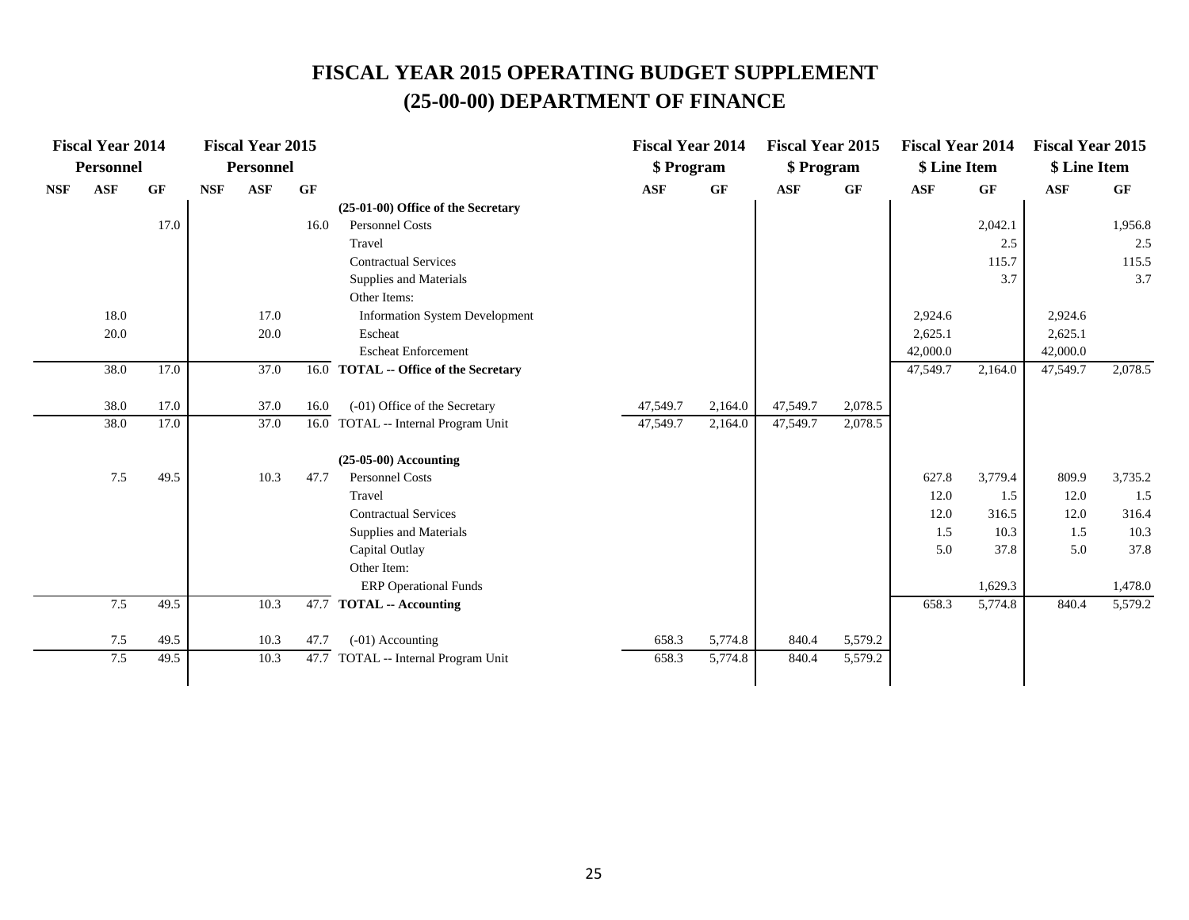|            | <b>Fiscal Year 2014</b> |           |            | <b>Fiscal Year 2015</b> |      |                                       | <b>Fiscal Year 2014</b> |         | <b>Fiscal Year 2015</b> |         | <b>Fiscal Year 2014</b> |           | <b>Fiscal Year 2015</b> |         |
|------------|-------------------------|-----------|------------|-------------------------|------|---------------------------------------|-------------------------|---------|-------------------------|---------|-------------------------|-----------|-------------------------|---------|
|            | <b>Personnel</b>        |           |            | <b>Personnel</b>        |      |                                       | \$ Program              |         | \$ Program              |         | \$ Line Item            |           | \$ Line Item            |         |
| <b>NSF</b> | <b>ASF</b>              | <b>GF</b> | <b>NSF</b> | <b>ASF</b>              | GF   |                                       | <b>ASF</b>              | GF      | <b>ASF</b>              | GF      | <b>ASF</b>              | <b>GF</b> | ASF                     | GF      |
|            |                         |           |            |                         |      | (25-01-00) Office of the Secretary    |                         |         |                         |         |                         |           |                         |         |
|            |                         | 17.0      |            |                         | 16.0 | <b>Personnel Costs</b>                |                         |         |                         |         |                         | 2,042.1   |                         | 1,956.8 |
|            |                         |           |            |                         |      | Travel                                |                         |         |                         |         |                         | 2.5       |                         | 2.5     |
|            |                         |           |            |                         |      | <b>Contractual Services</b>           |                         |         |                         |         |                         | 115.7     |                         | 115.5   |
|            |                         |           |            |                         |      | Supplies and Materials                |                         |         |                         |         |                         | 3.7       |                         | 3.7     |
|            |                         |           |            |                         |      | Other Items:                          |                         |         |                         |         |                         |           |                         |         |
|            | 18.0                    |           |            | 17.0                    |      | <b>Information System Development</b> |                         |         |                         |         | 2,924.6                 |           | 2,924.6                 |         |
|            | 20.0                    |           |            | 20.0                    |      | Escheat                               |                         |         |                         |         | 2,625.1                 |           | 2,625.1                 |         |
|            |                         |           |            |                         |      | <b>Escheat Enforcement</b>            |                         |         |                         |         | 42,000.0                |           | 42,000.0                |         |
|            | 38.0                    | 17.0      |            | 37.0                    |      | 16.0 TOTAL -- Office of the Secretary |                         |         |                         |         | 47,549.7                | 2,164.0   | 47,549.7                | 2,078.5 |
|            | 38.0                    | 17.0      |            | 37.0                    | 16.0 | (-01) Office of the Secretary         | 47,549.7                | 2,164.0 | 47,549.7                | 2,078.5 |                         |           |                         |         |
|            | 38.0                    | 17.0      |            | 37.0                    |      | 16.0 TOTAL -- Internal Program Unit   | 47,549.7                | 2,164.0 | 47,549.7                | 2,078.5 |                         |           |                         |         |
|            |                         |           |            |                         |      | $(25-05-00)$ Accounting               |                         |         |                         |         |                         |           |                         |         |
|            | 7.5                     | 49.5      |            | 10.3                    | 47.7 | <b>Personnel Costs</b>                |                         |         |                         |         | 627.8                   | 3,779.4   | 809.9                   | 3,735.2 |
|            |                         |           |            |                         |      | Travel                                |                         |         |                         |         | 12.0                    | 1.5       | 12.0                    | 1.5     |
|            |                         |           |            |                         |      | <b>Contractual Services</b>           |                         |         |                         |         | 12.0                    | 316.5     | 12.0                    | 316.4   |
|            |                         |           |            |                         |      | Supplies and Materials                |                         |         |                         |         | 1.5                     | 10.3      | 1.5                     | 10.3    |
|            |                         |           |            |                         |      | Capital Outlay                        |                         |         |                         |         | 5.0                     | 37.8      | 5.0                     | 37.8    |
|            |                         |           |            |                         |      | Other Item:                           |                         |         |                         |         |                         |           |                         |         |
|            |                         |           |            |                         |      | <b>ERP</b> Operational Funds          |                         |         |                         |         |                         | 1,629.3   |                         | 1,478.0 |
|            | 7.5                     | 49.5      |            | 10.3                    |      | $\overline{47.7}$ TOTAL -- Accounting |                         |         |                         |         | 658.3                   | 5,774.8   | 840.4                   | 5,579.2 |
|            | 7.5                     | 49.5      |            | 10.3                    | 47.7 | (-01) Accounting                      | 658.3                   | 5,774.8 | 840.4                   | 5,579.2 |                         |           |                         |         |
|            | 7.5                     | 49.5      |            | 10.3                    |      | 47.7 TOTAL -- Internal Program Unit   | 658.3                   | 5,774.8 | 840.4                   | 5,579.2 |                         |           |                         |         |
|            |                         |           |            |                         |      |                                       |                         |         |                         |         |                         |           |                         |         |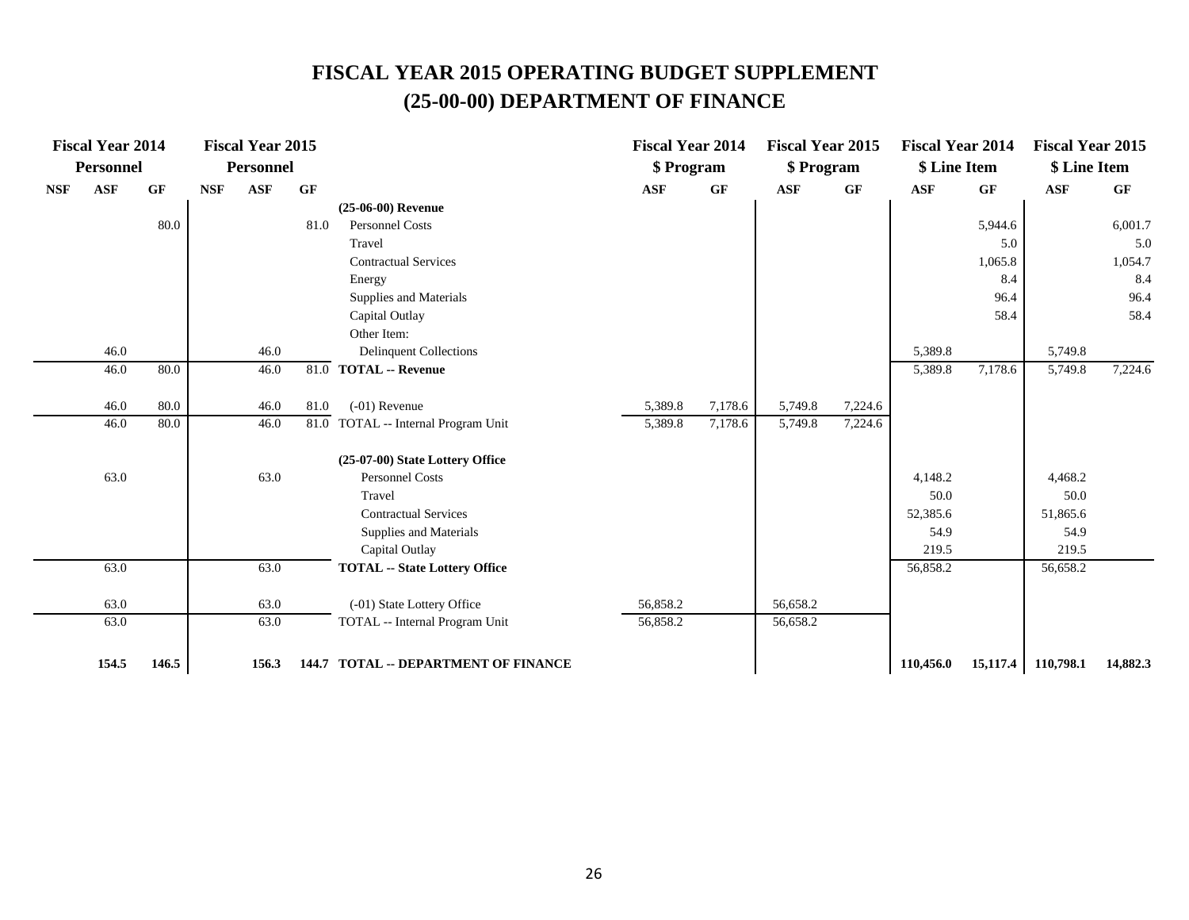|            | <b>Fiscal Year 2014</b> |           |            | <b>Fiscal Year 2015</b> |      |                                                  | <b>Fiscal Year 2014</b> |         | <b>Fiscal Year 2015</b> |         | <b>Fiscal Year 2014</b> |          | <b>Fiscal Year 2015</b> |          |
|------------|-------------------------|-----------|------------|-------------------------|------|--------------------------------------------------|-------------------------|---------|-------------------------|---------|-------------------------|----------|-------------------------|----------|
|            | <b>Personnel</b>        |           |            | <b>Personnel</b>        |      |                                                  | \$ Program              |         | \$ Program              |         | \$ Line Item            |          | \$ Line Item            |          |
| <b>NSF</b> | <b>ASF</b>              | <b>GF</b> | <b>NSF</b> | ASF                     | GF   |                                                  | ASF                     | GF      | <b>ASF</b>              | GF      | <b>ASF</b>              | GF       | ASF                     | GF       |
|            |                         |           |            |                         |      | $(25-06-00)$ Revenue                             |                         |         |                         |         |                         |          |                         |          |
|            |                         | 80.0      |            |                         | 81.0 | <b>Personnel Costs</b>                           |                         |         |                         |         |                         | 5,944.6  |                         | 6,001.7  |
|            |                         |           |            |                         |      | Travel                                           |                         |         |                         |         |                         | 5.0      |                         | 5.0      |
|            |                         |           |            |                         |      | <b>Contractual Services</b>                      |                         |         |                         |         |                         | 1,065.8  |                         | 1,054.7  |
|            |                         |           |            |                         |      | Energy                                           |                         |         |                         |         |                         | 8.4      |                         | 8.4      |
|            |                         |           |            |                         |      | Supplies and Materials                           |                         |         |                         |         |                         | 96.4     |                         | 96.4     |
|            |                         |           |            |                         |      | Capital Outlay                                   |                         |         |                         |         |                         | 58.4     |                         | 58.4     |
|            |                         |           |            |                         |      | Other Item:                                      |                         |         |                         |         |                         |          |                         |          |
|            | 46.0                    |           |            | 46.0                    |      | <b>Delinquent Collections</b>                    |                         |         |                         |         | 5,389.8                 |          | 5,749.8                 |          |
|            | 46.0                    | 80.0      |            | 46.0                    |      | 81.0 TOTAL -- Revenue                            |                         |         |                         |         | 5,389.8                 | 7,178.6  | 5,749.8                 | 7,224.6  |
|            | 46.0                    | 80.0      |            | 46.0                    | 81.0 | $(-01)$ Revenue                                  | 5,389.8                 | 7,178.6 | 5,749.8                 | 7,224.6 |                         |          |                         |          |
|            | 46.0                    | 80.0      |            | 46.0                    |      | $\overline{81.0}$ TOTAL -- Internal Program Unit | 5,389.8                 | 7,178.6 | 5,749.8                 | 7,224.6 |                         |          |                         |          |
|            |                         |           |            |                         |      |                                                  |                         |         |                         |         |                         |          |                         |          |
|            |                         |           |            |                         |      | (25-07-00) State Lottery Office                  |                         |         |                         |         |                         |          |                         |          |
|            | 63.0                    |           |            | 63.0                    |      | Personnel Costs                                  |                         |         |                         |         | 4,148.2                 |          | 4,468.2                 |          |
|            |                         |           |            |                         |      | Travel                                           |                         |         |                         |         | 50.0                    |          | 50.0                    |          |
|            |                         |           |            |                         |      | <b>Contractual Services</b>                      |                         |         |                         |         | 52,385.6                |          | 51,865.6                |          |
|            |                         |           |            |                         |      | Supplies and Materials                           |                         |         |                         |         | 54.9                    |          | 54.9                    |          |
|            |                         |           |            |                         |      | Capital Outlay                                   |                         |         |                         |         | 219.5                   |          | 219.5                   |          |
|            | 63.0                    |           |            | 63.0                    |      | <b>TOTAL -- State Lottery Office</b>             |                         |         |                         |         | 56,858.2                |          | 56,658.2                |          |
|            | 63.0                    |           |            | 63.0                    |      | (-01) State Lottery Office                       | 56,858.2                |         | 56,658.2                |         |                         |          |                         |          |
|            | 63.0                    |           |            | 63.0                    |      | TOTAL -- Internal Program Unit                   | 56,858.2                |         | 56,658.2                |         |                         |          |                         |          |
|            | 154.5                   | 146.5     |            | 156.3                   |      | 144.7 TOTAL -- DEPARTMENT OF FINANCE             |                         |         |                         |         | 110,456.0               | 15,117.4 | 110,798.1               | 14,882.3 |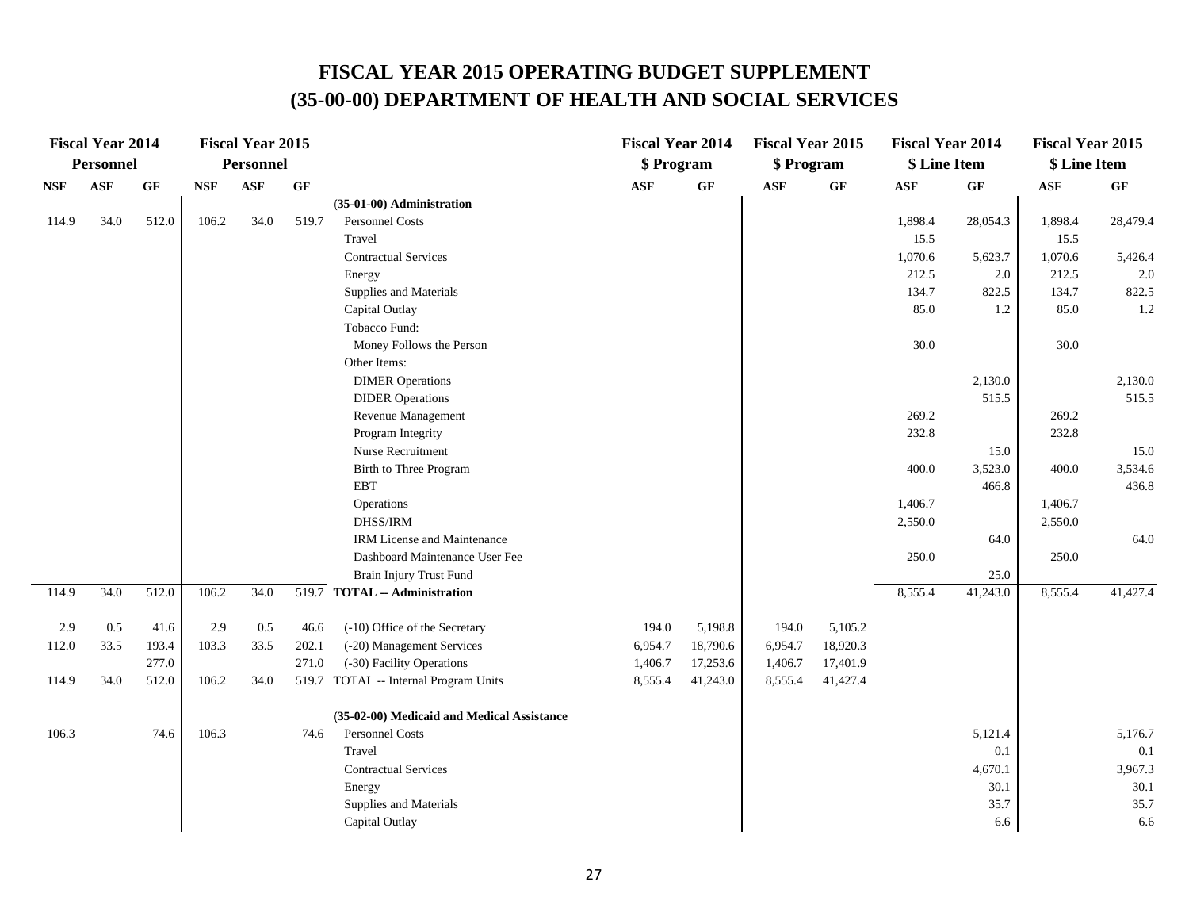|            | <b>Fiscal Year 2014</b> |       |            | <b>Fiscal Year 2015</b> |       |                                            | <b>Fiscal Year 2014</b> |                 | <b>Fiscal Year 2015</b> |          | <b>Fiscal Year 2014</b> |          | <b>Fiscal Year 2015</b> |                 |
|------------|-------------------------|-------|------------|-------------------------|-------|--------------------------------------------|-------------------------|-----------------|-------------------------|----------|-------------------------|----------|-------------------------|-----------------|
|            | <b>Personnel</b>        |       |            | Personnel               |       |                                            | \$ Program              |                 | \$ Program              |          | \$ Line Item            |          | \$ Line Item            |                 |
| <b>NSF</b> | <b>ASF</b>              | GF    | <b>NSF</b> | <b>ASF</b>              | GF    |                                            | $\mathbf{ASF}$          | $\bf{G} \bf{F}$ | <b>ASF</b>              | GF       | $\mathbf{ASF}$          | GF       | <b>ASF</b>              | $\bf{G} \bf{F}$ |
|            |                         |       |            |                         |       | (35-01-00) Administration                  |                         |                 |                         |          |                         |          |                         |                 |
| 114.9      | 34.0                    | 512.0 | 106.2      | 34.0                    | 519.7 | <b>Personnel Costs</b>                     |                         |                 |                         |          | 1,898.4                 | 28,054.3 | 1,898.4                 | 28,479.4        |
|            |                         |       |            |                         |       | Travel                                     |                         |                 |                         |          | 15.5                    |          | 15.5                    |                 |
|            |                         |       |            |                         |       | <b>Contractual Services</b>                |                         |                 |                         |          | 1,070.6                 | 5,623.7  | 1,070.6                 | 5,426.4         |
|            |                         |       |            |                         |       | Energy                                     |                         |                 |                         |          | 212.5                   | 2.0      | 212.5                   | 2.0             |
|            |                         |       |            |                         |       | Supplies and Materials                     |                         |                 |                         |          | 134.7                   | 822.5    | 134.7                   | 822.5           |
|            |                         |       |            |                         |       | Capital Outlay                             |                         |                 |                         |          | 85.0                    | 1.2      | 85.0                    | 1.2             |
|            |                         |       |            |                         |       | Tobacco Fund:                              |                         |                 |                         |          |                         |          |                         |                 |
|            |                         |       |            |                         |       | Money Follows the Person                   |                         |                 |                         |          | 30.0                    |          | 30.0                    |                 |
|            |                         |       |            |                         |       | Other Items:                               |                         |                 |                         |          |                         |          |                         |                 |
|            |                         |       |            |                         |       | <b>DIMER Operations</b>                    |                         |                 |                         |          |                         | 2,130.0  |                         | 2,130.0         |
|            |                         |       |            |                         |       | <b>DIDER</b> Operations                    |                         |                 |                         |          |                         | 515.5    |                         | 515.5           |
|            |                         |       |            |                         |       | Revenue Management                         |                         |                 |                         |          | 269.2                   |          | 269.2                   |                 |
|            |                         |       |            |                         |       | Program Integrity                          |                         |                 |                         |          | 232.8                   |          | 232.8                   |                 |
|            |                         |       |            |                         |       | Nurse Recruitment                          |                         |                 |                         |          |                         | 15.0     |                         | 15.0            |
|            |                         |       |            |                         |       | Birth to Three Program                     |                         |                 |                         |          | 400.0                   | 3,523.0  | 400.0                   | 3,534.6         |
|            |                         |       |            |                         |       | <b>EBT</b>                                 |                         |                 |                         |          |                         | 466.8    |                         | 436.8           |
|            |                         |       |            |                         |       | Operations                                 |                         |                 |                         |          | 1,406.7                 |          | 1,406.7                 |                 |
|            |                         |       |            |                         |       | DHSS/IRM                                   |                         |                 |                         |          | 2,550.0                 |          | 2,550.0                 |                 |
|            |                         |       |            |                         |       | <b>IRM License and Maintenance</b>         |                         |                 |                         |          |                         | 64.0     |                         | 64.0            |
|            |                         |       |            |                         |       | Dashboard Maintenance User Fee             |                         |                 |                         |          | 250.0                   |          | 250.0                   |                 |
|            |                         |       |            |                         |       | Brain Injury Trust Fund                    |                         |                 |                         |          |                         | 25.0     |                         |                 |
| 114.9      | 34.0                    | 512.0 | 106.2      | 34.0                    |       | 519.7 TOTAL -- Administration              |                         |                 |                         |          | 8,555.4                 | 41,243.0 | 8,555.4                 | 41,427.4        |
| 2.9        | 0.5                     | 41.6  | 2.9        | 0.5                     | 46.6  | (-10) Office of the Secretary              | 194.0                   | 5,198.8         | 194.0                   | 5,105.2  |                         |          |                         |                 |
| 112.0      | 33.5                    | 193.4 | 103.3      | 33.5                    | 202.1 | (-20) Management Services                  | 6,954.7                 | 18,790.6        | 6,954.7                 | 18,920.3 |                         |          |                         |                 |
|            |                         | 277.0 |            |                         | 271.0 | (-30) Facility Operations                  | 1,406.7                 | 17,253.6        | 1,406.7                 | 17,401.9 |                         |          |                         |                 |
| 114.9      | 34.0                    | 512.0 | 106.2      | 34.0                    |       | 519.7 TOTAL -- Internal Program Units      | 8,555.4                 | 41,243.0        | 8,555.4                 | 41,427.4 |                         |          |                         |                 |
|            |                         |       |            |                         |       | (35-02-00) Medicaid and Medical Assistance |                         |                 |                         |          |                         |          |                         |                 |
| 106.3      |                         | 74.6  | 106.3      |                         | 74.6  | Personnel Costs                            |                         |                 |                         |          |                         | 5,121.4  |                         | 5,176.7         |
|            |                         |       |            |                         |       | Travel                                     |                         |                 |                         |          |                         | 0.1      |                         | 0.1             |
|            |                         |       |            |                         |       | <b>Contractual Services</b>                |                         |                 |                         |          |                         | 4,670.1  |                         | 3,967.3         |
|            |                         |       |            |                         |       | Energy                                     |                         |                 |                         |          |                         | 30.1     |                         | 30.1            |
|            |                         |       |            |                         |       | Supplies and Materials                     |                         |                 |                         |          |                         | 35.7     |                         | 35.7            |
|            |                         |       |            |                         |       | Capital Outlay                             |                         |                 |                         |          |                         | 6.6      |                         | 6.6             |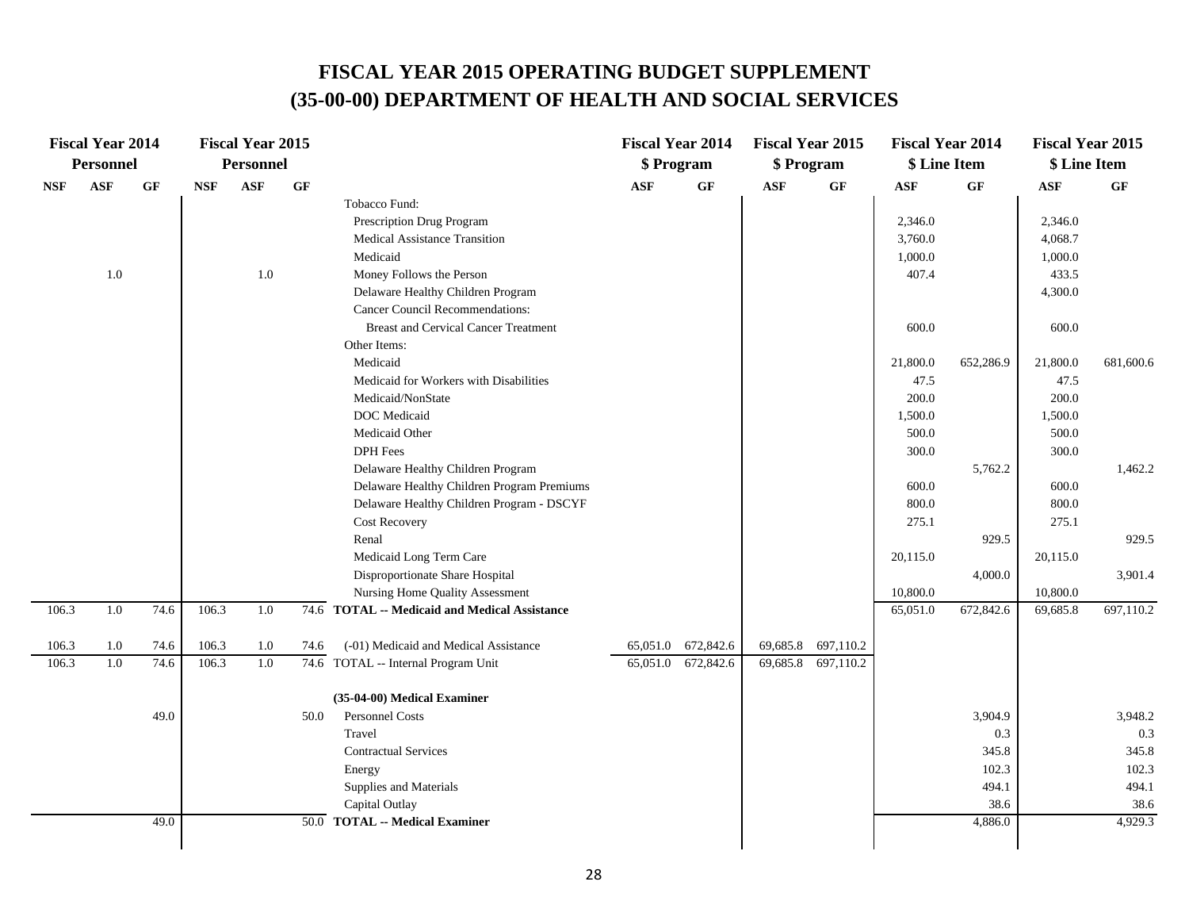|            | <b>Fiscal Year 2014</b> |          |            | <b>Fiscal Year 2015</b> |      |                                                    |            | <b>Fiscal Year 2014</b> | <b>Fiscal Year 2015</b> |                    |            | <b>Fiscal Year 2014</b> | <b>Fiscal Year 2015</b> |                 |
|------------|-------------------------|----------|------------|-------------------------|------|----------------------------------------------------|------------|-------------------------|-------------------------|--------------------|------------|-------------------------|-------------------------|-----------------|
|            | <b>Personnel</b>        |          |            | <b>Personnel</b>        |      |                                                    |            | \$ Program              | \$ Program              |                    |            | \$ Line Item            | \$ Line Item            |                 |
| <b>NSF</b> | <b>ASF</b>              | $\bf GF$ | <b>NSF</b> | ASF                     | GF   |                                                    | <b>ASF</b> | GF                      | <b>ASF</b>              | GF                 | <b>ASF</b> | GF                      | ASF                     | GF              |
|            |                         |          |            |                         |      | Tobacco Fund:                                      |            |                         |                         |                    |            |                         |                         |                 |
|            |                         |          |            |                         |      | Prescription Drug Program                          |            |                         |                         |                    | 2,346.0    |                         | 2,346.0                 |                 |
|            |                         |          |            |                         |      | Medical Assistance Transition                      |            |                         |                         |                    | 3,760.0    |                         | 4,068.7                 |                 |
|            |                         |          |            |                         |      | Medicaid                                           |            |                         |                         |                    | 1,000.0    |                         | 1,000.0                 |                 |
|            | 1.0                     |          |            | $1.0\,$                 |      | Money Follows the Person                           |            |                         |                         |                    | 407.4      |                         | 433.5                   |                 |
|            |                         |          |            |                         |      | Delaware Healthy Children Program                  |            |                         |                         |                    |            |                         | 4,300.0                 |                 |
|            |                         |          |            |                         |      | Cancer Council Recommendations:                    |            |                         |                         |                    |            |                         |                         |                 |
|            |                         |          |            |                         |      | <b>Breast and Cervical Cancer Treatment</b>        |            |                         |                         |                    | 600.0      |                         | 600.0                   |                 |
|            |                         |          |            |                         |      | Other Items:                                       |            |                         |                         |                    |            |                         |                         |                 |
|            |                         |          |            |                         |      | Medicaid                                           |            |                         |                         |                    | 21,800.0   | 652,286.9               | 21,800.0                | 681,600.6       |
|            |                         |          |            |                         |      | Medicaid for Workers with Disabilities             |            |                         |                         |                    | 47.5       |                         | 47.5                    |                 |
|            |                         |          |            |                         |      | Medicaid/NonState                                  |            |                         |                         |                    | 200.0      |                         | 200.0                   |                 |
|            |                         |          |            |                         |      | DOC Medicaid                                       |            |                         |                         |                    | 1,500.0    |                         | 1,500.0                 |                 |
|            |                         |          |            |                         |      | Medicaid Other                                     |            |                         |                         |                    | 500.0      |                         | 500.0                   |                 |
|            |                         |          |            |                         |      | <b>DPH</b> Fees                                    |            |                         |                         |                    | 300.0      |                         | 300.0                   |                 |
|            |                         |          |            |                         |      | Delaware Healthy Children Program                  |            |                         |                         |                    |            | 5,762.2                 |                         | 1,462.2         |
|            |                         |          |            |                         |      | Delaware Healthy Children Program Premiums         |            |                         |                         |                    | 600.0      |                         | 600.0                   |                 |
|            |                         |          |            |                         |      | Delaware Healthy Children Program - DSCYF          |            |                         |                         |                    | 800.0      |                         | 800.0                   |                 |
|            |                         |          |            |                         |      | <b>Cost Recovery</b>                               |            |                         |                         |                    | 275.1      |                         | 275.1                   |                 |
|            |                         |          |            |                         |      | Renal                                              |            |                         |                         |                    |            | 929.5                   |                         | 929.5           |
|            |                         |          |            |                         |      | Medicaid Long Term Care                            |            |                         |                         |                    | 20,115.0   |                         | 20,115.0                |                 |
|            |                         |          |            |                         |      | Disproportionate Share Hospital                    |            |                         |                         |                    |            | 4,000.0                 |                         | 3,901.4         |
|            |                         |          |            |                         |      | Nursing Home Quality Assessment                    |            |                         |                         |                    | 10,800.0   |                         | 10,800.0                |                 |
| 106.3      | 1.0                     | 74.6     | 106.3      | 1.0                     |      | 74.6 TOTAL -- Medicaid and Medical Assistance      |            |                         |                         |                    | 65,051.0   | 672,842.6               | 69,685.8                | 697,110.2       |
| 106.3      | 1.0                     | 74.6     | 106.3      | 1.0                     | 74.6 | (-01) Medicaid and Medical Assistance              |            | 65,051.0 672,842.6      |                         | 69,685.8 697,110.2 |            |                         |                         |                 |
| 106.3      | 1.0                     | 74.6     | 106.3      | 1.0                     |      | 74.6 TOTAL -- Internal Program Unit                |            | 65,051.0 672,842.6      |                         | 69,685.8 697,110.2 |            |                         |                         |                 |
|            |                         |          |            |                         |      |                                                    |            |                         |                         |                    |            |                         |                         |                 |
|            |                         |          |            |                         |      | (35-04-00) Medical Examiner                        |            |                         |                         |                    |            |                         |                         |                 |
|            |                         | 49.0     |            |                         | 50.0 | Personnel Costs                                    |            |                         |                         |                    |            | 3,904.9                 |                         | 3,948.2         |
|            |                         |          |            |                         |      | Travel                                             |            |                         |                         |                    |            | 0.3                     |                         | 0.3             |
|            |                         |          |            |                         |      | <b>Contractual Services</b>                        |            |                         |                         |                    |            | 345.8                   |                         | 345.8           |
|            |                         |          |            |                         |      | Energy                                             |            |                         |                         |                    |            | 102.3                   |                         | 102.3           |
|            |                         |          |            |                         |      | Supplies and Materials                             |            |                         |                         |                    |            | 494.1                   |                         | 494.1           |
|            |                         | 49.0     |            |                         | 50.0 | Capital Outlay<br><b>TOTAL -- Medical Examiner</b> |            |                         |                         |                    |            | 38.6<br>4,886.0         |                         | 38.6<br>4,929.3 |
|            |                         |          |            |                         |      |                                                    |            |                         |                         |                    |            |                         |                         |                 |
|            |                         |          |            |                         |      |                                                    |            |                         |                         |                    |            |                         |                         |                 |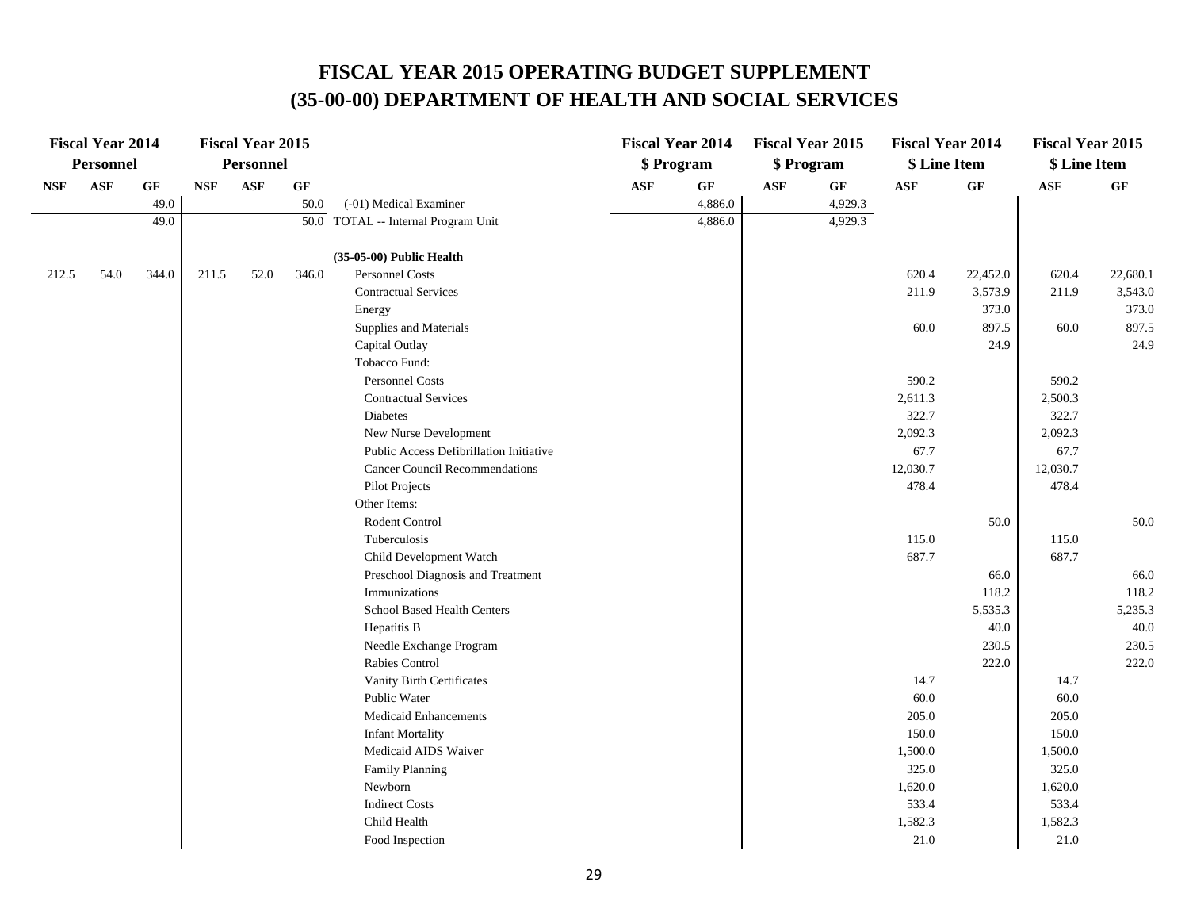|                             | <b>Fiscal Year 2014</b> |          |            | <b>Fiscal Year 2015</b> |                 |                                         |                | <b>Fiscal Year 2014</b> |                | <b>Fiscal Year 2015</b> | <b>Fiscal Year 2014</b> |          | <b>Fiscal Year 2015</b> |          |
|-----------------------------|-------------------------|----------|------------|-------------------------|-----------------|-----------------------------------------|----------------|-------------------------|----------------|-------------------------|-------------------------|----------|-------------------------|----------|
|                             | <b>Personnel</b>        |          |            | <b>Personnel</b>        |                 |                                         |                | \$Program               |                | \$ Program              | \$ Line Item            |          | \$ Line Item            |          |
| $\ensuremath{\mathbf{NSF}}$ | ASF                     | $\bf GF$ | <b>NSF</b> | <b>ASF</b>              | $\bf{G} \bf{F}$ |                                         | $\mathbf{ASF}$ | $\bf GF$                | $\mathbf{ASF}$ | $\bf GF$                | $\mathbf{ASF}$          | GF       | $\mathbf{ASF}$          | GF       |
|                             |                         | 49.0     |            |                         | 50.0            | (-01) Medical Examiner                  |                | 4,886.0                 |                | 4,929.3                 |                         |          |                         |          |
|                             |                         | 49.0     |            |                         |                 | 50.0 TOTAL -- Internal Program Unit     |                | 4,886.0                 |                | 4,929.3                 |                         |          |                         |          |
|                             |                         |          |            |                         |                 |                                         |                |                         |                |                         |                         |          |                         |          |
|                             |                         |          |            |                         |                 | (35-05-00) Public Health                |                |                         |                |                         |                         |          |                         |          |
| 212.5                       | 54.0                    | 344.0    | 211.5      | 52.0                    | 346.0           | Personnel Costs                         |                |                         |                |                         | 620.4                   | 22,452.0 | 620.4                   | 22,680.1 |
|                             |                         |          |            |                         |                 | <b>Contractual Services</b>             |                |                         |                |                         | 211.9                   | 3,573.9  | 211.9                   | 3,543.0  |
|                             |                         |          |            |                         |                 | Energy                                  |                |                         |                |                         |                         | 373.0    |                         | 373.0    |
|                             |                         |          |            |                         |                 | Supplies and Materials                  |                |                         |                |                         | 60.0                    | 897.5    | 60.0                    | 897.5    |
|                             |                         |          |            |                         |                 | Capital Outlay                          |                |                         |                |                         |                         | 24.9     |                         | 24.9     |
|                             |                         |          |            |                         |                 | Tobacco Fund:                           |                |                         |                |                         |                         |          |                         |          |
|                             |                         |          |            |                         |                 | Personnel Costs                         |                |                         |                |                         | 590.2                   |          | 590.2                   |          |
|                             |                         |          |            |                         |                 | <b>Contractual Services</b>             |                |                         |                |                         | 2,611.3                 |          | 2,500.3                 |          |
|                             |                         |          |            |                         |                 | Diabetes                                |                |                         |                |                         | 322.7                   |          | 322.7                   |          |
|                             |                         |          |            |                         |                 | New Nurse Development                   |                |                         |                |                         | 2,092.3                 |          | 2,092.3                 |          |
|                             |                         |          |            |                         |                 | Public Access Defibrillation Initiative |                |                         |                |                         | 67.7                    |          | 67.7                    |          |
|                             |                         |          |            |                         |                 | <b>Cancer Council Recommendations</b>   |                |                         |                |                         | 12,030.7                |          | 12,030.7                |          |
|                             |                         |          |            |                         |                 | <b>Pilot Projects</b>                   |                |                         |                |                         | 478.4                   |          | 478.4                   |          |
|                             |                         |          |            |                         |                 | Other Items:                            |                |                         |                |                         |                         |          |                         |          |
|                             |                         |          |            |                         |                 | Rodent Control                          |                |                         |                |                         |                         | 50.0     |                         | 50.0     |
|                             |                         |          |            |                         |                 | Tuberculosis                            |                |                         |                |                         | 115.0                   |          | 115.0                   |          |
|                             |                         |          |            |                         |                 | Child Development Watch                 |                |                         |                |                         | 687.7                   |          | 687.7                   |          |
|                             |                         |          |            |                         |                 | Preschool Diagnosis and Treatment       |                |                         |                |                         |                         | 66.0     |                         | 66.0     |
|                             |                         |          |            |                         |                 | Immunizations                           |                |                         |                |                         |                         | 118.2    |                         | 118.2    |
|                             |                         |          |            |                         |                 | School Based Health Centers             |                |                         |                |                         |                         | 5,535.3  |                         | 5,235.3  |
|                             |                         |          |            |                         |                 | Hepatitis B                             |                |                         |                |                         |                         | 40.0     |                         | 40.0     |
|                             |                         |          |            |                         |                 | Needle Exchange Program                 |                |                         |                |                         |                         | 230.5    |                         | 230.5    |
|                             |                         |          |            |                         |                 | Rabies Control                          |                |                         |                |                         |                         | 222.0    |                         | 222.0    |
|                             |                         |          |            |                         |                 | Vanity Birth Certificates               |                |                         |                |                         | 14.7                    |          | 14.7                    |          |
|                             |                         |          |            |                         |                 | Public Water                            |                |                         |                |                         | 60.0                    |          | 60.0                    |          |
|                             |                         |          |            |                         |                 | Medicaid Enhancements                   |                |                         |                |                         | 205.0                   |          | 205.0                   |          |
|                             |                         |          |            |                         |                 | <b>Infant Mortality</b>                 |                |                         |                |                         | 150.0                   |          | 150.0                   |          |
|                             |                         |          |            |                         |                 | Medicaid AIDS Waiver                    |                |                         |                |                         | 1,500.0                 |          | 1,500.0                 |          |
|                             |                         |          |            |                         |                 | <b>Family Planning</b>                  |                |                         |                |                         | 325.0                   |          | 325.0                   |          |
|                             |                         |          |            |                         |                 | Newborn                                 |                |                         |                |                         | 1,620.0                 |          | 1,620.0                 |          |
|                             |                         |          |            |                         |                 | <b>Indirect Costs</b>                   |                |                         |                |                         | 533.4                   |          | 533.4                   |          |
|                             |                         |          |            |                         |                 | Child Health                            |                |                         |                |                         | 1,582.3                 |          | 1,582.3                 |          |
|                             |                         |          |            |                         |                 | Food Inspection                         |                |                         |                |                         | 21.0                    |          | 21.0                    |          |
|                             |                         |          |            |                         |                 |                                         |                |                         |                |                         |                         |          |                         |          |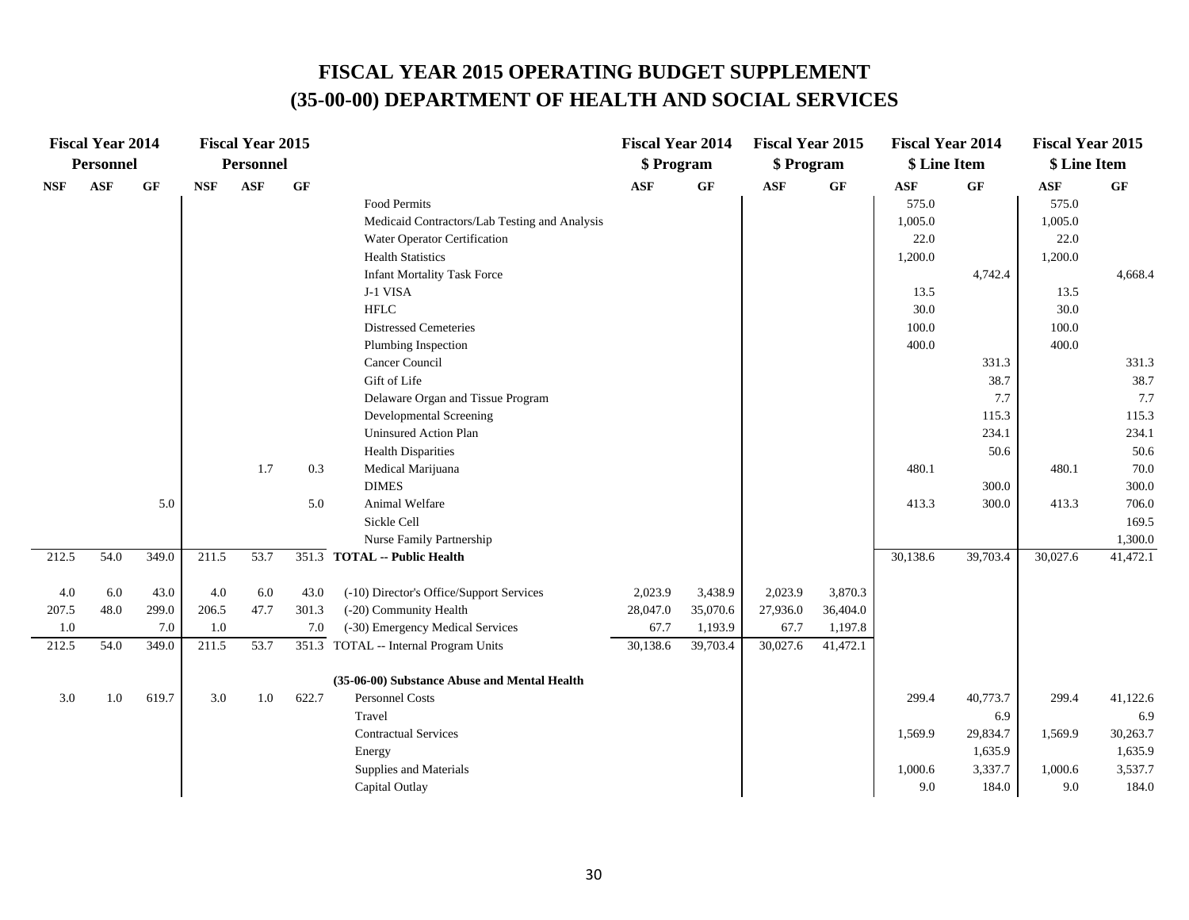|            | <b>Fiscal Year 2014</b> |          |            | <b>Fiscal Year 2015</b> |       |                                               | <b>Fiscal Year 2014</b> |          | <b>Fiscal Year 2015</b> |          | <b>Fiscal Year 2014</b> |          | <b>Fiscal Year 2015</b> |          |
|------------|-------------------------|----------|------------|-------------------------|-------|-----------------------------------------------|-------------------------|----------|-------------------------|----------|-------------------------|----------|-------------------------|----------|
|            | Personnel               |          |            | <b>Personnel</b>        |       |                                               | \$ Program              |          | \$ Program              |          | \$ Line Item            |          | \$ Line Item            |          |
| <b>NSF</b> | <b>ASF</b>              | $\bf GF$ | <b>NSF</b> | <b>ASF</b>              | GF    |                                               | <b>ASF</b>              | GF       | <b>ASF</b>              | GF       | ASF                     | GF       | <b>ASF</b>              | GF       |
|            |                         |          |            |                         |       | Food Permits                                  |                         |          |                         |          | 575.0                   |          | 575.0                   |          |
|            |                         |          |            |                         |       | Medicaid Contractors/Lab Testing and Analysis |                         |          |                         |          | 1,005.0                 |          | 1,005.0                 |          |
|            |                         |          |            |                         |       | Water Operator Certification                  |                         |          |                         |          | 22.0                    |          | 22.0                    |          |
|            |                         |          |            |                         |       | <b>Health Statistics</b>                      |                         |          |                         |          | 1,200.0                 |          | 1,200.0                 |          |
|            |                         |          |            |                         |       | <b>Infant Mortality Task Force</b>            |                         |          |                         |          |                         | 4,742.4  |                         | 4,668.4  |
|            |                         |          |            |                         |       | J-1 VISA                                      |                         |          |                         |          | 13.5                    |          | 13.5                    |          |
|            |                         |          |            |                         |       | <b>HFLC</b>                                   |                         |          |                         |          | 30.0                    |          | 30.0                    |          |
|            |                         |          |            |                         |       | <b>Distressed Cemeteries</b>                  |                         |          |                         |          | 100.0                   |          | 100.0                   |          |
|            |                         |          |            |                         |       | Plumbing Inspection                           |                         |          |                         |          | 400.0                   |          | 400.0                   |          |
|            |                         |          |            |                         |       | Cancer Council                                |                         |          |                         |          |                         | 331.3    |                         | 331.3    |
|            |                         |          |            |                         |       | Gift of Life                                  |                         |          |                         |          |                         | 38.7     |                         | 38.7     |
|            |                         |          |            |                         |       | Delaware Organ and Tissue Program             |                         |          |                         |          |                         | 7.7      |                         | 7.7      |
|            |                         |          |            |                         |       | Developmental Screening                       |                         |          |                         |          |                         | 115.3    |                         | 115.3    |
|            |                         |          |            |                         |       | <b>Uninsured Action Plan</b>                  |                         |          |                         |          |                         | 234.1    |                         | 234.1    |
|            |                         |          |            |                         |       | <b>Health Disparities</b>                     |                         |          |                         |          |                         | 50.6     |                         | 50.6     |
|            |                         |          |            | 1.7                     | 0.3   | Medical Marijuana                             |                         |          |                         |          | 480.1                   |          | 480.1                   | 70.0     |
|            |                         |          |            |                         |       | <b>DIMES</b>                                  |                         |          |                         |          |                         | 300.0    |                         | 300.0    |
|            |                         | 5.0      |            |                         | 5.0   | Animal Welfare                                |                         |          |                         |          | 413.3                   | 300.0    | 413.3                   | 706.0    |
|            |                         |          |            |                         |       | Sickle Cell                                   |                         |          |                         |          |                         |          |                         | 169.5    |
|            |                         |          |            |                         |       | Nurse Family Partnership                      |                         |          |                         |          |                         |          |                         | 1,300.0  |
| 212.5      | 54.0                    | 349.0    | 211.5      | 53.7                    |       | 351.3 TOTAL -- Public Health                  |                         |          |                         |          | 30,138.6                | 39,703.4 | 30,027.6                | 41,472.1 |
| 4.0        | 6.0                     | 43.0     | 4.0        | 6.0                     | 43.0  | (-10) Director's Office/Support Services      | 2,023.9                 | 3,438.9  | 2,023.9                 | 3,870.3  |                         |          |                         |          |
| 207.5      | 48.0                    | 299.0    | 206.5      | 47.7                    | 301.3 | (-20) Community Health                        | 28,047.0                | 35,070.6 | 27,936.0                | 36,404.0 |                         |          |                         |          |
| 1.0        |                         | 7.0      | 1.0        |                         | 7.0   | (-30) Emergency Medical Services              | 67.7                    | 1,193.9  | 67.7                    | 1,197.8  |                         |          |                         |          |
| 212.5      | 54.0                    | 349.0    | 211.5      | 53.7                    |       | 351.3 TOTAL -- Internal Program Units         | 30,138.6                | 39,703.4 | 30,027.6                | 41,472.1 |                         |          |                         |          |
|            |                         |          |            |                         |       | (35-06-00) Substance Abuse and Mental Health  |                         |          |                         |          |                         |          |                         |          |
| 3.0        | 1.0                     | 619.7    | 3.0        | 1.0                     | 622.7 | <b>Personnel Costs</b>                        |                         |          |                         |          | 299.4                   | 40,773.7 | 299.4                   | 41,122.6 |
|            |                         |          |            |                         |       | Travel                                        |                         |          |                         |          |                         | 6.9      |                         | 6.9      |
|            |                         |          |            |                         |       | <b>Contractual Services</b>                   |                         |          |                         |          | 1,569.9                 | 29,834.7 | 1,569.9                 | 30,263.7 |
|            |                         |          |            |                         |       | Energy                                        |                         |          |                         |          |                         | 1,635.9  |                         | 1,635.9  |
|            |                         |          |            |                         |       | Supplies and Materials                        |                         |          |                         |          | 1,000.6                 | 3,337.7  | 1,000.6                 | 3,537.7  |
|            |                         |          |            |                         |       | Capital Outlay                                |                         |          |                         |          | 9.0                     | 184.0    | 9.0                     | 184.0    |
|            |                         |          |            |                         |       |                                               |                         |          |                         |          |                         |          |                         |          |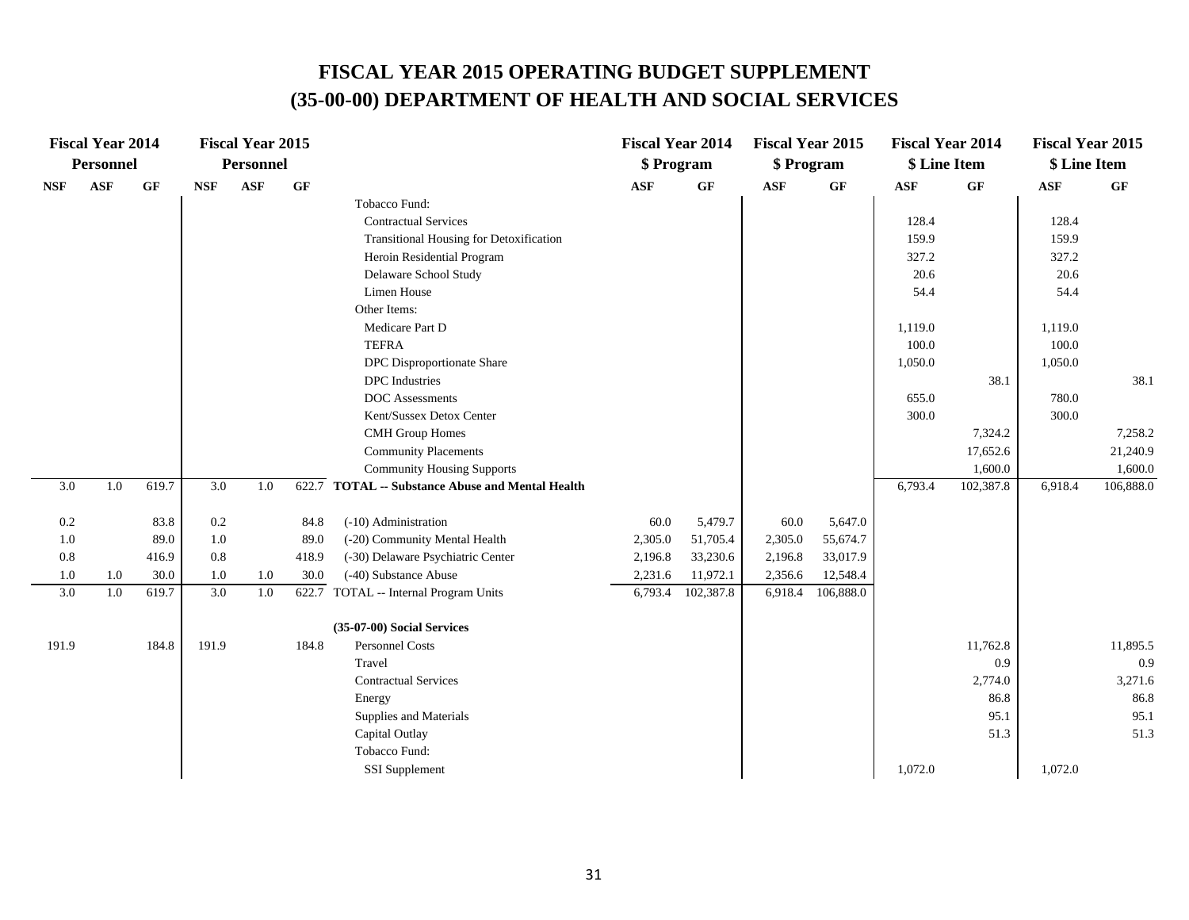|                  | <b>Fiscal Year 2014</b> |       |            | <b>Fiscal Year 2015</b> |       |                                                  | <b>Fiscal Year 2014</b> |           | <b>Fiscal Year 2015</b> |           | <b>Fiscal Year 2014</b> |           | <b>Fiscal Year 2015</b> |           |
|------------------|-------------------------|-------|------------|-------------------------|-------|--------------------------------------------------|-------------------------|-----------|-------------------------|-----------|-------------------------|-----------|-------------------------|-----------|
|                  | <b>Personnel</b>        |       |            | <b>Personnel</b>        |       |                                                  | \$ Program              |           | \$ Program              |           | \$ Line Item            |           | \$ Line Item            |           |
| <b>NSF</b>       | $\mathbf{ASF}$          | GF    | <b>NSF</b> | ASF                     | GF    |                                                  | <b>ASF</b>              | GF        | $\bf{ASF}$              | GF        | ASF                     | <b>GF</b> | ASF                     | GF        |
|                  |                         |       |            |                         |       | Tobacco Fund:                                    |                         |           |                         |           |                         |           |                         |           |
|                  |                         |       |            |                         |       | <b>Contractual Services</b>                      |                         |           |                         |           | 128.4                   |           | 128.4                   |           |
|                  |                         |       |            |                         |       | Transitional Housing for Detoxification          |                         |           |                         |           | 159.9                   |           | 159.9                   |           |
|                  |                         |       |            |                         |       | Heroin Residential Program                       |                         |           |                         |           | 327.2                   |           | 327.2                   |           |
|                  |                         |       |            |                         |       | Delaware School Study                            |                         |           |                         |           | 20.6                    |           | 20.6                    |           |
|                  |                         |       |            |                         |       | Limen House                                      |                         |           |                         |           | 54.4                    |           | 54.4                    |           |
|                  |                         |       |            |                         |       | Other Items:                                     |                         |           |                         |           |                         |           |                         |           |
|                  |                         |       |            |                         |       | Medicare Part D                                  |                         |           |                         |           | 1,119.0                 |           | 1,119.0                 |           |
|                  |                         |       |            |                         |       | <b>TEFRA</b>                                     |                         |           |                         |           | 100.0                   |           | 100.0                   |           |
|                  |                         |       |            |                         |       | DPC Disproportionate Share                       |                         |           |                         |           | 1,050.0                 |           | 1,050.0                 |           |
|                  |                         |       |            |                         |       | <b>DPC</b> Industries                            |                         |           |                         |           |                         | 38.1      |                         | 38.1      |
|                  |                         |       |            |                         |       | <b>DOC</b> Assessments                           |                         |           |                         |           | 655.0                   |           | 780.0                   |           |
|                  |                         |       |            |                         |       | Kent/Sussex Detox Center                         |                         |           |                         |           | 300.0                   |           | 300.0                   |           |
|                  |                         |       |            |                         |       | <b>CMH</b> Group Homes                           |                         |           |                         |           |                         | 7,324.2   |                         | 7,258.2   |
|                  |                         |       |            |                         |       | <b>Community Placements</b>                      |                         |           |                         |           |                         | 17,652.6  |                         | 21,240.9  |
|                  |                         |       |            |                         |       | <b>Community Housing Supports</b>                |                         |           |                         |           |                         | 1,600.0   |                         | 1,600.0   |
| 3.0              | 1.0                     | 619.7 | 3.0        | 1.0                     |       | 622.7 TOTAL -- Substance Abuse and Mental Health |                         |           |                         |           | 6,793.4                 | 102,387.8 | 6,918.4                 | 106,888.0 |
| $0.2\,$          |                         | 83.8  | 0.2        |                         | 84.8  | (-10) Administration                             | 60.0                    | 5,479.7   | 60.0                    | 5,647.0   |                         |           |                         |           |
| 1.0              |                         | 89.0  | 1.0        |                         | 89.0  | (-20) Community Mental Health                    | 2,305.0                 | 51,705.4  | 2,305.0                 | 55,674.7  |                         |           |                         |           |
| $0.8\,$          |                         | 416.9 | 0.8        |                         | 418.9 | (-30) Delaware Psychiatric Center                | 2,196.8                 | 33,230.6  | 2,196.8                 | 33,017.9  |                         |           |                         |           |
| 1.0              | 1.0                     | 30.0  | 1.0        | 1.0                     | 30.0  | (-40) Substance Abuse                            | 2,231.6                 | 11,972.1  | 2,356.6                 | 12,548.4  |                         |           |                         |           |
| $\overline{3.0}$ | 1.0                     | 619.7 | 3.0        | 1.0                     | 622.7 | TOTAL -- Internal Program Units                  | 6,793.4                 | 102,387.8 | 6,918.4                 | 106,888.0 |                         |           |                         |           |
|                  |                         |       |            |                         |       | (35-07-00) Social Services                       |                         |           |                         |           |                         |           |                         |           |
| 191.9            |                         | 184.8 | 191.9      |                         | 184.8 | <b>Personnel Costs</b>                           |                         |           |                         |           |                         | 11,762.8  |                         | 11,895.5  |
|                  |                         |       |            |                         |       | Travel                                           |                         |           |                         |           |                         | 0.9       |                         | 0.9       |
|                  |                         |       |            |                         |       | <b>Contractual Services</b>                      |                         |           |                         |           |                         | 2,774.0   |                         | 3,271.6   |
|                  |                         |       |            |                         |       | Energy                                           |                         |           |                         |           |                         | 86.8      |                         | 86.8      |
|                  |                         |       |            |                         |       | Supplies and Materials                           |                         |           |                         |           |                         | 95.1      |                         | 95.1      |
|                  |                         |       |            |                         |       | Capital Outlay                                   |                         |           |                         |           |                         | 51.3      |                         | 51.3      |
|                  |                         |       |            |                         |       | Tobacco Fund:                                    |                         |           |                         |           |                         |           |                         |           |
|                  |                         |       |            |                         |       | <b>SSI</b> Supplement                            |                         |           |                         |           | 1,072.0                 |           | 1,072.0                 |           |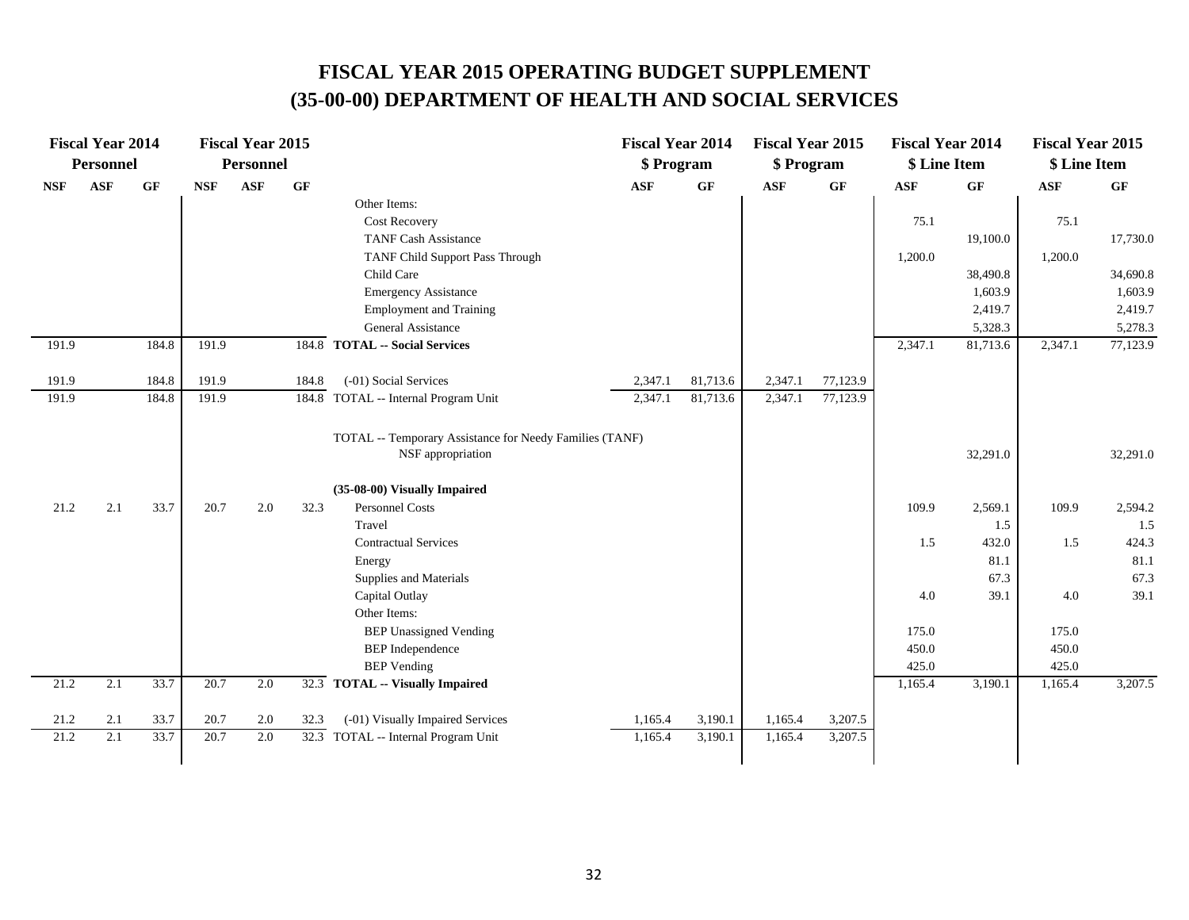|            | <b>Fiscal Year 2014</b> |          |            | <b>Fiscal Year 2015</b> |          |                                                                              | <b>Fiscal Year 2014</b> |          | <b>Fiscal Year 2015</b> |          | <b>Fiscal Year 2014</b> |          | <b>Fiscal Year 2015</b> |          |
|------------|-------------------------|----------|------------|-------------------------|----------|------------------------------------------------------------------------------|-------------------------|----------|-------------------------|----------|-------------------------|----------|-------------------------|----------|
|            | <b>Personnel</b>        |          |            | <b>Personnel</b>        |          |                                                                              | \$ Program              |          | \$ Program              |          | \$ Line Item            |          | \$ Line Item            |          |
| <b>NSF</b> | <b>ASF</b>              | $\bf GF$ | <b>NSF</b> | <b>ASF</b>              | $\bf GF$ |                                                                              | <b>ASF</b>              | GF       | <b>ASF</b>              | GF       | <b>ASF</b>              | $\bf GF$ | <b>ASF</b>              | GF       |
|            |                         |          |            |                         |          | Other Items:                                                                 |                         |          |                         |          |                         |          |                         |          |
|            |                         |          |            |                         |          | <b>Cost Recovery</b>                                                         |                         |          |                         |          | 75.1                    |          | 75.1                    |          |
|            |                         |          |            |                         |          | <b>TANF Cash Assistance</b>                                                  |                         |          |                         |          |                         | 19,100.0 |                         | 17,730.0 |
|            |                         |          |            |                         |          | TANF Child Support Pass Through                                              |                         |          |                         |          | 1,200.0                 |          | 1,200.0                 |          |
|            |                         |          |            |                         |          | Child Care                                                                   |                         |          |                         |          |                         | 38,490.8 |                         | 34,690.8 |
|            |                         |          |            |                         |          | <b>Emergency Assistance</b>                                                  |                         |          |                         |          |                         | 1,603.9  |                         | 1,603.9  |
|            |                         |          |            |                         |          | <b>Employment and Training</b>                                               |                         |          |                         |          |                         | 2,419.7  |                         | 2,419.7  |
|            |                         |          |            |                         |          | General Assistance                                                           |                         |          |                         |          |                         | 5,328.3  |                         | 5,278.3  |
| 191.9      |                         | 184.8    | 191.9      |                         |          | 184.8 TOTAL -- Social Services                                               |                         |          |                         |          | 2,347.1                 | 81,713.6 | 2,347.1                 | 77,123.9 |
| 191.9      |                         | 184.8    | 191.9      |                         | 184.8    | (-01) Social Services                                                        | 2,347.1                 | 81,713.6 | 2,347.1                 | 77,123.9 |                         |          |                         |          |
| 191.9      |                         | 184.8    | 191.9      |                         |          | 184.8 TOTAL -- Internal Program Unit                                         | 2,347.1                 | 81,713.6 | 2,347.1                 | 77,123.9 |                         |          |                         |          |
|            |                         |          |            |                         |          | TOTAL -- Temporary Assistance for Needy Families (TANF)<br>NSF appropriation |                         |          |                         |          |                         | 32,291.0 |                         | 32,291.0 |
|            |                         |          |            |                         |          | (35-08-00) Visually Impaired                                                 |                         |          |                         |          |                         |          |                         |          |
| 21.2       | 2.1                     | 33.7     | 20.7       | 2.0                     | 32.3     | <b>Personnel Costs</b>                                                       |                         |          |                         |          | 109.9                   | 2,569.1  | 109.9                   | 2,594.2  |
|            |                         |          |            |                         |          | Travel                                                                       |                         |          |                         |          |                         | 1.5      |                         | 1.5      |
|            |                         |          |            |                         |          | <b>Contractual Services</b>                                                  |                         |          |                         |          | 1.5                     | 432.0    | 1.5                     | 424.3    |
|            |                         |          |            |                         |          | Energy                                                                       |                         |          |                         |          |                         | 81.1     |                         | 81.1     |
|            |                         |          |            |                         |          | Supplies and Materials                                                       |                         |          |                         |          |                         | 67.3     |                         | 67.3     |
|            |                         |          |            |                         |          | Capital Outlay                                                               |                         |          |                         |          | 4.0                     | 39.1     | 4.0                     | 39.1     |
|            |                         |          |            |                         |          | Other Items:                                                                 |                         |          |                         |          |                         |          |                         |          |
|            |                         |          |            |                         |          | <b>BEP Unassigned Vending</b>                                                |                         |          |                         |          | 175.0                   |          | 175.0                   |          |
|            |                         |          |            |                         |          | <b>BEP</b> Independence                                                      |                         |          |                         |          | 450.0                   |          | 450.0                   |          |
|            |                         |          |            |                         |          | <b>BEP</b> Vending                                                           |                         |          |                         |          | 425.0                   |          | 425.0                   |          |
| 21.2       | 2.1                     | 33.7     | 20.7       | 2.0                     |          | 32.3 TOTAL -- Visually Impaired                                              |                         |          |                         |          | 1,165.4                 | 3,190.1  | 1,165.4                 | 3,207.5  |
|            |                         |          |            |                         |          |                                                                              |                         |          |                         |          |                         |          |                         |          |
| 21.2       | 2.1                     | 33.7     | 20.7       | 2.0                     | 32.3     | (-01) Visually Impaired Services                                             | 1,165.4                 | 3,190.1  | 1,165.4                 | 3,207.5  |                         |          |                         |          |
| 21.2       | 2.1                     | 33.7     | 20.7       | 2.0                     |          | 32.3 TOTAL -- Internal Program Unit                                          | 1,165.4                 | 3,190.1  | 1,165.4                 | 3,207.5  |                         |          |                         |          |
|            |                         |          |            |                         |          |                                                                              |                         |          |                         |          |                         |          |                         |          |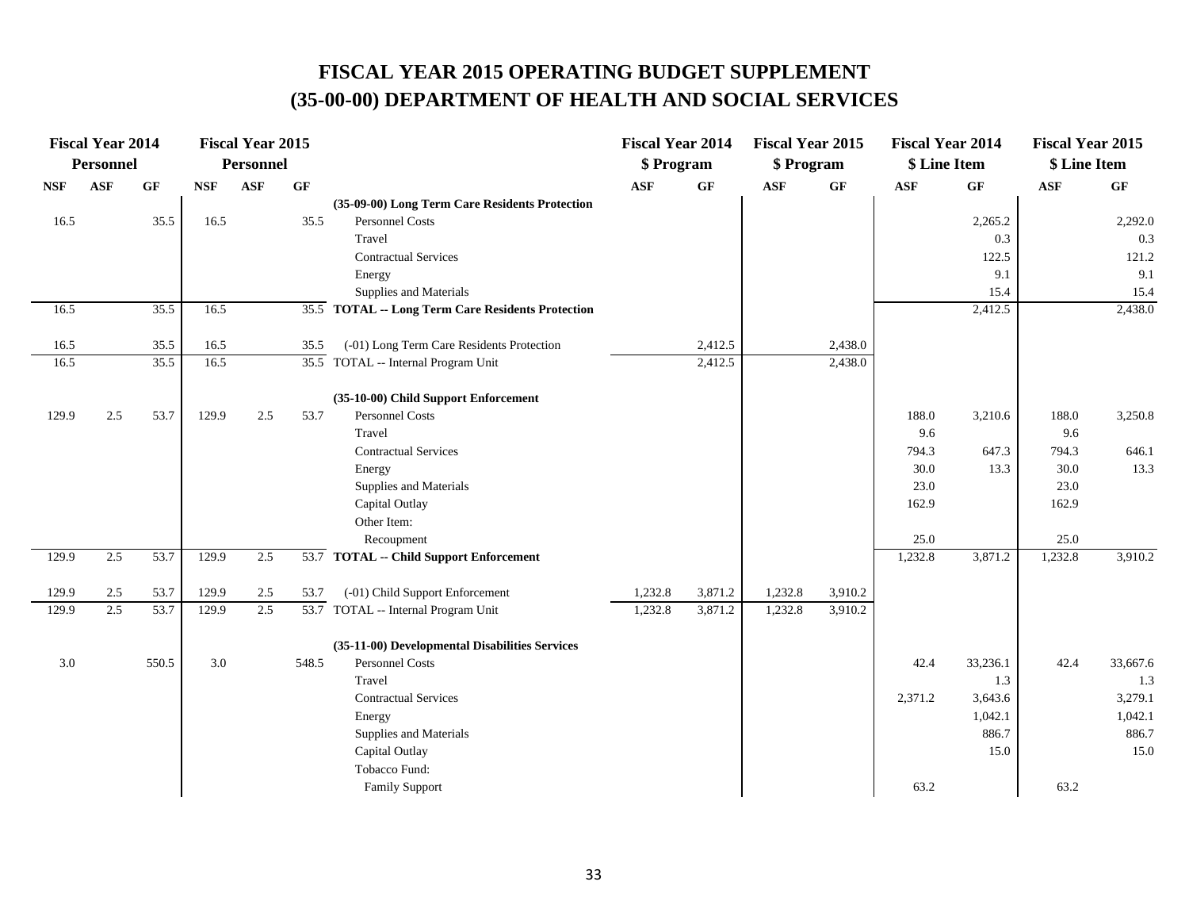|            | <b>Fiscal Year 2014</b> |       |            | <b>Fiscal Year 2015</b> |       |                                                   | <b>Fiscal Year 2014</b> |         | <b>Fiscal Year 2015</b> |                 | <b>Fiscal Year 2014</b> |          | <b>Fiscal Year 2015</b> |          |
|------------|-------------------------|-------|------------|-------------------------|-------|---------------------------------------------------|-------------------------|---------|-------------------------|-----------------|-------------------------|----------|-------------------------|----------|
|            | <b>Personnel</b>        |       |            | <b>Personnel</b>        |       |                                                   | \$ Program              |         | \$ Program              |                 | \$ Line Item            |          | \$ Line Item            |          |
| <b>NSF</b> | <b>ASF</b>              | GF    | <b>NSF</b> | <b>ASF</b>              | GF    |                                                   | <b>ASF</b>              | GF      | <b>ASF</b>              | $\bf{G} \bf{F}$ | <b>ASF</b>              | GF       | <b>ASF</b>              | GF       |
|            |                         |       |            |                         |       | (35-09-00) Long Term Care Residents Protection    |                         |         |                         |                 |                         |          |                         |          |
| 16.5       |                         | 35.5  | 16.5       |                         | 35.5  | <b>Personnel Costs</b>                            |                         |         |                         |                 |                         | 2,265.2  |                         | 2,292.0  |
|            |                         |       |            |                         |       | Travel                                            |                         |         |                         |                 |                         | 0.3      |                         | 0.3      |
|            |                         |       |            |                         |       | <b>Contractual Services</b>                       |                         |         |                         |                 |                         | 122.5    |                         | 121.2    |
|            |                         |       |            |                         |       | Energy                                            |                         |         |                         |                 |                         | 9.1      |                         | 9.1      |
|            |                         |       |            |                         |       | Supplies and Materials                            |                         |         |                         |                 |                         | 15.4     |                         | 15.4     |
| 16.5       |                         | 35.5  | 16.5       |                         |       | 35.5 TOTAL -- Long Term Care Residents Protection |                         |         |                         |                 |                         | 2,412.5  |                         | 2,438.0  |
| 16.5       |                         | 35.5  | 16.5       |                         | 35.5  | (-01) Long Term Care Residents Protection         |                         | 2,412.5 |                         | 2,438.0         |                         |          |                         |          |
| 16.5       |                         | 35.5  | 16.5       |                         |       | 35.5 TOTAL -- Internal Program Unit               |                         | 2,412.5 |                         | 2,438.0         |                         |          |                         |          |
|            |                         |       |            |                         |       | (35-10-00) Child Support Enforcement              |                         |         |                         |                 |                         |          |                         |          |
| 129.9      | 2.5                     | 53.7  | 129.9      | $2.5\,$                 | 53.7  | Personnel Costs                                   |                         |         |                         |                 | 188.0                   | 3,210.6  | 188.0                   | 3,250.8  |
|            |                         |       |            |                         |       | Travel                                            |                         |         |                         |                 | 9.6                     |          | 9.6                     |          |
|            |                         |       |            |                         |       | <b>Contractual Services</b>                       |                         |         |                         |                 | 794.3                   | 647.3    | 794.3                   | 646.1    |
|            |                         |       |            |                         |       | Energy                                            |                         |         |                         |                 | 30.0                    | 13.3     | 30.0                    | 13.3     |
|            |                         |       |            |                         |       | Supplies and Materials                            |                         |         |                         |                 | 23.0                    |          | 23.0                    |          |
|            |                         |       |            |                         |       | Capital Outlay                                    |                         |         |                         |                 | 162.9                   |          | 162.9                   |          |
|            |                         |       |            |                         |       | Other Item:                                       |                         |         |                         |                 |                         |          |                         |          |
|            |                         |       |            |                         |       | Recoupment                                        |                         |         |                         |                 | 25.0                    |          | 25.0                    |          |
| 129.9      | 2.5                     | 53.7  | 129.9      | 2.5                     |       | 53.7 TOTAL -- Child Support Enforcement           |                         |         |                         |                 | 1,232.8                 | 3,871.2  | 1,232.8                 | 3,910.2  |
| 129.9      | 2.5                     | 53.7  | 129.9      | 2.5                     | 53.7  | (-01) Child Support Enforcement                   | 1,232.8                 | 3,871.2 | 1,232.8                 | 3,910.2         |                         |          |                         |          |
| 129.9      | 2.5                     | 53.7  | 129.9      | 2.5                     |       | 53.7 TOTAL -- Internal Program Unit               | 1,232.8                 | 3,871.2 | 1,232.8                 | 3,910.2         |                         |          |                         |          |
|            |                         |       |            |                         |       | (35-11-00) Developmental Disabilities Services    |                         |         |                         |                 |                         |          |                         |          |
| 3.0        |                         | 550.5 | 3.0        |                         | 548.5 | <b>Personnel Costs</b>                            |                         |         |                         |                 | 42.4                    | 33,236.1 | 42.4                    | 33,667.6 |
|            |                         |       |            |                         |       | Travel                                            |                         |         |                         |                 |                         | 1.3      |                         | 1.3      |
|            |                         |       |            |                         |       | <b>Contractual Services</b>                       |                         |         |                         |                 | 2,371.2                 | 3,643.6  |                         | 3,279.1  |
|            |                         |       |            |                         |       | Energy                                            |                         |         |                         |                 |                         | 1,042.1  |                         | 1,042.1  |
|            |                         |       |            |                         |       | Supplies and Materials                            |                         |         |                         |                 |                         | 886.7    |                         | 886.7    |
|            |                         |       |            |                         |       | Capital Outlay                                    |                         |         |                         |                 |                         | 15.0     |                         | 15.0     |
|            |                         |       |            |                         |       | Tobacco Fund:                                     |                         |         |                         |                 |                         |          |                         |          |
|            |                         |       |            |                         |       | Family Support                                    |                         |         |                         |                 | 63.2                    |          | 63.2                    |          |

÷.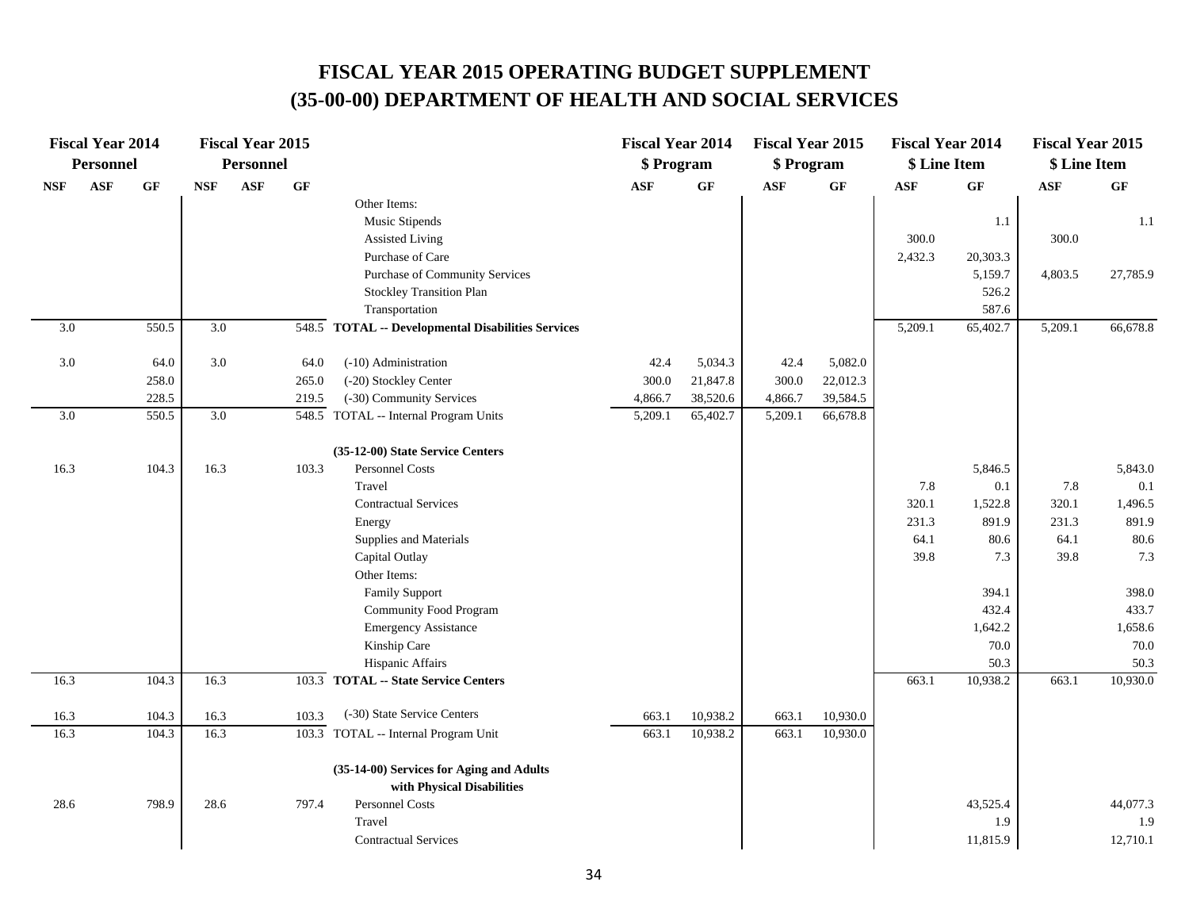|                  | <b>Fiscal Year 2014</b> |          |            | <b>Fiscal Year 2015</b> |       |                                                    | <b>Fiscal Year 2014</b> |          | <b>Fiscal Year 2015</b> |                 | <b>Fiscal Year 2014</b> |          | <b>Fiscal Year 2015</b> |          |
|------------------|-------------------------|----------|------------|-------------------------|-------|----------------------------------------------------|-------------------------|----------|-------------------------|-----------------|-------------------------|----------|-------------------------|----------|
|                  | Personnel               |          |            | <b>Personnel</b>        |       |                                                    | \$ Program              |          | \$ Program              |                 | \$ Line Item            |          | \$ Line Item            |          |
| <b>NSF</b>       | <b>ASF</b>              | $\bf GF$ | <b>NSF</b> | ASF                     | GF    |                                                    | <b>ASF</b>              | $\bf GF$ | <b>ASF</b>              | $\bf{G} \bf{F}$ | <b>ASF</b>              | GF       | $\mathbf{ASF}$          | GF       |
|                  |                         |          |            |                         |       | Other Items:                                       |                         |          |                         |                 |                         |          |                         |          |
|                  |                         |          |            |                         |       | Music Stipends                                     |                         |          |                         |                 |                         | 1.1      |                         | 1.1      |
|                  |                         |          |            |                         |       | <b>Assisted Living</b>                             |                         |          |                         |                 | 300.0                   |          | 300.0                   |          |
|                  |                         |          |            |                         |       | Purchase of Care                                   |                         |          |                         |                 | 2,432.3                 | 20,303.3 |                         |          |
|                  |                         |          |            |                         |       | Purchase of Community Services                     |                         |          |                         |                 |                         | 5,159.7  | 4,803.5                 | 27,785.9 |
|                  |                         |          |            |                         |       | <b>Stockley Transition Plan</b>                    |                         |          |                         |                 |                         | 526.2    |                         |          |
|                  |                         |          |            |                         |       | Transportation                                     |                         |          |                         |                 |                         | 587.6    |                         |          |
| 3.0              |                         | 550.5    | 3.0        |                         |       | 548.5 TOTAL -- Developmental Disabilities Services |                         |          |                         |                 | 5,209.1                 | 65,402.7 | 5,209.1                 | 66,678.8 |
| $3.0\,$          |                         | 64.0     | 3.0        |                         | 64.0  | (-10) Administration                               | 42.4                    | 5,034.3  | 42.4                    | 5,082.0         |                         |          |                         |          |
|                  |                         | 258.0    |            |                         | 265.0 | (-20) Stockley Center                              | 300.0                   | 21,847.8 | 300.0                   | 22,012.3        |                         |          |                         |          |
|                  |                         | 228.5    |            |                         | 219.5 | (-30) Community Services                           | 4,866.7                 | 38,520.6 | 4,866.7                 | 39,584.5        |                         |          |                         |          |
| $\overline{3.0}$ |                         | 550.5    | 3.0        |                         |       | 548.5 TOTAL -- Internal Program Units              | 5,209.1                 | 65,402.7 | 5,209.1                 | 66,678.8        |                         |          |                         |          |
|                  |                         |          |            |                         |       | (35-12-00) State Service Centers                   |                         |          |                         |                 |                         |          |                         |          |
| 16.3             |                         | 104.3    | 16.3       |                         | 103.3 | Personnel Costs                                    |                         |          |                         |                 |                         | 5,846.5  |                         | 5,843.0  |
|                  |                         |          |            |                         |       | Travel                                             |                         |          |                         |                 | 7.8                     | 0.1      | 7.8                     | 0.1      |
|                  |                         |          |            |                         |       | <b>Contractual Services</b>                        |                         |          |                         |                 | 320.1                   | 1,522.8  | 320.1                   | 1,496.5  |
|                  |                         |          |            |                         |       | Energy                                             |                         |          |                         |                 | 231.3                   | 891.9    | 231.3                   | 891.9    |
|                  |                         |          |            |                         |       | Supplies and Materials                             |                         |          |                         |                 | 64.1                    | 80.6     | 64.1                    | 80.6     |
|                  |                         |          |            |                         |       | Capital Outlay                                     |                         |          |                         |                 | 39.8                    | 7.3      | 39.8                    | 7.3      |
|                  |                         |          |            |                         |       | Other Items:                                       |                         |          |                         |                 |                         |          |                         |          |
|                  |                         |          |            |                         |       | <b>Family Support</b>                              |                         |          |                         |                 |                         | 394.1    |                         | 398.0    |
|                  |                         |          |            |                         |       | <b>Community Food Program</b>                      |                         |          |                         |                 |                         | 432.4    |                         | 433.7    |
|                  |                         |          |            |                         |       | <b>Emergency Assistance</b>                        |                         |          |                         |                 |                         | 1,642.2  |                         | 1,658.6  |
|                  |                         |          |            |                         |       | Kinship Care                                       |                         |          |                         |                 |                         | 70.0     |                         | 70.0     |
|                  |                         |          |            |                         |       | Hispanic Affairs                                   |                         |          |                         |                 |                         | 50.3     |                         | 50.3     |
| 16.3             |                         | 104.3    | 16.3       |                         | 103.3 | <b>TOTAL -- State Service Centers</b>              |                         |          |                         |                 | 663.1                   | 10,938.2 | 663.1                   | 10,930.0 |
| 16.3             |                         | 104.3    | 16.3       |                         | 103.3 | (-30) State Service Centers                        | 663.1                   | 10,938.2 | 663.1                   | 10,930.0        |                         |          |                         |          |
| 16.3             |                         | 104.3    | 16.3       |                         | 103.3 | TOTAL -- Internal Program Unit                     | 663.1                   | 10,938.2 | 663.1                   | 10,930.0        |                         |          |                         |          |
|                  |                         |          |            |                         |       | (35-14-00) Services for Aging and Adults           |                         |          |                         |                 |                         |          |                         |          |
|                  |                         |          |            |                         |       | with Physical Disabilities                         |                         |          |                         |                 |                         |          |                         |          |
| 28.6             |                         | 798.9    | 28.6       |                         | 797.4 | Personnel Costs                                    |                         |          |                         |                 |                         | 43,525.4 |                         | 44,077.3 |
|                  |                         |          |            |                         |       | Travel                                             |                         |          |                         |                 |                         | 1.9      |                         | 1.9      |
|                  |                         |          |            |                         |       | <b>Contractual Services</b>                        |                         |          |                         |                 |                         | 11,815.9 |                         | 12,710.1 |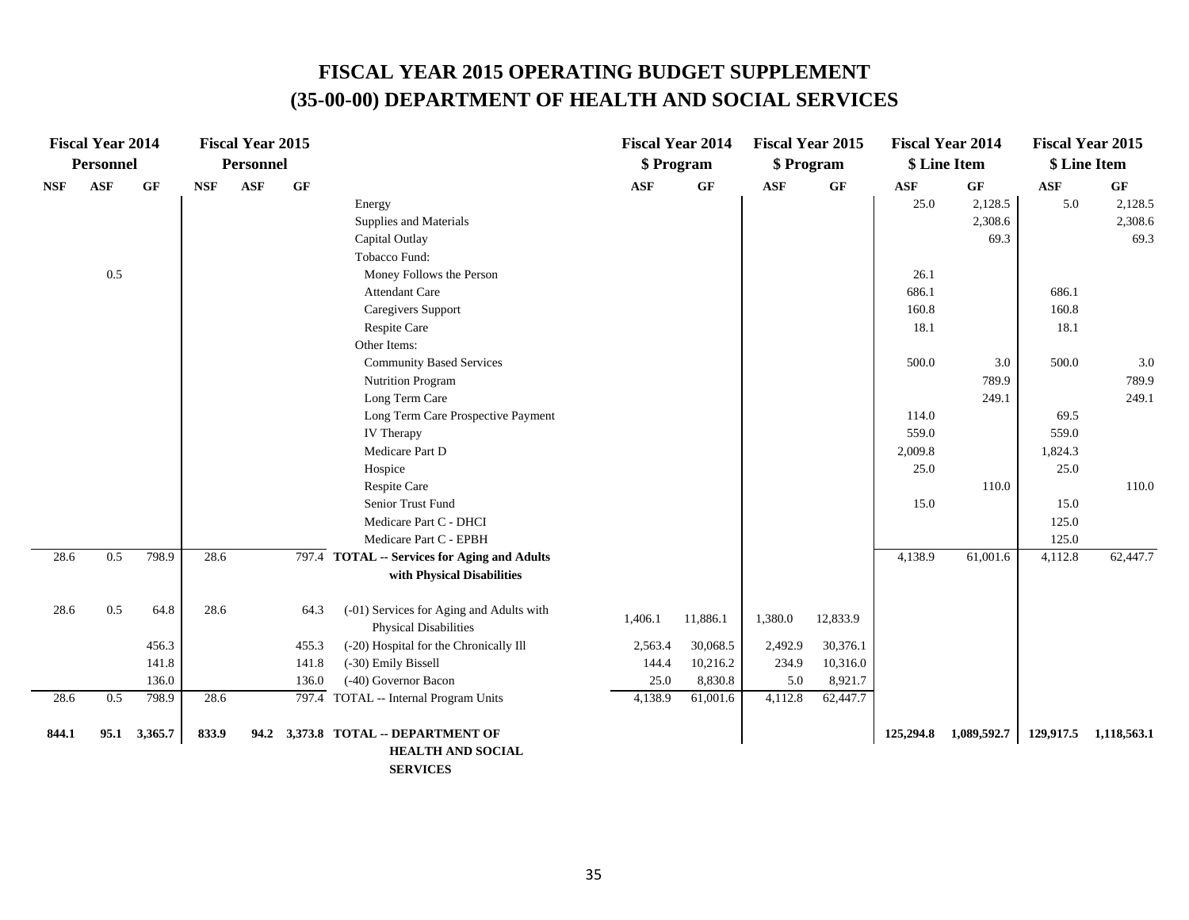|            | <b>Fiscal Year 2014</b> |         |            | <b>Fiscal Year 2015</b> |       |                                                                          |            | <b>Fiscal Year 2014</b> | <b>Fiscal Year 2015</b> |          |            | <b>Fiscal Year 2014</b> |            | <b>Fiscal Year 2015</b> |
|------------|-------------------------|---------|------------|-------------------------|-------|--------------------------------------------------------------------------|------------|-------------------------|-------------------------|----------|------------|-------------------------|------------|-------------------------|
|            | <b>Personnel</b>        |         |            | <b>Personnel</b>        |       |                                                                          |            | \$ Program              | \$ Program              |          |            | \$ Line Item            |            | \$ Line Item            |
| <b>NSF</b> | <b>ASF</b>              | GF      | <b>NSF</b> | ASF                     | GF    |                                                                          | <b>ASF</b> | GF                      | <b>ASF</b>              | GF       | <b>ASF</b> | GF                      | <b>ASF</b> | GF                      |
|            |                         |         |            |                         |       | Energy                                                                   |            |                         |                         |          | 25.0       | 2,128.5                 | 5.0        | 2,128.5                 |
|            |                         |         |            |                         |       | Supplies and Materials                                                   |            |                         |                         |          |            | 2,308.6                 |            | 2,308.6                 |
|            |                         |         |            |                         |       | Capital Outlay                                                           |            |                         |                         |          |            | 69.3                    |            | 69.3                    |
|            |                         |         |            |                         |       | Tobacco Fund:                                                            |            |                         |                         |          |            |                         |            |                         |
|            | 0.5                     |         |            |                         |       | Money Follows the Person                                                 |            |                         |                         |          | 26.1       |                         |            |                         |
|            |                         |         |            |                         |       | <b>Attendant Care</b>                                                    |            |                         |                         |          | 686.1      |                         | 686.1      |                         |
|            |                         |         |            |                         |       | Caregivers Support                                                       |            |                         |                         |          | 160.8      |                         | 160.8      |                         |
|            |                         |         |            |                         |       | Respite Care                                                             |            |                         |                         |          | 18.1       |                         | 18.1       |                         |
|            |                         |         |            |                         |       | Other Items:                                                             |            |                         |                         |          |            |                         |            |                         |
|            |                         |         |            |                         |       | <b>Community Based Services</b>                                          |            |                         |                         |          | 500.0      | 3.0                     | 500.0      | 3.0                     |
|            |                         |         |            |                         |       | <b>Nutrition Program</b>                                                 |            |                         |                         |          |            | 789.9                   |            | 789.9                   |
|            |                         |         |            |                         |       | Long Term Care                                                           |            |                         |                         |          |            | 249.1                   |            | 249.1                   |
|            |                         |         |            |                         |       | Long Term Care Prospective Payment                                       |            |                         |                         |          | 114.0      |                         | 69.5       |                         |
|            |                         |         |            |                         |       | IV Therapy                                                               |            |                         |                         |          | 559.0      |                         | 559.0      |                         |
|            |                         |         |            |                         |       | Medicare Part D                                                          |            |                         |                         |          | 2,009.8    |                         | 1,824.3    |                         |
|            |                         |         |            |                         |       | Hospice                                                                  |            |                         |                         |          | 25.0       |                         | 25.0       |                         |
|            |                         |         |            |                         |       | Respite Care                                                             |            |                         |                         |          |            | 110.0                   |            | 110.0                   |
|            |                         |         |            |                         |       | Senior Trust Fund                                                        |            |                         |                         |          | 15.0       |                         | 15.0       |                         |
|            |                         |         |            |                         |       | Medicare Part C - DHCI                                                   |            |                         |                         |          |            |                         | 125.0      |                         |
|            |                         |         |            |                         |       | Medicare Part C - EPBH                                                   |            |                         |                         |          |            |                         | 125.0      |                         |
| 28.6       | 0.5                     | 798.9   | 28.6       |                         |       | 797.4 TOTAL -- Services for Aging and Adults                             |            |                         |                         |          | 4,138.9    | 61,001.6                | 4,112.8    | 62,447.7                |
|            |                         |         |            |                         |       | with Physical Disabilities                                               |            |                         |                         |          |            |                         |            |                         |
| 28.6       | 0.5                     | 64.8    | 28.6       |                         | 64.3  | (-01) Services for Aging and Adults with<br><b>Physical Disabilities</b> | 1,406.1    | 11,886.1                | 1,380.0                 | 12,833.9 |            |                         |            |                         |
|            |                         | 456.3   |            |                         | 455.3 | (-20) Hospital for the Chronically Ill                                   | 2,563.4    | 30,068.5                | 2,492.9                 | 30,376.1 |            |                         |            |                         |
|            |                         | 141.8   |            |                         | 141.8 | (-30) Emily Bissell                                                      | 144.4      | 10,216.2                | 234.9                   | 10,316.0 |            |                         |            |                         |
|            |                         | 136.0   |            |                         | 136.0 | (-40) Governor Bacon                                                     | 25.0       | 8,830.8                 | 5.0                     | 8,921.7  |            |                         |            |                         |
| 28.6       | 0.5                     | 798.9   | 28.6       |                         |       | 797.4 TOTAL -- Internal Program Units                                    | 4,138.9    | 61,001.6                | 4,112.8                 | 62,447.7 |            |                         |            |                         |
| 844.1      | 95.1                    | 3,365.7 | 833.9      | 94.2                    |       | 3,373.8 TOTAL -- DEPARTMENT OF                                           |            |                         |                         |          | 125,294.8  | 1,089,592.7             | 129,917.5  | 1,118,563.1             |
|            |                         |         |            |                         |       | <b>HEALTH AND SOCIAL</b>                                                 |            |                         |                         |          |            |                         |            |                         |
|            |                         |         |            |                         |       | <b>SERVICES</b>                                                          |            |                         |                         |          |            |                         |            |                         |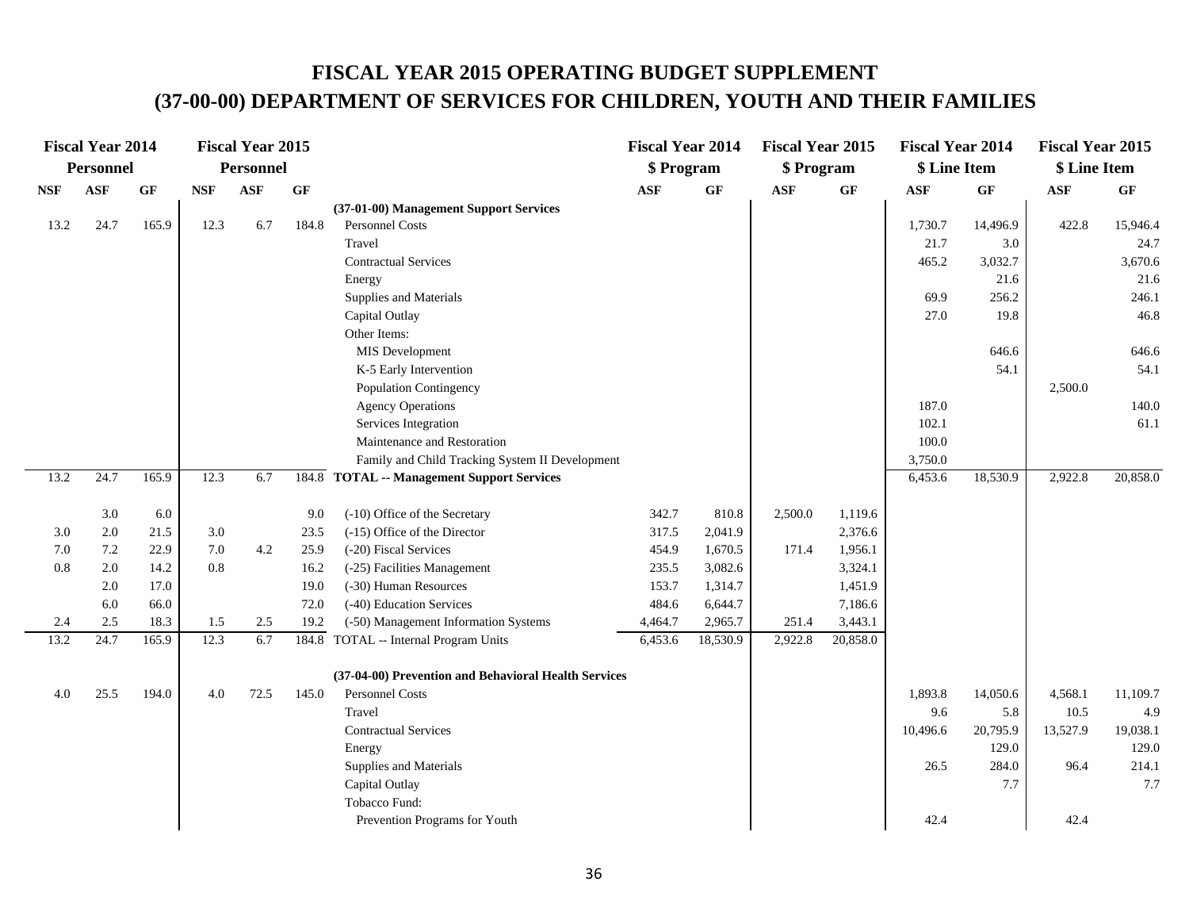### **FISCAL YEAR 2015 OPERATING BUDGET SUPPLEMENT (37-00-00) DEPARTMENT OF SERVICES FOR CHILDREN, YOUTH AND THEIR FAMILIES**

|      | <b>Fiscal Year 2014</b> |       |            | <b>Fiscal Year 2015</b> |                 |                                                      | <b>Fiscal Year 2014</b> |          | <b>Fiscal Year 2015</b> |                 | <b>Fiscal Year 2014</b> |          | <b>Fiscal Year 2015</b> |          |
|------|-------------------------|-------|------------|-------------------------|-----------------|------------------------------------------------------|-------------------------|----------|-------------------------|-----------------|-------------------------|----------|-------------------------|----------|
|      | <b>Personnel</b>        |       |            | Personnel               |                 |                                                      | \$ Program              |          | \$ Program              |                 | \$ Line Item            |          | \$ Line Item            |          |
| NSF  | <b>ASF</b>              | GF    | <b>NSF</b> | <b>ASF</b>              | $\bf{G} \bf{F}$ |                                                      | <b>ASF</b>              | GF       | <b>ASF</b>              | $\bf{G} \bf{F}$ | ASF                     | GF       | $\mathbf{ASF}$          | $\bf GF$ |
|      |                         |       |            |                         |                 | (37-01-00) Management Support Services               |                         |          |                         |                 |                         |          |                         |          |
| 13.2 | 24.7                    | 165.9 | 12.3       | 6.7                     | 184.8           | Personnel Costs                                      |                         |          |                         |                 | 1,730.7                 | 14,496.9 | 422.8                   | 15,946.4 |
|      |                         |       |            |                         |                 | Travel                                               |                         |          |                         |                 | 21.7                    | 3.0      |                         | 24.7     |
|      |                         |       |            |                         |                 | <b>Contractual Services</b>                          |                         |          |                         |                 | 465.2                   | 3,032.7  |                         | 3,670.6  |
|      |                         |       |            |                         |                 | Energy                                               |                         |          |                         |                 |                         | 21.6     |                         | 21.6     |
|      |                         |       |            |                         |                 | Supplies and Materials                               |                         |          |                         |                 | 69.9                    | 256.2    |                         | 246.1    |
|      |                         |       |            |                         |                 | Capital Outlay                                       |                         |          |                         |                 | 27.0                    | 19.8     |                         | 46.8     |
|      |                         |       |            |                         |                 | Other Items:                                         |                         |          |                         |                 |                         |          |                         |          |
|      |                         |       |            |                         |                 | MIS Development                                      |                         |          |                         |                 |                         | 646.6    |                         | 646.6    |
|      |                         |       |            |                         |                 | K-5 Early Intervention                               |                         |          |                         |                 |                         | 54.1     |                         | 54.1     |
|      |                         |       |            |                         |                 | Population Contingency                               |                         |          |                         |                 |                         |          | 2,500.0                 |          |
|      |                         |       |            |                         |                 | <b>Agency Operations</b>                             |                         |          |                         |                 | 187.0                   |          |                         | 140.0    |
|      |                         |       |            |                         |                 | Services Integration                                 |                         |          |                         |                 | 102.1                   |          |                         | 61.1     |
|      |                         |       |            |                         |                 | Maintenance and Restoration                          |                         |          |                         |                 | 100.0                   |          |                         |          |
|      |                         |       |            |                         |                 | Family and Child Tracking System II Development      |                         |          |                         |                 | 3,750.0                 |          |                         |          |
| 13.2 | 24.7                    | 165.9 | 12.3       | 6.7                     |                 | 184.8 TOTAL -- Management Support Services           |                         |          |                         |                 | 6,453.6                 | 18,530.9 | 2,922.8                 | 20,858.0 |
|      | 3.0                     | 6.0   |            |                         | 9.0             | (-10) Office of the Secretary                        | 342.7                   | 810.8    | 2,500.0                 | 1,119.6         |                         |          |                         |          |
| 3.0  | 2.0                     | 21.5  | 3.0        |                         | 23.5            | (-15) Office of the Director                         | 317.5                   | 2,041.9  |                         | 2,376.6         |                         |          |                         |          |
| 7.0  | 7.2                     | 22.9  | 7.0        | 4.2                     | 25.9            | (-20) Fiscal Services                                | 454.9                   | 1,670.5  | 171.4                   | 1,956.1         |                         |          |                         |          |
| 0.8  | 2.0                     | 14.2  | 0.8        |                         | 16.2            | (-25) Facilities Management                          | 235.5                   | 3,082.6  |                         | 3,324.1         |                         |          |                         |          |
|      | 2.0                     | 17.0  |            |                         | 19.0            | (-30) Human Resources                                | 153.7                   | 1,314.7  |                         | 1,451.9         |                         |          |                         |          |
|      | 6.0                     | 66.0  |            |                         | 72.0            | (-40) Education Services                             | 484.6                   | 6,644.7  |                         | 7,186.6         |                         |          |                         |          |
| 2.4  | $2.5\,$                 | 18.3  | 1.5        | 2.5                     | 19.2            | (-50) Management Information Systems                 | 4,464.7                 | 2,965.7  | 251.4                   | 3,443.1         |                         |          |                         |          |
| 13.2 | 24.7                    | 165.9 | 12.3       | 6.7                     |                 | 184.8 TOTAL -- Internal Program Units                | 6,453.6                 | 18,530.9 | 2,922.8                 | 20,858.0        |                         |          |                         |          |
|      |                         |       |            |                         |                 | (37-04-00) Prevention and Behavioral Health Services |                         |          |                         |                 |                         |          |                         |          |
| 4.0  | 25.5                    | 194.0 | 4.0        | 72.5                    | 145.0           | Personnel Costs                                      |                         |          |                         |                 | 1,893.8                 | 14,050.6 | 4,568.1                 | 11,109.7 |
|      |                         |       |            |                         |                 | Travel                                               |                         |          |                         |                 | 9.6                     | 5.8      | 10.5                    | 4.9      |
|      |                         |       |            |                         |                 | <b>Contractual Services</b>                          |                         |          |                         |                 | 10,496.6                | 20,795.9 | 13,527.9                | 19,038.1 |
|      |                         |       |            |                         |                 | Energy                                               |                         |          |                         |                 |                         | 129.0    |                         | 129.0    |
|      |                         |       |            |                         |                 | Supplies and Materials                               |                         |          |                         |                 | 26.5                    | 284.0    | 96.4                    | 214.1    |
|      |                         |       |            |                         |                 | Capital Outlay                                       |                         |          |                         |                 |                         | 7.7      |                         | 7.7      |
|      |                         |       |            |                         |                 | Tobacco Fund:                                        |                         |          |                         |                 |                         |          |                         |          |
|      |                         |       |            |                         |                 | Prevention Programs for Youth                        |                         |          |                         |                 | 42.4                    |          | 42.4                    |          |
|      |                         |       |            |                         |                 |                                                      |                         |          |                         |                 |                         |          |                         |          |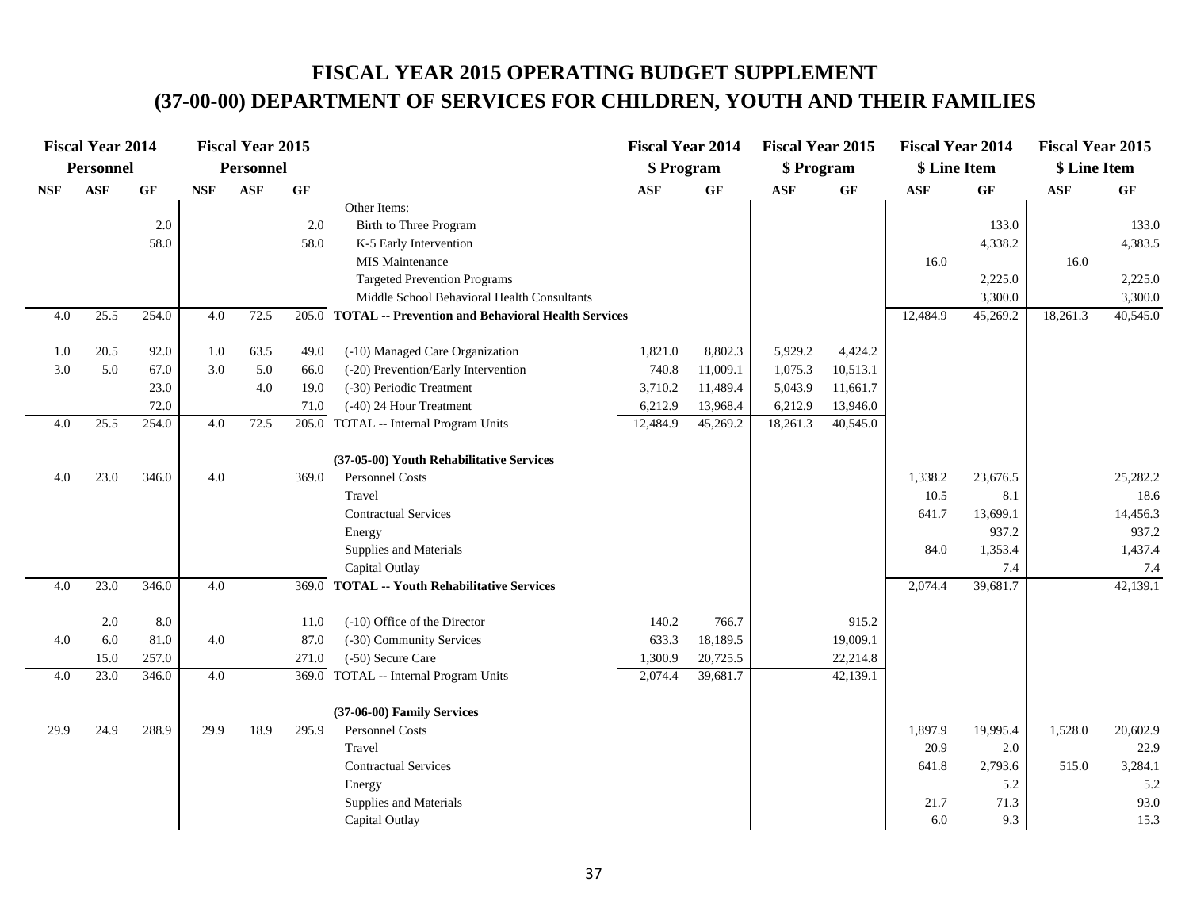# **FISCAL YEAR 2015 OPERATING BUDGET SUPPLEMENT (37-00-00) DEPARTMENT OF SERVICES FOR CHILDREN, YOUTH AND THEIR FAMILIES**

|            | <b>Fiscal Year 2014</b> |       |            | <b>Fiscal Year 2015</b> |                 |                                                          | <b>Fiscal Year 2014</b> |          | <b>Fiscal Year 2015</b> |                 | <b>Fiscal Year 2014</b> |          | <b>Fiscal Year 2015</b> |          |
|------------|-------------------------|-------|------------|-------------------------|-----------------|----------------------------------------------------------|-------------------------|----------|-------------------------|-----------------|-------------------------|----------|-------------------------|----------|
|            | <b>Personnel</b>        |       |            | <b>Personnel</b>        |                 |                                                          | \$ Program              |          | \$ Program              |                 | \$ Line Item            |          | \$ Line Item            |          |
| <b>NSF</b> | <b>ASF</b>              | GF    | <b>NSF</b> | <b>ASF</b>              | $\bf{G} \bf{F}$ |                                                          | <b>ASF</b>              | GF       | <b>ASF</b>              | $\bf{G} \bf{F}$ | <b>ASF</b>              | GF       | <b>ASF</b>              | GF       |
|            |                         |       |            |                         |                 | Other Items:                                             |                         |          |                         |                 |                         |          |                         |          |
|            |                         | 2.0   |            |                         | 2.0             | Birth to Three Program                                   |                         |          |                         |                 |                         | 133.0    |                         | 133.0    |
|            |                         | 58.0  |            |                         | 58.0            | K-5 Early Intervention                                   |                         |          |                         |                 |                         | 4,338.2  |                         | 4,383.5  |
|            |                         |       |            |                         |                 | MIS Maintenance                                          |                         |          |                         |                 | 16.0                    |          | 16.0                    |          |
|            |                         |       |            |                         |                 | <b>Targeted Prevention Programs</b>                      |                         |          |                         |                 |                         | 2,225.0  |                         | 2,225.0  |
|            |                         |       |            |                         |                 | Middle School Behavioral Health Consultants              |                         |          |                         |                 |                         | 3,300.0  |                         | 3,300.0  |
| 4.0        | 25.5                    | 254.0 | 4.0        | 72.5                    |                 | 205.0 TOTAL -- Prevention and Behavioral Health Services |                         |          |                         |                 | 12,484.9                | 45,269.2 | 18,261.3                | 40,545.0 |
| 1.0        | 20.5                    | 92.0  | 1.0        | 63.5                    | 49.0            | (-10) Managed Care Organization                          | 1,821.0                 | 8,802.3  | 5,929.2                 | 4,424.2         |                         |          |                         |          |
| 3.0        | 5.0                     | 67.0  | 3.0        | 5.0                     | 66.0            | (-20) Prevention/Early Intervention                      | 740.8                   | 11,009.1 | 1,075.3                 | 10,513.1        |                         |          |                         |          |
|            |                         | 23.0  |            | 4.0                     | 19.0            | (-30) Periodic Treatment                                 | 3,710.2                 | 11,489.4 | 5,043.9                 | 11,661.7        |                         |          |                         |          |
|            |                         | 72.0  |            |                         | 71.0            | (-40) 24 Hour Treatment                                  | 6,212.9                 | 13,968.4 | 6,212.9                 | 13,946.0        |                         |          |                         |          |
| 4.0        | 25.5                    | 254.0 | 4.0        | 72.5                    |                 | 205.0 TOTAL -- Internal Program Units                    | 12,484.9                | 45,269.2 | 18,261.3                | 40,545.0        |                         |          |                         |          |
|            |                         |       |            |                         |                 | (37-05-00) Youth Rehabilitative Services                 |                         |          |                         |                 |                         |          |                         |          |
| 4.0        | 23.0                    | 346.0 | 4.0        |                         | 369.0           | Personnel Costs                                          |                         |          |                         |                 | 1,338.2                 | 23,676.5 |                         | 25,282.2 |
|            |                         |       |            |                         |                 | Travel                                                   |                         |          |                         |                 | 10.5                    | 8.1      |                         | 18.6     |
|            |                         |       |            |                         |                 | <b>Contractual Services</b>                              |                         |          |                         |                 | 641.7                   | 13,699.1 |                         | 14,456.3 |
|            |                         |       |            |                         |                 | Energy                                                   |                         |          |                         |                 |                         | 937.2    |                         | 937.2    |
|            |                         |       |            |                         |                 | Supplies and Materials                                   |                         |          |                         |                 | 84.0                    | 1,353.4  |                         | 1,437.4  |
|            |                         |       |            |                         |                 | Capital Outlay                                           |                         |          |                         |                 |                         | 7.4      |                         | 7.4      |
| 4.0        | 23.0                    | 346.0 | 4.0        |                         | 369.0           | <b>TOTAL -- Youth Rehabilitative Services</b>            |                         |          |                         |                 | 2,074.4                 | 39,681.7 |                         | 42,139.1 |
|            | 2.0                     | 8.0   |            |                         | 11.0            | (-10) Office of the Director                             | 140.2                   | 766.7    |                         | 915.2           |                         |          |                         |          |
| 4.0        | 6.0                     | 81.0  | 4.0        |                         | 87.0            | (-30) Community Services                                 | 633.3                   | 18,189.5 |                         | 19,009.1        |                         |          |                         |          |
|            | 15.0                    | 257.0 |            |                         | 271.0           | (-50) Secure Care                                        | 1,300.9                 | 20,725.5 |                         | 22,214.8        |                         |          |                         |          |
| 4.0        | 23.0                    | 346.0 | 4.0        |                         |                 | 369.0 TOTAL -- Internal Program Units                    | 2,074.4                 | 39,681.7 |                         | 42,139.1        |                         |          |                         |          |
|            |                         |       |            |                         |                 | (37-06-00) Family Services                               |                         |          |                         |                 |                         |          |                         |          |
| 29.9       | 24.9                    | 288.9 | 29.9       | 18.9                    | 295.9           | Personnel Costs                                          |                         |          |                         |                 | 1,897.9                 | 19,995.4 | 1,528.0                 | 20,602.9 |
|            |                         |       |            |                         |                 | Travel                                                   |                         |          |                         |                 | 20.9                    | 2.0      |                         | 22.9     |
|            |                         |       |            |                         |                 | <b>Contractual Services</b>                              |                         |          |                         |                 | 641.8                   | 2,793.6  | 515.0                   | 3,284.1  |
|            |                         |       |            |                         |                 | Energy                                                   |                         |          |                         |                 |                         | 5.2      |                         | 5.2      |
|            |                         |       |            |                         |                 | Supplies and Materials                                   |                         |          |                         |                 | 21.7                    | 71.3     |                         | 93.0     |
|            |                         |       |            |                         |                 | Capital Outlay                                           |                         |          |                         |                 | 6.0                     | 9.3      |                         | 15.3     |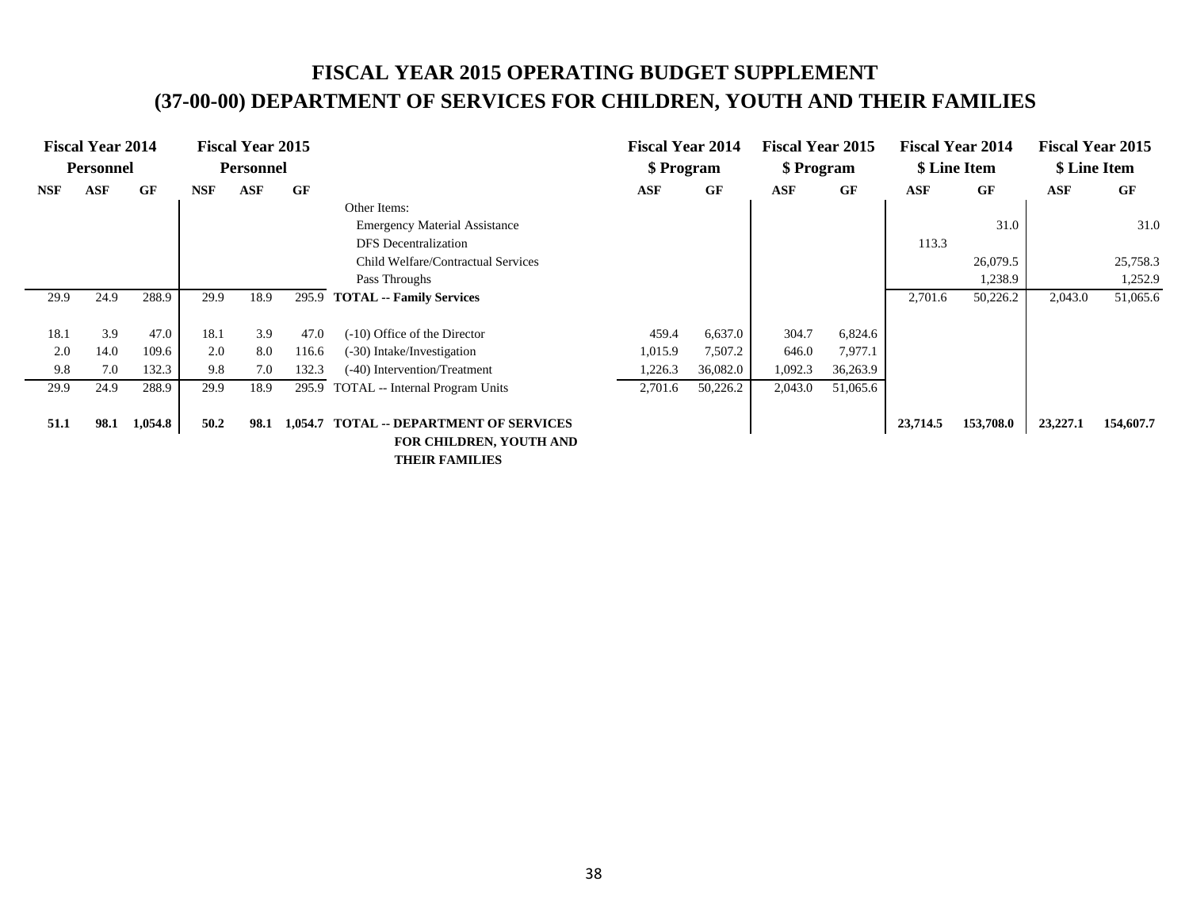# **FISCAL YEAR 2015 OPERATING BUDGET SUPPLEMENT (37-00-00) DEPARTMENT OF SERVICES FOR CHILDREN, YOUTH AND THEIR FAMILIES**

|            | <b>Fiscal Year 2014</b><br><b>Personnel</b> |         |            | <b>Fiscal Year 2015</b><br><b>Personnel</b> |           |                                                                                         | <b>Fiscal Year 2014</b><br>\$ Program |          | <b>Fiscal Year 2015</b><br>\$ Program |           |            | <b>Fiscal Year 2014</b><br>\$ Line Item |            | <b>Fiscal Year 2015</b><br>\$ Line Item |
|------------|---------------------------------------------|---------|------------|---------------------------------------------|-----------|-----------------------------------------------------------------------------------------|---------------------------------------|----------|---------------------------------------|-----------|------------|-----------------------------------------|------------|-----------------------------------------|
| <b>NSF</b> | <b>ASF</b>                                  | GF      | <b>NSF</b> | <b>ASF</b>                                  | <b>GF</b> |                                                                                         | <b>ASF</b>                            | GF       | <b>ASF</b>                            | <b>GF</b> | <b>ASF</b> | GF                                      | <b>ASF</b> | <b>GF</b>                               |
|            |                                             |         |            |                                             |           | Other Items:                                                                            |                                       |          |                                       |           |            |                                         |            |                                         |
|            |                                             |         |            |                                             |           | <b>Emergency Material Assistance</b>                                                    |                                       |          |                                       |           |            | 31.0                                    |            | 31.0                                    |
|            |                                             |         |            |                                             |           | <b>DFS</b> Decentralization                                                             |                                       |          |                                       |           | 113.3      |                                         |            |                                         |
|            |                                             |         |            |                                             |           | Child Welfare/Contractual Services                                                      |                                       |          |                                       |           |            | 26,079.5                                |            | 25,758.3                                |
|            |                                             |         |            |                                             |           | Pass Throughs                                                                           |                                       |          |                                       |           |            | 1,238.9                                 |            | 1,252.9                                 |
| 29.9       | 24.9                                        | 288.9   | 29.9       | 18.9                                        | 295.9     | <b>TOTAL -- Family Services</b>                                                         |                                       |          |                                       |           | 2,701.6    | 50,226.2                                | 2,043.0    | 51,065.6                                |
|            |                                             |         |            |                                             |           |                                                                                         |                                       |          |                                       |           |            |                                         |            |                                         |
| 18.1       | 3.9                                         | 47.0    | 18.1       | 3.9                                         | 47.0      | $(-10)$ Office of the Director                                                          | 459.4                                 | 6,637.0  | 304.7                                 | 6,824.6   |            |                                         |            |                                         |
| 2.0        | 14.0                                        | 109.6   | 2.0        | 8.0                                         | 116.6     | (-30) Intake/Investigation                                                              | 1,015.9                               | 7,507.2  | 646.0                                 | 7,977.1   |            |                                         |            |                                         |
| 9.8        | 7.0                                         | 132.3   | 9.8        | 7.0                                         | 132.3     | (-40) Intervention/Treatment                                                            | 1,226.3                               | 36,082.0 | 1,092.3                               | 36,263.9  |            |                                         |            |                                         |
| 29.9       | 24.9                                        | 288.9   | 29.9       | 18.9                                        | 295.9     | <b>TOTAL</b> -- Internal Program Units                                                  | 2,701.6                               | 50,226.2 | 2,043.0                               | 51,065.6  |            |                                         |            |                                         |
|            |                                             |         |            |                                             |           |                                                                                         |                                       |          |                                       |           |            |                                         |            |                                         |
| 51.1       | 98.1                                        | 1,054.8 | 50.2       | 98.1                                        | 1,054.7   | <b>TOTAL -- DEPARTMENT OF SERVICES</b>                                                  |                                       |          |                                       |           | 23,714.5   | 153,708.0                               | 23,227.1   | 154,607.7                               |
|            |                                             |         |            |                                             |           | <b>FOR CHILDREN, YOUTH AND</b>                                                          |                                       |          |                                       |           |            |                                         |            |                                         |
|            |                                             |         |            |                                             |           | $\mathbf{m}$ , $\mathbf{m}$ , $\mathbf{m}$ , $\mathbf{m}$ , $\mathbf{m}$ , $\mathbf{m}$ |                                       |          |                                       |           |            |                                         |            |                                         |

 **THEIR FAMILIES**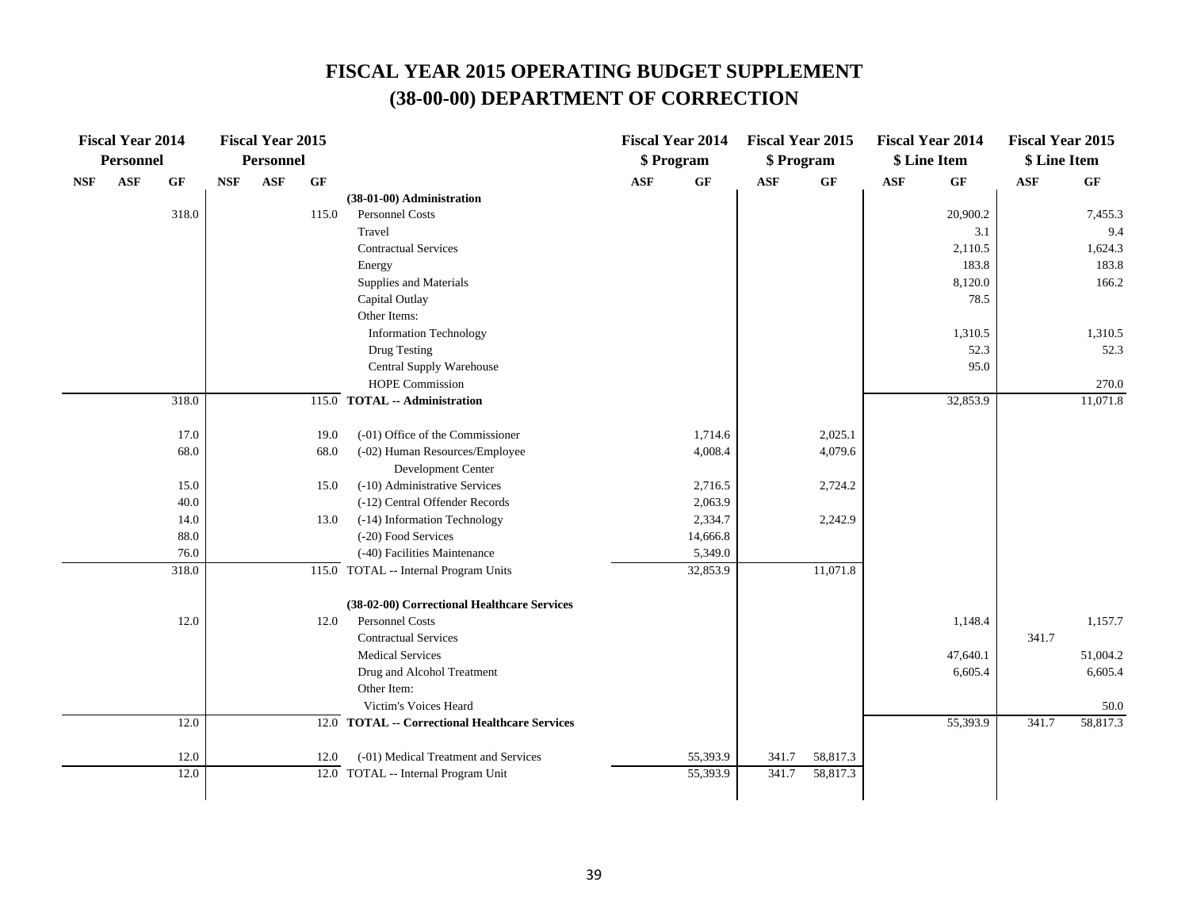|            | <b>Fiscal Year 2014</b> |              |            | <b>Fiscal Year 2015</b> |              |                                                                    |            | <b>Fiscal Year 2014</b> | <b>Fiscal Year 2015</b> |                    |            | <b>Fiscal Year 2014</b> | <b>Fiscal Year 2015</b> |          |
|------------|-------------------------|--------------|------------|-------------------------|--------------|--------------------------------------------------------------------|------------|-------------------------|-------------------------|--------------------|------------|-------------------------|-------------------------|----------|
|            | <b>Personnel</b>        |              |            | <b>Personnel</b>        |              |                                                                    |            | \$ Program              | \$ Program              |                    |            | \$ Line Item            | \$ Line Item            |          |
| <b>NSF</b> | <b>ASF</b>              | <b>GF</b>    | <b>NSF</b> | <b>ASF</b>              | <b>GF</b>    |                                                                    | <b>ASF</b> | $\bf{G} \bf{F}$         | <b>ASF</b>              | GF                 | <b>ASF</b> | <b>GF</b>               | $\mathbf{ASF}$          | GF       |
|            |                         |              |            |                         |              | (38-01-00) Administration                                          |            |                         |                         |                    |            |                         |                         |          |
|            |                         | 318.0        |            |                         | 115.0        | Personnel Costs                                                    |            |                         |                         |                    |            | 20,900.2                |                         | 7,455.3  |
|            |                         |              |            |                         |              | Travel                                                             |            |                         |                         |                    |            | 3.1                     |                         | 9.4      |
|            |                         |              |            |                         |              | <b>Contractual Services</b>                                        |            |                         |                         |                    |            | 2,110.5                 |                         | 1,624.3  |
|            |                         |              |            |                         |              | Energy                                                             |            |                         |                         |                    |            | 183.8                   |                         | 183.8    |
|            |                         |              |            |                         |              | Supplies and Materials                                             |            |                         |                         |                    |            | 8,120.0                 |                         | 166.2    |
|            |                         |              |            |                         |              | Capital Outlay                                                     |            |                         |                         |                    |            | 78.5                    |                         |          |
|            |                         |              |            |                         |              | Other Items:                                                       |            |                         |                         |                    |            |                         |                         |          |
|            |                         |              |            |                         |              | <b>Information Technology</b>                                      |            |                         |                         |                    |            | 1,310.5                 |                         | 1,310.5  |
|            |                         |              |            |                         |              | Drug Testing                                                       |            |                         |                         |                    |            | 52.3                    |                         | 52.3     |
|            |                         |              |            |                         |              | Central Supply Warehouse                                           |            |                         |                         |                    |            | 95.0                    |                         |          |
|            |                         |              |            |                         |              | HOPE Commission                                                    |            |                         |                         |                    |            |                         |                         | 270.0    |
|            |                         | 318.0        |            |                         |              | 115.0 TOTAL -- Administration                                      |            |                         |                         |                    |            | 32,853.9                |                         | 11,071.8 |
|            |                         |              |            |                         |              |                                                                    |            |                         |                         |                    |            |                         |                         |          |
|            |                         | 17.0<br>68.0 |            |                         | 19.0<br>68.0 | (-01) Office of the Commissioner<br>(-02) Human Resources/Employee |            | 1,714.6<br>4,008.4      |                         | 2,025.1<br>4,079.6 |            |                         |                         |          |
|            |                         |              |            |                         |              | Development Center                                                 |            |                         |                         |                    |            |                         |                         |          |
|            |                         | 15.0         |            |                         | 15.0         | (-10) Administrative Services                                      |            | 2,716.5                 |                         | 2,724.2            |            |                         |                         |          |
|            |                         | 40.0         |            |                         |              | (-12) Central Offender Records                                     |            | 2,063.9                 |                         |                    |            |                         |                         |          |
|            |                         | 14.0         |            |                         | 13.0         | (-14) Information Technology                                       |            | 2,334.7                 |                         | 2,242.9            |            |                         |                         |          |
|            |                         | 88.0         |            |                         |              | (-20) Food Services                                                |            | 14,666.8                |                         |                    |            |                         |                         |          |
|            |                         | 76.0         |            |                         |              | (-40) Facilities Maintenance                                       |            | 5,349.0                 |                         |                    |            |                         |                         |          |
|            |                         | 318.0        |            |                         |              | 115.0 TOTAL -- Internal Program Units                              |            | 32,853.9                |                         | 11,071.8           |            |                         |                         |          |
|            |                         |              |            |                         |              | (38-02-00) Correctional Healthcare Services                        |            |                         |                         |                    |            |                         |                         |          |
|            |                         | 12.0         |            |                         | 12.0         | <b>Personnel Costs</b>                                             |            |                         |                         |                    |            | 1,148.4                 |                         | 1,157.7  |
|            |                         |              |            |                         |              | <b>Contractual Services</b>                                        |            |                         |                         |                    |            |                         | 341.7                   |          |
|            |                         |              |            |                         |              | <b>Medical Services</b>                                            |            |                         |                         |                    |            | 47,640.1                |                         | 51,004.2 |
|            |                         |              |            |                         |              | Drug and Alcohol Treatment                                         |            |                         |                         |                    |            | 6,605.4                 |                         | 6,605.4  |
|            |                         |              |            |                         |              | Other Item:                                                        |            |                         |                         |                    |            |                         |                         |          |
|            |                         |              |            |                         |              | Victim's Voices Heard                                              |            |                         |                         |                    |            |                         |                         | 50.0     |
|            |                         | 12.0         |            |                         |              | 12.0 TOTAL -- Correctional Healthcare Services                     |            |                         |                         |                    |            | 55,393.9                | 341.7                   | 58,817.3 |
|            |                         | 12.0         |            |                         | 12.0         | (-01) Medical Treatment and Services                               |            | 55,393.9                | 341.7                   | 58,817.3           |            |                         |                         |          |
|            |                         | 12.0         |            |                         | 12.0         | TOTAL -- Internal Program Unit                                     |            | 55,393.9                | 341.7                   | 58,817.3           |            |                         |                         |          |
|            |                         |              |            |                         |              |                                                                    |            |                         |                         |                    |            |                         |                         |          |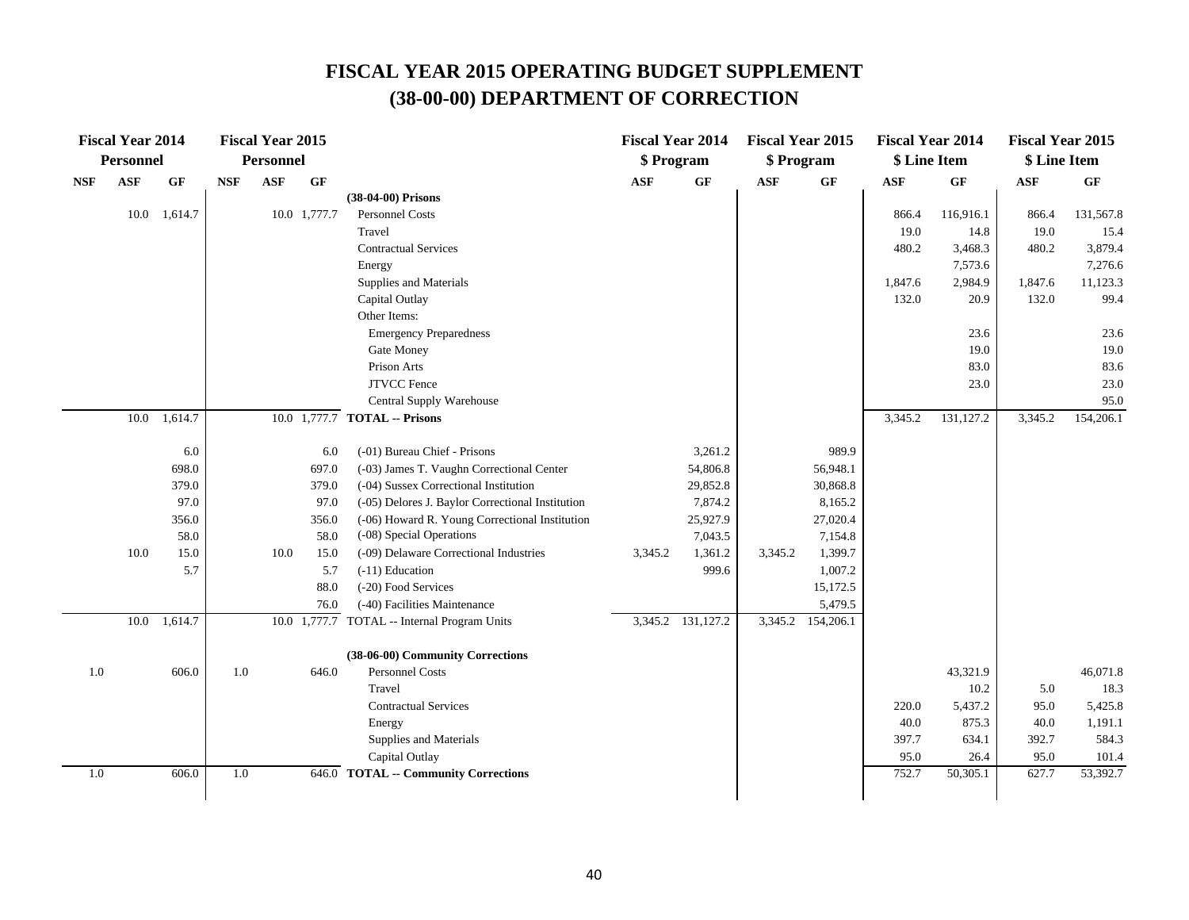|            | <b>Fiscal Year 2014</b> |              |            | <b>Fiscal Year 2015</b> |              |                                                   | <b>Fiscal Year 2014</b> |                   | <b>Fiscal Year 2015</b> |                 | <b>Fiscal Year 2014</b> |           | <b>Fiscal Year 2015</b> |                 |
|------------|-------------------------|--------------|------------|-------------------------|--------------|---------------------------------------------------|-------------------------|-------------------|-------------------------|-----------------|-------------------------|-----------|-------------------------|-----------------|
|            | Personnel               |              |            | <b>Personnel</b>        |              |                                                   | \$ Program              |                   | \$ Program              |                 | \$ Line Item            |           | \$ Line Item            |                 |
| <b>NSF</b> | $\mathbf{ASF}$          | <b>GF</b>    | <b>NSF</b> | $\mathbf{ASF}$          | <b>GF</b>    |                                                   | <b>ASF</b>              | GF                | <b>ASF</b>              | $\bf{G} \bf{F}$ | <b>ASF</b>              | GF        | $\bf{ASF}$              | $\bf{G} \bf{F}$ |
|            |                         |              |            |                         |              | (38-04-00) Prisons                                |                         |                   |                         |                 |                         |           |                         |                 |
|            |                         | 10.0 1,614.7 |            |                         | 10.0 1,777.7 | <b>Personnel Costs</b>                            |                         |                   |                         |                 | 866.4                   | 116,916.1 | 866.4                   | 131,567.8       |
|            |                         |              |            |                         |              | Travel                                            |                         |                   |                         |                 | 19.0                    | 14.8      | 19.0                    | 15.4            |
|            |                         |              |            |                         |              | <b>Contractual Services</b>                       |                         |                   |                         |                 | 480.2                   | 3,468.3   | 480.2                   | 3,879.4         |
|            |                         |              |            |                         |              | Energy                                            |                         |                   |                         |                 |                         | 7,573.6   |                         | 7,276.6         |
|            |                         |              |            |                         |              | Supplies and Materials                            |                         |                   |                         |                 | 1,847.6                 | 2,984.9   | 1,847.6                 | 11,123.3        |
|            |                         |              |            |                         |              | Capital Outlay                                    |                         |                   |                         |                 | 132.0                   | 20.9      | 132.0                   | 99.4            |
|            |                         |              |            |                         |              | Other Items:                                      |                         |                   |                         |                 |                         |           |                         |                 |
|            |                         |              |            |                         |              | <b>Emergency Preparedness</b>                     |                         |                   |                         |                 |                         | 23.6      |                         | 23.6            |
|            |                         |              |            |                         |              | Gate Money                                        |                         |                   |                         |                 |                         | 19.0      |                         | 19.0            |
|            |                         |              |            |                         |              | Prison Arts                                       |                         |                   |                         |                 |                         | 83.0      |                         | 83.6            |
|            |                         |              |            |                         |              | <b>JTVCC</b> Fence                                |                         |                   |                         |                 |                         | 23.0      |                         | 23.0            |
|            |                         |              |            |                         |              | Central Supply Warehouse                          |                         |                   |                         |                 |                         |           |                         | 95.0            |
|            | 10.0                    | 1,614.7      |            |                         |              | 10.0 1,777.7 TOTAL -- Prisons                     |                         |                   |                         |                 | 3,345.2                 | 131,127.2 | 3,345.2                 | 154,206.1       |
|            |                         |              |            |                         |              | (-01) Bureau Chief - Prisons                      |                         | 3,261.2           |                         | 989.9           |                         |           |                         |                 |
|            |                         | 6.0<br>698.0 |            |                         | 6.0<br>697.0 | (-03) James T. Vaughn Correctional Center         |                         | 54,806.8          |                         | 56,948.1        |                         |           |                         |                 |
|            |                         | 379.0        |            |                         | 379.0        | (-04) Sussex Correctional Institution             |                         | 29,852.8          |                         | 30,868.8        |                         |           |                         |                 |
|            |                         | 97.0         |            |                         | 97.0         | (-05) Delores J. Baylor Correctional Institution  |                         | 7,874.2           |                         | 8,165.2         |                         |           |                         |                 |
|            |                         | 356.0        |            |                         | 356.0        | (-06) Howard R. Young Correctional Institution    |                         | 25,927.9          |                         | 27,020.4        |                         |           |                         |                 |
|            |                         | 58.0         |            |                         | 58.0         | (-08) Special Operations                          |                         | 7,043.5           |                         | 7,154.8         |                         |           |                         |                 |
|            | 10.0                    | 15.0         |            | $10.0\,$                | 15.0         | (-09) Delaware Correctional Industries            | 3,345.2                 | 1,361.2           | 3,345.2                 | 1,399.7         |                         |           |                         |                 |
|            |                         | 5.7          |            |                         | 5.7          | (-11) Education                                   |                         | 999.6             |                         | 1,007.2         |                         |           |                         |                 |
|            |                         |              |            |                         | 88.0         | (-20) Food Services                               |                         |                   |                         | 15,172.5        |                         |           |                         |                 |
|            |                         |              |            |                         | 76.0         | (-40) Facilities Maintenance                      |                         |                   |                         | 5,479.5         |                         |           |                         |                 |
|            | 10.0                    | 1,614.7      |            |                         |              | 10.0 1,777.7 TOTAL -- Internal Program Units      |                         | 3,345.2 131,127.2 | 3,345.2                 | 154,206.1       |                         |           |                         |                 |
|            |                         |              |            |                         |              |                                                   |                         |                   |                         |                 |                         |           |                         |                 |
|            |                         |              |            |                         |              | (38-06-00) Community Corrections                  |                         |                   |                         |                 |                         |           |                         |                 |
| $1.0\,$    |                         | 606.0        | 1.0        |                         | 646.0        | <b>Personnel Costs</b>                            |                         |                   |                         |                 |                         | 43,321.9  |                         | 46,071.8        |
|            |                         |              |            |                         |              | Travel                                            |                         |                   |                         |                 |                         | 10.2      | 5.0                     | 18.3            |
|            |                         |              |            |                         |              | <b>Contractual Services</b>                       |                         |                   |                         |                 | 220.0                   | 5,437.2   | 95.0                    | 5,425.8         |
|            |                         |              |            |                         |              | Energy                                            |                         |                   |                         |                 | 40.0                    | 875.3     | 40.0                    | 1,191.1         |
|            |                         |              |            |                         |              | Supplies and Materials                            |                         |                   |                         |                 | 397.7                   | 634.1     | 392.7                   | 584.3           |
|            |                         |              |            |                         |              | Capital Outlay                                    |                         |                   |                         |                 | 95.0                    | 26.4      | 95.0                    | 101.4           |
| $1.0\,$    |                         | 606.0        | 1.0        |                         |              | $\overline{646.0}$ TOTAL -- Community Corrections |                         |                   |                         |                 | 752.7                   | 50,305.1  | 627.7                   | 53,392.7        |
|            |                         |              |            |                         |              |                                                   |                         |                   |                         |                 |                         |           |                         |                 |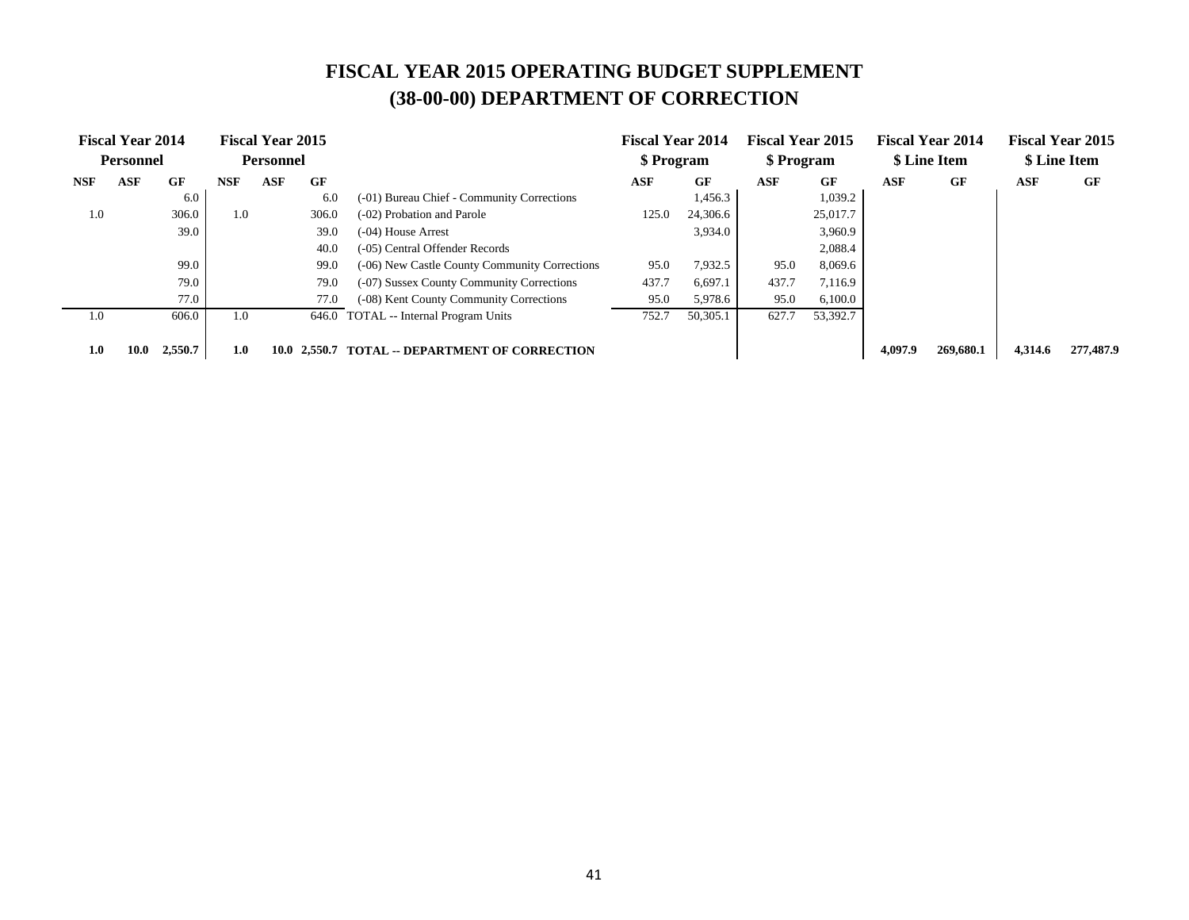|            | <b>Fiscal Year 2014</b><br><b>Personnel</b> |         |            | <b>Fiscal Year 2015</b><br><b>Personnel</b> |       |                                                | <b>Fiscal Year 2014</b><br>\$ Program |          | <b>Fiscal Year 2015</b><br>\$ Program |          |            | <b>Fiscal Year 2014</b><br>\$ Line Item |         | <b>Fiscal Year 2015</b><br>\$ Line Item |
|------------|---------------------------------------------|---------|------------|---------------------------------------------|-------|------------------------------------------------|---------------------------------------|----------|---------------------------------------|----------|------------|-----------------------------------------|---------|-----------------------------------------|
| <b>NSF</b> | <b>ASF</b>                                  | GF      | <b>NSF</b> | <b>ASF</b>                                  | GF    |                                                | ASF                                   | GF       | <b>ASF</b>                            | GF       | <b>ASF</b> | GF                                      | ASF     | GF                                      |
|            |                                             | 6.0     |            |                                             | 6.0   | (-01) Bureau Chief - Community Corrections     |                                       | 1,456.3  |                                       | 1,039.2  |            |                                         |         |                                         |
| 1.0        |                                             | 306.0   | 1.0        |                                             | 306.0 | (-02) Probation and Parole                     | 125.0                                 | 24,306.6 |                                       | 25,017.7 |            |                                         |         |                                         |
|            |                                             | 39.0    |            |                                             | 39.0  | $(-04)$ House Arrest                           |                                       | 3,934.0  |                                       | 3,960.9  |            |                                         |         |                                         |
|            |                                             |         |            |                                             | 40.0  | (-05) Central Offender Records                 |                                       |          |                                       | 2,088.4  |            |                                         |         |                                         |
|            |                                             | 99.0    |            |                                             | 99.0  | (-06) New Castle County Community Corrections  | 95.0                                  | 7.932.5  | 95.0                                  | 8,069.6  |            |                                         |         |                                         |
|            |                                             | 79.0    |            |                                             | 79.0  | (-07) Sussex County Community Corrections      | 437.7                                 | 6,697.1  | 437.7                                 | 7,116.9  |            |                                         |         |                                         |
|            |                                             | 77.0    |            |                                             | 77.0  | (-08) Kent County Community Corrections        | 95.0                                  | 5,978.6  | 95.0                                  | 6,100.0  |            |                                         |         |                                         |
| 1.0        |                                             | 606.0   | 1.0        |                                             | 646.0 | TOTAL -- Internal Program Units                | 752.7                                 | 50,305.1 | 627.7                                 | 53,392.7 |            |                                         |         |                                         |
| 1.0        | 10.0                                        | 2,550.7 | 1.0        |                                             |       | 10.0 2,550.7 TOTAL -- DEPARTMENT OF CORRECTION |                                       |          |                                       |          | 4,097.9    | 269,680.1                               | 4,314.6 | 277,487.9                               |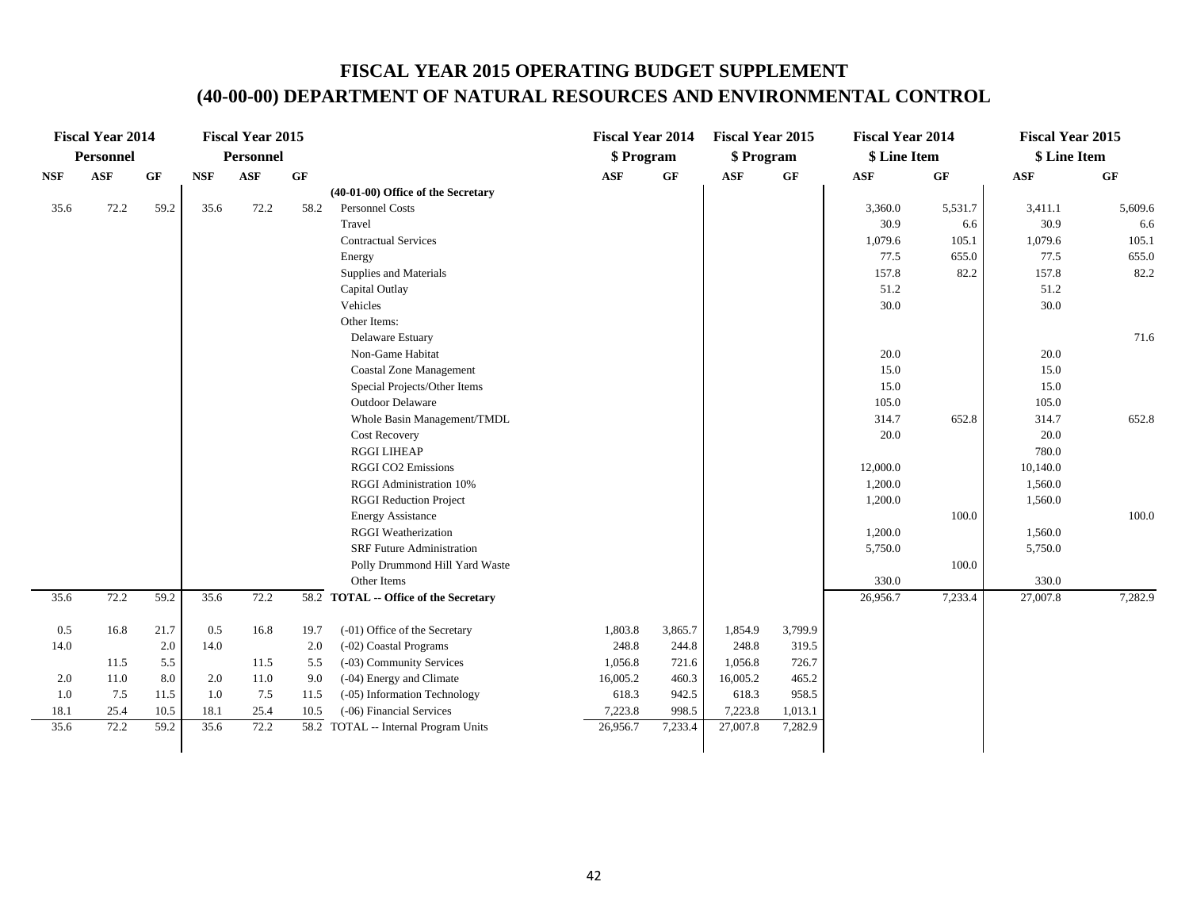|            | <b>Fiscal Year 2014</b> |           |            | <b>Fiscal Year 2015</b> |      |                                       | <b>Fiscal Year 2014</b> |         | <b>Fiscal Year 2015</b> |         | <b>Fiscal Year 2014</b> |         | <b>Fiscal Year 2015</b> |                 |
|------------|-------------------------|-----------|------------|-------------------------|------|---------------------------------------|-------------------------|---------|-------------------------|---------|-------------------------|---------|-------------------------|-----------------|
|            | <b>Personnel</b>        |           |            | Personnel               |      |                                       | \$ Program              |         | \$ Program              |         | \$ Line Item            |         | \$ Line Item            |                 |
| <b>NSF</b> | <b>ASF</b>              | <b>GF</b> | <b>NSF</b> | <b>ASF</b>              | GF   |                                       | <b>ASF</b>              | GF      | <b>ASF</b>              | GF      | <b>ASF</b>              | GF      | <b>ASF</b>              | $\bf{G} \bf{F}$ |
|            |                         |           |            |                         |      | (40-01-00) Office of the Secretary    |                         |         |                         |         |                         |         |                         |                 |
| 35.6       | 72.2                    | 59.2      | 35.6       | 72.2                    | 58.2 | Personnel Costs                       |                         |         |                         |         | 3,360.0                 | 5,531.7 | 3,411.1                 | 5,609.6         |
|            |                         |           |            |                         |      | Travel                                |                         |         |                         |         | 30.9                    | 6.6     | 30.9                    | 6.6             |
|            |                         |           |            |                         |      | Contractual Services                  |                         |         |                         |         | 1,079.6                 | 105.1   | 1,079.6                 | 105.1           |
|            |                         |           |            |                         |      | Energy                                |                         |         |                         |         | 77.5                    | 655.0   | 77.5                    | 655.0           |
|            |                         |           |            |                         |      | Supplies and Materials                |                         |         |                         |         | 157.8                   | 82.2    | 157.8                   | 82.2            |
|            |                         |           |            |                         |      | Capital Outlay                        |                         |         |                         |         | 51.2                    |         | 51.2                    |                 |
|            |                         |           |            |                         |      | Vehicles                              |                         |         |                         |         | 30.0                    |         | 30.0                    |                 |
|            |                         |           |            |                         |      | Other Items:                          |                         |         |                         |         |                         |         |                         |                 |
|            |                         |           |            |                         |      | Delaware Estuary                      |                         |         |                         |         |                         |         |                         | 71.6            |
|            |                         |           |            |                         |      | Non-Game Habitat                      |                         |         |                         |         | 20.0                    |         | 20.0                    |                 |
|            |                         |           |            |                         |      | <b>Coastal Zone Management</b>        |                         |         |                         |         | 15.0                    |         | 15.0                    |                 |
|            |                         |           |            |                         |      | Special Projects/Other Items          |                         |         |                         |         | 15.0                    |         | 15.0                    |                 |
|            |                         |           |            |                         |      | <b>Outdoor Delaware</b>               |                         |         |                         |         | 105.0                   |         | 105.0                   |                 |
|            |                         |           |            |                         |      | Whole Basin Management/TMDL           |                         |         |                         |         | 314.7                   | 652.8   | 314.7                   | 652.8           |
|            |                         |           |            |                         |      | <b>Cost Recovery</b>                  |                         |         |                         |         | 20.0                    |         | 20.0                    |                 |
|            |                         |           |            |                         |      | <b>RGGI LIHEAP</b>                    |                         |         |                         |         |                         |         | 780.0                   |                 |
|            |                         |           |            |                         |      | <b>RGGI CO2 Emissions</b>             |                         |         |                         |         | 12,000.0                |         | 10,140.0                |                 |
|            |                         |           |            |                         |      | RGGI Administration 10%               |                         |         |                         |         | 1,200.0                 |         | 1,560.0                 |                 |
|            |                         |           |            |                         |      | <b>RGGI Reduction Project</b>         |                         |         |                         |         | 1,200.0                 |         | 1,560.0                 |                 |
|            |                         |           |            |                         |      | <b>Energy Assistance</b>              |                         |         |                         |         |                         | 100.0   |                         | 100.0           |
|            |                         |           |            |                         |      | <b>RGGI</b> Weatherization            |                         |         |                         |         | 1,200.0                 |         | 1,560.0                 |                 |
|            |                         |           |            |                         |      | <b>SRF Future Administration</b>      |                         |         |                         |         | 5,750.0                 |         | 5,750.0                 |                 |
|            |                         |           |            |                         |      | Polly Drummond Hill Yard Waste        |                         |         |                         |         |                         | 100.0   |                         |                 |
|            |                         |           |            |                         |      | Other Items                           |                         |         |                         |         | 330.0                   |         | 330.0                   |                 |
| 35.6       | 72.2                    | 59.2      | 35.6       | 72.2                    |      | 58.2 TOTAL -- Office of the Secretary |                         |         |                         |         | 26,956.7                | 7,233.4 | 27,007.8                | 7,282.9         |
| 0.5        | 16.8                    | 21.7      | 0.5        | 16.8                    | 19.7 | (-01) Office of the Secretary         | 1,803.8                 | 3,865.7 | 1,854.9                 | 3,799.9 |                         |         |                         |                 |
| 14.0       |                         | 2.0       | 14.0       |                         | 2.0  | (-02) Coastal Programs                | 248.8                   | 244.8   | 248.8                   | 319.5   |                         |         |                         |                 |
|            | 11.5                    | 5.5       |            | 11.5                    | 5.5  | (-03) Community Services              | 1,056.8                 | 721.6   | 1,056.8                 | 726.7   |                         |         |                         |                 |
| 2.0        | 11.0                    | 8.0       | 2.0        | 11.0                    | 9.0  | (-04) Energy and Climate              | 16,005.2                | 460.3   | 16,005.2                | 465.2   |                         |         |                         |                 |
| 1.0        | 7.5                     | 11.5      | 1.0        | 7.5                     | 11.5 | (-05) Information Technology          | 618.3                   | 942.5   | 618.3                   | 958.5   |                         |         |                         |                 |
| 18.1       | 25.4                    | 10.5      | 18.1       | 25.4                    | 10.5 | (-06) Financial Services              | 7,223.8                 | 998.5   | 7,223.8                 | 1,013.1 |                         |         |                         |                 |
| 35.6       | 72.2                    | 59.2      | 35.6       | 72.2                    |      | 58.2 TOTAL -- Internal Program Units  | 26,956.7                | 7,233.4 | 27,007.8                | 7,282.9 |                         |         |                         |                 |
|            |                         |           |            |                         |      |                                       |                         |         |                         |         |                         |         |                         |                 |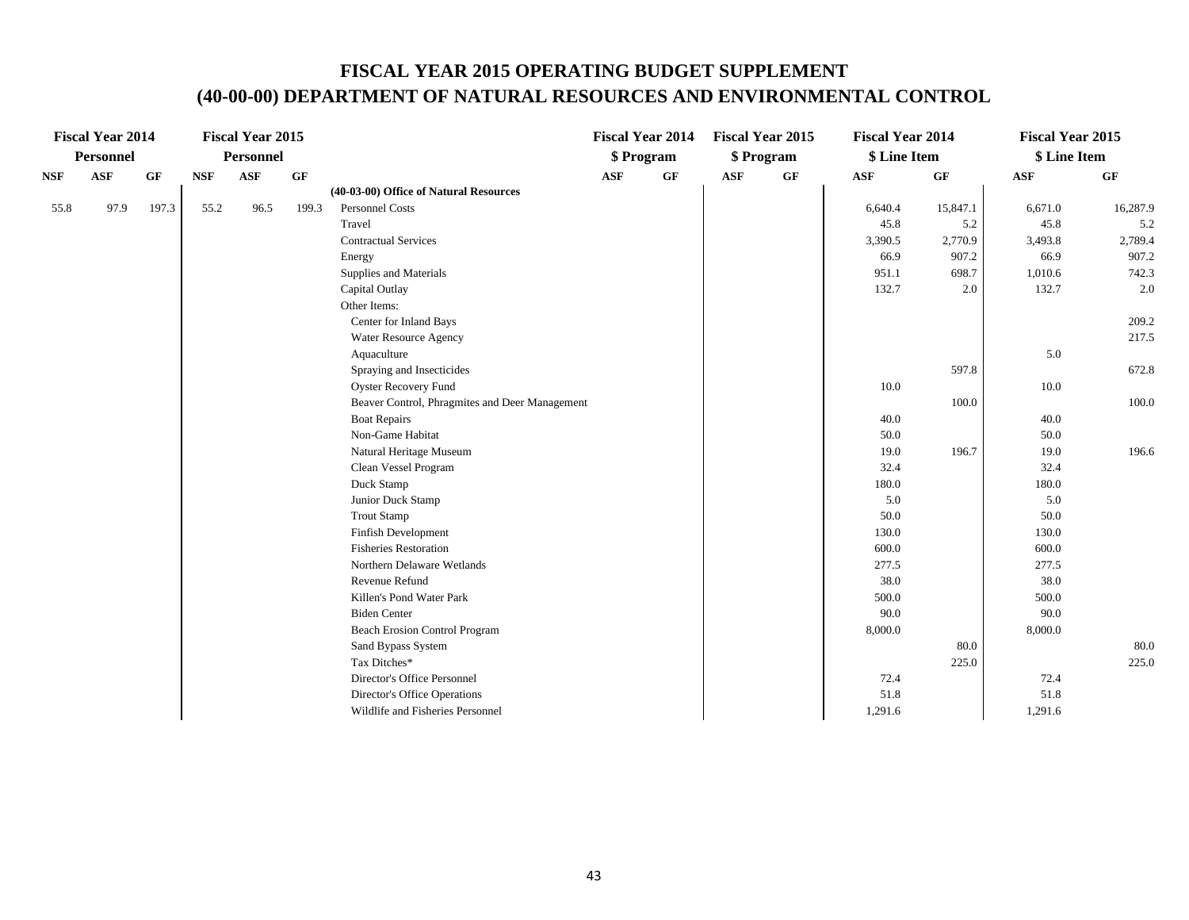|            | <b>Fiscal Year 2014</b> |       |            | <b>Fiscal Year 2015</b> |           |                                                |            | <b>Fiscal Year 2014</b> |            | <b>Fiscal Year 2015</b> | <b>Fiscal Year 2014</b> |          | <b>Fiscal Year 2015</b> |          |
|------------|-------------------------|-------|------------|-------------------------|-----------|------------------------------------------------|------------|-------------------------|------------|-------------------------|-------------------------|----------|-------------------------|----------|
|            | <b>Personnel</b>        |       |            | <b>Personnel</b>        |           |                                                |            | \$ Program              |            | \$ Program              | \$ Line Item            |          | \$ Line Item            |          |
| <b>NSF</b> | <b>ASF</b>              | GF    | <b>NSF</b> | <b>ASF</b>              | <b>GF</b> |                                                | <b>ASF</b> | GF                      | <b>ASF</b> | $\bf GF$                | <b>ASF</b>              | GF       | <b>ASF</b>              | GF       |
|            |                         |       |            |                         |           | (40-03-00) Office of Natural Resources         |            |                         |            |                         |                         |          |                         |          |
| 55.8       | 97.9                    | 197.3 | 55.2       | 96.5                    | 199.3     | <b>Personnel Costs</b>                         |            |                         |            |                         | 6,640.4                 | 15,847.1 | 6,671.0                 | 16,287.9 |
|            |                         |       |            |                         |           | Travel                                         |            |                         |            |                         | 45.8                    | 5.2      | 45.8                    | 5.2      |
|            |                         |       |            |                         |           | <b>Contractual Services</b>                    |            |                         |            |                         | 3,390.5                 | 2,770.9  | 3,493.8                 | 2,789.4  |
|            |                         |       |            |                         |           | Energy                                         |            |                         |            |                         | 66.9                    | 907.2    | 66.9                    | 907.2    |
|            |                         |       |            |                         |           | Supplies and Materials                         |            |                         |            |                         | 951.1                   | 698.7    | 1,010.6                 | 742.3    |
|            |                         |       |            |                         |           | Capital Outlay                                 |            |                         |            |                         | 132.7                   | 2.0      | 132.7                   | 2.0      |
|            |                         |       |            |                         |           | Other Items:                                   |            |                         |            |                         |                         |          |                         |          |
|            |                         |       |            |                         |           | Center for Inland Bays                         |            |                         |            |                         |                         |          |                         | 209.2    |
|            |                         |       |            |                         |           | Water Resource Agency                          |            |                         |            |                         |                         |          |                         | 217.5    |
|            |                         |       |            |                         |           | Aquaculture                                    |            |                         |            |                         |                         |          | 5.0                     |          |
|            |                         |       |            |                         |           | Spraying and Insecticides                      |            |                         |            |                         |                         | 597.8    |                         | 672.8    |
|            |                         |       |            |                         |           | <b>Oyster Recovery Fund</b>                    |            |                         |            |                         | 10.0                    |          | 10.0                    |          |
|            |                         |       |            |                         |           | Beaver Control, Phragmites and Deer Management |            |                         |            |                         |                         | 100.0    |                         | 100.0    |
|            |                         |       |            |                         |           | <b>Boat Repairs</b>                            |            |                         |            |                         | 40.0                    |          | 40.0                    |          |
|            |                         |       |            |                         |           | Non-Game Habitat                               |            |                         |            |                         | 50.0                    |          | 50.0                    |          |
|            |                         |       |            |                         |           | Natural Heritage Museum                        |            |                         |            |                         | 19.0                    | 196.7    | 19.0                    | 196.6    |
|            |                         |       |            |                         |           | Clean Vessel Program                           |            |                         |            |                         | 32.4                    |          | 32.4                    |          |
|            |                         |       |            |                         |           | Duck Stamp                                     |            |                         |            |                         | 180.0                   |          | 180.0                   |          |
|            |                         |       |            |                         |           | Junior Duck Stamp                              |            |                         |            |                         | 5.0                     |          | 5.0                     |          |
|            |                         |       |            |                         |           | <b>Trout Stamp</b>                             |            |                         |            |                         | 50.0                    |          | 50.0                    |          |
|            |                         |       |            |                         |           | <b>Finfish Development</b>                     |            |                         |            |                         | 130.0                   |          | 130.0                   |          |
|            |                         |       |            |                         |           | <b>Fisheries Restoration</b>                   |            |                         |            |                         | 600.0                   |          | 600.0                   |          |
|            |                         |       |            |                         |           | Northern Delaware Wetlands                     |            |                         |            |                         | 277.5                   |          | 277.5                   |          |
|            |                         |       |            |                         |           | Revenue Refund                                 |            |                         |            |                         | 38.0                    |          | 38.0                    |          |
|            |                         |       |            |                         |           | Killen's Pond Water Park                       |            |                         |            |                         | 500.0                   |          | 500.0                   |          |
|            |                         |       |            |                         |           | <b>Biden Center</b>                            |            |                         |            |                         | 90.0                    |          | 90.0                    |          |
|            |                         |       |            |                         |           | Beach Erosion Control Program                  |            |                         |            |                         | 8,000.0                 |          | 8,000.0                 |          |
|            |                         |       |            |                         |           | Sand Bypass System                             |            |                         |            |                         |                         | 80.0     |                         | 80.0     |
|            |                         |       |            |                         |           | Tax Ditches*                                   |            |                         |            |                         |                         | 225.0    |                         | 225.0    |
|            |                         |       |            |                         |           | Director's Office Personnel                    |            |                         |            |                         | 72.4                    |          | 72.4                    |          |
|            |                         |       |            |                         |           | Director's Office Operations                   |            |                         |            |                         | 51.8                    |          | 51.8                    |          |
|            |                         |       |            |                         |           | Wildlife and Fisheries Personnel               |            |                         |            |                         | 1,291.6                 |          | 1,291.6                 |          |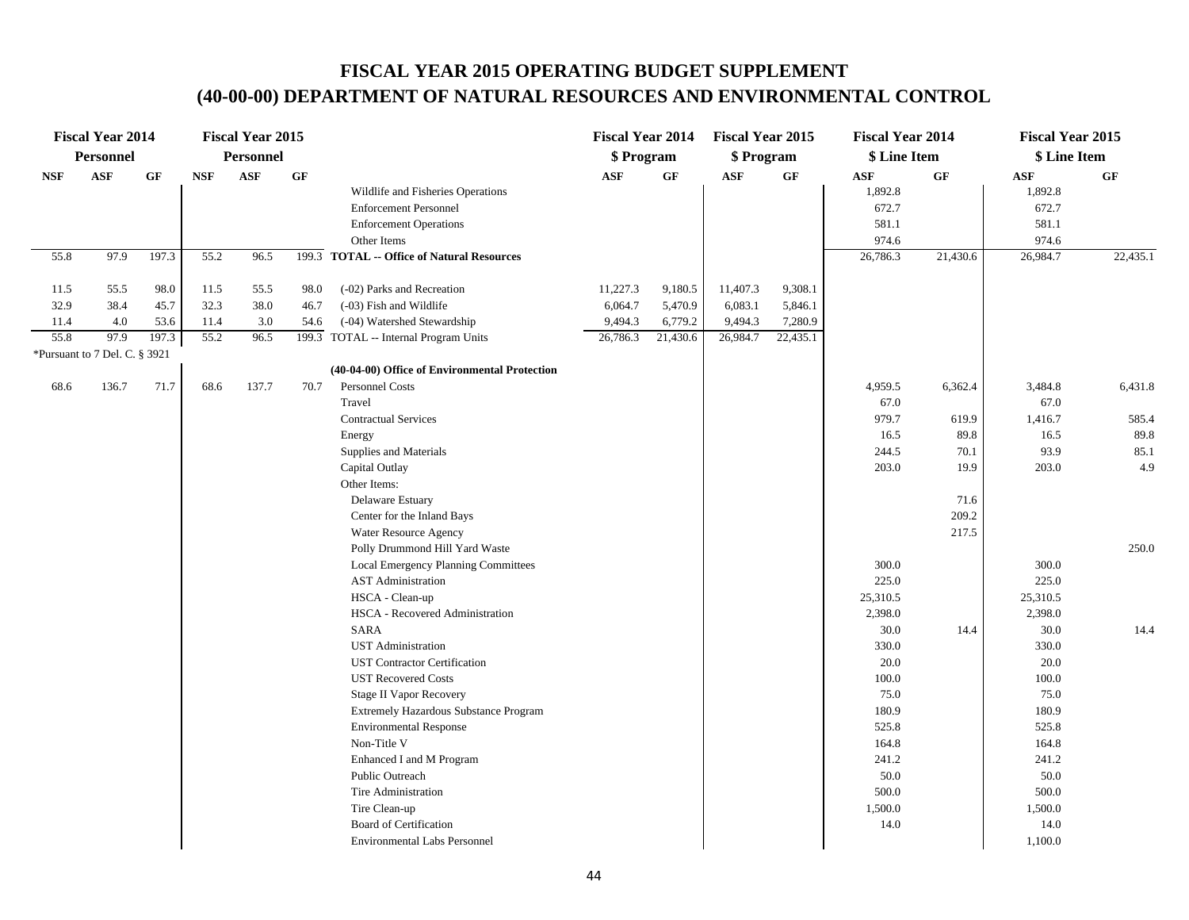|            | <b>Fiscal Year 2014</b>       |           |            | <b>Fiscal Year 2015</b> |      |                                               | <b>Fiscal Year 2014</b> |          | <b>Fiscal Year 2015</b> |          | <b>Fiscal Year 2014</b> |          | <b>Fiscal Year 2015</b> |          |
|------------|-------------------------------|-----------|------------|-------------------------|------|-----------------------------------------------|-------------------------|----------|-------------------------|----------|-------------------------|----------|-------------------------|----------|
|            | <b>Personnel</b>              |           |            | <b>Personnel</b>        |      |                                               | \$ Program              |          | \$ Program              |          | \$ Line Item            |          | \$ Line Item            |          |
| <b>NSF</b> | <b>ASF</b>                    | <b>GF</b> | <b>NSF</b> | ASF                     | GF   |                                               | <b>ASF</b>              | GF       | <b>ASF</b>              | GF       | ASF                     | GF       | <b>ASF</b>              | GF       |
|            |                               |           |            |                         |      | Wildlife and Fisheries Operations             |                         |          |                         |          | 1,892.8                 |          | 1,892.8                 |          |
|            |                               |           |            |                         |      | <b>Enforcement Personnel</b>                  |                         |          |                         |          | 672.7                   |          | 672.7                   |          |
|            |                               |           |            |                         |      | <b>Enforcement Operations</b>                 |                         |          |                         |          | 581.1                   |          | 581.1                   |          |
|            |                               |           |            |                         |      | Other Items                                   |                         |          |                         |          | 974.6                   |          | 974.6                   |          |
| 55.8       | 97.9                          | 197.3     | 55.2       | 96.5                    |      | 199.3 TOTAL -- Office of Natural Resources    |                         |          |                         |          | 26,786.3                | 21,430.6 | 26,984.7                | 22,435.1 |
| 11.5       | 55.5                          | 98.0      | 11.5       | 55.5                    | 98.0 | (-02) Parks and Recreation                    | 11,227.3                | 9,180.5  | 11,407.3                | 9,308.1  |                         |          |                         |          |
| 32.9       | 38.4                          | 45.7      | 32.3       | 38.0                    | 46.7 | (-03) Fish and Wildlife                       | 6,064.7                 | 5,470.9  | 6,083.1                 | 5,846.1  |                         |          |                         |          |
| 11.4       | 4.0                           | 53.6      | 11.4       | 3.0                     | 54.6 | (-04) Watershed Stewardship                   | 9,494.3                 | 6,779.2  | 9,494.3                 | 7,280.9  |                         |          |                         |          |
| 55.8       | 97.9                          | 197.3     | 55.2       | 96.5                    |      | 199.3 TOTAL -- Internal Program Units         | 26,786.3                | 21,430.6 | 26,984.7                | 22,435.1 |                         |          |                         |          |
|            | *Pursuant to 7 Del. C. § 3921 |           |            |                         |      |                                               |                         |          |                         |          |                         |          |                         |          |
|            |                               |           |            |                         |      | (40-04-00) Office of Environmental Protection |                         |          |                         |          |                         |          |                         |          |
| 68.6       | 136.7                         | 71.7      | 68.6       | 137.7                   | 70.7 | Personnel Costs                               |                         |          |                         |          | 4,959.5                 | 6,362.4  | 3,484.8                 | 6,431.8  |
|            |                               |           |            |                         |      | Travel                                        |                         |          |                         |          | 67.0                    |          | 67.0                    |          |
|            |                               |           |            |                         |      | <b>Contractual Services</b>                   |                         |          |                         |          | 979.7                   | 619.9    | 1,416.7                 | 585.4    |
|            |                               |           |            |                         |      | Energy                                        |                         |          |                         |          | 16.5                    | 89.8     | 16.5                    | 89.8     |
|            |                               |           |            |                         |      | Supplies and Materials                        |                         |          |                         |          | 244.5                   | 70.1     | 93.9                    | 85.1     |
|            |                               |           |            |                         |      | Capital Outlay                                |                         |          |                         |          | 203.0                   | 19.9     | 203.0                   | 4.9      |
|            |                               |           |            |                         |      | Other Items:                                  |                         |          |                         |          |                         |          |                         |          |
|            |                               |           |            |                         |      | Delaware Estuary                              |                         |          |                         |          |                         | 71.6     |                         |          |
|            |                               |           |            |                         |      | Center for the Inland Bays                    |                         |          |                         |          |                         | 209.2    |                         |          |
|            |                               |           |            |                         |      | Water Resource Agency                         |                         |          |                         |          |                         | 217.5    |                         |          |
|            |                               |           |            |                         |      | Polly Drummond Hill Yard Waste                |                         |          |                         |          |                         |          |                         | 250.0    |
|            |                               |           |            |                         |      | Local Emergency Planning Committees           |                         |          |                         |          | 300.0                   |          | 300.0                   |          |
|            |                               |           |            |                         |      | <b>AST Administration</b>                     |                         |          |                         |          | 225.0                   |          | 225.0                   |          |
|            |                               |           |            |                         |      | HSCA - Clean-up                               |                         |          |                         |          | 25,310.5                |          | 25,310.5                |          |
|            |                               |           |            |                         |      | HSCA - Recovered Administration               |                         |          |                         |          | 2,398.0                 |          | 2,398.0                 |          |
|            |                               |           |            |                         |      | <b>SARA</b>                                   |                         |          |                         |          | 30.0                    | 14.4     | 30.0                    | 14.4     |
|            |                               |           |            |                         |      | <b>UST</b> Administration                     |                         |          |                         |          | 330.0                   |          | 330.0                   |          |
|            |                               |           |            |                         |      | <b>UST Contractor Certification</b>           |                         |          |                         |          | 20.0                    |          | 20.0                    |          |
|            |                               |           |            |                         |      | <b>UST Recovered Costs</b>                    |                         |          |                         |          | 100.0                   |          | 100.0                   |          |
|            |                               |           |            |                         |      | <b>Stage II Vapor Recovery</b>                |                         |          |                         |          | 75.0                    |          | 75.0                    |          |
|            |                               |           |            |                         |      | Extremely Hazardous Substance Program         |                         |          |                         |          | 180.9                   |          | 180.9                   |          |
|            |                               |           |            |                         |      | <b>Environmental Response</b>                 |                         |          |                         |          | 525.8                   |          | 525.8                   |          |
|            |                               |           |            |                         |      | Non-Title V                                   |                         |          |                         |          | 164.8                   |          | 164.8                   |          |
|            |                               |           |            |                         |      | Enhanced I and M Program                      |                         |          |                         |          | 241.2                   |          | 241.2                   |          |
|            |                               |           |            |                         |      | Public Outreach                               |                         |          |                         |          | 50.0                    |          | 50.0                    |          |
|            |                               |           |            |                         |      | Tire Administration                           |                         |          |                         |          | 500.0                   |          | 500.0                   |          |
|            |                               |           |            |                         |      | Tire Clean-up                                 |                         |          |                         |          | 1,500.0                 |          | 1,500.0                 |          |
|            |                               |           |            |                         |      | Board of Certification                        |                         |          |                         |          | 14.0                    |          | 14.0                    |          |
|            |                               |           |            |                         |      | <b>Environmental Labs Personnel</b>           |                         |          |                         |          |                         |          | 1,100.0                 |          |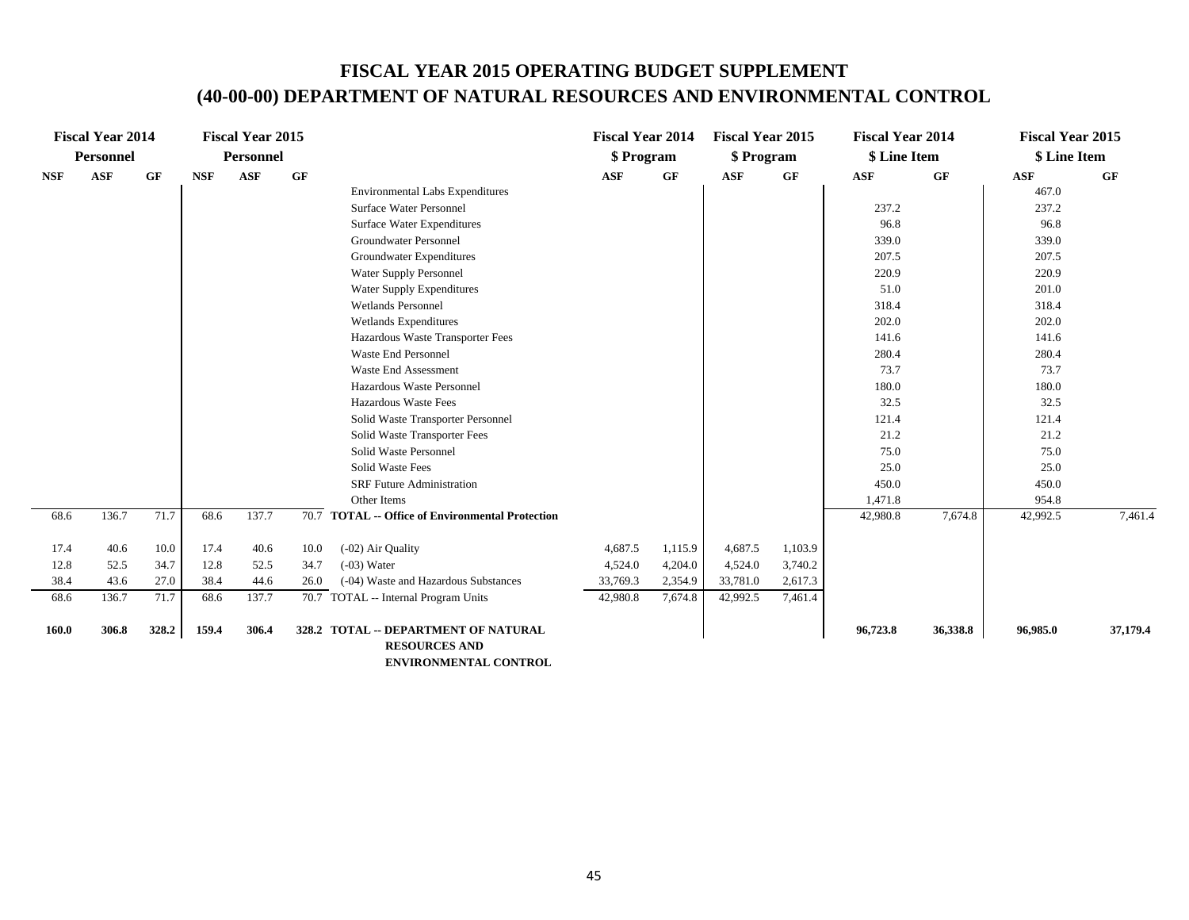|            | <b>Fiscal Year 2014</b> |           |            | <b>Fiscal Year 2015</b> |           |                                                  | <b>Fiscal Year 2014</b> |           | <b>Fiscal Year 2015</b> |         | <b>Fiscal Year 2014</b> |           | <b>Fiscal Year 2015</b> |           |
|------------|-------------------------|-----------|------------|-------------------------|-----------|--------------------------------------------------|-------------------------|-----------|-------------------------|---------|-------------------------|-----------|-------------------------|-----------|
|            | Personnel               |           |            | <b>Personnel</b>        |           |                                                  | \$ Program              |           | \$ Program              |         | \$ Line Item            |           | \$ Line Item            |           |
| <b>NSF</b> | <b>ASF</b>              | <b>GF</b> | <b>NSF</b> | <b>ASF</b>              | <b>GF</b> |                                                  | ASF                     | <b>GF</b> | <b>ASF</b>              | GF      | <b>ASF</b>              | <b>GF</b> | <b>ASF</b>              | <b>GF</b> |
|            |                         |           |            |                         |           | <b>Environmental Labs Expenditures</b>           |                         |           |                         |         |                         |           | 467.0                   |           |
|            |                         |           |            |                         |           | <b>Surface Water Personnel</b>                   |                         |           |                         |         | 237.2                   |           | 237.2                   |           |
|            |                         |           |            |                         |           | Surface Water Expenditures                       |                         |           |                         |         | 96.8                    |           | 96.8                    |           |
|            |                         |           |            |                         |           | <b>Groundwater Personnel</b>                     |                         |           |                         |         | 339.0                   |           | 339.0                   |           |
|            |                         |           |            |                         |           | Groundwater Expenditures                         |                         |           |                         |         | 207.5                   |           | 207.5                   |           |
|            |                         |           |            |                         |           | Water Supply Personnel                           |                         |           |                         |         | 220.9                   |           | 220.9                   |           |
|            |                         |           |            |                         |           | <b>Water Supply Expenditures</b>                 |                         |           |                         |         | 51.0                    |           | 201.0                   |           |
|            |                         |           |            |                         |           | Wetlands Personnel                               |                         |           |                         |         | 318.4                   |           | 318.4                   |           |
|            |                         |           |            |                         |           | Wetlands Expenditures                            |                         |           |                         |         | 202.0                   |           | 202.0                   |           |
|            |                         |           |            |                         |           | Hazardous Waste Transporter Fees                 |                         |           |                         |         | 141.6                   |           | 141.6                   |           |
|            |                         |           |            |                         |           | <b>Waste End Personnel</b>                       |                         |           |                         |         | 280.4                   |           | 280.4                   |           |
|            |                         |           |            |                         |           | <b>Waste End Assessment</b>                      |                         |           |                         |         | 73.7                    |           | 73.7                    |           |
|            |                         |           |            |                         |           | Hazardous Waste Personnel                        |                         |           |                         |         | 180.0                   |           | 180.0                   |           |
|            |                         |           |            |                         |           | Hazardous Waste Fees                             |                         |           |                         |         | 32.5                    |           | 32.5                    |           |
|            |                         |           |            |                         |           | Solid Waste Transporter Personnel                |                         |           |                         |         | 121.4                   |           | 121.4                   |           |
|            |                         |           |            |                         |           | Solid Waste Transporter Fees                     |                         |           |                         |         | 21.2                    |           | 21.2                    |           |
|            |                         |           |            |                         |           | Solid Waste Personnel                            |                         |           |                         |         | 75.0                    |           | 75.0                    |           |
|            |                         |           |            |                         |           | <b>Solid Waste Fees</b>                          |                         |           |                         |         | 25.0                    |           | 25.0                    |           |
|            |                         |           |            |                         |           | <b>SRF Future Administration</b>                 |                         |           |                         |         | 450.0                   |           | 450.0                   |           |
|            |                         |           |            |                         |           | Other Items                                      |                         |           |                         |         | 1,471.8                 |           | 954.8                   |           |
| 68.6       | 136.7                   | 71.7      | 68.6       | 137.7                   |           | 70.7 TOTAL -- Office of Environmental Protection |                         |           |                         |         | 42,980.8                | 7,674.8   | 42,992.5                | 7,461.4   |
| 17.4       | 40.6                    | 10.0      | 17.4       | 40.6                    | 10.0      | (-02) Air Quality                                | 4,687.5                 | 1,115.9   | 4,687.5                 | 1,103.9 |                         |           |                         |           |
| 12.8       | 52.5                    | 34.7      | 12.8       | 52.5                    | 34.7      | $(-03)$ Water                                    | 4,524.0                 | 4,204.0   | 4,524.0                 | 3,740.2 |                         |           |                         |           |
| 38.4       | 43.6                    | 27.0      | 38.4       | 44.6                    | 26.0      | (-04) Waste and Hazardous Substances             | 33,769.3                | 2,354.9   | 33,781.0                | 2,617.3 |                         |           |                         |           |
| 68.6       | 136.7                   | 71.7      | 68.6       | 137.7                   |           | 70.7 TOTAL -- Internal Program Units             | 42,980.8                | 7,674.8   | 42,992.5                | 7,461.4 |                         |           |                         |           |
| 160.0      | 306.8                   | 328.2     | 159.4      | 306.4                   |           | 328.2 TOTAL -- DEPARTMENT OF NATURAL             |                         |           |                         |         | 96,723.8                | 36,338.8  | 96,985.0                | 37,179.4  |
|            |                         |           |            |                         |           | <b>RESOURCES AND</b>                             |                         |           |                         |         |                         |           |                         |           |
|            |                         |           |            |                         |           | <b>ENVIRONMENTAL CONTROL</b>                     |                         |           |                         |         |                         |           |                         |           |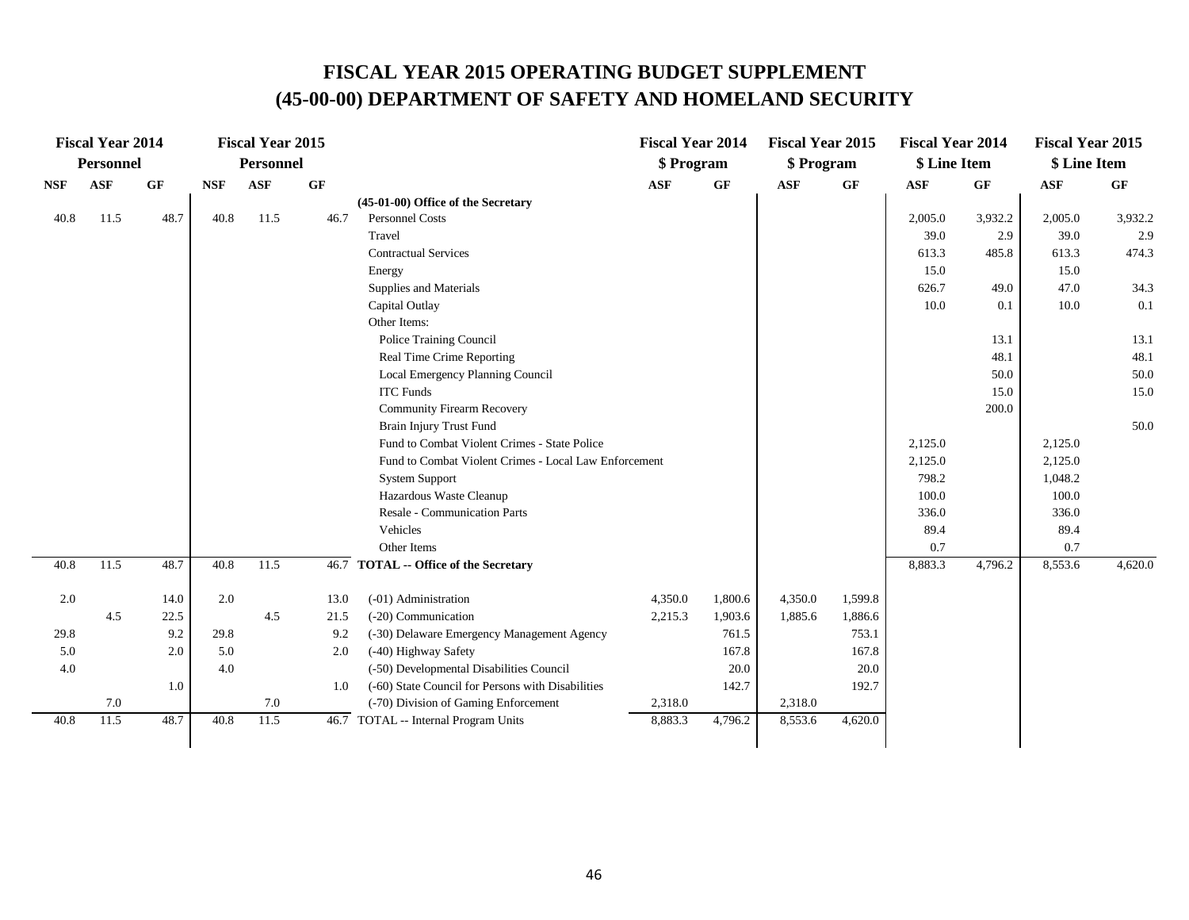|            | <b>Fiscal Year 2014</b> |           |            | <b>Fiscal Year 2015</b> |      |                                                       | <b>Fiscal Year 2014</b> |           | <b>Fiscal Year 2015</b> |           | <b>Fiscal Year 2014</b> |           | <b>Fiscal Year 2015</b> |         |
|------------|-------------------------|-----------|------------|-------------------------|------|-------------------------------------------------------|-------------------------|-----------|-------------------------|-----------|-------------------------|-----------|-------------------------|---------|
|            | <b>Personnel</b>        |           |            | <b>Personnel</b>        |      |                                                       | \$ Program              |           | \$Program               |           | \$ Line Item            |           | \$ Line Item            |         |
| <b>NSF</b> | <b>ASF</b>              | <b>GF</b> | <b>NSF</b> | ASF                     | GF   |                                                       | <b>ASF</b>              | <b>GF</b> | <b>ASF</b>              | <b>GF</b> | <b>ASF</b>              | <b>GF</b> | <b>ASF</b>              | GF      |
|            |                         |           |            |                         |      | (45-01-00) Office of the Secretary                    |                         |           |                         |           |                         |           |                         |         |
| 40.8       | 11.5                    | 48.7      | 40.8       | 11.5                    | 46.7 | <b>Personnel Costs</b>                                |                         |           |                         |           | 2,005.0                 | 3,932.2   | 2,005.0                 | 3,932.2 |
|            |                         |           |            |                         |      | Travel                                                |                         |           |                         |           | 39.0                    | 2.9       | 39.0                    | 2.9     |
|            |                         |           |            |                         |      | <b>Contractual Services</b>                           |                         |           |                         |           | 613.3                   | 485.8     | 613.3                   | 474.3   |
|            |                         |           |            |                         |      | Energy                                                |                         |           |                         |           | 15.0                    |           | 15.0                    |         |
|            |                         |           |            |                         |      | Supplies and Materials                                |                         |           |                         |           | 626.7                   | 49.0      | 47.0                    | 34.3    |
|            |                         |           |            |                         |      | Capital Outlay                                        |                         |           |                         |           | 10.0                    | 0.1       | 10.0                    | 0.1     |
|            |                         |           |            |                         |      | Other Items:                                          |                         |           |                         |           |                         |           |                         |         |
|            |                         |           |            |                         |      | Police Training Council                               |                         |           |                         |           |                         | 13.1      |                         | 13.1    |
|            |                         |           |            |                         |      | Real Time Crime Reporting                             |                         |           |                         |           |                         | 48.1      |                         | 48.1    |
|            |                         |           |            |                         |      | Local Emergency Planning Council                      |                         |           |                         |           |                         | 50.0      |                         | 50.0    |
|            |                         |           |            |                         |      | <b>ITC Funds</b>                                      |                         |           |                         |           |                         | 15.0      |                         | 15.0    |
|            |                         |           |            |                         |      | <b>Community Firearm Recovery</b>                     |                         |           |                         |           |                         | 200.0     |                         |         |
|            |                         |           |            |                         |      | Brain Injury Trust Fund                               |                         |           |                         |           |                         |           |                         | 50.0    |
|            |                         |           |            |                         |      | Fund to Combat Violent Crimes - State Police          |                         |           |                         |           | 2,125.0                 |           | 2,125.0                 |         |
|            |                         |           |            |                         |      | Fund to Combat Violent Crimes - Local Law Enforcement |                         |           |                         |           | 2,125.0                 |           | 2,125.0                 |         |
|            |                         |           |            |                         |      | <b>System Support</b>                                 |                         |           |                         |           | 798.2                   |           | 1,048.2                 |         |
|            |                         |           |            |                         |      | Hazardous Waste Cleanup                               |                         |           |                         |           | 100.0                   |           | 100.0                   |         |
|            |                         |           |            |                         |      | Resale - Communication Parts                          |                         |           |                         |           | 336.0                   |           | 336.0                   |         |
|            |                         |           |            |                         |      | Vehicles                                              |                         |           |                         |           | 89.4                    |           | 89.4                    |         |
|            |                         |           |            |                         |      | Other Items                                           |                         |           |                         |           | 0.7                     |           | 0.7                     |         |
| 40.8       | 11.5                    | 48.7      | 40.8       | 11.5                    |      | 46.7 TOTAL -- Office of the Secretary                 |                         |           |                         |           | 8,883.3                 | 4,796.2   | 8,553.6                 | 4,620.0 |
| 2.0        |                         | 14.0      | 2.0        |                         | 13.0 | (-01) Administration                                  | 4,350.0                 | 1,800.6   | 4,350.0                 | 1,599.8   |                         |           |                         |         |
|            | 4.5                     | 22.5      |            | 4.5                     | 21.5 | (-20) Communication                                   | 2,215.3                 | 1,903.6   | 1,885.6                 | 1,886.6   |                         |           |                         |         |
| 29.8       |                         | 9.2       | 29.8       |                         | 9.2  | (-30) Delaware Emergency Management Agency            |                         | 761.5     |                         | 753.1     |                         |           |                         |         |
| 5.0        |                         | 2.0       | 5.0        |                         | 2.0  | (-40) Highway Safety                                  |                         | 167.8     |                         | 167.8     |                         |           |                         |         |
| 4.0        |                         |           | 4.0        |                         |      | (-50) Developmental Disabilities Council              |                         | 20.0      |                         | 20.0      |                         |           |                         |         |
|            |                         | 1.0       |            |                         | 1.0  | (-60) State Council for Persons with Disabilities     |                         | 142.7     |                         | 192.7     |                         |           |                         |         |
|            | 7.0                     |           |            | 7.0                     |      | (-70) Division of Gaming Enforcement                  | 2,318.0                 |           | 2,318.0                 |           |                         |           |                         |         |
| 40.8       | 11.5                    | 48.7      | 40.8       | 11.5                    |      | 46.7 TOTAL -- Internal Program Units                  | 8,883.3                 | 4,796.2   | 8,553.6                 | 4,620.0   |                         |           |                         |         |
|            |                         |           |            |                         |      |                                                       |                         |           |                         |           |                         |           |                         |         |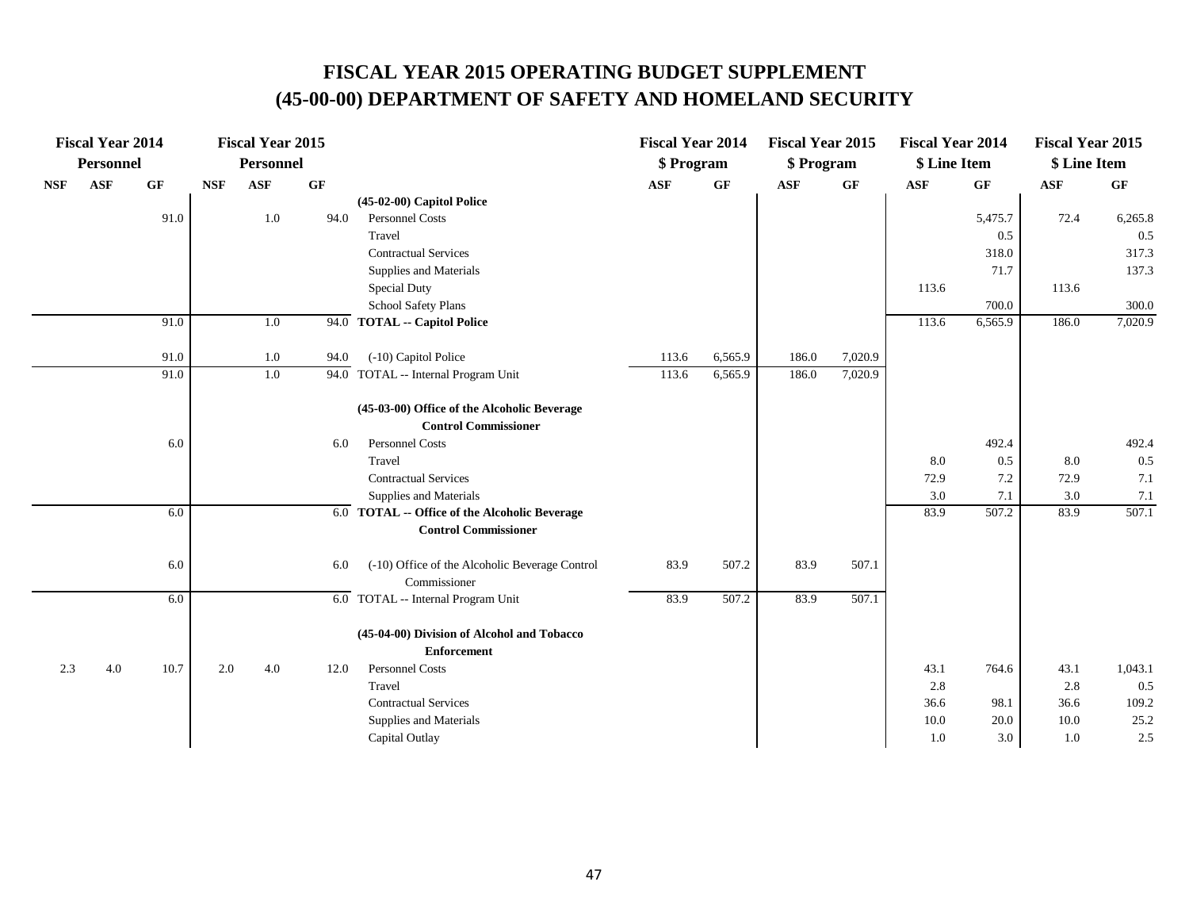|            | <b>Fiscal Year 2014</b> |      |            | <b>Fiscal Year 2015</b> |      |                                                                  | <b>Fiscal Year 2014</b> |         | <b>Fiscal Year 2015</b> |         | <b>Fiscal Year 2014</b> |         | <b>Fiscal Year 2015</b> |         |
|------------|-------------------------|------|------------|-------------------------|------|------------------------------------------------------------------|-------------------------|---------|-------------------------|---------|-------------------------|---------|-------------------------|---------|
|            | Personnel               |      |            | <b>Personnel</b>        |      |                                                                  | \$ Program              |         | \$ Program              |         | \$ Line Item            |         | \$ Line Item            |         |
| <b>NSF</b> | <b>ASF</b>              | GF   | <b>NSF</b> | <b>ASF</b>              | GF   |                                                                  | <b>ASF</b>              | GF      | <b>ASF</b>              | GF      | <b>ASF</b>              | GF      | <b>ASF</b>              | GF      |
|            |                         |      |            |                         |      | $(45-02-00)$ Capitol Police                                      |                         |         |                         |         |                         |         |                         |         |
|            |                         | 91.0 |            | $1.0\,$                 | 94.0 | Personnel Costs                                                  |                         |         |                         |         |                         | 5,475.7 | 72.4                    | 6,265.8 |
|            |                         |      |            |                         |      | Travel                                                           |                         |         |                         |         |                         | 0.5     |                         | 0.5     |
|            |                         |      |            |                         |      | <b>Contractual Services</b>                                      |                         |         |                         |         |                         | 318.0   |                         | 317.3   |
|            |                         |      |            |                         |      | Supplies and Materials                                           |                         |         |                         |         |                         | 71.7    |                         | 137.3   |
|            |                         |      |            |                         |      | Special Duty                                                     |                         |         |                         |         | 113.6                   |         | 113.6                   |         |
|            |                         |      |            |                         |      | School Safety Plans                                              |                         |         |                         |         |                         | 700.0   |                         | 300.0   |
|            |                         | 91.0 |            | 1.0                     |      | 94.0 TOTAL -- Capitol Police                                     |                         |         |                         |         | 113.6                   | 6,565.9 | 186.0                   | 7,020.9 |
|            |                         | 91.0 |            | 1.0                     | 94.0 | (-10) Capitol Police                                             | 113.6                   | 6,565.9 | 186.0                   | 7,020.9 |                         |         |                         |         |
|            |                         | 91.0 |            | 1.0                     |      | 94.0 TOTAL -- Internal Program Unit                              | 113.6                   | 6,565.9 | 186.0                   | 7,020.9 |                         |         |                         |         |
|            |                         |      |            |                         |      | (45-03-00) Office of the Alcoholic Beverage                      |                         |         |                         |         |                         |         |                         |         |
|            |                         |      |            |                         |      | <b>Control Commissioner</b>                                      |                         |         |                         |         |                         |         |                         |         |
|            |                         | 6.0  |            |                         | 6.0  | <b>Personnel Costs</b>                                           |                         |         |                         |         |                         | 492.4   |                         | 492.4   |
|            |                         |      |            |                         |      | Travel                                                           |                         |         |                         |         | 8.0                     | 0.5     | 8.0                     | 0.5     |
|            |                         |      |            |                         |      | <b>Contractual Services</b>                                      |                         |         |                         |         | 72.9                    | 7.2     | 72.9                    | 7.1     |
|            |                         |      |            |                         |      | Supplies and Materials                                           |                         |         |                         |         | 3.0                     | 7.1     | 3.0                     | 7.1     |
|            |                         | 6.0  |            |                         |      | $\overline{6.0}$ TOTAL $\cdots$ Office of the Alcoholic Beverage |                         |         |                         |         | 83.9                    | 507.2   | 83.9                    | 507.1   |
|            |                         |      |            |                         |      | <b>Control Commissioner</b>                                      |                         |         |                         |         |                         |         |                         |         |
|            |                         | 6.0  |            |                         | 6.0  | (-10) Office of the Alcoholic Beverage Control                   | 83.9                    | 507.2   | 83.9                    | 507.1   |                         |         |                         |         |
|            |                         |      |            |                         |      | Commissioner                                                     |                         |         |                         |         |                         |         |                         |         |
|            |                         | 6.0  |            |                         |      | 6.0 TOTAL -- Internal Program Unit                               | 83.9                    | 507.2   | 83.9                    | 507.1   |                         |         |                         |         |
|            |                         |      |            |                         |      | (45-04-00) Division of Alcohol and Tobacco                       |                         |         |                         |         |                         |         |                         |         |
|            |                         |      |            |                         |      | <b>Enforcement</b>                                               |                         |         |                         |         |                         |         |                         |         |
| 2.3        | 4.0                     | 10.7 | 2.0        | 4.0                     | 12.0 | Personnel Costs                                                  |                         |         |                         |         | 43.1                    | 764.6   | 43.1                    | 1,043.1 |
|            |                         |      |            |                         |      | Travel                                                           |                         |         |                         |         | 2.8                     |         | 2.8                     | 0.5     |
|            |                         |      |            |                         |      | <b>Contractual Services</b>                                      |                         |         |                         |         | 36.6                    | 98.1    | 36.6                    | 109.2   |
|            |                         |      |            |                         |      | Supplies and Materials                                           |                         |         |                         |         | 10.0                    | 20.0    | 10.0                    | 25.2    |
|            |                         |      |            |                         |      | Capital Outlay                                                   |                         |         |                         |         | 1.0                     | 3.0     | 1.0                     | 2.5     |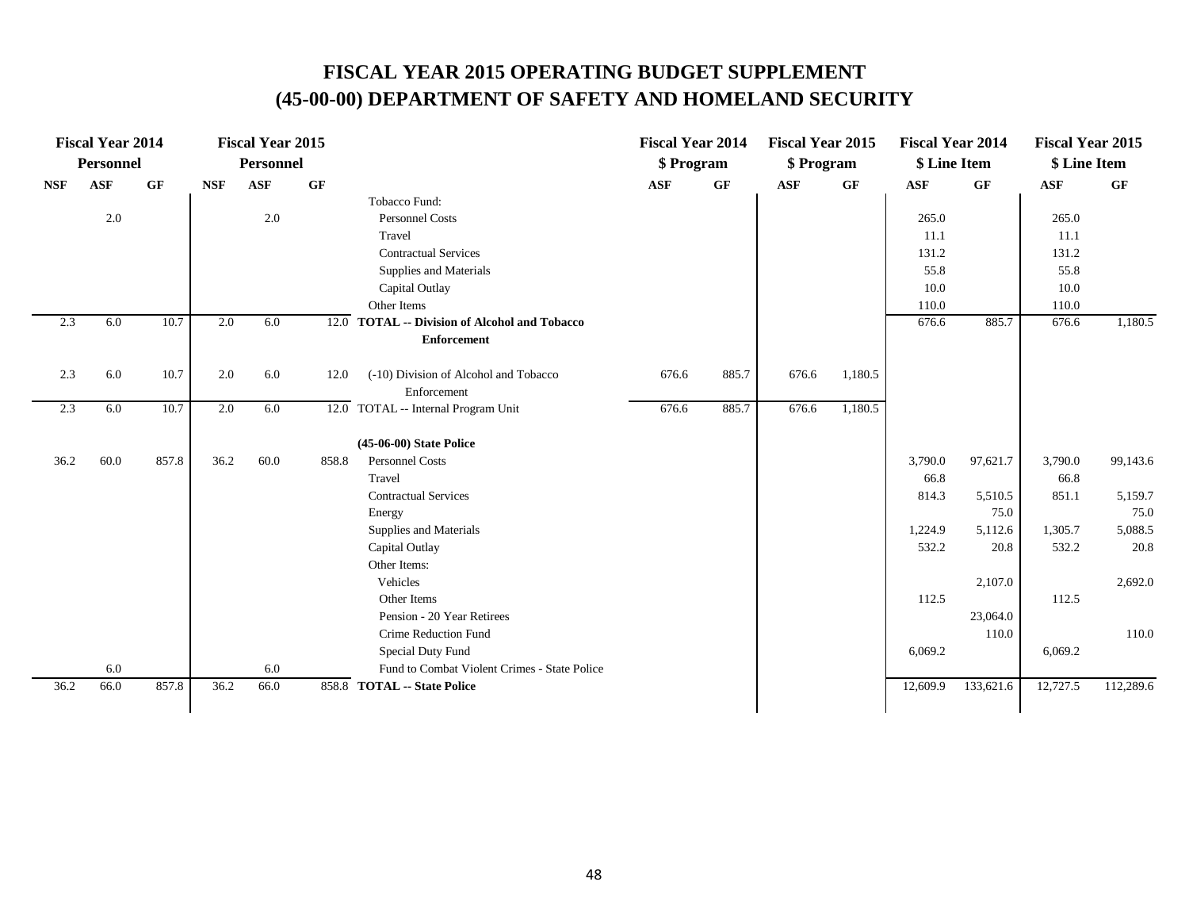|            | <b>Fiscal Year 2014</b> |       |            | <b>Fiscal Year 2015</b> |       |                                                            | <b>Fiscal Year 2014</b> |       | <b>Fiscal Year 2015</b> |         | <b>Fiscal Year 2014</b> |           | <b>Fiscal Year 2015</b> |           |
|------------|-------------------------|-------|------------|-------------------------|-------|------------------------------------------------------------|-------------------------|-------|-------------------------|---------|-------------------------|-----------|-------------------------|-----------|
|            | <b>Personnel</b>        |       |            | <b>Personnel</b>        |       |                                                            | \$ Program              |       | \$ Program              |         | \$ Line Item            |           | \$ Line Item            |           |
| <b>NSF</b> | <b>ASF</b>              | GF    | <b>NSF</b> | <b>ASF</b>              | GF    |                                                            | <b>ASF</b>              | GF    | <b>ASF</b>              | GF      | <b>ASF</b>              | GF        | <b>ASF</b>              | GF        |
|            |                         |       |            |                         |       | Tobacco Fund:                                              |                         |       |                         |         |                         |           |                         |           |
|            | 2.0                     |       |            | $2.0\,$                 |       | <b>Personnel Costs</b>                                     |                         |       |                         |         | 265.0                   |           | 265.0                   |           |
|            |                         |       |            |                         |       | Travel                                                     |                         |       |                         |         | 11.1                    |           | 11.1                    |           |
|            |                         |       |            |                         |       | <b>Contractual Services</b>                                |                         |       |                         |         | 131.2                   |           | 131.2                   |           |
|            |                         |       |            |                         |       | Supplies and Materials                                     |                         |       |                         |         | 55.8                    |           | 55.8                    |           |
|            |                         |       |            |                         |       | Capital Outlay                                             |                         |       |                         |         | 10.0                    |           | 10.0                    |           |
|            |                         |       |            |                         |       | Other Items                                                |                         |       |                         |         | 110.0                   |           | 110.0                   |           |
| 2.3        | 6.0                     | 10.7  | 2.0        | 6.0                     |       | $\overline{12.0}$ TOTAL -- Division of Alcohol and Tobacco |                         |       |                         |         | 676.6                   | 885.7     | 676.6                   | 1,180.5   |
|            |                         |       |            |                         |       | <b>Enforcement</b>                                         |                         |       |                         |         |                         |           |                         |           |
| 2.3        | 6.0                     | 10.7  | 2.0        | 6.0                     | 12.0  | (-10) Division of Alcohol and Tobacco                      | 676.6                   | 885.7 | 676.6                   | 1,180.5 |                         |           |                         |           |
|            |                         |       |            |                         |       | Enforcement                                                |                         |       |                         |         |                         |           |                         |           |
| 2.3        | 6.0                     | 10.7  | 2.0        | 6.0                     |       | 12.0 TOTAL -- Internal Program Unit                        | 676.6                   | 885.7 | 676.6                   | 1,180.5 |                         |           |                         |           |
|            |                         |       |            |                         |       | (45-06-00) State Police                                    |                         |       |                         |         |                         |           |                         |           |
| 36.2       | 60.0                    | 857.8 | 36.2       | 60.0                    | 858.8 | <b>Personnel Costs</b>                                     |                         |       |                         |         | 3,790.0                 | 97,621.7  | 3,790.0                 | 99,143.6  |
|            |                         |       |            |                         |       | Travel                                                     |                         |       |                         |         | 66.8                    |           | 66.8                    |           |
|            |                         |       |            |                         |       | <b>Contractual Services</b>                                |                         |       |                         |         | 814.3                   | 5,510.5   | 851.1                   | 5,159.7   |
|            |                         |       |            |                         |       | Energy                                                     |                         |       |                         |         |                         | 75.0      |                         | 75.0      |
|            |                         |       |            |                         |       | Supplies and Materials                                     |                         |       |                         |         | 1,224.9                 | 5,112.6   | 1,305.7                 | 5,088.5   |
|            |                         |       |            |                         |       | Capital Outlay                                             |                         |       |                         |         | 532.2                   | 20.8      | 532.2                   | 20.8      |
|            |                         |       |            |                         |       | Other Items:                                               |                         |       |                         |         |                         |           |                         |           |
|            |                         |       |            |                         |       | Vehicles                                                   |                         |       |                         |         |                         | 2,107.0   |                         | 2,692.0   |
|            |                         |       |            |                         |       | Other Items                                                |                         |       |                         |         | 112.5                   |           | 112.5                   |           |
|            |                         |       |            |                         |       | Pension - 20 Year Retirees                                 |                         |       |                         |         |                         | 23,064.0  |                         |           |
|            |                         |       |            |                         |       | Crime Reduction Fund                                       |                         |       |                         |         |                         | 110.0     |                         | 110.0     |
|            |                         |       |            |                         |       | Special Duty Fund                                          |                         |       |                         |         | 6,069.2                 |           | 6,069.2                 |           |
|            | 6.0                     |       |            | 6.0                     |       | Fund to Combat Violent Crimes - State Police               |                         |       |                         |         |                         |           |                         |           |
| 36.2       | 66.0                    | 857.8 | 36.2       | 66.0                    |       | 858.8 TOTAL -- State Police                                |                         |       |                         |         | 12,609.9                | 133,621.6 | 12,727.5                | 112,289.6 |
|            |                         |       |            |                         |       |                                                            |                         |       |                         |         |                         |           |                         |           |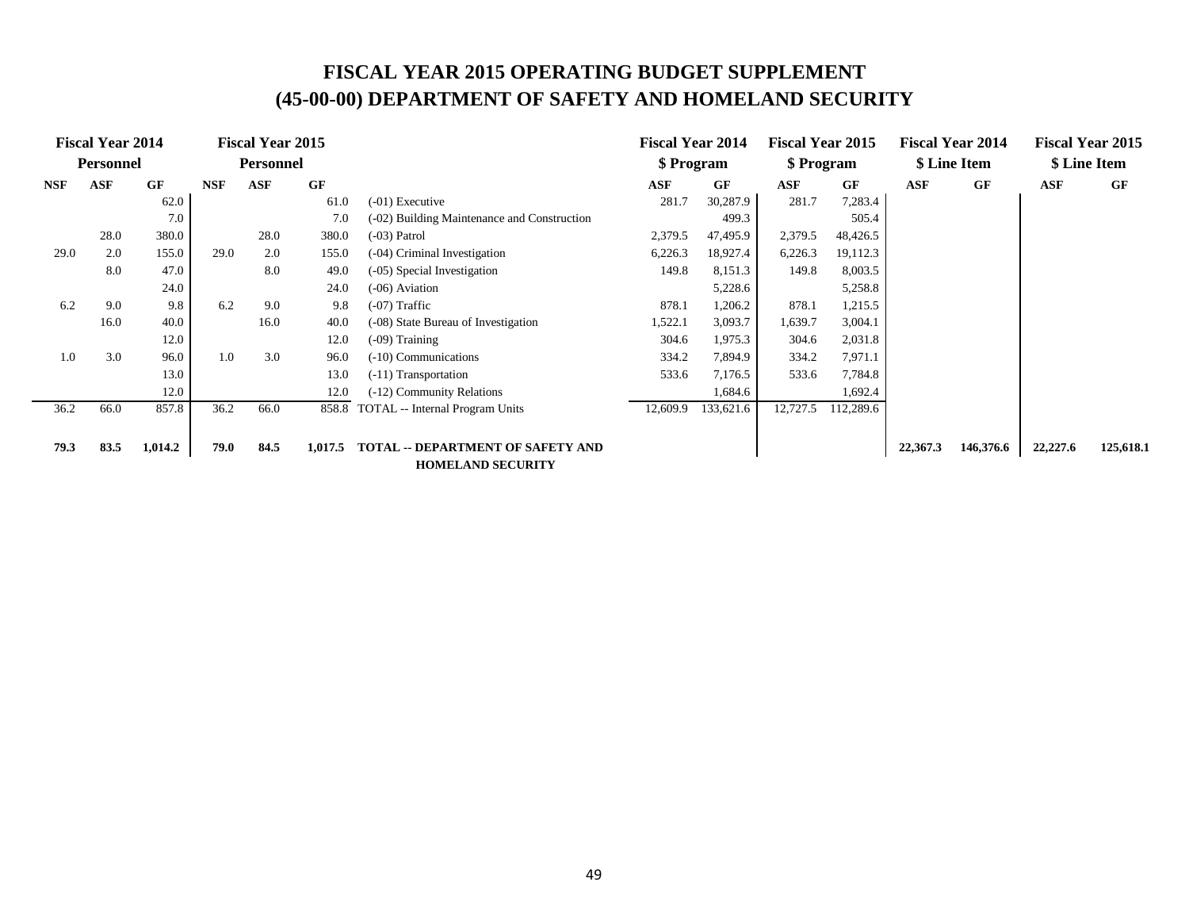|            | <b>Fiscal Year 2014</b> |         |            | <b>Fiscal Year 2015</b> |           |                                             | <b>Fiscal Year 2014</b> |           | <b>Fiscal Year 2015</b> |           |          | <b>Fiscal Year 2014</b> |              | <b>Fiscal Year 2015</b> |
|------------|-------------------------|---------|------------|-------------------------|-----------|---------------------------------------------|-------------------------|-----------|-------------------------|-----------|----------|-------------------------|--------------|-------------------------|
|            | <b>Personnel</b>        |         |            | <b>Personnel</b>        |           |                                             | \$ Program              |           | \$ Program              |           |          | \$ Line Item            | \$ Line Item |                         |
| <b>NSF</b> | <b>ASF</b>              | GF      | <b>NSF</b> | ASF                     | <b>GF</b> |                                             | <b>ASF</b>              | GF        | ASF                     | GF        | ASF      | GF                      | ASF          | GF                      |
|            |                         | 62.0    |            |                         | 61.0      | (-01) Executive                             | 281.7                   | 30,287.9  | 281.7                   | 7,283.4   |          |                         |              |                         |
|            |                         | 7.0     |            |                         | 7.0       | (-02) Building Maintenance and Construction |                         | 499.3     |                         | 505.4     |          |                         |              |                         |
|            | 28.0                    | 380.0   |            | 28.0                    | 380.0     | (-03) Patrol                                | 2,379.5                 | 47,495.9  | 2,379.5                 | 48,426.5  |          |                         |              |                         |
| 29.0       | 2.0                     | 155.0   | 29.0       | 2.0                     | 155.0     | (-04) Criminal Investigation                | 6,226.3                 | 18,927.4  | 6,226.3                 | 19,112.3  |          |                         |              |                         |
|            | 8.0                     | 47.0    |            | 8.0                     | 49.0      | (-05) Special Investigation                 | 149.8                   | 8,151.3   | 149.8                   | 8,003.5   |          |                         |              |                         |
|            |                         | 24.0    |            | 24.0                    |           | (-06) Aviation                              |                         | 5,228.6   |                         | 5,258.8   |          |                         |              |                         |
| 6.2        | 9.0                     | 9.8     | 6.2        | 9.0                     | 9.8       | (-07) Traffic                               | 878.1                   | 1,206.2   | 878.1                   | 1,215.5   |          |                         |              |                         |
|            | 16.0                    | 40.0    |            | 16.0                    | 40.0      | (-08) State Bureau of Investigation         | 1,522.1                 | 3,093.7   | 1,639.7                 | 3,004.1   |          |                         |              |                         |
|            |                         | 12.0    |            |                         | 12.0      | (-09) Training                              | 304.6                   | 1,975.3   | 304.6                   | 2,031.8   |          |                         |              |                         |
| 1.0        | 3.0                     | 96.0    | 1.0        | 3.0                     | 96.0      | (-10) Communications                        | 334.2                   | 7,894.9   | 334.2                   | 7,971.1   |          |                         |              |                         |
|            |                         | 13.0    |            |                         | 13.0      | (-11) Transportation                        | 533.6                   | 7,176.5   | 533.6                   | 7,784.8   |          |                         |              |                         |
|            |                         | 12.0    |            |                         | 12.0      | (-12) Community Relations                   |                         | 1,684.6   |                         | 1,692.4   |          |                         |              |                         |
| 36.2       | 66.0                    | 857.8   | 36.2       | 66.0                    | 858.8     | <b>TOTAL</b> -- Internal Program Units      | 12,609.9                | 133,621.6 | 12,727.5                | 112,289.6 |          |                         |              |                         |
|            |                         |         |            |                         |           |                                             |                         |           |                         |           |          |                         |              |                         |
| 79.3       | 83.5                    | 1,014.2 | 79.0       | 84.5                    | 1,017.5   | <b>TOTAL -- DEPARTMENT OF SAFETY AND</b>    |                         |           |                         |           | 22,367.3 | 146,376.6               | 22,227.6     | 125,618.1               |
|            |                         |         |            |                         |           | <b>HOMELAND SECURITY</b>                    |                         |           |                         |           |          |                         |              |                         |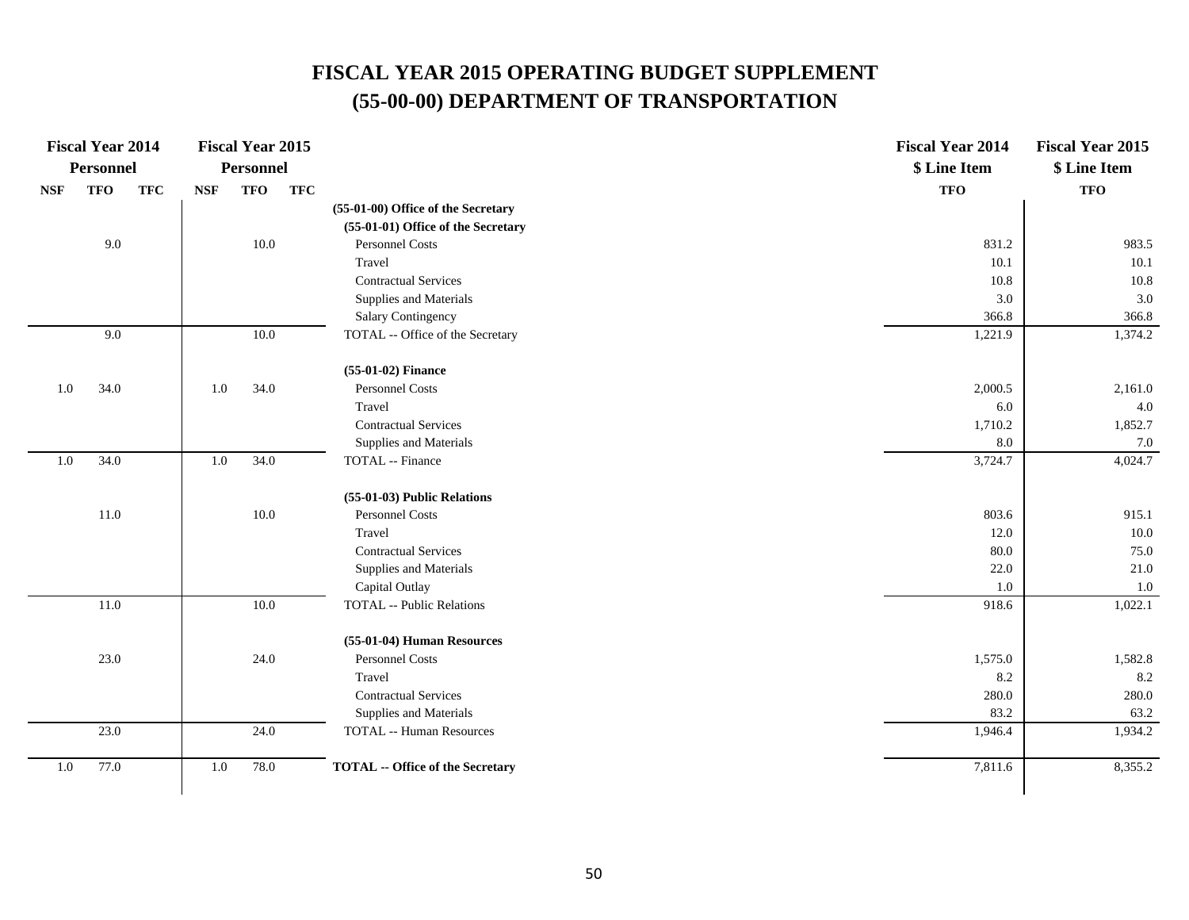|            | <b>Fiscal Year 2014</b> |            |            | <b>Fiscal Year 2015</b> |            |                                         | <b>Fiscal Year 2014</b> | <b>Fiscal Year 2015</b> |
|------------|-------------------------|------------|------------|-------------------------|------------|-----------------------------------------|-------------------------|-------------------------|
|            | <b>Personnel</b>        |            |            | <b>Personnel</b>        |            |                                         | \$ Line Item            | \$ Line Item            |
| <b>NSF</b> | <b>TFO</b>              | <b>TFC</b> | <b>NSF</b> | <b>TFO</b>              | <b>TFC</b> |                                         | <b>TFO</b>              | <b>TFO</b>              |
|            |                         |            |            |                         |            | (55-01-00) Office of the Secretary      |                         |                         |
|            |                         |            |            |                         |            | (55-01-01) Office of the Secretary      |                         |                         |
|            | 9.0                     |            |            | 10.0                    |            | Personnel Costs                         | 831.2                   | 983.5                   |
|            |                         |            |            |                         |            | Travel                                  | 10.1                    | $10.1\,$                |
|            |                         |            |            |                         |            | <b>Contractual Services</b>             | 10.8                    | 10.8                    |
|            |                         |            |            |                         |            | Supplies and Materials                  | $3.0\,$                 | 3.0                     |
|            |                         |            |            |                         |            | Salary Contingency                      | 366.8                   | 366.8                   |
|            | 9.0                     |            |            | 10.0                    |            | TOTAL -- Office of the Secretary        | 1,221.9                 | 1,374.2                 |
|            |                         |            |            |                         |            | (55-01-02) Finance                      |                         |                         |
| $1.0\,$    | 34.0                    |            | $1.0\,$    | 34.0                    |            | Personnel Costs                         | 2,000.5                 | 2,161.0                 |
|            |                         |            |            |                         |            | Travel                                  | 6.0                     | 4.0                     |
|            |                         |            |            |                         |            | <b>Contractual Services</b>             | 1,710.2                 | 1,852.7                 |
|            |                         |            |            |                         |            | Supplies and Materials                  | 8.0                     | 7.0                     |
| $1.0\,$    | 34.0                    |            | $1.0\,$    | 34.0                    |            | TOTAL -- Finance                        | 3,724.7                 | 4,024.7                 |
|            |                         |            |            |                         |            | (55-01-03) Public Relations             |                         |                         |
|            | $11.0\,$                |            |            | 10.0                    |            | Personnel Costs                         | 803.6                   | 915.1                   |
|            |                         |            |            |                         |            | Travel                                  | 12.0                    | 10.0                    |
|            |                         |            |            |                         |            | <b>Contractual Services</b>             | 80.0                    | 75.0                    |
|            |                         |            |            |                         |            | Supplies and Materials                  | 22.0                    | 21.0                    |
|            |                         |            |            |                         |            | Capital Outlay                          | 1.0                     | 1.0                     |
|            | $11.0\,$                |            |            | 10.0                    |            | <b>TOTAL -- Public Relations</b>        | 918.6                   | 1,022.1                 |
|            |                         |            |            |                         |            | (55-01-04) Human Resources              |                         |                         |
|            | 23.0                    |            |            | 24.0                    |            | Personnel Costs                         | 1,575.0                 | 1,582.8                 |
|            |                         |            |            |                         |            | Travel                                  | 8.2                     | 8.2                     |
|            |                         |            |            |                         |            | <b>Contractual Services</b>             | 280.0                   | 280.0                   |
|            |                         |            |            |                         |            | Supplies and Materials                  | 83.2                    | 63.2                    |
|            | 23.0                    |            |            | 24.0                    |            | <b>TOTAL -- Human Resources</b>         | 1,946.4                 | 1,934.2                 |
| $1.0\,$    | 77.0                    |            | 1.0        | 78.0                    |            | <b>TOTAL -- Office of the Secretary</b> | 7,811.6                 | 8,355.2                 |
|            |                         |            |            |                         |            |                                         |                         |                         |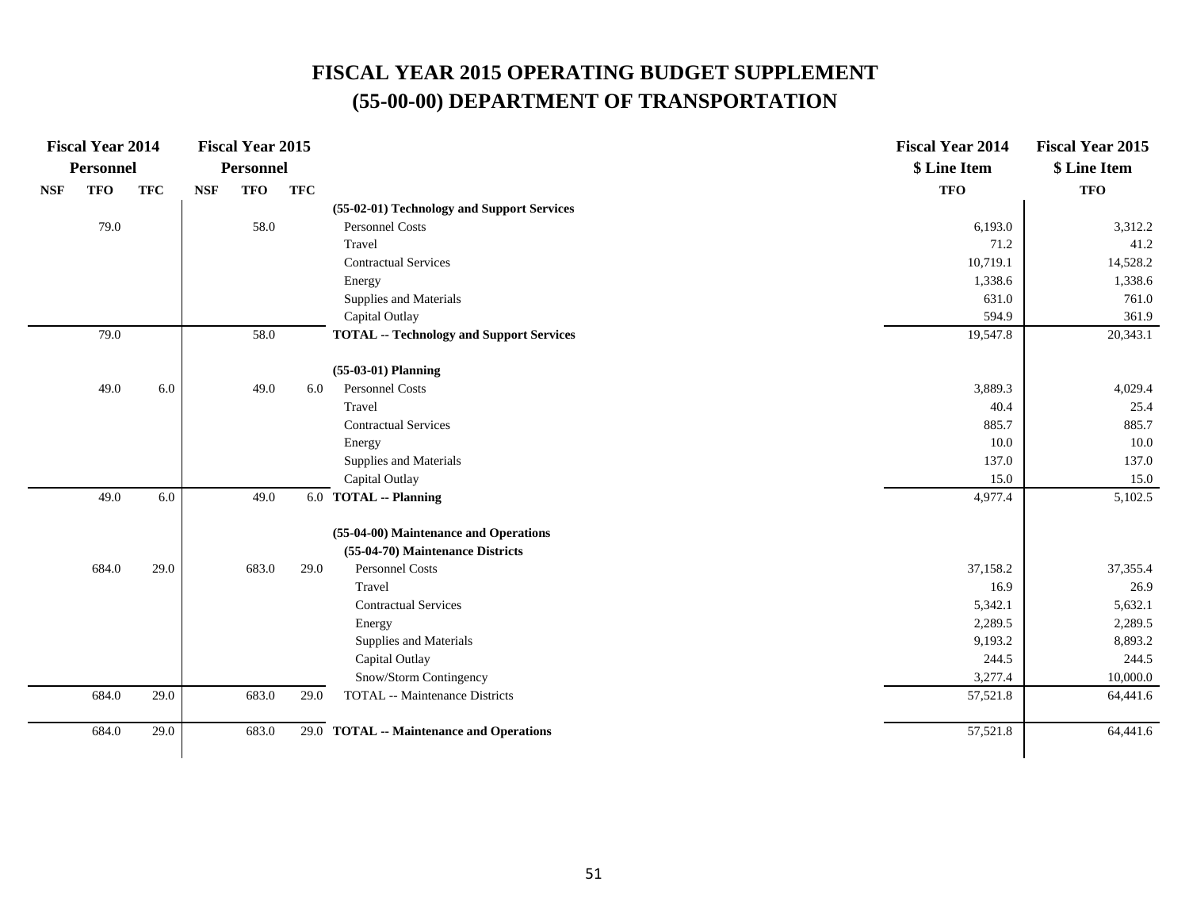|            | <b>Fiscal Year 2014</b> |            |            | <b>Fiscal Year 2015</b> |            |                                                 | <b>Fiscal Year 2014</b> | <b>Fiscal Year 2015</b> |
|------------|-------------------------|------------|------------|-------------------------|------------|-------------------------------------------------|-------------------------|-------------------------|
|            | <b>Personnel</b>        |            |            | Personnel               |            |                                                 | \$ Line Item            | \$ Line Item            |
| <b>NSF</b> | <b>TFO</b>              | <b>TFC</b> | <b>NSF</b> | <b>TFO</b>              | <b>TFC</b> |                                                 | <b>TFO</b>              | <b>TFO</b>              |
|            |                         |            |            |                         |            | (55-02-01) Technology and Support Services      |                         |                         |
|            | 79.0                    |            |            | 58.0                    |            | Personnel Costs                                 | 6,193.0                 | 3,312.2                 |
|            |                         |            |            |                         |            | Travel                                          | 71.2                    | 41.2                    |
|            |                         |            |            |                         |            | <b>Contractual Services</b>                     | 10,719.1                | 14,528.2                |
|            |                         |            |            |                         |            | Energy                                          | 1,338.6                 | 1,338.6                 |
|            |                         |            |            |                         |            | Supplies and Materials                          | 631.0                   | 761.0                   |
|            |                         |            |            |                         |            | Capital Outlay                                  | 594.9                   | 361.9                   |
|            | 79.0                    |            |            | 58.0                    |            | <b>TOTAL -- Technology and Support Services</b> | 19,547.8                | 20,343.1                |
|            |                         |            |            |                         |            | $(55-03-01)$ Planning                           |                         |                         |
|            | 49.0                    | 6.0        |            | 49.0                    | 6.0        | <b>Personnel Costs</b>                          | 3,889.3                 | 4,029.4                 |
|            |                         |            |            |                         |            | Travel                                          | 40.4                    | 25.4                    |
|            |                         |            |            |                         |            | <b>Contractual Services</b>                     | 885.7                   | 885.7                   |
|            |                         |            |            |                         |            | Energy                                          | 10.0                    | 10.0                    |
|            |                         |            |            |                         |            | Supplies and Materials                          | 137.0                   | 137.0                   |
|            |                         |            |            |                         |            | Capital Outlay                                  | 15.0                    | 15.0                    |
|            | 49.0                    | 6.0        |            | 49.0                    |            | 6.0 TOTAL -- Planning                           | 4,977.4                 | 5,102.5                 |
|            |                         |            |            |                         |            | (55-04-00) Maintenance and Operations           |                         |                         |
|            |                         |            |            |                         |            | (55-04-70) Maintenance Districts                |                         |                         |
|            | 684.0                   | 29.0       |            | 683.0                   | 29.0       | Personnel Costs                                 | 37,158.2                | 37, 355.4               |
|            |                         |            |            |                         |            | Travel                                          | 16.9                    | 26.9                    |
|            |                         |            |            |                         |            | <b>Contractual Services</b>                     | 5,342.1                 | 5,632.1                 |
|            |                         |            |            |                         |            | Energy                                          | 2,289.5                 | 2,289.5                 |
|            |                         |            |            |                         |            | Supplies and Materials                          | 9,193.2                 | 8,893.2                 |
|            |                         |            |            |                         |            | Capital Outlay                                  | 244.5                   | 244.5                   |
|            |                         |            |            |                         |            | Snow/Storm Contingency                          | 3,277.4                 | 10,000.0                |
|            | 684.0                   | 29.0       |            | 683.0                   | 29.0       | <b>TOTAL</b> -- Maintenance Districts           | 57,521.8                | 64,441.6                |
|            | 684.0                   | 29.0       |            | 683.0                   |            | 29.0 TOTAL -- Maintenance and Operations        | 57,521.8                | 64,441.6                |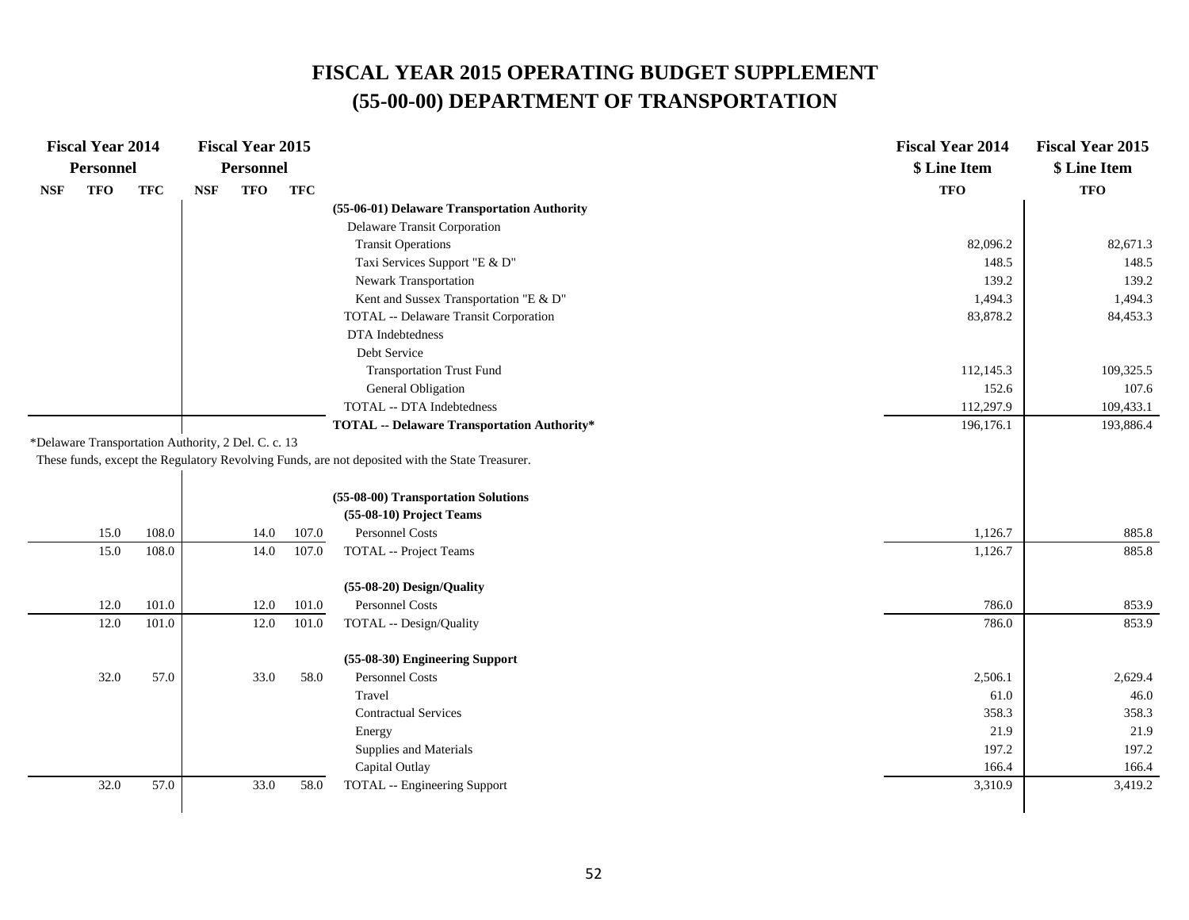| <b>Fiscal Year 2014</b>                             |            |            | <b>Fiscal Year 2015</b> |            |                                                                                                 | <b>Fiscal Year 2014</b> | <b>Fiscal Year 2015</b> |
|-----------------------------------------------------|------------|------------|-------------------------|------------|-------------------------------------------------------------------------------------------------|-------------------------|-------------------------|
| Personnel                                           |            |            | <b>Personnel</b>        |            |                                                                                                 | \$ Line Item            | \$ Line Item            |
| <b>TFO</b><br><b>NSF</b>                            | <b>TFC</b> | <b>NSF</b> | <b>TFO</b>              | <b>TFC</b> |                                                                                                 | <b>TFO</b>              | <b>TFO</b>              |
|                                                     |            |            |                         |            | (55-06-01) Delaware Transportation Authority                                                    |                         |                         |
|                                                     |            |            |                         |            | Delaware Transit Corporation                                                                    |                         |                         |
|                                                     |            |            |                         |            | <b>Transit Operations</b>                                                                       | 82,096.2                | 82,671.3                |
|                                                     |            |            |                         |            | Taxi Services Support "E & D"                                                                   | 148.5                   | 148.5                   |
|                                                     |            |            |                         |            | Newark Transportation                                                                           | 139.2                   | 139.2                   |
|                                                     |            |            |                         |            | Kent and Sussex Transportation "E & D"                                                          | 1,494.3                 | 1,494.3                 |
|                                                     |            |            |                         |            | TOTAL -- Delaware Transit Corporation                                                           | 83,878.2                | 84,453.3                |
|                                                     |            |            |                         |            | DTA Indebtedness                                                                                |                         |                         |
|                                                     |            |            |                         |            | Debt Service                                                                                    |                         |                         |
|                                                     |            |            |                         |            | <b>Transportation Trust Fund</b>                                                                | 112,145.3               | 109,325.5               |
|                                                     |            |            |                         |            | General Obligation                                                                              | 152.6                   | 107.6                   |
|                                                     |            |            |                         |            | <b>TOTAL -- DTA Indebtedness</b>                                                                | 112,297.9               | 109,433.1               |
|                                                     |            |            |                         |            | <b>TOTAL -- Delaware Transportation Authority*</b>                                              | 196,176.1               | 193,886.4               |
| *Delaware Transportation Authority, 2 Del. C. c. 13 |            |            |                         |            |                                                                                                 |                         |                         |
|                                                     |            |            |                         |            | These funds, except the Regulatory Revolving Funds, are not deposited with the State Treasurer. |                         |                         |
|                                                     |            |            |                         |            |                                                                                                 |                         |                         |
|                                                     |            |            |                         |            | (55-08-00) Transportation Solutions                                                             |                         |                         |
|                                                     |            |            |                         |            | (55-08-10) Project Teams                                                                        |                         |                         |
| 15.0                                                | 108.0      |            | 14.0                    | 107.0      | Personnel Costs                                                                                 | 1,126.7                 | 885.8                   |
| 15.0                                                | 108.0      |            | 14.0                    | 107.0      | <b>TOTAL</b> -- Project Teams                                                                   | 1,126.7                 | 885.8                   |
|                                                     |            |            |                         |            |                                                                                                 |                         |                         |
|                                                     |            |            |                         |            | (55-08-20) Design/Quality                                                                       |                         |                         |
| 12.0                                                | 101.0      |            | 12.0                    | 101.0      | Personnel Costs                                                                                 | 786.0                   | 853.9                   |
| 12.0                                                | 101.0      |            | 12.0                    | 101.0      | TOTAL -- Design/Quality                                                                         | 786.0                   | 853.9                   |
|                                                     |            |            |                         |            | (55-08-30) Engineering Support                                                                  |                         |                         |
| 32.0                                                | 57.0       |            | 33.0                    | 58.0       | Personnel Costs                                                                                 | 2,506.1                 | 2,629.4                 |
|                                                     |            |            |                         |            | Travel                                                                                          | 61.0                    | 46.0                    |
|                                                     |            |            |                         |            | <b>Contractual Services</b>                                                                     | 358.3                   | 358.3                   |
|                                                     |            |            |                         |            | Energy                                                                                          | 21.9                    | 21.9                    |
|                                                     |            |            |                         |            | Supplies and Materials                                                                          | 197.2                   | 197.2                   |
|                                                     |            |            |                         |            | Capital Outlay                                                                                  | 166.4                   | 166.4                   |
| 32.0                                                | 57.0       |            | 33.0                    | 58.0       | TOTAL -- Engineering Support                                                                    | 3,310.9                 | 3,419.2                 |
|                                                     |            |            |                         |            |                                                                                                 |                         |                         |
|                                                     |            |            |                         |            |                                                                                                 |                         |                         |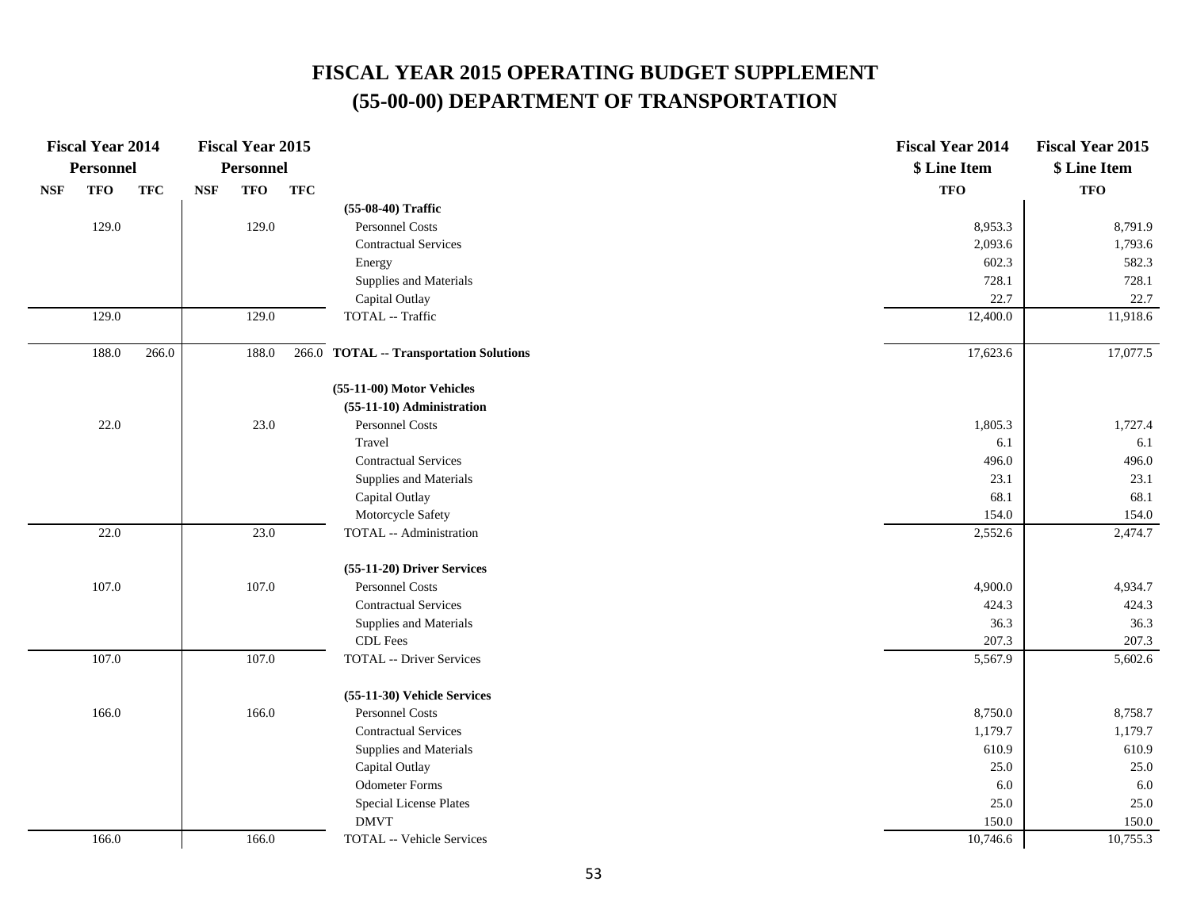|            | <b>Fiscal Year 2014</b> |            |                             | <b>Fiscal Year 2015</b> |            |                                          | <b>Fiscal Year 2014</b> | <b>Fiscal Year 2015</b> |
|------------|-------------------------|------------|-----------------------------|-------------------------|------------|------------------------------------------|-------------------------|-------------------------|
|            | <b>Personnel</b>        |            |                             | <b>Personnel</b>        |            |                                          | \$ Line Item            | \$ Line Item            |
| <b>NSF</b> | <b>TFO</b>              | <b>TFC</b> | $\ensuremath{\mathbf{NSF}}$ | <b>TFO</b>              | <b>TFC</b> |                                          | <b>TFO</b>              | <b>TFO</b>              |
|            |                         |            |                             |                         |            | (55-08-40) Traffic                       |                         |                         |
|            | 129.0                   |            |                             | 129.0                   |            | Personnel Costs                          | 8,953.3                 | 8,791.9                 |
|            |                         |            |                             |                         |            | <b>Contractual Services</b>              | 2,093.6                 | 1,793.6                 |
|            |                         |            |                             |                         |            | Energy                                   | 602.3                   | 582.3                   |
|            |                         |            |                             |                         |            | Supplies and Materials                   | 728.1                   | 728.1                   |
|            |                         |            |                             |                         |            | Capital Outlay                           | 22.7                    | 22.7                    |
|            | 129.0                   |            |                             | 129.0                   |            | TOTAL -- Traffic                         | 12,400.0                | 11,918.6                |
|            | 188.0                   | 266.0      |                             | 188.0                   | 266.0      | <b>TOTAL -- Transportation Solutions</b> | 17,623.6                | 17,077.5                |
|            |                         |            |                             |                         |            | (55-11-00) Motor Vehicles                |                         |                         |
|            |                         |            |                             |                         |            | (55-11-10) Administration                |                         |                         |
|            | 22.0                    |            |                             | 23.0                    |            | Personnel Costs                          | 1,805.3                 | 1,727.4                 |
|            |                         |            |                             |                         |            | Travel                                   | 6.1                     | 6.1                     |
|            |                         |            |                             |                         |            | <b>Contractual Services</b>              | 496.0                   | 496.0                   |
|            |                         |            |                             |                         |            | Supplies and Materials                   | 23.1                    | 23.1                    |
|            |                         |            |                             |                         |            | Capital Outlay                           | 68.1                    | 68.1                    |
|            |                         |            |                             |                         |            | Motorcycle Safety                        | 154.0                   | 154.0                   |
|            | 22.0                    |            |                             | 23.0                    |            | <b>TOTAL</b> -- Administration           | 2,552.6                 | 2,474.7                 |
|            |                         |            |                             |                         |            | (55-11-20) Driver Services               |                         |                         |
|            | 107.0                   |            |                             | 107.0                   |            | Personnel Costs                          | 4,900.0                 | 4,934.7                 |
|            |                         |            |                             |                         |            | <b>Contractual Services</b>              | 424.3                   | 424.3                   |
|            |                         |            |                             |                         |            | Supplies and Materials                   | 36.3                    | 36.3                    |
|            |                         |            |                             |                         |            | CDL Fees                                 | 207.3                   | 207.3                   |
|            | 107.0                   |            |                             | 107.0                   |            | <b>TOTAL -- Driver Services</b>          | 5,567.9                 | 5,602.6                 |
|            |                         |            |                             |                         |            | (55-11-30) Vehicle Services              |                         |                         |
|            | 166.0                   |            |                             | 166.0                   |            | Personnel Costs                          | 8,750.0                 | 8,758.7                 |
|            |                         |            |                             |                         |            | <b>Contractual Services</b>              | 1,179.7                 | 1,179.7                 |
|            |                         |            |                             |                         |            | Supplies and Materials                   | 610.9                   | 610.9                   |
|            |                         |            |                             |                         |            | Capital Outlay                           | 25.0                    | 25.0                    |
|            |                         |            |                             |                         |            | <b>Odometer Forms</b>                    | 6.0                     | 6.0                     |
|            |                         |            |                             |                         |            | Special License Plates                   | 25.0                    | 25.0                    |
|            |                         |            |                             |                         |            | <b>DMVT</b>                              | 150.0                   | 150.0                   |
|            | 166.0                   |            |                             | 166.0                   |            | <b>TOTAL -- Vehicle Services</b>         | 10,746.6                | 10,755.3                |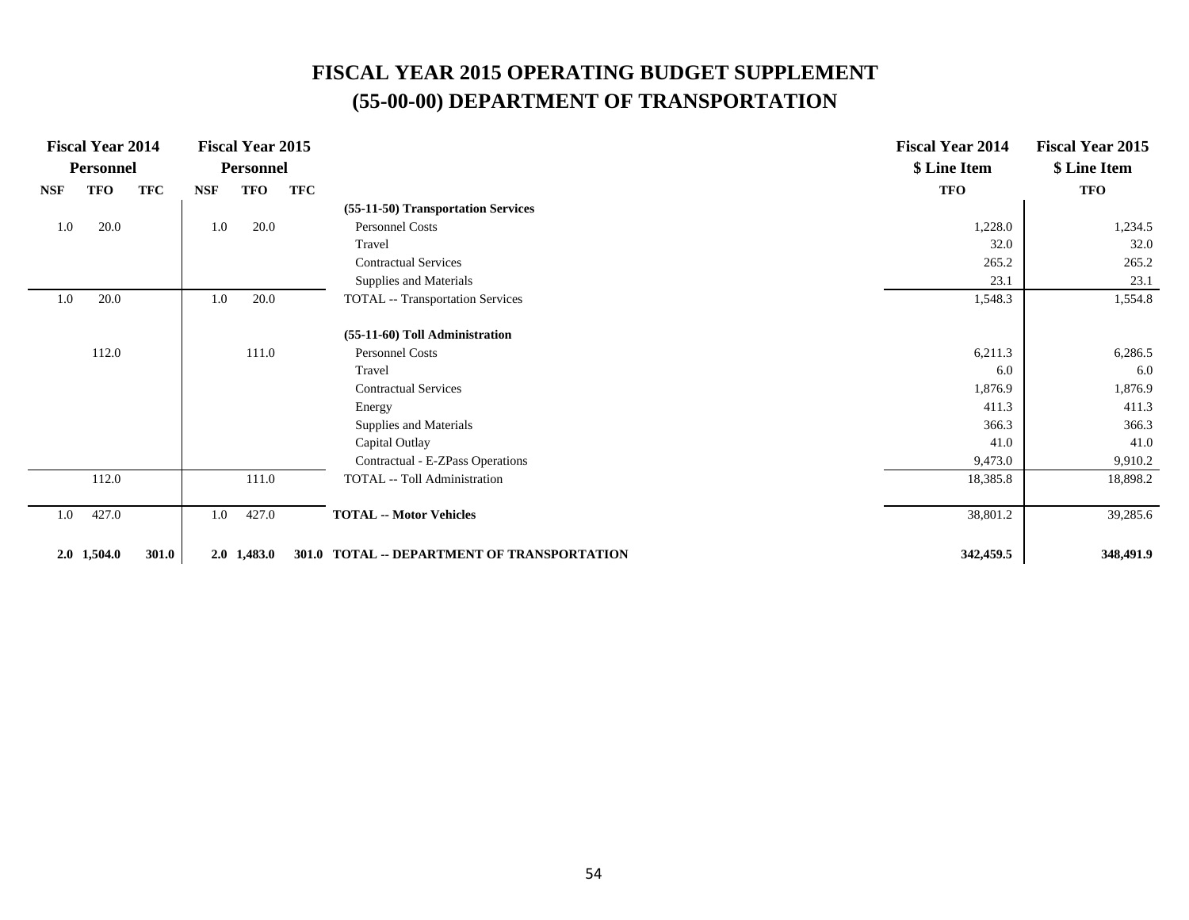|            | <b>Fiscal Year 2014</b> |            |            | <b>Fiscal Year 2015</b> |            |                                             | <b>Fiscal Year 2014</b> | <b>Fiscal Year 2015</b> |
|------------|-------------------------|------------|------------|-------------------------|------------|---------------------------------------------|-------------------------|-------------------------|
|            | <b>Personnel</b>        |            |            | <b>Personnel</b>        |            |                                             | \$ Line Item            | \$ Line Item            |
| <b>NSF</b> | TFO                     | <b>TFC</b> | <b>NSF</b> | TFO                     | <b>TFC</b> |                                             | <b>TFO</b>              | <b>TFO</b>              |
|            |                         |            |            |                         |            | (55-11-50) Transportation Services          |                         |                         |
| 1.0        | 20.0                    |            | 1.0        | 20.0                    |            | <b>Personnel Costs</b>                      | 1,228.0                 | 1,234.5                 |
|            |                         |            |            |                         |            | Travel                                      | 32.0                    | 32.0                    |
|            |                         |            |            |                         |            | <b>Contractual Services</b>                 | 265.2                   | 265.2                   |
|            |                         |            |            |                         |            | Supplies and Materials                      | 23.1                    | 23.1                    |
| 1.0        | 20.0                    |            | 1.0        | 20.0                    |            | <b>TOTAL</b> -- Transportation Services     | 1,548.3                 | 1,554.8                 |
|            |                         |            |            |                         |            | (55-11-60) Toll Administration              |                         |                         |
|            | 112.0                   |            |            | 111.0                   |            | <b>Personnel Costs</b>                      | 6,211.3                 | 6,286.5                 |
|            |                         |            |            |                         |            | Travel                                      | 6.0                     | 6.0                     |
|            |                         |            |            |                         |            | <b>Contractual Services</b>                 | 1,876.9                 | 1,876.9                 |
|            |                         |            |            |                         |            | Energy                                      | 411.3                   | 411.3                   |
|            |                         |            |            |                         |            | Supplies and Materials                      | 366.3                   | 366.3                   |
|            |                         |            |            |                         |            | Capital Outlay                              | 41.0                    | 41.0                    |
|            |                         |            |            |                         |            | Contractual - E-ZPass Operations            | 9,473.0                 | 9,910.2                 |
|            | 112.0                   |            |            | 111.0                   |            | TOTAL -- Toll Administration                | 18,385.8                | 18,898.2                |
| 1.0        | 427.0                   |            | 1.0        | 427.0                   |            | <b>TOTAL -- Motor Vehicles</b>              | 38,801.2                | 39,285.6                |
|            | $2.0$ 1,504.0           | 301.0      |            | $2.0$ 1,483.0           |            | 301.0 TOTAL -- DEPARTMENT OF TRANSPORTATION | 342,459.5               | 348,491.9               |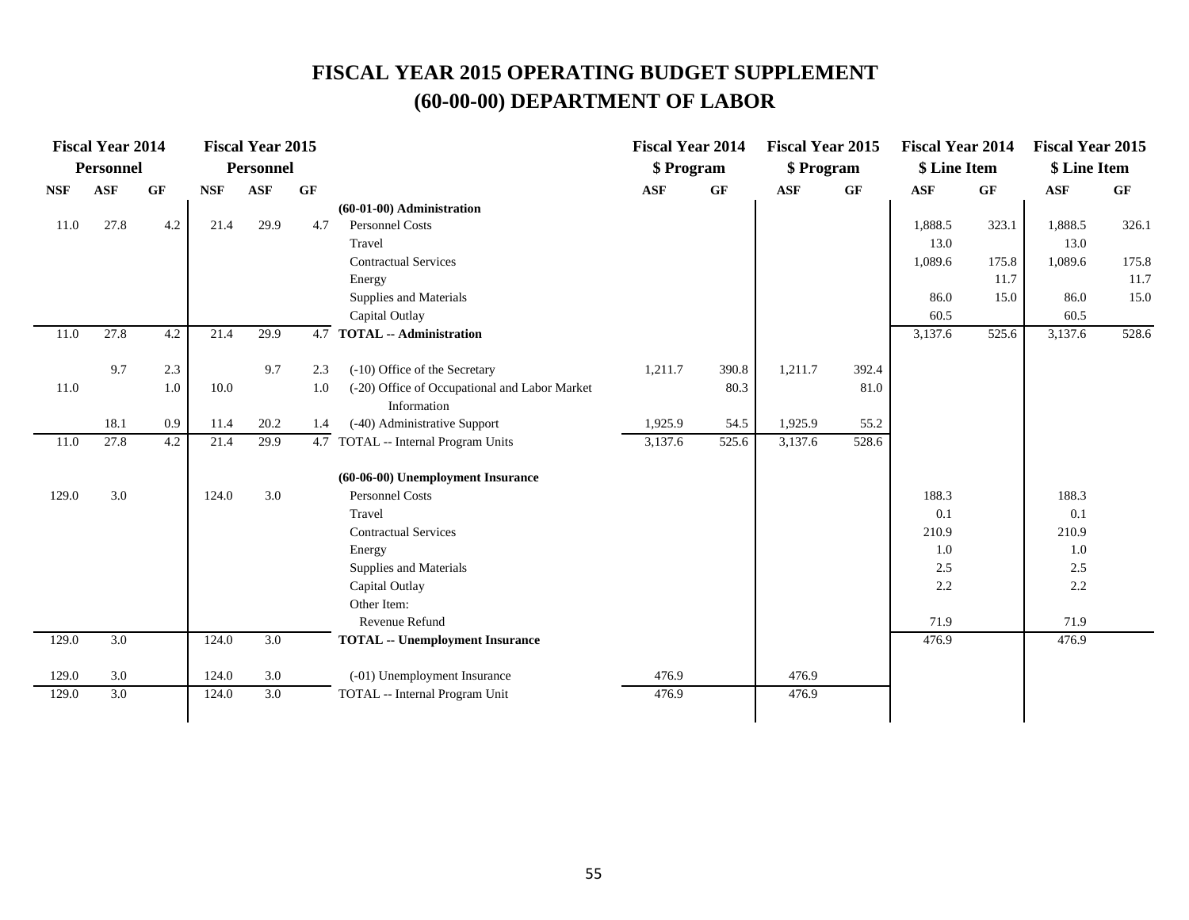|            | <b>Fiscal Year 2014</b> |     |            | <b>Fiscal Year 2015</b> |     |                                               | <b>Fiscal Year 2014</b> |                 | <b>Fiscal Year 2015</b> |           | <b>Fiscal Year 2014</b> |           | <b>Fiscal Year 2015</b> |       |
|------------|-------------------------|-----|------------|-------------------------|-----|-----------------------------------------------|-------------------------|-----------------|-------------------------|-----------|-------------------------|-----------|-------------------------|-------|
|            | <b>Personnel</b>        |     |            | <b>Personnel</b>        |     |                                               | \$ Program              |                 | \$ Program              |           | \$ Line Item            |           | \$ Line Item            |       |
| <b>NSF</b> | <b>ASF</b>              | GF  | <b>NSF</b> | <b>ASF</b>              | GF  |                                               | <b>ASF</b>              | $\bf{G} \bf{F}$ | <b>ASF</b>              | <b>GF</b> | <b>ASF</b>              | <b>GF</b> | <b>ASF</b>              | GF    |
|            |                         |     |            |                         |     | (60-01-00) Administration                     |                         |                 |                         |           |                         |           |                         |       |
| 11.0       | 27.8                    | 4.2 | 21.4       | 29.9                    | 4.7 | <b>Personnel Costs</b>                        |                         |                 |                         |           | 1,888.5                 | 323.1     | 1,888.5                 | 326.1 |
|            |                         |     |            |                         |     | Travel                                        |                         |                 |                         |           | 13.0                    |           | 13.0                    |       |
|            |                         |     |            |                         |     | <b>Contractual Services</b>                   |                         |                 |                         |           | 1,089.6                 | 175.8     | 1,089.6                 | 175.8 |
|            |                         |     |            |                         |     | Energy                                        |                         |                 |                         |           |                         | 11.7      |                         | 11.7  |
|            |                         |     |            |                         |     | Supplies and Materials                        |                         |                 |                         |           | 86.0                    | 15.0      | 86.0                    | 15.0  |
|            |                         |     |            |                         |     | Capital Outlay                                |                         |                 |                         |           | 60.5                    |           | 60.5                    |       |
| 11.0       | 27.8                    | 4.2 | 21.4       | 29.9                    | 4.7 | <b>TOTAL -- Administration</b>                |                         |                 |                         |           | 3,137.6                 | 525.6     | 3,137.6                 | 528.6 |
|            | 9.7                     | 2.3 |            | 9.7                     | 2.3 | (-10) Office of the Secretary                 | 1,211.7                 | 390.8           | 1,211.7                 | 392.4     |                         |           |                         |       |
| 11.0       |                         | 1.0 | 10.0       |                         | 1.0 | (-20) Office of Occupational and Labor Market |                         | 80.3            |                         | 81.0      |                         |           |                         |       |
|            |                         |     |            |                         |     | Information                                   |                         |                 |                         |           |                         |           |                         |       |
|            | 18.1                    | 0.9 | 11.4       | 20.2                    | 1.4 | (-40) Administrative Support                  | 1,925.9                 | 54.5            | 1,925.9                 | 55.2      |                         |           |                         |       |
| 11.0       | 27.8                    | 4.2 | 21.4       | 29.9                    |     | 4.7 TOTAL -- Internal Program Units           | 3,137.6                 | 525.6           | 3,137.6                 | 528.6     |                         |           |                         |       |
|            |                         |     |            |                         |     | (60-06-00) Unemployment Insurance             |                         |                 |                         |           |                         |           |                         |       |
| 129.0      | 3.0                     |     | 124.0      | 3.0                     |     | <b>Personnel Costs</b>                        |                         |                 |                         |           | 188.3                   |           | 188.3                   |       |
|            |                         |     |            |                         |     | Travel                                        |                         |                 |                         |           | 0.1                     |           | 0.1                     |       |
|            |                         |     |            |                         |     | <b>Contractual Services</b>                   |                         |                 |                         |           | 210.9                   |           | 210.9                   |       |
|            |                         |     |            |                         |     | Energy                                        |                         |                 |                         |           | 1.0                     |           | 1.0                     |       |
|            |                         |     |            |                         |     | Supplies and Materials                        |                         |                 |                         |           | 2.5                     |           | 2.5                     |       |
|            |                         |     |            |                         |     | Capital Outlay                                |                         |                 |                         |           | 2.2                     |           | 2.2                     |       |
|            |                         |     |            |                         |     | Other Item:                                   |                         |                 |                         |           |                         |           |                         |       |
|            |                         |     |            |                         |     | Revenue Refund                                |                         |                 |                         |           | 71.9                    |           | 71.9                    |       |
| 129.0      | $\overline{3.0}$        |     | 124.0      | $\overline{3.0}$        |     | <b>TOTAL -- Unemployment Insurance</b>        |                         |                 |                         |           | 476.9                   |           | 476.9                   |       |
| 129.0      | 3.0                     |     | 124.0      | 3.0                     |     | (-01) Unemployment Insurance                  | 476.9                   |                 | 476.9                   |           |                         |           |                         |       |
| 129.0      | 3.0                     |     | 124.0      | 3.0                     |     | TOTAL -- Internal Program Unit                | 476.9                   |                 | 476.9                   |           |                         |           |                         |       |
|            |                         |     |            |                         |     |                                               |                         |                 |                         |           |                         |           |                         |       |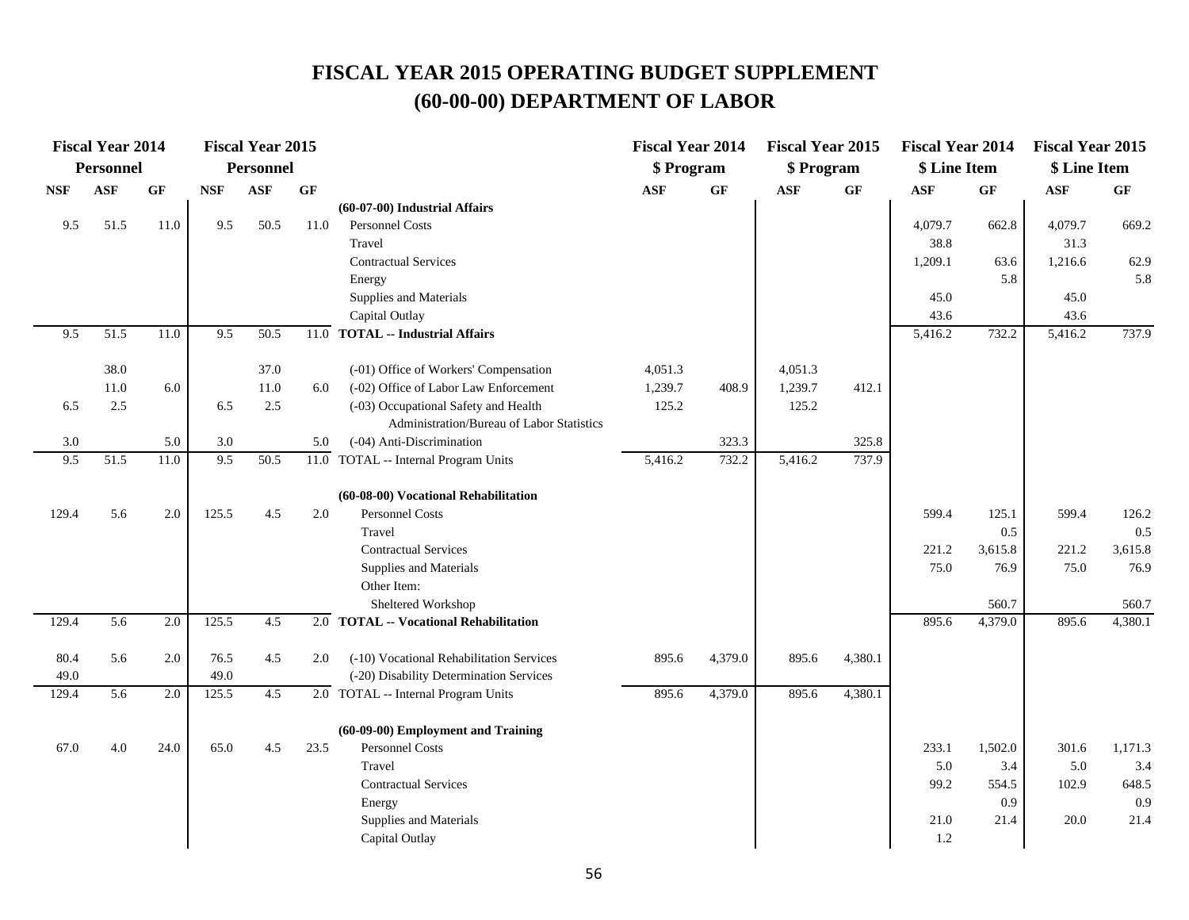|            | <b>Fiscal Year 2014</b> |      |            | <b>Fiscal Year 2015</b> |      |                                                   | <b>Fiscal Year 2014</b> |                 | <b>Fiscal Year 2015</b> |         | <b>Fiscal Year 2014</b> |           | <b>Fiscal Year 2015</b> |         |
|------------|-------------------------|------|------------|-------------------------|------|---------------------------------------------------|-------------------------|-----------------|-------------------------|---------|-------------------------|-----------|-------------------------|---------|
|            | <b>Personnel</b>        |      |            | <b>Personnel</b>        |      |                                                   | \$ Program              |                 | \$ Program              |         | \$ Line Item            |           | \$ Line Item            |         |
| <b>NSF</b> | <b>ASF</b>              | GF   | <b>NSF</b> | <b>ASF</b>              | GF   |                                                   | <b>ASF</b>              | $\bf{G} \bf{F}$ | <b>ASF</b>              | GF      | <b>ASF</b>              | <b>GF</b> | <b>ASF</b>              | GF      |
|            |                         |      |            |                         |      | (60-07-00) Industrial Affairs                     |                         |                 |                         |         |                         |           |                         |         |
| 9.5        | 51.5                    | 11.0 | 9.5        | 50.5                    | 11.0 | Personnel Costs                                   |                         |                 |                         |         | 4,079.7                 | 662.8     | 4,079.7                 | 669.2   |
|            |                         |      |            |                         |      | Travel                                            |                         |                 |                         |         | 38.8                    |           | 31.3                    |         |
|            |                         |      |            |                         |      | <b>Contractual Services</b>                       |                         |                 |                         |         | 1,209.1                 | 63.6      | 1,216.6                 | 62.9    |
|            |                         |      |            |                         |      | Energy                                            |                         |                 |                         |         |                         | 5.8       |                         | 5.8     |
|            |                         |      |            |                         |      | Supplies and Materials                            |                         |                 |                         |         | 45.0                    |           | 45.0                    |         |
|            |                         |      |            |                         |      | Capital Outlay                                    |                         |                 |                         |         | 43.6                    |           | 43.6                    |         |
| 9.5        | 51.5                    | 11.0 | 9.5        | 50.5                    | 11.0 | <b>TOTAL -- Industrial Affairs</b>                |                         |                 |                         |         | 5,416.2                 | 732.2     | 5,416.2                 | 737.9   |
|            | 38.0                    |      |            | 37.0                    |      | (-01) Office of Workers' Compensation             | 4,051.3                 |                 | 4,051.3                 |         |                         |           |                         |         |
|            | 11.0                    | 6.0  |            | 11.0                    | 6.0  | (-02) Office of Labor Law Enforcement             | 1,239.7                 | 408.9           | 1,239.7                 | 412.1   |                         |           |                         |         |
| 6.5        | 2.5                     |      | 6.5        | 2.5                     |      | (-03) Occupational Safety and Health              | 125.2                   |                 | 125.2                   |         |                         |           |                         |         |
|            |                         |      |            |                         |      | Administration/Bureau of Labor Statistics         |                         |                 |                         |         |                         |           |                         |         |
| 3.0        |                         | 5.0  | 3.0        |                         | 5.0  | (-04) Anti-Discrimination                         |                         | 323.3           |                         | 325.8   |                         |           |                         |         |
| 9.5        | 51.5                    | 11.0 | 9.5        | 50.5                    |      | $\overline{11.0}$ TOTAL -- Internal Program Units | 5,416.2                 | 732.2           | 5,416.2                 | 737.9   |                         |           |                         |         |
|            |                         |      |            |                         |      | (60-08-00) Vocational Rehabilitation              |                         |                 |                         |         |                         |           |                         |         |
| 129.4      | 5.6                     | 2.0  | 125.5      | 4.5                     | 2.0  | <b>Personnel Costs</b>                            |                         |                 |                         |         | 599.4                   | 125.1     | 599.4                   | 126.2   |
|            |                         |      |            |                         |      | Travel                                            |                         |                 |                         |         |                         | 0.5       |                         | 0.5     |
|            |                         |      |            |                         |      | <b>Contractual Services</b>                       |                         |                 |                         |         | 221.2                   | 3,615.8   | 221.2                   | 3,615.8 |
|            |                         |      |            |                         |      | Supplies and Materials                            |                         |                 |                         |         | 75.0                    | 76.9      | 75.0                    | 76.9    |
|            |                         |      |            |                         |      | Other Item:                                       |                         |                 |                         |         |                         |           |                         |         |
|            |                         |      |            |                         |      | Sheltered Workshop                                |                         |                 |                         |         |                         | 560.7     |                         | 560.7   |
| 129.4      | 5.6                     | 2.0  | 125.5      | 4.5                     |      | 2.0 TOTAL -- Vocational Rehabilitation            |                         |                 |                         |         | 895.6                   | 4,379.0   | 895.6                   | 4,380.1 |
| 80.4       | 5.6                     | 2.0  | 76.5       | 4.5                     | 2.0  | (-10) Vocational Rehabilitation Services          | 895.6                   | 4,379.0         | 895.6                   | 4,380.1 |                         |           |                         |         |
| 49.0       |                         |      | 49.0       |                         |      | (-20) Disability Determination Services           |                         |                 |                         |         |                         |           |                         |         |
| 129.4      | 5.6                     | 2.0  | 125.5      | 4.5                     |      | 2.0 TOTAL -- Internal Program Units               | 895.6                   | 4,379.0         | 895.6                   | 4,380.1 |                         |           |                         |         |
|            |                         |      |            |                         |      | (60-09-00) Employment and Training                |                         |                 |                         |         |                         |           |                         |         |
| 67.0       | 4.0                     | 24.0 | 65.0       | 4.5                     | 23.5 | Personnel Costs                                   |                         |                 |                         |         | 233.1                   | 1,502.0   | 301.6                   | 1,171.3 |
|            |                         |      |            |                         |      | Travel                                            |                         |                 |                         |         | 5.0                     | 3.4       | 5.0                     | 3.4     |
|            |                         |      |            |                         |      | <b>Contractual Services</b>                       |                         |                 |                         |         | 99.2                    | 554.5     | 102.9                   | 648.5   |
|            |                         |      |            |                         |      | Energy                                            |                         |                 |                         |         |                         | 0.9       |                         | 0.9     |
|            |                         |      |            |                         |      | Supplies and Materials                            |                         |                 |                         |         | 21.0                    | 21.4      | 20.0                    | 21.4    |
|            |                         |      |            |                         |      | Capital Outlay                                    |                         |                 |                         |         | 1.2                     |           |                         |         |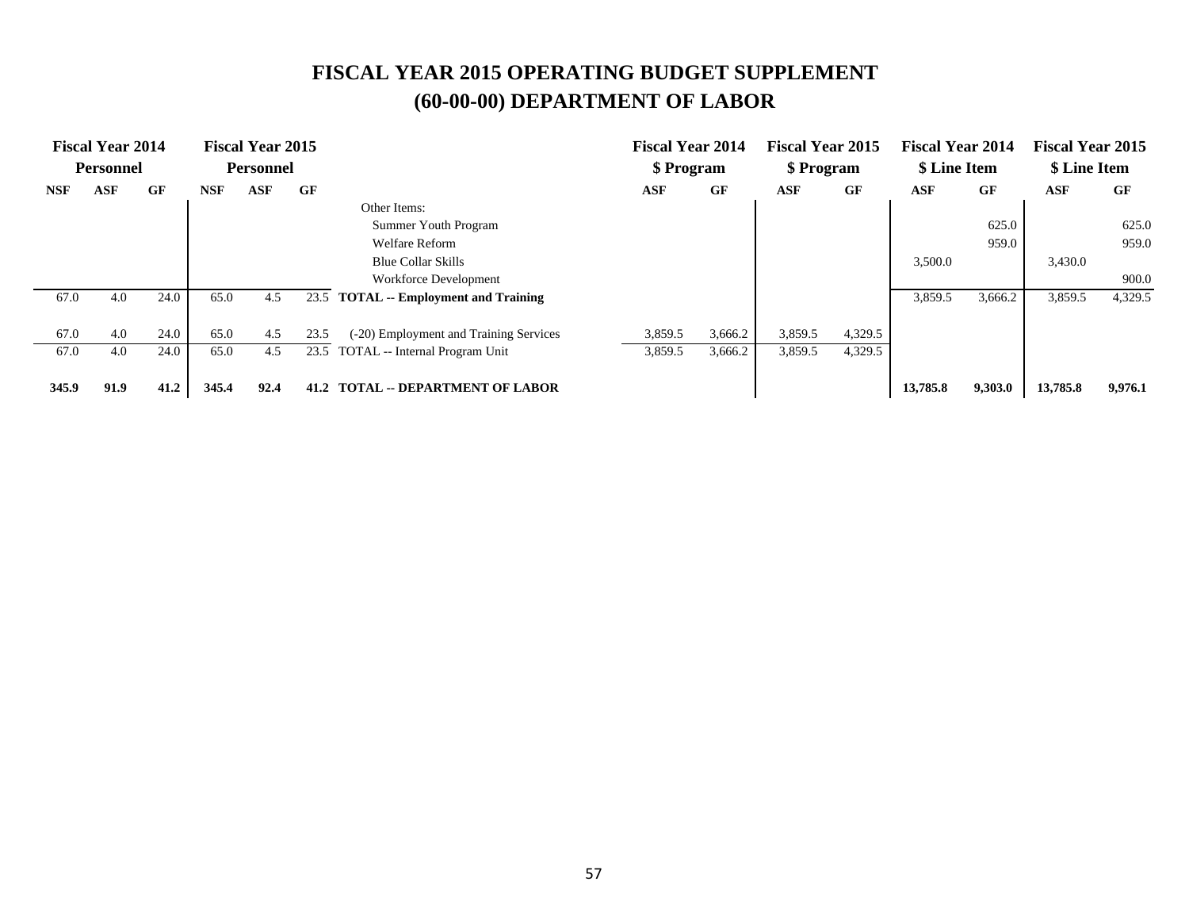|            | <b>Fiscal Year 2014</b> |      |            | <b>Fiscal Year 2015</b> |      |                                         | <b>Fiscal Year 2014</b> |         | <b>Fiscal Year 2015</b> |         | <b>Fiscal Year 2014</b> |         | <b>Fiscal Year 2015</b> |         |
|------------|-------------------------|------|------------|-------------------------|------|-----------------------------------------|-------------------------|---------|-------------------------|---------|-------------------------|---------|-------------------------|---------|
|            | <b>Personnel</b>        |      |            | <b>Personnel</b>        |      |                                         | \$ Program              |         | \$ Program              |         | \$ Line Item            |         | \$ Line Item            |         |
| <b>NSF</b> | <b>ASF</b>              | GF   | <b>NSF</b> | <b>ASF</b>              | GF   |                                         | <b>ASF</b>              | GF      | ASF                     | GF      | <b>ASF</b>              | GF      | ASF                     | GF      |
|            |                         |      |            |                         |      | Other Items:                            |                         |         |                         |         |                         |         |                         |         |
|            |                         |      |            |                         |      | Summer Youth Program                    |                         |         |                         |         |                         | 625.0   |                         | 625.0   |
|            |                         |      |            |                         |      | <b>Welfare Reform</b>                   |                         |         |                         |         |                         | 959.0   |                         | 959.0   |
|            |                         |      |            |                         |      | <b>Blue Collar Skills</b>               |                         |         |                         |         | 3,500.0                 |         | 3,430.0                 |         |
|            |                         |      |            |                         |      | Workforce Development                   |                         |         |                         |         |                         |         |                         | 900.0   |
| 67.0       | 4.0                     | 24.0 | 65.0       | 4.5                     | 23.5 | <b>TOTAL</b> -- Employment and Training |                         |         |                         |         | 3,859.5                 | 3,666.2 | 3,859.5                 | 4,329.5 |
|            |                         |      |            |                         |      |                                         |                         |         |                         |         |                         |         |                         |         |
| 67.0       | 4.0                     | 24.0 | 65.0       | 4.5                     | 23.5 | (-20) Employment and Training Services  | 3,859.5                 | 3,666.2 | 3,859.5                 | 4,329.5 |                         |         |                         |         |
| 67.0       | 4.0                     | 24.0 | 65.0       | 4.5                     | 23.5 | TOTAL -- Internal Program Unit          | 3,859.5                 | 3,666.2 | 3,859.5                 | 4,329.5 |                         |         |                         |         |
| 345.9      | 91.9                    | 41.2 | 345.4      | 92.4                    | 41.2 | <b>TOTAL -- DEPARTMENT OF LABOR</b>     |                         |         |                         |         | 13,785.8                | 9,303.0 | 13,785.8                | 9,976.1 |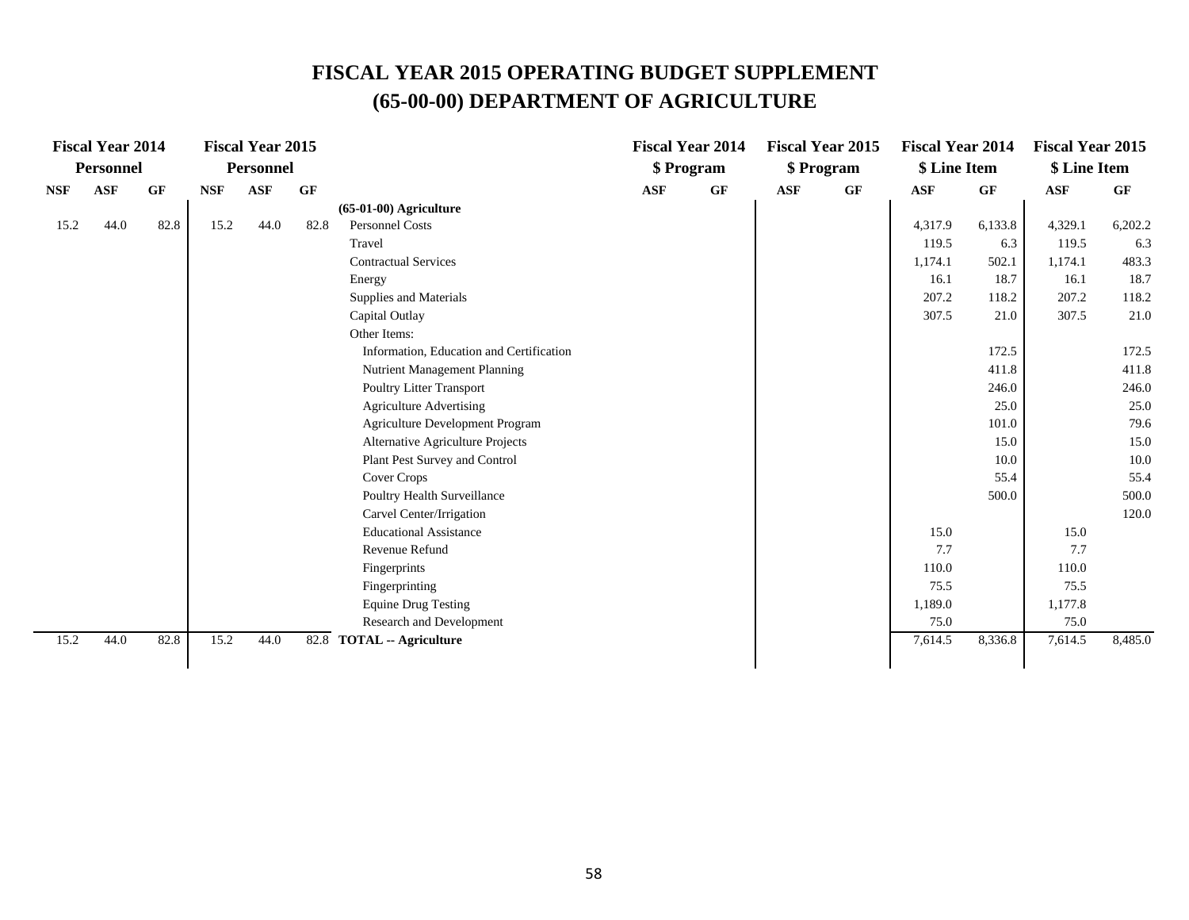## **FISCAL YEAR 2015 OPERATING BUDGET SUPPLEMENT (65-00-00) DEPARTMENT OF AGRICULTURE**

|            | <b>Fiscal Year 2014</b> |      |            | <b>Fiscal Year 2015</b> |      |                                          |            | <b>Fiscal Year 2014</b> |            | <b>Fiscal Year 2015</b> | <b>Fiscal Year 2014</b> |         | <b>Fiscal Year 2015</b> |           |
|------------|-------------------------|------|------------|-------------------------|------|------------------------------------------|------------|-------------------------|------------|-------------------------|-------------------------|---------|-------------------------|-----------|
|            | <b>Personnel</b>        |      |            | <b>Personnel</b>        |      |                                          |            | \$ Program              |            | \$ Program              | \$ Line Item            |         | \$ Line Item            |           |
| <b>NSF</b> | <b>ASF</b>              | GF   | <b>NSF</b> | <b>ASF</b>              | GF   |                                          | <b>ASF</b> | GF                      | <b>ASF</b> | GF                      | <b>ASF</b>              | GF      | <b>ASF</b>              | <b>GF</b> |
|            |                         |      |            |                         |      | $(65-01-00)$ Agriculture                 |            |                         |            |                         |                         |         |                         |           |
| 15.2       | 44.0                    | 82.8 | 15.2       | 44.0                    | 82.8 | Personnel Costs                          |            |                         |            |                         | 4,317.9                 | 6,133.8 | 4,329.1                 | 6,202.2   |
|            |                         |      |            |                         |      | Travel                                   |            |                         |            |                         | 119.5                   | 6.3     | 119.5                   | 6.3       |
|            |                         |      |            |                         |      | <b>Contractual Services</b>              |            |                         |            |                         | 1,174.1                 | 502.1   | 1,174.1                 | 483.3     |
|            |                         |      |            |                         |      | Energy                                   |            |                         |            |                         | 16.1                    | 18.7    | 16.1                    | 18.7      |
|            |                         |      |            |                         |      | Supplies and Materials                   |            |                         |            |                         | 207.2                   | 118.2   | 207.2                   | 118.2     |
|            |                         |      |            |                         |      | Capital Outlay                           |            |                         |            |                         | 307.5                   | 21.0    | 307.5                   | 21.0      |
|            |                         |      |            |                         |      | Other Items:                             |            |                         |            |                         |                         |         |                         |           |
|            |                         |      |            |                         |      | Information, Education and Certification |            |                         |            |                         |                         | 172.5   |                         | 172.5     |
|            |                         |      |            |                         |      | Nutrient Management Planning             |            |                         |            |                         |                         | 411.8   |                         | 411.8     |
|            |                         |      |            |                         |      | <b>Poultry Litter Transport</b>          |            |                         |            |                         |                         | 246.0   |                         | 246.0     |
|            |                         |      |            |                         |      | <b>Agriculture Advertising</b>           |            |                         |            |                         |                         | 25.0    |                         | 25.0      |
|            |                         |      |            |                         |      | Agriculture Development Program          |            |                         |            |                         |                         | 101.0   |                         | 79.6      |
|            |                         |      |            |                         |      | Alternative Agriculture Projects         |            |                         |            |                         |                         | 15.0    |                         | 15.0      |
|            |                         |      |            |                         |      | Plant Pest Survey and Control            |            |                         |            |                         |                         | 10.0    |                         | 10.0      |
|            |                         |      |            |                         |      | Cover Crops                              |            |                         |            |                         |                         | 55.4    |                         | 55.4      |
|            |                         |      |            |                         |      | <b>Poultry Health Surveillance</b>       |            |                         |            |                         |                         | 500.0   |                         | 500.0     |
|            |                         |      |            |                         |      | Carvel Center/Irrigation                 |            |                         |            |                         |                         |         |                         | 120.0     |
|            |                         |      |            |                         |      | <b>Educational Assistance</b>            |            |                         |            |                         | 15.0                    |         | 15.0                    |           |
|            |                         |      |            |                         |      | Revenue Refund                           |            |                         |            |                         | 7.7                     |         | 7.7                     |           |
|            |                         |      |            |                         |      | Fingerprints                             |            |                         |            |                         | 110.0                   |         | 110.0                   |           |
|            |                         |      |            |                         |      | Fingerprinting                           |            |                         |            |                         | 75.5                    |         | 75.5                    |           |
|            |                         |      |            |                         |      | <b>Equine Drug Testing</b>               |            |                         |            |                         | 1,189.0                 |         | 1,177.8                 |           |
|            |                         |      |            |                         |      | Research and Development                 |            |                         |            |                         | 75.0                    |         | 75.0                    |           |
| 15.2       | 44.0                    | 82.8 | 15.2       | 44.0                    |      | 82.8 TOTAL -- Agriculture                |            |                         |            |                         | 7,614.5                 | 8,336.8 | 7,614.5                 | 8,485.0   |
|            |                         |      |            |                         |      |                                          |            |                         |            |                         |                         |         |                         |           |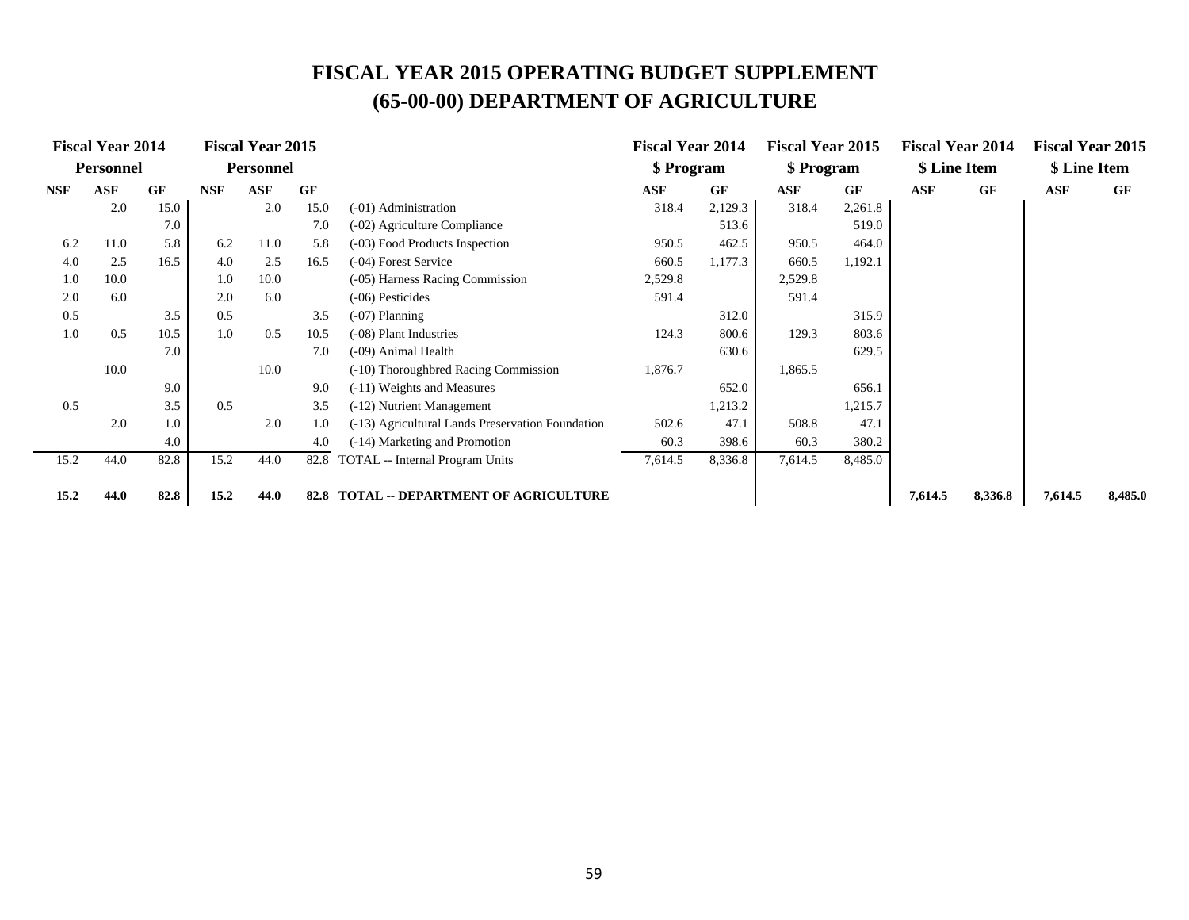## **FISCAL YEAR 2015 OPERATING BUDGET SUPPLEMENT (65-00-00) DEPARTMENT OF AGRICULTURE**

|            | <b>Fiscal Year 2014</b> |      |            | <b>Fiscal Year 2015</b> |      |                                                  | <b>Fiscal Year 2014</b> |           | <b>Fiscal Year 2015</b> |           | <b>Fiscal Year 2014</b> |           | <b>Fiscal Year 2015</b> |           |
|------------|-------------------------|------|------------|-------------------------|------|--------------------------------------------------|-------------------------|-----------|-------------------------|-----------|-------------------------|-----------|-------------------------|-----------|
|            | <b>Personnel</b>        |      |            | <b>Personnel</b>        |      |                                                  | \$ Program              |           | \$ Program              |           | \$ Line Item            |           | \$ Line Item            |           |
| <b>NSF</b> | ASF                     | GF   | <b>NSF</b> | ASF                     | GF   |                                                  | ASF                     | <b>GF</b> | ASF                     | <b>GF</b> | ASF                     | <b>GF</b> | ASF                     | <b>GF</b> |
|            | 2.0                     | 15.0 |            | 2.0                     | 15.0 | (-01) Administration                             | 318.4                   | 2,129.3   | 318.4                   | 2,261.8   |                         |           |                         |           |
|            |                         | 7.0  |            |                         | 7.0  | (-02) Agriculture Compliance                     |                         | 513.6     |                         | 519.0     |                         |           |                         |           |
| 6.2        | 11.0                    | 5.8  | 6.2        | 11.0                    | 5.8  | (-03) Food Products Inspection                   | 950.5                   | 462.5     | 950.5                   | 464.0     |                         |           |                         |           |
| 4.0        | 2.5                     | 16.5 | 4.0        | 2.5                     | 16.5 | (-04) Forest Service                             | 660.5                   | 1,177.3   | 660.5                   | 1,192.1   |                         |           |                         |           |
| 1.0        | 10.0                    |      | 1.0        | 10.0                    |      | (-05) Harness Racing Commission                  | 2,529.8                 |           | 2,529.8                 |           |                         |           |                         |           |
| 2.0        | 6.0                     |      | 2.0        | 6.0                     |      | $(-06)$ Pesticides                               | 591.4                   |           | 591.4                   |           |                         |           |                         |           |
| 0.5        |                         | 3.5  | 0.5        |                         | 3.5  | $(-07)$ Planning                                 |                         | 312.0     |                         | 315.9     |                         |           |                         |           |
| 1.0        | 0.5                     | 10.5 | 1.0        | 0.5                     | 10.5 | (-08) Plant Industries                           | 124.3                   | 800.6     | 129.3                   | 803.6     |                         |           |                         |           |
|            |                         | 7.0  |            |                         | 7.0  | (-09) Animal Health                              |                         | 630.6     |                         | 629.5     |                         |           |                         |           |
|            | 10.0                    |      |            | 10.0                    |      | (-10) Thoroughbred Racing Commission             | 1,876.7                 |           | 1,865.5                 |           |                         |           |                         |           |
|            |                         | 9.0  |            |                         | 9.0  | (-11) Weights and Measures                       |                         | 652.0     |                         | 656.1     |                         |           |                         |           |
| 0.5        |                         | 3.5  | 0.5        |                         | 3.5  | (-12) Nutrient Management                        |                         | 1,213.2   |                         | 1,215.7   |                         |           |                         |           |
|            | 2.0                     | 1.0  |            | 2.0                     | 1.0  | (-13) Agricultural Lands Preservation Foundation | 502.6                   | 47.1      | 508.8                   | 47.1      |                         |           |                         |           |
|            |                         | 4.0  |            |                         | 4.0  | (-14) Marketing and Promotion                    | 60.3                    | 398.6     | 60.3                    | 380.2     |                         |           |                         |           |
| 15.2       | 44.0                    | 82.8 | 15.2       | 44.0                    | 82.8 | TOTAL -- Internal Program Units                  | 7,614.5                 | 8,336.8   | 7,614.5                 | 8,485.0   |                         |           |                         |           |
| 15.2       | 44.0                    | 82.8 | 15.2       | 44.0                    | 82.8 | <b>TOTAL -- DEPARTMENT OF AGRICULTURE</b>        |                         |           |                         |           | 7,614.5                 | 8,336.8   | 7,614.5                 | 8,485.0   |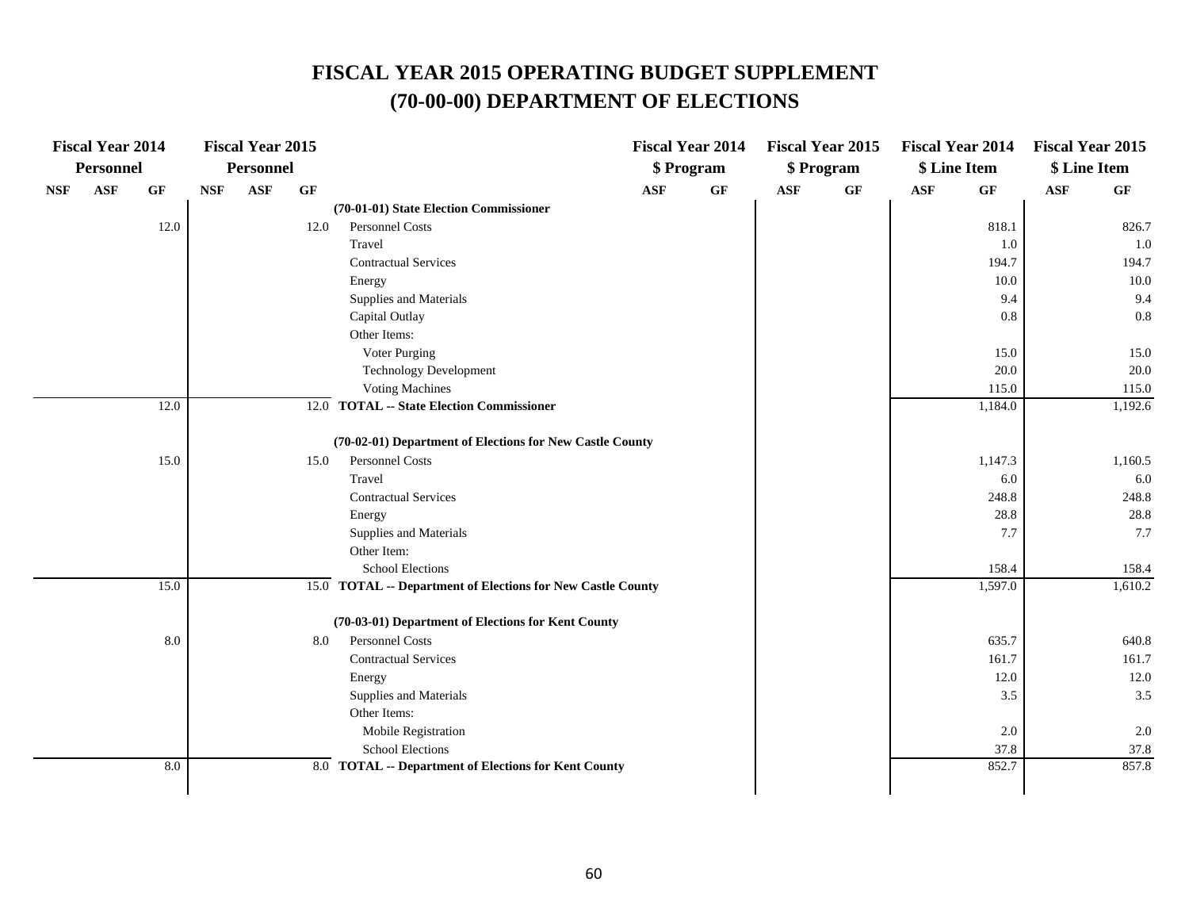|            | <b>Fiscal Year 2014</b> |      |            | <b>Fiscal Year 2015</b> |      |                                                             |            | <b>Fiscal Year 2014</b> |            | <b>Fiscal Year 2015</b> | <b>Fiscal Year 2014</b> |         | <b>Fiscal Year 2015</b> |         |
|------------|-------------------------|------|------------|-------------------------|------|-------------------------------------------------------------|------------|-------------------------|------------|-------------------------|-------------------------|---------|-------------------------|---------|
|            | Personnel               |      |            | Personnel               |      |                                                             |            | \$ Program              |            | \$ Program              | \$ Line Item            |         | \$ Line Item            |         |
| <b>NSF</b> | <b>ASF</b>              | GF   | <b>NSF</b> | ASF                     | GF   |                                                             | <b>ASF</b> | GF                      | <b>ASF</b> | GF                      | <b>ASF</b>              | GF      | ASF                     | GF      |
|            |                         |      |            |                         |      | (70-01-01) State Election Commissioner                      |            |                         |            |                         |                         |         |                         |         |
|            |                         | 12.0 |            |                         | 12.0 | Personnel Costs                                             |            |                         |            |                         |                         | 818.1   |                         | 826.7   |
|            |                         |      |            |                         |      | Travel                                                      |            |                         |            |                         |                         | 1.0     |                         | 1.0     |
|            |                         |      |            |                         |      | <b>Contractual Services</b>                                 |            |                         |            |                         |                         | 194.7   |                         | 194.7   |
|            |                         |      |            |                         |      | Energy                                                      |            |                         |            |                         |                         | 10.0    |                         | 10.0    |
|            |                         |      |            |                         |      | Supplies and Materials                                      |            |                         |            |                         |                         | 9.4     |                         | 9.4     |
|            |                         |      |            |                         |      | Capital Outlay                                              |            |                         |            |                         |                         | 0.8     |                         | 0.8     |
|            |                         |      |            |                         |      | Other Items:                                                |            |                         |            |                         |                         |         |                         |         |
|            |                         |      |            |                         |      | Voter Purging                                               |            |                         |            |                         |                         | 15.0    |                         | 15.0    |
|            |                         |      |            |                         |      | <b>Technology Development</b>                               |            |                         |            |                         |                         | 20.0    |                         | 20.0    |
|            |                         |      |            |                         |      | <b>Voting Machines</b>                                      |            |                         |            |                         |                         | 115.0   |                         | 115.0   |
|            |                         | 12.0 |            |                         |      | 12.0 TOTAL -- State Election Commissioner                   |            |                         |            |                         |                         | 1,184.0 |                         | 1,192.6 |
|            |                         |      |            |                         |      | (70-02-01) Department of Elections for New Castle County    |            |                         |            |                         |                         |         |                         |         |
|            |                         | 15.0 |            |                         | 15.0 | Personnel Costs                                             |            |                         |            |                         |                         | 1,147.3 |                         | 1,160.5 |
|            |                         |      |            |                         |      | Travel                                                      |            |                         |            |                         |                         | 6.0     |                         | 6.0     |
|            |                         |      |            |                         |      | <b>Contractual Services</b>                                 |            |                         |            |                         |                         | 248.8   |                         | 248.8   |
|            |                         |      |            |                         |      | Energy                                                      |            |                         |            |                         |                         | 28.8    |                         | 28.8    |
|            |                         |      |            |                         |      | Supplies and Materials                                      |            |                         |            |                         |                         | 7.7     |                         | 7.7     |
|            |                         |      |            |                         |      | Other Item:                                                 |            |                         |            |                         |                         |         |                         |         |
|            |                         |      |            |                         |      | <b>School Elections</b>                                     |            |                         |            |                         |                         | 158.4   |                         | 158.4   |
|            |                         | 15.0 |            |                         |      | 15.0 TOTAL -- Department of Elections for New Castle County |            |                         |            |                         |                         | 1,597.0 |                         | 1,610.2 |
|            |                         |      |            |                         |      | (70-03-01) Department of Elections for Kent County          |            |                         |            |                         |                         |         |                         |         |
|            |                         | 8.0  |            |                         | 8.0  | Personnel Costs                                             |            |                         |            |                         |                         | 635.7   |                         | 640.8   |
|            |                         |      |            |                         |      | <b>Contractual Services</b>                                 |            |                         |            |                         |                         | 161.7   |                         | 161.7   |
|            |                         |      |            |                         |      | Energy                                                      |            |                         |            |                         |                         | 12.0    |                         | 12.0    |
|            |                         |      |            |                         |      | Supplies and Materials                                      |            |                         |            |                         |                         | 3.5     |                         | 3.5     |
|            |                         |      |            |                         |      | Other Items:                                                |            |                         |            |                         |                         |         |                         |         |
|            |                         |      |            |                         |      | Mobile Registration                                         |            |                         |            |                         |                         | 2.0     |                         | $2.0\,$ |
|            |                         |      |            |                         |      | <b>School Elections</b>                                     |            |                         |            |                         |                         | 37.8    |                         | 37.8    |
|            |                         | 8.0  |            |                         |      | 8.0 TOTAL -- Department of Elections for Kent County        |            |                         |            |                         |                         | 852.7   |                         | 857.8   |
|            |                         |      |            |                         |      |                                                             |            |                         |            |                         |                         |         |                         |         |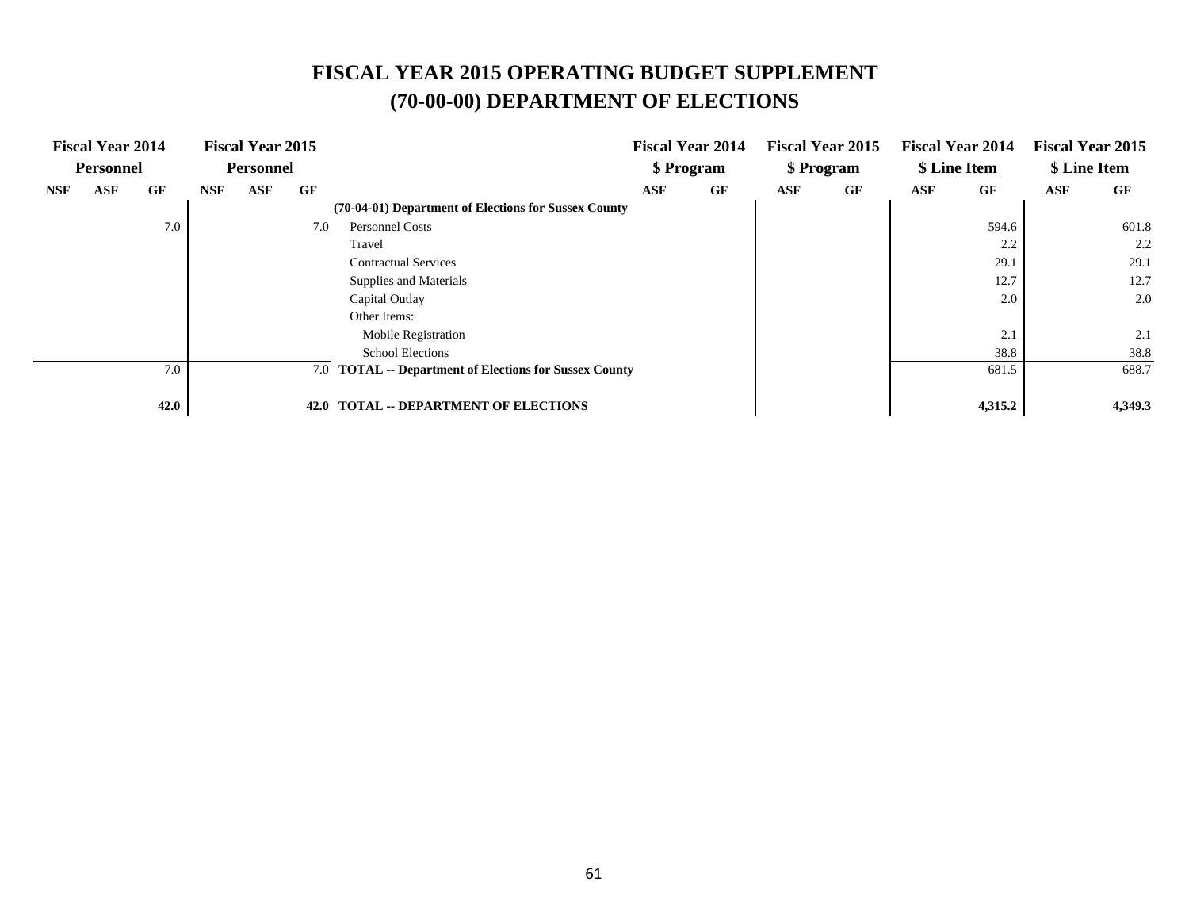|            | <b>Fiscal Year 2014</b> |      |            | <b>Fiscal Year 2015</b> |      |                                                        |            | <b>Fiscal Year 2014</b> |            | <b>Fiscal Year 2015</b> |     | <b>Fiscal Year 2014</b> |     | <b>Fiscal Year 2015</b> |
|------------|-------------------------|------|------------|-------------------------|------|--------------------------------------------------------|------------|-------------------------|------------|-------------------------|-----|-------------------------|-----|-------------------------|
|            | <b>Personnel</b>        |      |            | <b>Personnel</b>        |      |                                                        |            | \$ Program              |            | \$ Program              |     | \$ Line Item            |     | \$ Line Item            |
| <b>NSF</b> | ASF                     | GF   | <b>NSF</b> | ASF                     | GF   |                                                        | <b>ASF</b> | GF                      | <b>ASF</b> | GF                      | ASF | GF                      | ASF | GF                      |
|            |                         |      |            |                         |      | (70-04-01) Department of Elections for Sussex County   |            |                         |            |                         |     |                         |     |                         |
|            |                         | 7.0  |            |                         | 7.0  | <b>Personnel Costs</b>                                 |            |                         |            |                         |     | 594.6                   |     | 601.8                   |
|            |                         |      |            |                         |      | Travel                                                 |            |                         |            |                         |     | 2.2                     |     | 2.2                     |
|            |                         |      |            |                         |      | <b>Contractual Services</b>                            |            |                         |            |                         |     | 29.1                    |     | 29.1                    |
|            |                         |      |            |                         |      | Supplies and Materials                                 |            |                         |            |                         |     | 12.7                    |     | 12.7                    |
|            |                         |      |            |                         |      | Capital Outlay                                         |            |                         |            |                         |     | 2.0                     |     | 2.0                     |
|            |                         |      |            |                         |      | Other Items:                                           |            |                         |            |                         |     |                         |     |                         |
|            |                         |      |            |                         |      | Mobile Registration                                    |            |                         |            |                         |     | 2.1                     |     | 2.1                     |
|            |                         |      |            |                         |      | <b>School Elections</b>                                |            |                         |            |                         |     | 38.8                    |     | 38.8                    |
|            |                         | 7.0  |            |                         |      | 7.0 TOTAL -- Department of Elections for Sussex County |            |                         |            |                         |     | 681.5                   |     | 688.7                   |
|            |                         |      |            |                         |      |                                                        |            |                         |            |                         |     |                         |     |                         |
|            |                         | 42.0 |            |                         | 42.0 | <b>TOTAL -- DEPARTMENT OF ELECTIONS</b>                |            |                         |            |                         |     | 4,315.2                 |     | 4,349.3                 |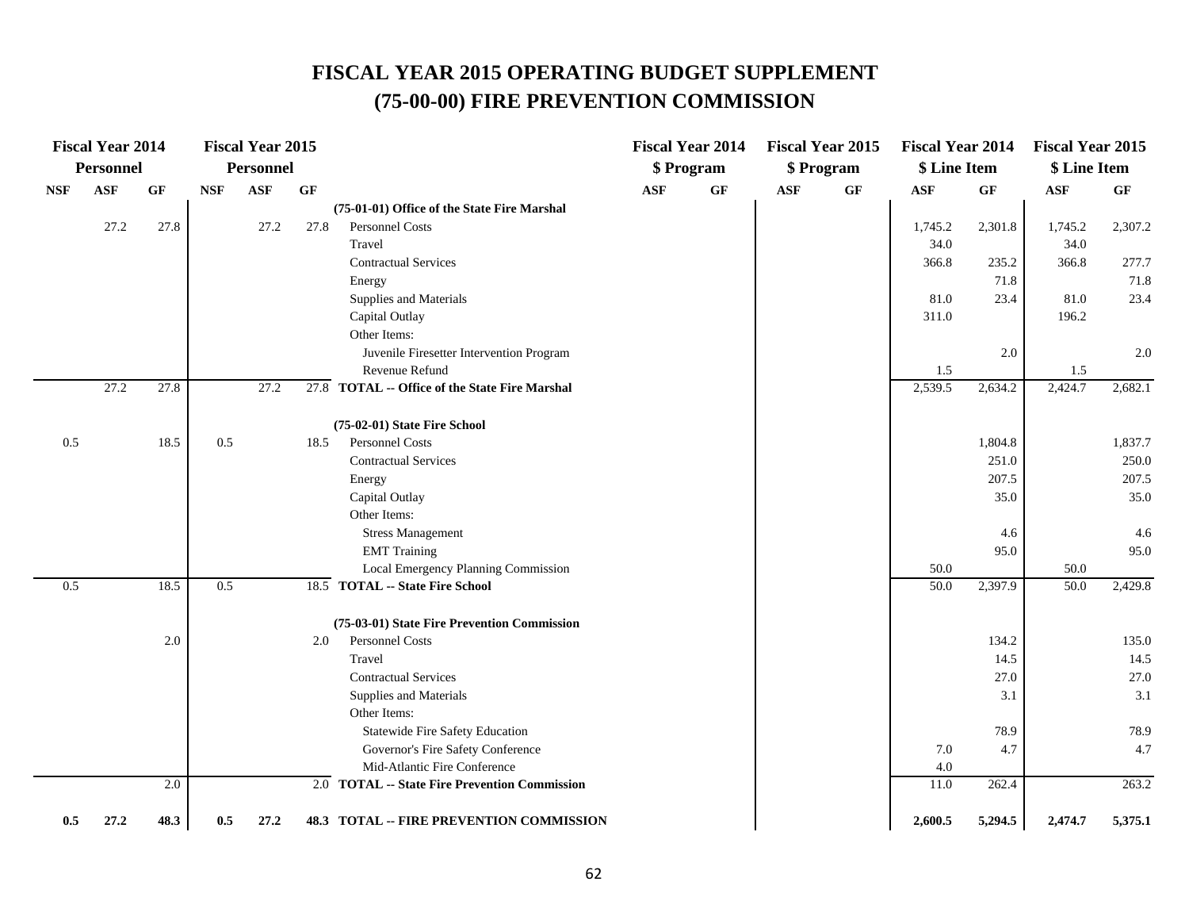## **FISCAL YEAR 2015 OPERATING BUDGET SUPPLEMENT (75-00-00) FIRE PREVENTION COMMISSION**

|            | <b>Fiscal Year 2014</b> |           |            | <b>Fiscal Year 2015</b> |      |                                                |     | <b>Fiscal Year 2014</b> |            | <b>Fiscal Year 2015</b> | <b>Fiscal Year 2014</b> |                 | <b>Fiscal Year 2015</b> |         |
|------------|-------------------------|-----------|------------|-------------------------|------|------------------------------------------------|-----|-------------------------|------------|-------------------------|-------------------------|-----------------|-------------------------|---------|
|            | Personnel               |           |            | Personnel               |      |                                                |     | \$ Program              |            | \$ Program              | \$ Line Item            |                 | \$ Line Item            |         |
| <b>NSF</b> | <b>ASF</b>              | <b>GF</b> | <b>NSF</b> | ASF                     | GF   |                                                | ASF | GF                      | <b>ASF</b> | GF                      | <b>ASF</b>              | $\bf{G} \bf{F}$ | $\mathbf{ASF}$          | GF      |
|            |                         |           |            |                         |      | (75-01-01) Office of the State Fire Marshal    |     |                         |            |                         |                         |                 |                         |         |
|            | 27.2                    | 27.8      |            | 27.2                    | 27.8 | Personnel Costs                                |     |                         |            |                         | 1,745.2                 | 2,301.8         | 1,745.2                 | 2,307.2 |
|            |                         |           |            |                         |      | Travel                                         |     |                         |            |                         | 34.0                    |                 | 34.0                    |         |
|            |                         |           |            |                         |      | <b>Contractual Services</b>                    |     |                         |            |                         | 366.8                   | 235.2           | 366.8                   | 277.7   |
|            |                         |           |            |                         |      | Energy                                         |     |                         |            |                         |                         | 71.8            |                         | 71.8    |
|            |                         |           |            |                         |      | Supplies and Materials                         |     |                         |            |                         | 81.0                    | 23.4            | 81.0                    | 23.4    |
|            |                         |           |            |                         |      | Capital Outlay                                 |     |                         |            |                         | 311.0                   |                 | 196.2                   |         |
|            |                         |           |            |                         |      | Other Items:                                   |     |                         |            |                         |                         |                 |                         |         |
|            |                         |           |            |                         |      | Juvenile Firesetter Intervention Program       |     |                         |            |                         |                         | 2.0             |                         | 2.0     |
|            |                         |           |            |                         |      | Revenue Refund                                 |     |                         |            |                         | 1.5                     |                 | 1.5                     |         |
|            | 27.2                    | 27.8      |            | 27.2                    |      | 27.8 TOTAL -- Office of the State Fire Marshal |     |                         |            |                         | 2,539.5                 | 2,634.2         | 2,424.7                 | 2,682.1 |
|            |                         |           |            |                         |      | (75-02-01) State Fire School                   |     |                         |            |                         |                         |                 |                         |         |
| 0.5        |                         | 18.5      | 0.5        |                         | 18.5 | Personnel Costs                                |     |                         |            |                         |                         | 1,804.8         |                         | 1,837.7 |
|            |                         |           |            |                         |      | <b>Contractual Services</b>                    |     |                         |            |                         |                         | 251.0           |                         | 250.0   |
|            |                         |           |            |                         |      | Energy                                         |     |                         |            |                         |                         | 207.5           |                         | 207.5   |
|            |                         |           |            |                         |      | Capital Outlay                                 |     |                         |            |                         |                         | 35.0            |                         | 35.0    |
|            |                         |           |            |                         |      | Other Items:                                   |     |                         |            |                         |                         |                 |                         |         |
|            |                         |           |            |                         |      | <b>Stress Management</b>                       |     |                         |            |                         |                         | 4.6             |                         | 4.6     |
|            |                         |           |            |                         |      | <b>EMT</b> Training                            |     |                         |            |                         |                         | 95.0            |                         | 95.0    |
|            |                         |           |            |                         |      | Local Emergency Planning Commission            |     |                         |            |                         | 50.0                    |                 | 50.0                    |         |
| 0.5        |                         | 18.5      | 0.5        |                         |      | 18.5 TOTAL -- State Fire School                |     |                         |            |                         | 50.0                    | 2,397.9         | 50.0                    | 2,429.8 |
|            |                         |           |            |                         |      | (75-03-01) State Fire Prevention Commission    |     |                         |            |                         |                         |                 |                         |         |
|            |                         | 2.0       |            |                         | 2.0  | Personnel Costs                                |     |                         |            |                         |                         | 134.2           |                         | 135.0   |
|            |                         |           |            |                         |      | Travel                                         |     |                         |            |                         |                         | 14.5            |                         | 14.5    |
|            |                         |           |            |                         |      | <b>Contractual Services</b>                    |     |                         |            |                         |                         | 27.0            |                         | 27.0    |
|            |                         |           |            |                         |      | Supplies and Materials                         |     |                         |            |                         |                         | 3.1             |                         | 3.1     |
|            |                         |           |            |                         |      | Other Items:                                   |     |                         |            |                         |                         |                 |                         |         |
|            |                         |           |            |                         |      | Statewide Fire Safety Education                |     |                         |            |                         |                         | 78.9            |                         | 78.9    |
|            |                         |           |            |                         |      | Governor's Fire Safety Conference              |     |                         |            |                         | 7.0                     | 4.7             |                         | 4.7     |
|            |                         |           |            |                         |      | Mid-Atlantic Fire Conference                   |     |                         |            |                         | 4.0                     |                 |                         |         |
|            |                         | 2.0       |            |                         |      | 2.0 TOTAL -- State Fire Prevention Commission  |     |                         |            |                         | 11.0                    | 262.4           |                         | 263.2   |
| 0.5        | 27.2                    | 48.3      | 0.5        | 27.2                    |      | 48.3 TOTAL -- FIRE PREVENTION COMMISSION       |     |                         |            |                         | 2,600.5                 | 5,294.5         | 2,474.7                 | 5,375.1 |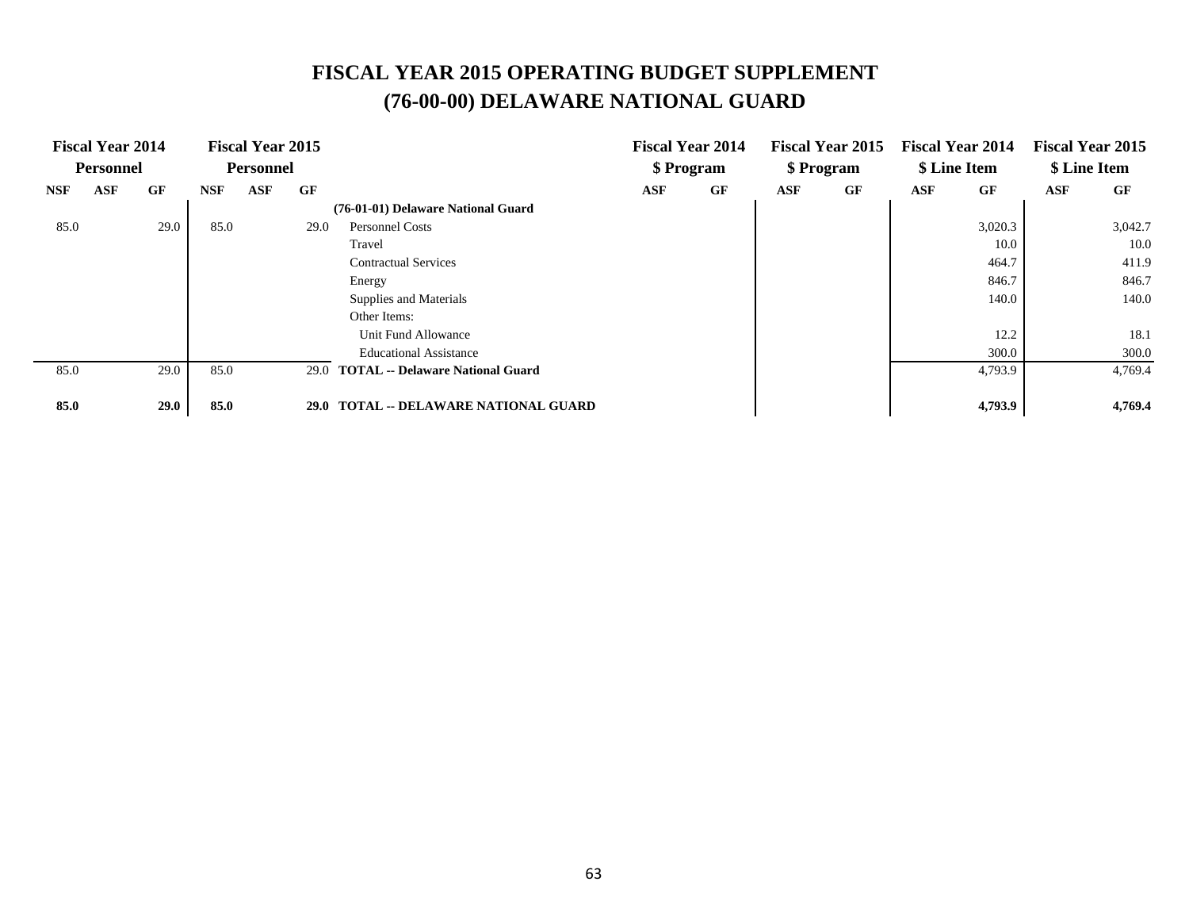# **FISCAL YEAR 2015 OPERATING BUDGET SUPPLEMENT (76-00-00) DELAWARE NATIONAL GUARD**

|            | <b>Fiscal Year 2014</b> |      |            | <b>Fiscal Year 2015</b> |             |                                         |            | <b>Fiscal Year 2014</b> |     | <b>Fiscal Year 2015</b> |     | <b>Fiscal Year 2014</b> |            | <b>Fiscal Year 2015</b> |
|------------|-------------------------|------|------------|-------------------------|-------------|-----------------------------------------|------------|-------------------------|-----|-------------------------|-----|-------------------------|------------|-------------------------|
|            | <b>Personnel</b>        |      |            | <b>Personnel</b>        |             |                                         |            | \$ Program              |     | \$ Program              |     | \$ Line Item            |            | \$ Line Item            |
| <b>NSF</b> | <b>ASF</b>              | GF   | <b>NSF</b> | ASF                     | GF          |                                         | <b>ASF</b> | GF                      | ASF | GF                      | ASF | GF                      | <b>ASF</b> | GF                      |
|            |                         |      |            |                         |             | (76-01-01) Delaware National Guard      |            |                         |     |                         |     |                         |            |                         |
| 85.0       |                         | 29.0 | 85.0       |                         | 29.0        | <b>Personnel Costs</b>                  |            |                         |     |                         |     | 3,020.3                 |            | 3,042.7                 |
|            |                         |      |            |                         |             | Travel                                  |            |                         |     |                         |     | 10.0                    |            | 10.0                    |
|            |                         |      |            |                         |             | <b>Contractual Services</b>             |            |                         |     |                         |     | 464.7                   |            | 411.9                   |
|            |                         |      |            |                         |             | Energy                                  |            |                         |     |                         |     | 846.7                   |            | 846.7                   |
|            |                         |      |            |                         |             | Supplies and Materials                  |            |                         |     |                         |     | 140.0                   |            | 140.0                   |
|            |                         |      |            |                         |             | Other Items:                            |            |                         |     |                         |     |                         |            |                         |
|            |                         |      |            |                         |             | Unit Fund Allowance                     |            |                         |     |                         |     | 12.2                    |            | 18.1                    |
|            |                         |      |            |                         |             | <b>Educational Assistance</b>           |            |                         |     |                         |     | 300.0                   |            | 300.0                   |
| 85.0       |                         | 29.0 | 85.0       |                         | 29.0        | <b>TOTAL</b> -- Delaware National Guard |            |                         |     |                         |     | 4,793.9                 |            | 4,769.4                 |
|            |                         |      |            |                         |             |                                         |            |                         |     |                         |     |                         |            |                         |
| 85.0       |                         | 29.0 | 85.0       |                         | <b>29.0</b> | TOTAL -- DELAWARE NATIONAL GUARD        |            |                         |     |                         |     | 4,793.9                 |            | 4,769.4                 |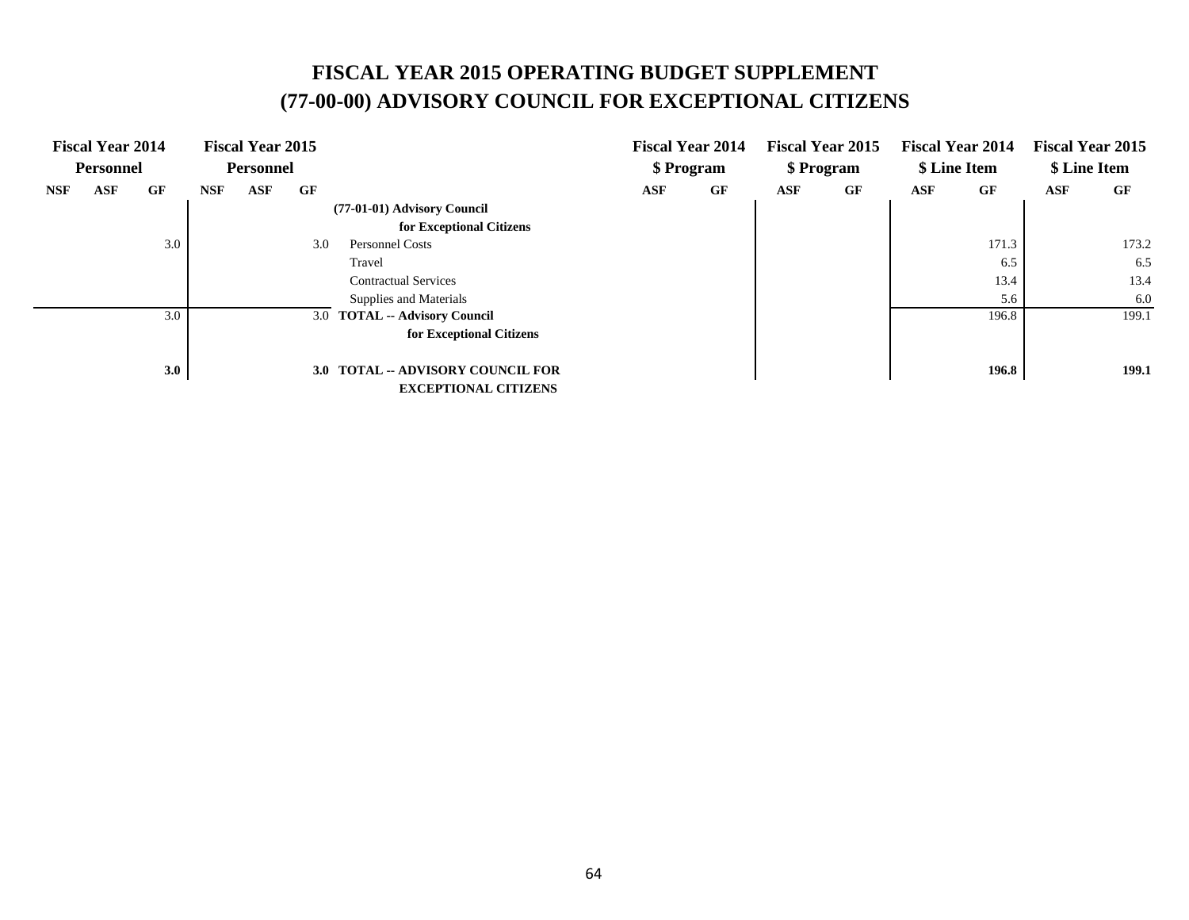# **FISCAL YEAR 2015 OPERATING BUDGET SUPPLEMENT (77-00-00) ADVISORY COUNCIL FOR EXCEPTIONAL CITIZENS**

|            | <b>Fiscal Year 2014</b> |     |            | <b>Fiscal Year 2015</b> |     |                                          |     | <b>Fiscal Year 2014</b> |            | <b>Fiscal Year 2015</b> |     | <b>Fiscal Year 2014</b> |     | <b>Fiscal Year 2015</b> |
|------------|-------------------------|-----|------------|-------------------------|-----|------------------------------------------|-----|-------------------------|------------|-------------------------|-----|-------------------------|-----|-------------------------|
|            | <b>Personnel</b>        |     |            | <b>Personnel</b>        |     |                                          |     | \$ Program              |            | \$ Program              |     | \$ Line Item            |     | \$ Line Item            |
| <b>NSF</b> | <b>ASF</b>              | GF  | <b>NSF</b> | <b>ASF</b>              | GF  |                                          | ASF | GF                      | <b>ASF</b> | GF                      | ASF | GF                      | ASF | GF                      |
|            |                         |     |            |                         |     | (77-01-01) Advisory Council              |     |                         |            |                         |     |                         |     |                         |
|            |                         |     |            |                         |     | for Exceptional Citizens                 |     |                         |            |                         |     |                         |     |                         |
|            |                         | 3.0 |            |                         | 3.0 | Personnel Costs                          |     |                         |            |                         |     | 171.3                   |     | 173.2                   |
|            |                         |     |            |                         |     | Travel                                   |     |                         |            |                         |     | 6.5                     |     | 6.5                     |
|            |                         |     |            |                         |     | <b>Contractual Services</b>              |     |                         |            |                         |     | 13.4                    |     | 13.4                    |
|            |                         |     |            |                         |     | Supplies and Materials                   |     |                         |            |                         |     | 5.6                     |     | 6.0                     |
|            |                         | 3.0 |            |                         |     | 3.0 TOTAL -- Advisory Council            |     |                         |            |                         |     | 196.8                   |     | 199.1                   |
|            |                         |     |            |                         |     | for Exceptional Citizens                 |     |                         |            |                         |     |                         |     |                         |
|            |                         |     |            |                         |     |                                          |     |                         |            |                         |     |                         |     |                         |
|            |                         | 3.0 |            |                         |     | <b>3.0 TOTAL -- ADVISORY COUNCIL FOR</b> |     |                         |            |                         |     | 196.8                   |     | 199.1                   |
|            |                         |     |            |                         |     | <b>EXCEPTIONAL CITIZENS</b>              |     |                         |            |                         |     |                         |     |                         |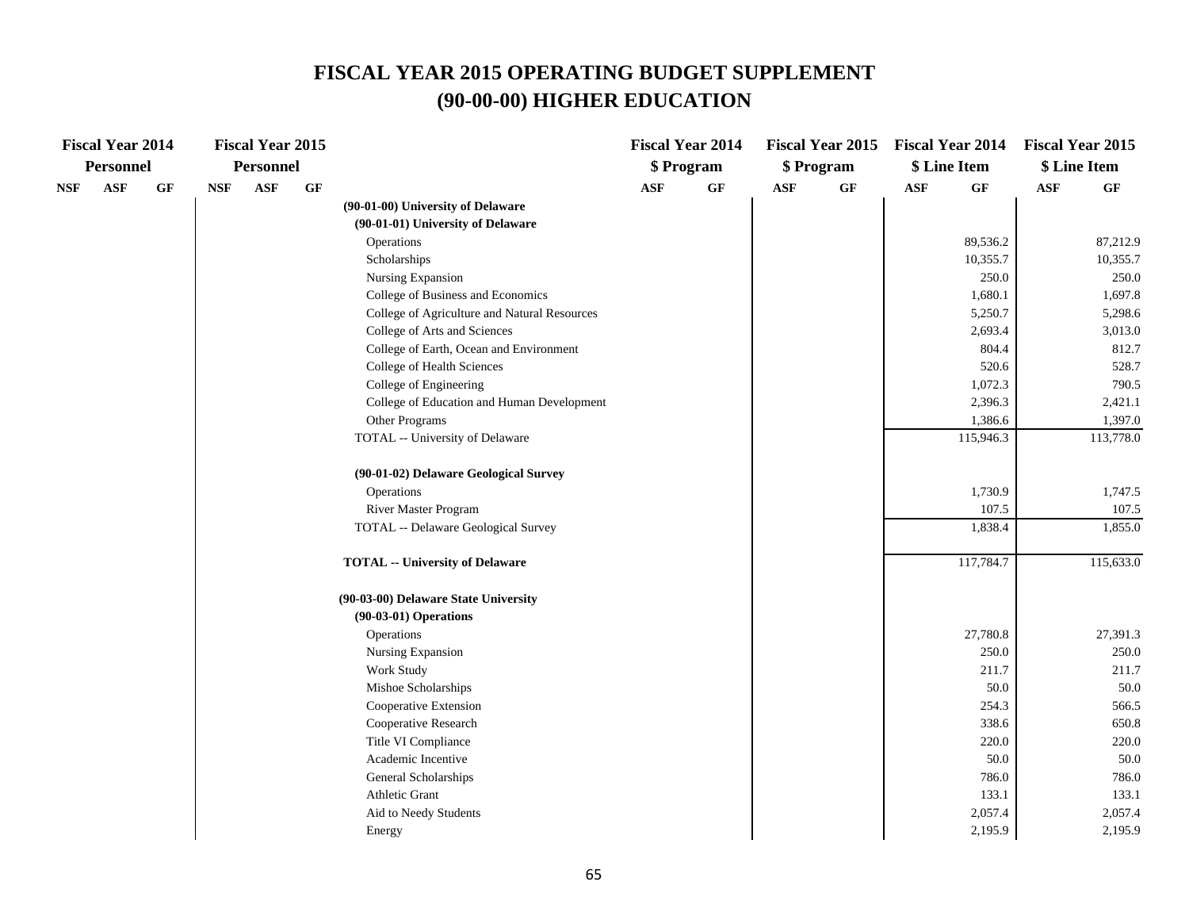## **FISCAL YEAR 2015 OPERATING BUDGET SUPPLEMENT (90-00-00) HIGHER EDUCATION**

| <b>Fiscal Year 2014</b>     |            | <b>Fiscal Year 2015</b> |                 |                                              |                | <b>Fiscal Year 2014</b> |                | Fiscal Year 2015 Fiscal Year 2014 |                |           | <b>Fiscal Year 2015</b> |           |
|-----------------------------|------------|-------------------------|-----------------|----------------------------------------------|----------------|-------------------------|----------------|-----------------------------------|----------------|-----------|-------------------------|-----------|
| <b>Personnel</b>            |            | Personnel               |                 |                                              |                | \$ Program              |                | \$ Program                        | \$ Line Item   |           | \$ Line Item            |           |
| $\mathbf{ASF}$<br>GF<br>NSF | <b>NSF</b> | <b>ASF</b>              | $\bf{G} \bf{F}$ |                                              | $\mathbf{ASF}$ | GF                      | $\mathbf{ASF}$ | $\bf{G} \bf{F}$                   | $\mathbf{ASF}$ | $\bf GF$  | $\mathbf{ASF}$          | GF        |
|                             |            |                         |                 | (90-01-00) University of Delaware            |                |                         |                |                                   |                |           |                         |           |
|                             |            |                         |                 | (90-01-01) University of Delaware            |                |                         |                |                                   |                |           |                         |           |
|                             |            |                         |                 | Operations                                   |                |                         |                |                                   |                | 89,536.2  |                         | 87,212.9  |
|                             |            |                         |                 | Scholarships                                 |                |                         |                |                                   |                | 10,355.7  |                         | 10,355.7  |
|                             |            |                         |                 | Nursing Expansion                            |                |                         |                |                                   |                | 250.0     |                         | 250.0     |
|                             |            |                         |                 | College of Business and Economics            |                |                         |                |                                   |                | 1,680.1   |                         | 1,697.8   |
|                             |            |                         |                 | College of Agriculture and Natural Resources |                |                         |                |                                   |                | 5,250.7   |                         | 5,298.6   |
|                             |            |                         |                 | College of Arts and Sciences                 |                |                         |                |                                   |                | 2,693.4   |                         | 3,013.0   |
|                             |            |                         |                 | College of Earth, Ocean and Environment      |                |                         |                |                                   |                | 804.4     |                         | 812.7     |
|                             |            |                         |                 | College of Health Sciences                   |                |                         |                |                                   |                | 520.6     |                         | 528.7     |
|                             |            |                         |                 | College of Engineering                       |                |                         |                |                                   |                | 1,072.3   |                         | 790.5     |
|                             |            |                         |                 | College of Education and Human Development   |                |                         |                |                                   |                | 2,396.3   |                         | 2,421.1   |
|                             |            |                         |                 | Other Programs                               |                |                         |                |                                   |                | 1,386.6   |                         | 1,397.0   |
|                             |            |                         |                 | TOTAL -- University of Delaware              |                |                         |                |                                   |                | 115,946.3 |                         | 113,778.0 |
|                             |            |                         |                 | (90-01-02) Delaware Geological Survey        |                |                         |                |                                   |                |           |                         |           |
|                             |            |                         |                 | Operations                                   |                |                         |                |                                   |                | 1,730.9   |                         | 1,747.5   |
|                             |            |                         |                 | River Master Program                         |                |                         |                |                                   |                | 107.5     |                         | 107.5     |
|                             |            |                         |                 | TOTAL -- Delaware Geological Survey          |                |                         |                |                                   |                | 1,838.4   |                         | 1,855.0   |
|                             |            |                         |                 | <b>TOTAL -- University of Delaware</b>       |                |                         |                |                                   |                | 117,784.7 |                         | 115,633.0 |
|                             |            |                         |                 | (90-03-00) Delaware State University         |                |                         |                |                                   |                |           |                         |           |
|                             |            |                         |                 | $(90-03-01)$ Operations                      |                |                         |                |                                   |                |           |                         |           |
|                             |            |                         |                 | Operations                                   |                |                         |                |                                   |                | 27,780.8  |                         | 27,391.3  |
|                             |            |                         |                 | Nursing Expansion                            |                |                         |                |                                   |                | 250.0     |                         | 250.0     |
|                             |            |                         |                 | Work Study                                   |                |                         |                |                                   |                | 211.7     |                         | 211.7     |
|                             |            |                         |                 | Mishoe Scholarships                          |                |                         |                |                                   |                | 50.0      |                         | 50.0      |
|                             |            |                         |                 | Cooperative Extension                        |                |                         |                |                                   |                | 254.3     |                         | 566.5     |
|                             |            |                         |                 | Cooperative Research                         |                |                         |                |                                   |                | 338.6     |                         | 650.8     |
|                             |            |                         |                 | Title VI Compliance                          |                |                         |                |                                   |                | 220.0     |                         | 220.0     |
|                             |            |                         |                 | Academic Incentive                           |                |                         |                |                                   |                | 50.0      |                         | 50.0      |
|                             |            |                         |                 | General Scholarships                         |                |                         |                |                                   |                | 786.0     |                         | 786.0     |
|                             |            |                         |                 | Athletic Grant                               |                |                         |                |                                   |                | 133.1     |                         | 133.1     |
|                             |            |                         |                 | Aid to Needy Students                        |                |                         |                |                                   |                | 2,057.4   |                         | 2,057.4   |
|                             |            |                         |                 | Energy                                       |                |                         |                |                                   |                | 2,195.9   |                         | 2,195.9   |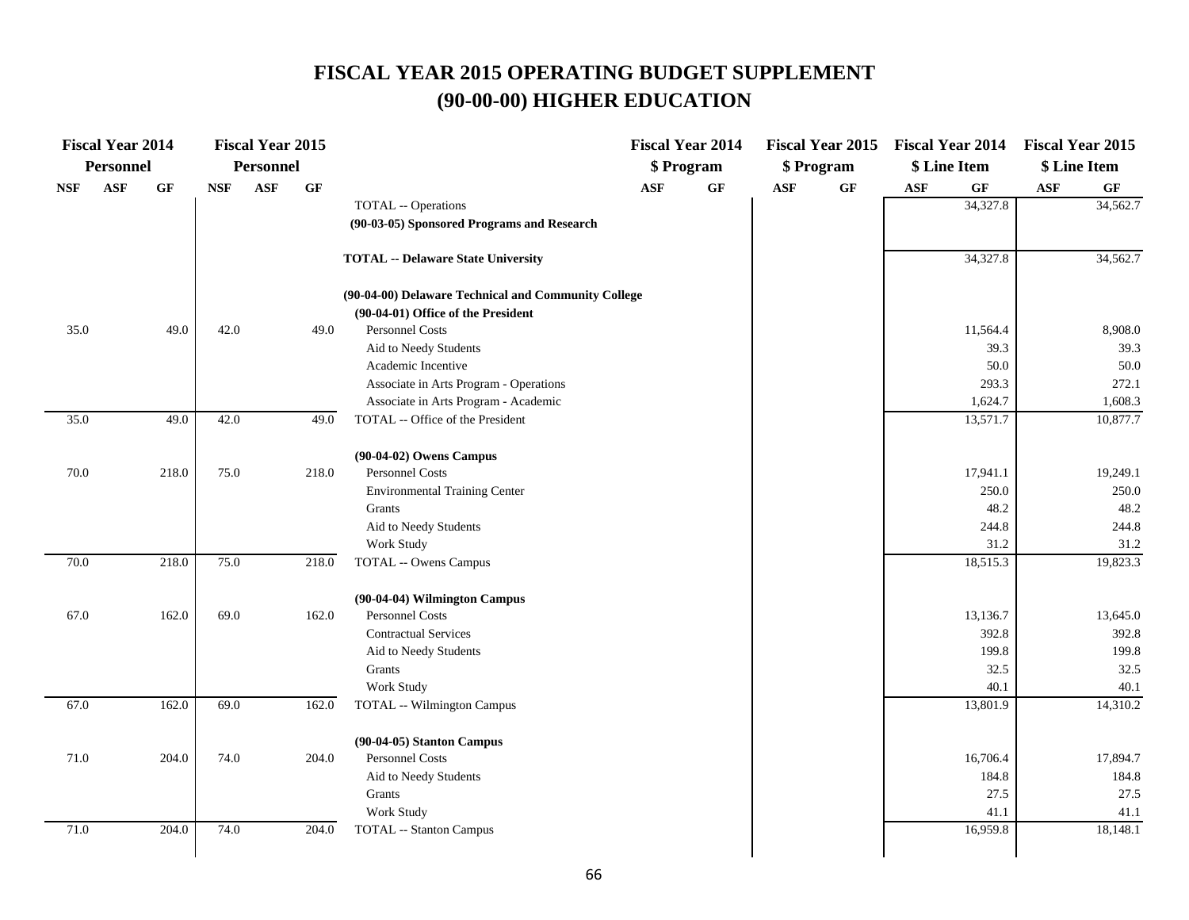# **FISCAL YEAR 2015 OPERATING BUDGET SUPPLEMENT (90-00-00) HIGHER EDUCATION**

|                             | <b>Fiscal Year 2014</b> |                 |            | <b>Fiscal Year 2015</b> |                 |                                                     |                | <b>Fiscal Year 2014</b> |                |            |                | Fiscal Year 2015 Fiscal Year 2014 Fiscal Year 2015 |                |              |
|-----------------------------|-------------------------|-----------------|------------|-------------------------|-----------------|-----------------------------------------------------|----------------|-------------------------|----------------|------------|----------------|----------------------------------------------------|----------------|--------------|
|                             | <b>Personnel</b>        |                 |            | Personnel               |                 |                                                     |                | \$ Program              |                | \$ Program |                | \$ Line Item                                       |                | \$ Line Item |
| $\ensuremath{\mathbf{NSF}}$ | ASF                     | $\bf{G} \bf{F}$ | <b>NSF</b> | ASF                     | $\bf{G} \bf{F}$ |                                                     | $\mathbf{ASF}$ | $\bf GF$                | $\mathbf{ASF}$ | GF         | $\mathbf{ASF}$ | $\bf{G} \bf{F}$                                    | $\mathbf{ASF}$ | GF           |
|                             |                         |                 |            |                         |                 | TOTAL -- Operations                                 |                |                         |                |            |                | 34,327.8                                           |                | 34,562.7     |
|                             |                         |                 |            |                         |                 | (90-03-05) Sponsored Programs and Research          |                |                         |                |            |                |                                                    |                |              |
|                             |                         |                 |            |                         |                 | <b>TOTAL -- Delaware State University</b>           |                |                         |                |            |                | 34,327.8                                           |                | 34,562.7     |
|                             |                         |                 |            |                         |                 | (90-04-00) Delaware Technical and Community College |                |                         |                |            |                |                                                    |                |              |
|                             |                         |                 |            |                         |                 | (90-04-01) Office of the President                  |                |                         |                |            |                |                                                    |                |              |
| 35.0                        |                         | 49.0            | 42.0       |                         | 49.0            | <b>Personnel Costs</b>                              |                |                         |                |            |                | 11,564.4                                           |                | 8,908.0      |
|                             |                         |                 |            |                         |                 | Aid to Needy Students                               |                |                         |                |            |                | 39.3                                               |                | 39.3         |
|                             |                         |                 |            |                         |                 | Academic Incentive                                  |                |                         |                |            |                | 50.0                                               |                | 50.0         |
|                             |                         |                 |            |                         |                 | Associate in Arts Program - Operations              |                |                         |                |            |                | 293.3                                              |                | 272.1        |
|                             |                         |                 |            |                         |                 | Associate in Arts Program - Academic                |                |                         |                |            |                | 1,624.7                                            |                | 1,608.3      |
| 35.0                        |                         | 49.0            | 42.0       |                         | 49.0            | TOTAL -- Office of the President                    |                |                         |                |            |                | 13,571.7                                           |                | 10,877.7     |
|                             |                         |                 |            |                         |                 | (90-04-02) Owens Campus                             |                |                         |                |            |                |                                                    |                |              |
| 70.0                        |                         | 218.0           | 75.0       |                         | 218.0           | Personnel Costs                                     |                |                         |                |            |                | 17,941.1                                           |                | 19,249.1     |
|                             |                         |                 |            |                         |                 | <b>Environmental Training Center</b>                |                |                         |                |            |                | 250.0                                              |                | 250.0        |
|                             |                         |                 |            |                         |                 | Grants                                              |                |                         |                |            |                | 48.2                                               |                | 48.2         |
|                             |                         |                 |            |                         |                 | Aid to Needy Students                               |                |                         |                |            |                | 244.8                                              |                | 244.8        |
|                             |                         |                 |            |                         |                 | Work Study                                          |                |                         |                |            |                | 31.2                                               |                | 31.2         |
| 70.0                        |                         | 218.0           | 75.0       |                         | 218.0           | <b>TOTAL -- Owens Campus</b>                        |                |                         |                |            |                | 18,515.3                                           |                | 19,823.3     |
|                             |                         |                 |            |                         |                 | (90-04-04) Wilmington Campus                        |                |                         |                |            |                |                                                    |                |              |
| 67.0                        |                         | 162.0           | 69.0       |                         | 162.0           | <b>Personnel Costs</b>                              |                |                         |                |            |                | 13,136.7                                           |                | 13,645.0     |
|                             |                         |                 |            |                         |                 | <b>Contractual Services</b>                         |                |                         |                |            |                | 392.8                                              |                | 392.8        |
|                             |                         |                 |            |                         |                 | Aid to Needy Students                               |                |                         |                |            |                | 199.8                                              |                | 199.8        |
|                             |                         |                 |            |                         |                 | Grants                                              |                |                         |                |            |                | 32.5                                               |                | 32.5         |
|                             |                         |                 |            |                         |                 | Work Study                                          |                |                         |                |            |                | 40.1                                               |                | 40.1         |
| 67.0                        |                         | 162.0           | 69.0       |                         | 162.0           | <b>TOTAL</b> -- Wilmington Campus                   |                |                         |                |            |                | 13,801.9                                           |                | 14,310.2     |
|                             |                         |                 |            |                         |                 | (90-04-05) Stanton Campus                           |                |                         |                |            |                |                                                    |                |              |
| 71.0                        |                         | 204.0           | 74.0       |                         | 204.0           | Personnel Costs                                     |                |                         |                |            |                | 16,706.4                                           |                | 17,894.7     |
|                             |                         |                 |            |                         |                 | Aid to Needy Students                               |                |                         |                |            |                | 184.8                                              |                | 184.8        |
|                             |                         |                 |            |                         |                 | Grants                                              |                |                         |                |            |                | 27.5                                               |                | 27.5         |
|                             |                         |                 |            |                         |                 | Work Study                                          |                |                         |                |            |                | 41.1                                               |                | 41.1         |
| $71.0\,$                    |                         | 204.0           | 74.0       |                         | 204.0           | <b>TOTAL</b> -- Stanton Campus                      |                |                         |                |            |                | 16,959.8                                           |                | 18,148.1     |
|                             |                         |                 |            |                         |                 |                                                     |                |                         |                |            |                |                                                    |                |              |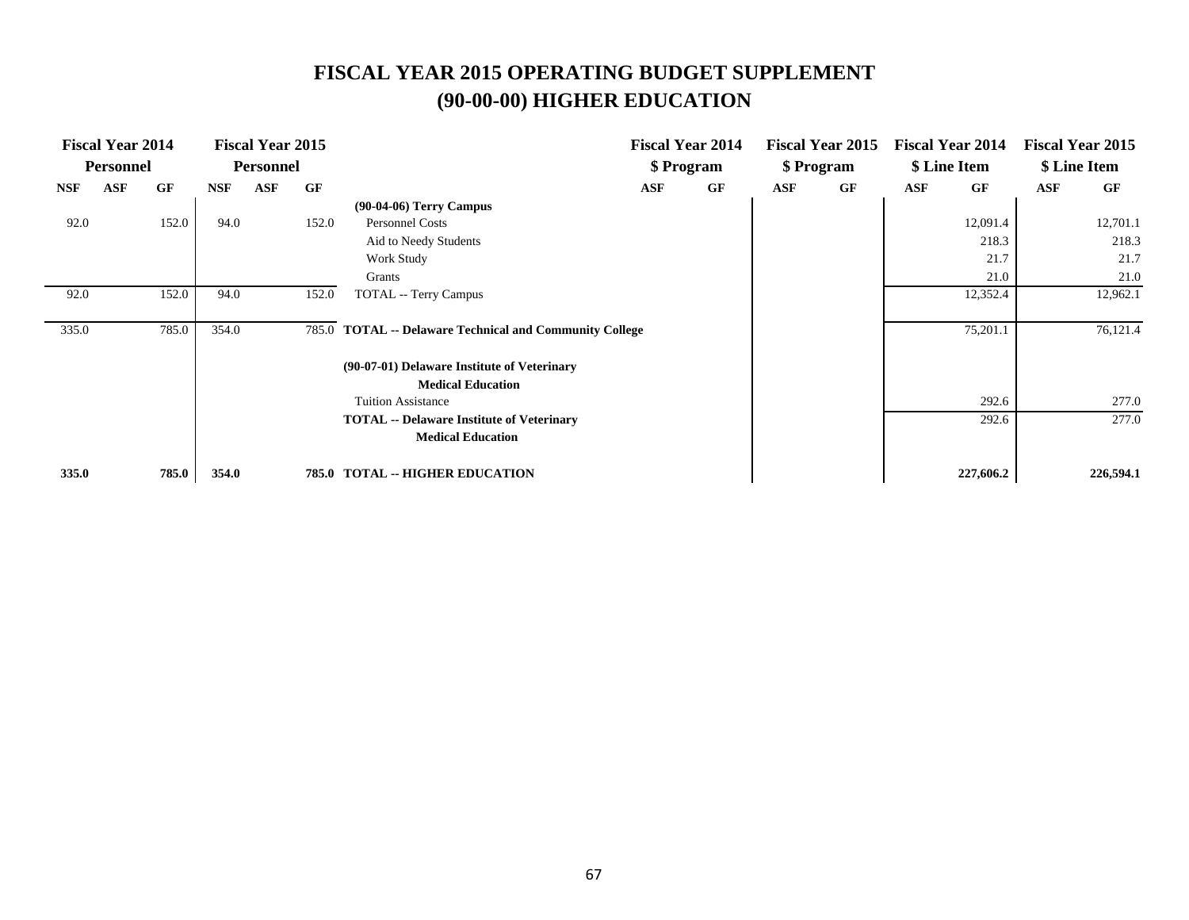# **FISCAL YEAR 2015 OPERATING BUDGET SUPPLEMENT (90-00-00) HIGHER EDUCATION**

|            | <b>Fiscal Year 2014</b> |       |            | <b>Fiscal Year 2015</b> |       |                                                          |     | <b>Fiscal Year 2014</b> |     | <b>Fiscal Year 2015</b> | <b>Fiscal Year 2014</b> |           |     | <b>Fiscal Year 2015</b> |
|------------|-------------------------|-------|------------|-------------------------|-------|----------------------------------------------------------|-----|-------------------------|-----|-------------------------|-------------------------|-----------|-----|-------------------------|
|            | <b>Personnel</b>        |       |            | <b>Personnel</b>        |       |                                                          |     | \$ Program              |     | \$ Program              | \$ Line Item            |           |     | \$ Line Item            |
| <b>NSF</b> | ASF                     | GF    | <b>NSF</b> | <b>ASF</b>              | GF    |                                                          | ASF | GF                      | ASF | GF                      | <b>ASF</b>              | GF        | ASF | GF                      |
|            |                         |       |            |                         |       | $(90-04-06)$ Terry Campus                                |     |                         |     |                         |                         |           |     |                         |
| 92.0       |                         | 152.0 | 94.0       |                         | 152.0 | Personnel Costs                                          |     |                         |     |                         |                         | 12,091.4  |     | 12,701.1                |
|            |                         |       |            |                         |       | Aid to Needy Students                                    |     |                         |     |                         |                         | 218.3     |     | 218.3                   |
|            |                         |       |            |                         |       | Work Study                                               |     |                         |     |                         |                         | 21.7      |     | 21.7                    |
|            |                         |       |            |                         |       | Grants                                                   |     |                         |     |                         |                         | 21.0      |     | 21.0                    |
| 92.0       |                         | 152.0 | 94.0       |                         | 152.0 | <b>TOTAL</b> -- Terry Campus                             |     |                         |     |                         |                         | 12,352.4  |     | 12,962.1                |
|            |                         |       |            |                         |       |                                                          |     |                         |     |                         |                         |           |     |                         |
| 335.0      |                         | 785.0 | 354.0      |                         | 785.0 | <b>TOTAL -- Delaware Technical and Community College</b> |     |                         |     |                         |                         | 75,201.1  |     | 76,121.4                |
|            |                         |       |            |                         |       |                                                          |     |                         |     |                         |                         |           |     |                         |
|            |                         |       |            |                         |       | (90-07-01) Delaware Institute of Veterinary              |     |                         |     |                         |                         |           |     |                         |
|            |                         |       |            |                         |       | <b>Medical Education</b>                                 |     |                         |     |                         |                         |           |     |                         |
|            |                         |       |            |                         |       | <b>Tuition Assistance</b>                                |     |                         |     |                         |                         | 292.6     |     | 277.0                   |
|            |                         |       |            |                         |       | <b>TOTAL</b> -- Delaware Institute of Veterinary         |     |                         |     |                         |                         | 292.6     |     | 277.0                   |
|            |                         |       |            |                         |       | <b>Medical Education</b>                                 |     |                         |     |                         |                         |           |     |                         |
|            |                         |       |            |                         |       |                                                          |     |                         |     |                         |                         |           |     |                         |
| 335.0      |                         | 785.0 | 354.0      |                         |       | 785.0 TOTAL -- HIGHER EDUCATION                          |     |                         |     |                         |                         | 227,606.2 |     | 226,594.1               |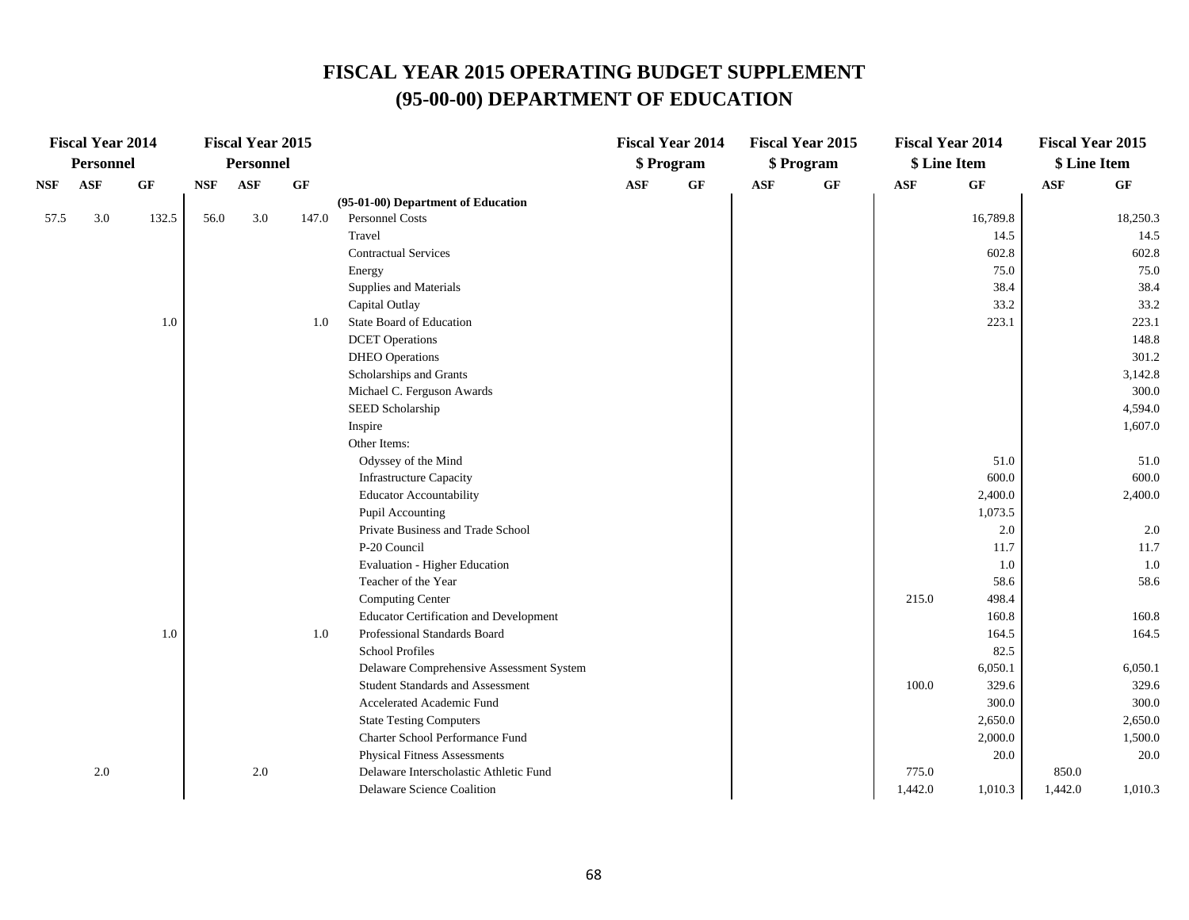|      | <b>Fiscal Year 2014</b> |           |            | <b>Fiscal Year 2015</b> |           |                                               |            | <b>Fiscal Year 2014</b> |            | <b>Fiscal Year 2015</b> |            | <b>Fiscal Year 2014</b> | <b>Fiscal Year 2015</b> |           |
|------|-------------------------|-----------|------------|-------------------------|-----------|-----------------------------------------------|------------|-------------------------|------------|-------------------------|------------|-------------------------|-------------------------|-----------|
|      | <b>Personnel</b>        |           |            | Personnel               |           |                                               |            | \$ Program              |            | \$ Program              |            | \$ Line Item            | \$ Line Item            |           |
| NSF  | <b>ASF</b>              | <b>GF</b> | <b>NSF</b> | ASF                     | <b>GF</b> |                                               | <b>ASF</b> | GF                      | <b>ASF</b> | GF                      | <b>ASF</b> | GF                      | <b>ASF</b>              | <b>GF</b> |
|      |                         |           |            |                         |           | (95-01-00) Department of Education            |            |                         |            |                         |            |                         |                         |           |
| 57.5 | 3.0                     | 132.5     | 56.0       | 3.0                     | 147.0     | <b>Personnel Costs</b>                        |            |                         |            |                         |            | 16,789.8                |                         | 18,250.3  |
|      |                         |           |            |                         |           | Travel                                        |            |                         |            |                         |            | 14.5                    |                         | 14.5      |
|      |                         |           |            |                         |           | <b>Contractual Services</b>                   |            |                         |            |                         |            | 602.8                   |                         | 602.8     |
|      |                         |           |            |                         |           | Energy                                        |            |                         |            |                         |            | 75.0                    |                         | 75.0      |
|      |                         |           |            |                         |           | Supplies and Materials                        |            |                         |            |                         |            | 38.4                    |                         | 38.4      |
|      |                         |           |            |                         |           | Capital Outlay                                |            |                         |            |                         |            | 33.2                    |                         | 33.2      |
|      |                         | $1.0\,$   |            |                         | 1.0       | State Board of Education                      |            |                         |            |                         |            | 223.1                   |                         | 223.1     |
|      |                         |           |            |                         |           | <b>DCET</b> Operations                        |            |                         |            |                         |            |                         |                         | 148.8     |
|      |                         |           |            |                         |           | <b>DHEO</b> Operations                        |            |                         |            |                         |            |                         |                         | 301.2     |
|      |                         |           |            |                         |           | Scholarships and Grants                       |            |                         |            |                         |            |                         |                         | 3,142.8   |
|      |                         |           |            |                         |           | Michael C. Ferguson Awards                    |            |                         |            |                         |            |                         |                         | 300.0     |
|      |                         |           |            |                         |           | SEED Scholarship                              |            |                         |            |                         |            |                         |                         | 4,594.0   |
|      |                         |           |            |                         |           | Inspire                                       |            |                         |            |                         |            |                         |                         | 1,607.0   |
|      |                         |           |            |                         |           | Other Items:                                  |            |                         |            |                         |            |                         |                         |           |
|      |                         |           |            |                         |           | Odyssey of the Mind                           |            |                         |            |                         |            | 51.0                    |                         | 51.0      |
|      |                         |           |            |                         |           | <b>Infrastructure Capacity</b>                |            |                         |            |                         |            | 600.0                   |                         | 600.0     |
|      |                         |           |            |                         |           | <b>Educator Accountability</b>                |            |                         |            |                         |            | 2,400.0                 |                         | 2,400.0   |
|      |                         |           |            |                         |           | Pupil Accounting                              |            |                         |            |                         |            | 1,073.5                 |                         |           |
|      |                         |           |            |                         |           | Private Business and Trade School             |            |                         |            |                         |            | 2.0                     |                         | 2.0       |
|      |                         |           |            |                         |           | P-20 Council                                  |            |                         |            |                         |            | 11.7                    |                         | 11.7      |
|      |                         |           |            |                         |           | Evaluation - Higher Education                 |            |                         |            |                         |            | 1.0                     |                         | 1.0       |
|      |                         |           |            |                         |           | Teacher of the Year                           |            |                         |            |                         |            | 58.6                    |                         | 58.6      |
|      |                         |           |            |                         |           | Computing Center                              |            |                         |            |                         | 215.0      | 498.4                   |                         |           |
|      |                         |           |            |                         |           | <b>Educator Certification and Development</b> |            |                         |            |                         |            | 160.8                   |                         | 160.8     |
|      |                         | $1.0\,$   |            |                         | 1.0       | Professional Standards Board                  |            |                         |            |                         |            | 164.5                   |                         | 164.5     |
|      |                         |           |            |                         |           | <b>School Profiles</b>                        |            |                         |            |                         |            | 82.5                    |                         |           |
|      |                         |           |            |                         |           | Delaware Comprehensive Assessment System      |            |                         |            |                         |            | 6,050.1                 |                         | 6,050.1   |
|      |                         |           |            |                         |           | <b>Student Standards and Assessment</b>       |            |                         |            |                         | 100.0      | 329.6                   |                         | 329.6     |
|      |                         |           |            |                         |           | Accelerated Academic Fund                     |            |                         |            |                         |            | 300.0                   |                         | 300.0     |
|      |                         |           |            |                         |           | <b>State Testing Computers</b>                |            |                         |            |                         |            | 2,650.0                 |                         | 2,650.0   |
|      |                         |           |            |                         |           | Charter School Performance Fund               |            |                         |            |                         |            | 2,000.0                 |                         | 1,500.0   |
|      |                         |           |            |                         |           | <b>Physical Fitness Assessments</b>           |            |                         |            |                         |            | 20.0                    |                         | 20.0      |
|      | 2.0                     |           |            | 2.0                     |           | Delaware Interscholastic Athletic Fund        |            |                         |            |                         | 775.0      |                         | 850.0                   |           |
|      |                         |           |            |                         |           | Delaware Science Coalition                    |            |                         |            |                         | 1,442.0    | 1,010.3                 | 1,442.0                 | 1,010.3   |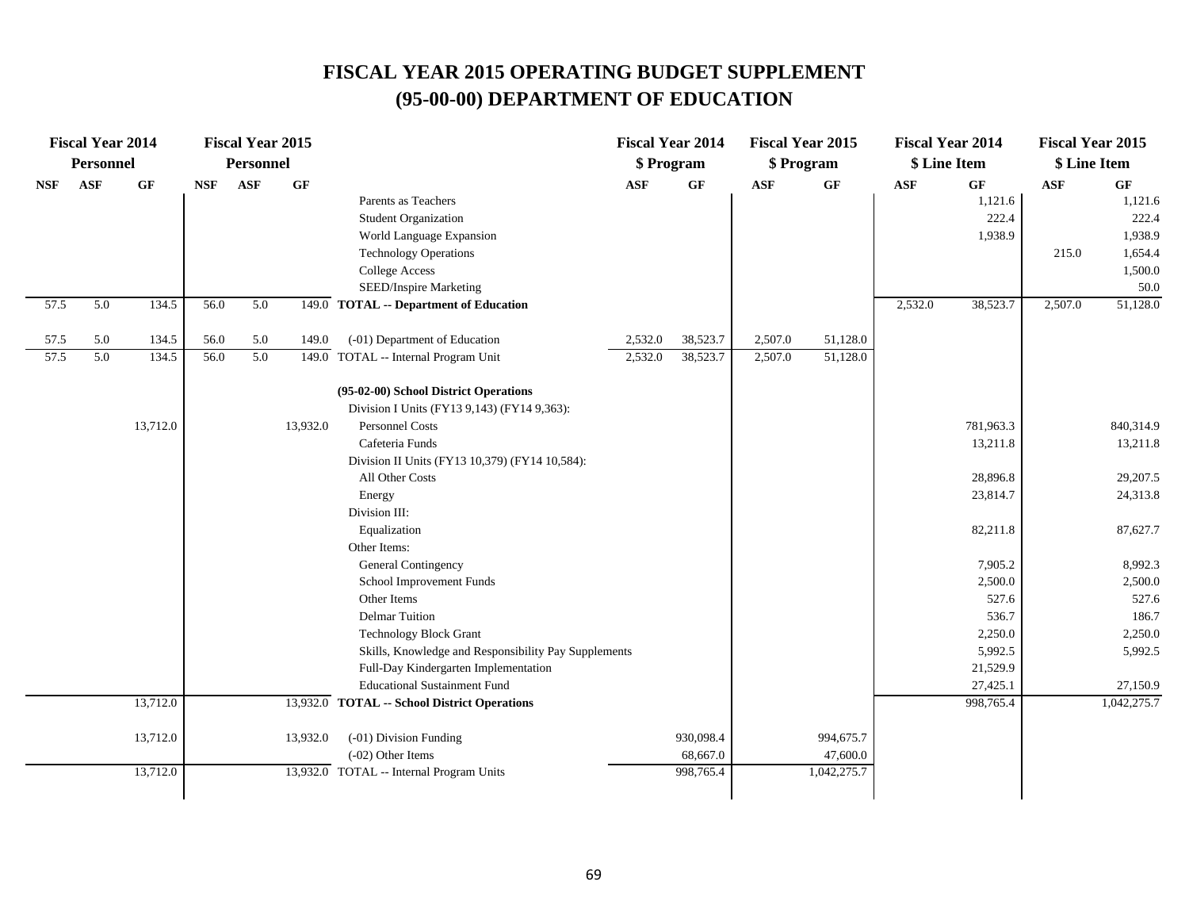|            | <b>Fiscal Year 2014</b> |          |            | <b>Fiscal Year 2015</b> |          |                                                                             | <b>Fiscal Year 2014</b> |           | <b>Fiscal Year 2015</b> |             |            | <b>Fiscal Year 2014</b> | <b>Fiscal Year 2015</b> |             |
|------------|-------------------------|----------|------------|-------------------------|----------|-----------------------------------------------------------------------------|-------------------------|-----------|-------------------------|-------------|------------|-------------------------|-------------------------|-------------|
|            | <b>Personnel</b>        |          |            | <b>Personnel</b>        |          |                                                                             | \$ Program              |           | \$ Program              |             |            | \$ Line Item            | \$ Line Item            |             |
| <b>NSF</b> | ASF                     | $\bf GF$ | <b>NSF</b> | ASF                     | GF       |                                                                             | $\mathbf{ASF}$          | $\bf GF$  | ASF                     | $\bf GF$    | <b>ASF</b> | GF                      | <b>ASF</b>              | GF          |
|            |                         |          |            |                         |          | Parents as Teachers                                                         |                         |           |                         |             |            | 1,121.6                 |                         | 1,121.6     |
|            |                         |          |            |                         |          | <b>Student Organization</b>                                                 |                         |           |                         |             |            | 222.4                   |                         | 222.4       |
|            |                         |          |            |                         |          | World Language Expansion                                                    |                         |           |                         |             |            | 1,938.9                 |                         | 1,938.9     |
|            |                         |          |            |                         |          | <b>Technology Operations</b>                                                |                         |           |                         |             |            |                         | 215.0                   | 1,654.4     |
|            |                         |          |            |                         |          | <b>College Access</b>                                                       |                         |           |                         |             |            |                         |                         | 1,500.0     |
|            |                         |          |            |                         |          | SEED/Inspire Marketing                                                      |                         |           |                         |             |            |                         |                         | 50.0        |
| 57.5       | 5.0                     | 134.5    | 56.0       | 5.0                     |          | 149.0 TOTAL -- Department of Education                                      |                         |           |                         |             | 2,532.0    | 38,523.7                | 2,507.0                 | 51,128.0    |
| 57.5       | 5.0                     | 134.5    | 56.0       | 5.0                     | 149.0    | (-01) Department of Education                                               | 2,532.0                 | 38,523.7  | 2,507.0                 | 51,128.0    |            |                         |                         |             |
| 57.5       | 5.0                     | 134.5    | 56.0       | 5.0                     |          | 149.0 TOTAL -- Internal Program Unit                                        | 2,532.0                 | 38,523.7  | 2,507.0                 | 51,128.0    |            |                         |                         |             |
|            |                         |          |            |                         |          | (95-02-00) School District Operations                                       |                         |           |                         |             |            |                         |                         |             |
|            |                         |          |            |                         |          | Division I Units (FY13 9,143) (FY14 9,363):                                 |                         |           |                         |             |            |                         |                         |             |
|            |                         | 13,712.0 |            |                         | 13,932.0 | <b>Personnel Costs</b>                                                      |                         |           |                         |             |            | 781,963.3               |                         | 840,314.9   |
|            |                         |          |            |                         |          | Cafeteria Funds                                                             |                         |           |                         |             |            | 13,211.8                |                         | 13,211.8    |
|            |                         |          |            |                         |          | Division II Units (FY13 10,379) (FY14 10,584):                              |                         |           |                         |             |            |                         |                         |             |
|            |                         |          |            |                         |          | All Other Costs                                                             |                         |           |                         |             |            | 28,896.8                |                         | 29,207.5    |
|            |                         |          |            |                         |          | Energy                                                                      |                         |           |                         |             |            | 23,814.7                |                         | 24,313.8    |
|            |                         |          |            |                         |          | Division III:                                                               |                         |           |                         |             |            |                         |                         |             |
|            |                         |          |            |                         |          | Equalization                                                                |                         |           |                         |             |            | 82,211.8                |                         | 87,627.7    |
|            |                         |          |            |                         |          | Other Items:                                                                |                         |           |                         |             |            |                         |                         |             |
|            |                         |          |            |                         |          | General Contingency                                                         |                         |           |                         |             |            | 7,905.2                 |                         | 8,992.3     |
|            |                         |          |            |                         |          | School Improvement Funds                                                    |                         |           |                         |             |            | 2,500.0                 |                         | 2,500.0     |
|            |                         |          |            |                         |          | Other Items                                                                 |                         |           |                         |             |            | 527.6                   |                         | 527.6       |
|            |                         |          |            |                         |          | <b>Delmar Tuition</b>                                                       |                         |           |                         |             |            | 536.7                   |                         | 186.7       |
|            |                         |          |            |                         |          | <b>Technology Block Grant</b>                                               |                         |           |                         |             |            | 2,250.0<br>5,992.5      |                         | 2,250.0     |
|            |                         |          |            |                         |          | Skills, Knowledge and Responsibility Pay Supplements                        |                         |           |                         |             |            | 21,529.9                |                         | 5,992.5     |
|            |                         |          |            |                         |          | Full-Day Kindergarten Implementation<br><b>Educational Sustainment Fund</b> |                         |           |                         |             |            | 27,425.1                |                         | 27,150.9    |
|            |                         | 13,712.0 |            |                         |          | 13,932.0 TOTAL -- School District Operations                                |                         |           |                         |             |            | 998,765.4               |                         | 1,042,275.7 |
|            |                         |          |            |                         |          |                                                                             |                         |           |                         |             |            |                         |                         |             |
|            |                         | 13,712.0 |            |                         | 13,932.0 | (-01) Division Funding                                                      |                         | 930,098.4 |                         | 994,675.7   |            |                         |                         |             |
|            |                         |          |            |                         |          | $(-02)$ Other Items                                                         |                         | 68,667.0  |                         | 47,600.0    |            |                         |                         |             |
|            |                         | 13,712.0 |            |                         |          | 13,932.0 TOTAL -- Internal Program Units                                    |                         | 998,765.4 |                         | 1,042,275.7 |            |                         |                         |             |
|            |                         |          |            |                         |          |                                                                             |                         |           |                         |             |            |                         |                         |             |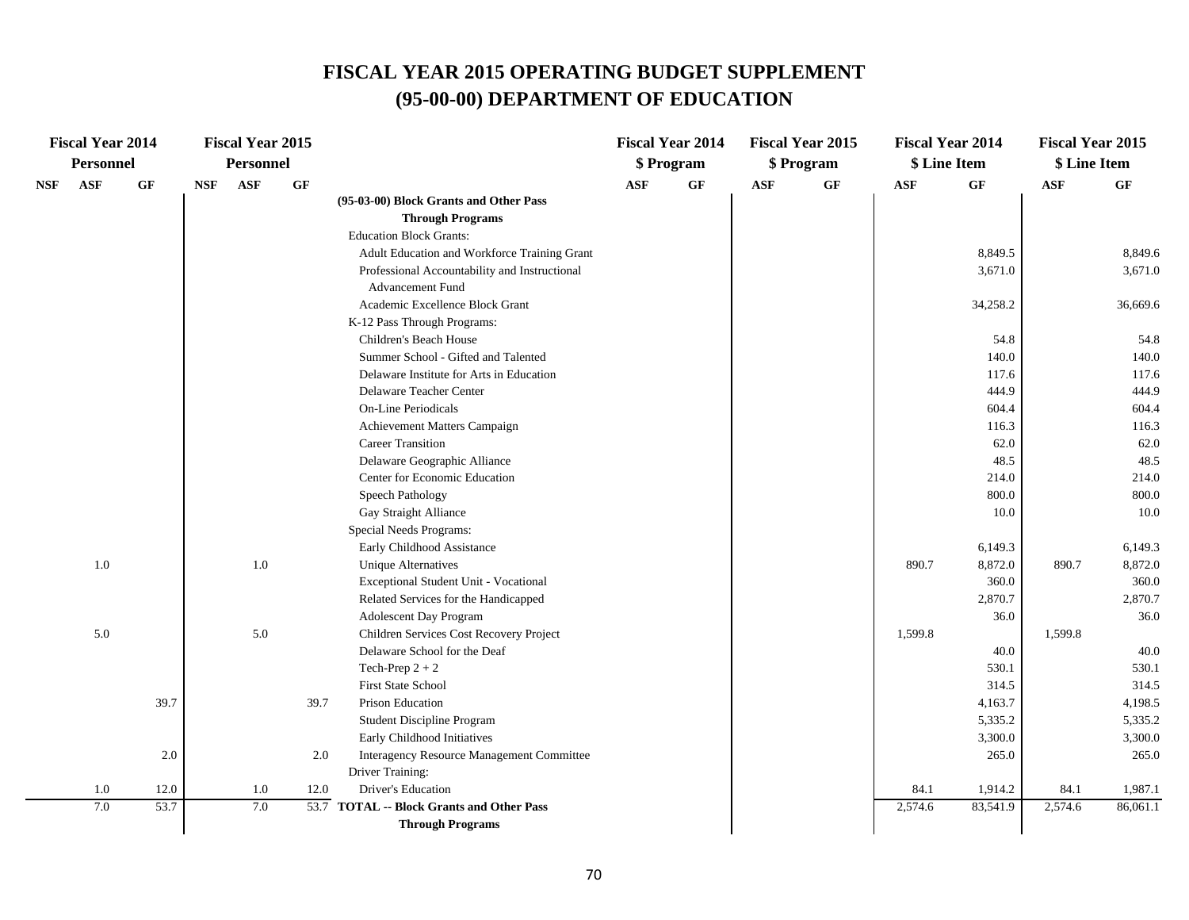| <b>Fiscal Year 2014</b> |      |            | <b>Fiscal Year 2015</b> |      |                                               |            | <b>Fiscal Year 2014</b> |            | <b>Fiscal Year 2015</b> |            | <b>Fiscal Year 2014</b> | <b>Fiscal Year 2015</b> |          |
|-------------------------|------|------------|-------------------------|------|-----------------------------------------------|------------|-------------------------|------------|-------------------------|------------|-------------------------|-------------------------|----------|
| <b>Personnel</b>        |      |            | <b>Personnel</b>        |      |                                               |            | \$ Program              |            | \$ Program              |            | \$ Line Item            | \$ Line Item            |          |
| ASF<br>NSF              | GF   | <b>NSF</b> | <b>ASF</b>              | GF   |                                               | <b>ASF</b> | $\bf{G} \bf{F}$         | <b>ASF</b> | GF                      | <b>ASF</b> | GF                      | <b>ASF</b>              | GF       |
|                         |      |            |                         |      | (95-03-00) Block Grants and Other Pass        |            |                         |            |                         |            |                         |                         |          |
|                         |      |            |                         |      | <b>Through Programs</b>                       |            |                         |            |                         |            |                         |                         |          |
|                         |      |            |                         |      | <b>Education Block Grants:</b>                |            |                         |            |                         |            |                         |                         |          |
|                         |      |            |                         |      | Adult Education and Workforce Training Grant  |            |                         |            |                         |            | 8,849.5                 |                         | 8,849.6  |
|                         |      |            |                         |      | Professional Accountability and Instructional |            |                         |            |                         |            | 3,671.0                 |                         | 3,671.0  |
|                         |      |            |                         |      | <b>Advancement Fund</b>                       |            |                         |            |                         |            |                         |                         |          |
|                         |      |            |                         |      | Academic Excellence Block Grant               |            |                         |            |                         |            | 34,258.2                |                         | 36,669.6 |
|                         |      |            |                         |      | K-12 Pass Through Programs:                   |            |                         |            |                         |            |                         |                         |          |
|                         |      |            |                         |      | Children's Beach House                        |            |                         |            |                         |            | 54.8                    |                         | 54.8     |
|                         |      |            |                         |      | Summer School - Gifted and Talented           |            |                         |            |                         |            | 140.0                   |                         | 140.0    |
|                         |      |            |                         |      | Delaware Institute for Arts in Education      |            |                         |            |                         |            | 117.6                   |                         | 117.6    |
|                         |      |            |                         |      | Delaware Teacher Center                       |            |                         |            |                         |            | 444.9                   |                         | 444.9    |
|                         |      |            |                         |      | <b>On-Line Periodicals</b>                    |            |                         |            |                         |            | 604.4                   |                         | 604.4    |
|                         |      |            |                         |      | Achievement Matters Campaign                  |            |                         |            |                         |            | 116.3                   |                         | 116.3    |
|                         |      |            |                         |      | <b>Career Transition</b>                      |            |                         |            |                         |            | 62.0                    |                         | 62.0     |
|                         |      |            |                         |      | Delaware Geographic Alliance                  |            |                         |            |                         |            | 48.5                    |                         | 48.5     |
|                         |      |            |                         |      | Center for Economic Education                 |            |                         |            |                         |            | 214.0                   |                         | 214.0    |
|                         |      |            |                         |      | Speech Pathology                              |            |                         |            |                         |            | 800.0                   |                         | 800.0    |
|                         |      |            |                         |      | Gay Straight Alliance                         |            |                         |            |                         |            | 10.0                    |                         | 10.0     |
|                         |      |            |                         |      | Special Needs Programs:                       |            |                         |            |                         |            |                         |                         |          |
|                         |      |            |                         |      | Early Childhood Assistance                    |            |                         |            |                         |            | 6,149.3                 |                         | 6,149.3  |
| 1.0                     |      |            | $1.0\,$                 |      | <b>Unique Alternatives</b>                    |            |                         |            |                         | 890.7      | 8,872.0                 | 890.7                   | 8,872.0  |
|                         |      |            |                         |      | Exceptional Student Unit - Vocational         |            |                         |            |                         |            | 360.0                   |                         | 360.0    |
|                         |      |            |                         |      | Related Services for the Handicapped          |            |                         |            |                         |            | 2,870.7                 |                         | 2,870.7  |
|                         |      |            |                         |      | <b>Adolescent Day Program</b>                 |            |                         |            |                         |            | 36.0                    |                         | 36.0     |
| 5.0                     |      |            | 5.0                     |      | Children Services Cost Recovery Project       |            |                         |            |                         | 1,599.8    |                         | 1,599.8                 |          |
|                         |      |            |                         |      | Delaware School for the Deaf                  |            |                         |            |                         |            | 40.0                    |                         | 40.0     |
|                         |      |            |                         |      | Tech-Prep $2 + 2$                             |            |                         |            |                         |            | 530.1                   |                         | 530.1    |
|                         |      |            |                         |      | <b>First State School</b>                     |            |                         |            |                         |            | 314.5                   |                         | 314.5    |
|                         | 39.7 |            |                         | 39.7 | Prison Education                              |            |                         |            |                         |            | 4,163.7                 |                         | 4,198.5  |
|                         |      |            |                         |      | Student Discipline Program                    |            |                         |            |                         |            | 5,335.2                 |                         | 5,335.2  |
|                         |      |            |                         |      | Early Childhood Initiatives                   |            |                         |            |                         |            | 3,300.0                 |                         | 3,300.0  |
|                         | 2.0  |            |                         | 2.0  | Interagency Resource Management Committee     |            |                         |            |                         |            | 265.0                   |                         | 265.0    |
|                         |      |            |                         |      | Driver Training:                              |            |                         |            |                         |            |                         |                         |          |
| 1.0                     | 12.0 |            | 1.0                     | 12.0 | Driver's Education                            |            |                         |            |                         | 84.1       | 1,914.2                 | 84.1                    | 1,987.1  |
| 7.0                     | 53.7 |            | 7.0                     |      | 53.7 TOTAL -- Block Grants and Other Pass     |            |                         |            |                         | 2,574.6    | 83,541.9                | 2,574.6                 | 86,061.1 |
|                         |      |            |                         |      | <b>Through Programs</b>                       |            |                         |            |                         |            |                         |                         |          |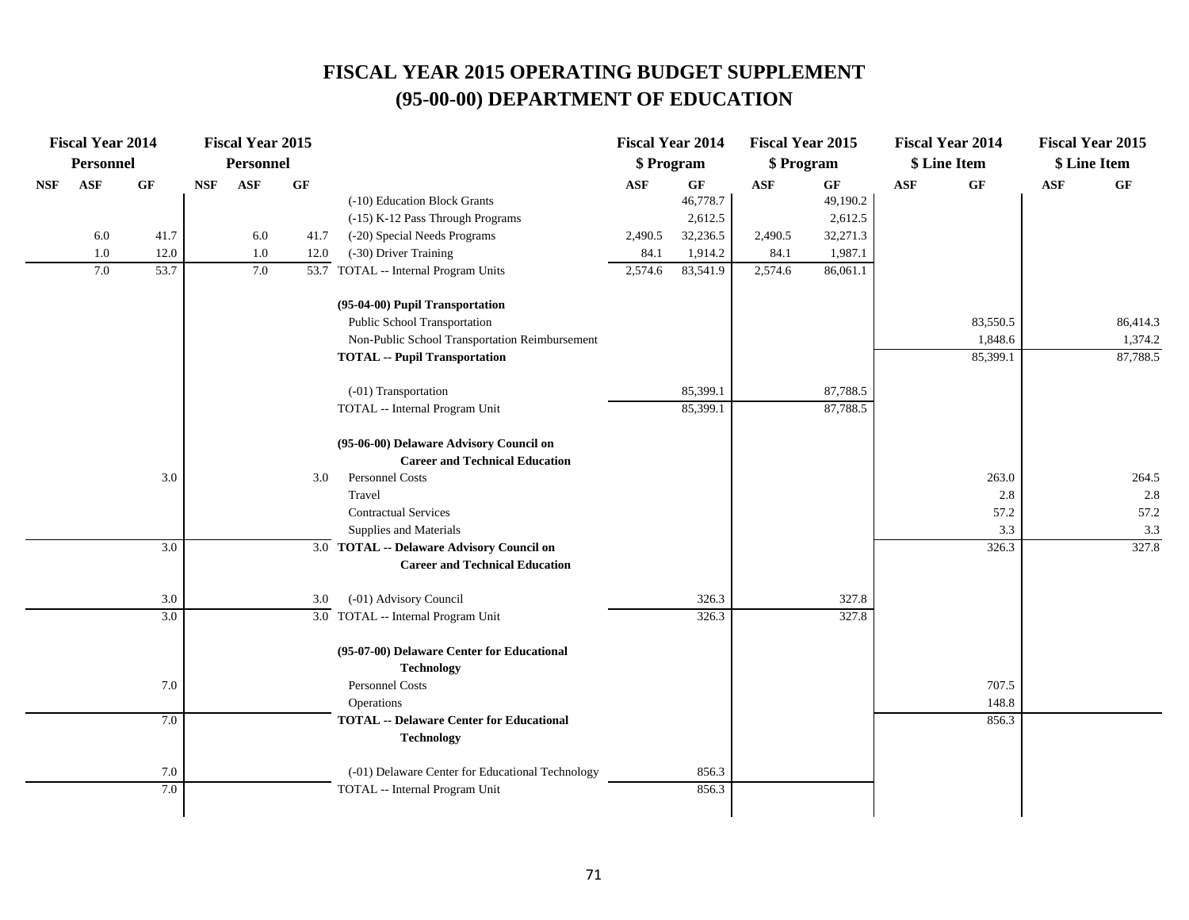|            | <b>Fiscal Year 2014</b> |      |            | <b>Fiscal Year 2015</b> |      |                                                                      | <b>Fiscal Year 2014</b> |          | <b>Fiscal Year 2015</b> |          |            | <b>Fiscal Year 2014</b> |     | <b>Fiscal Year 2015</b> |
|------------|-------------------------|------|------------|-------------------------|------|----------------------------------------------------------------------|-------------------------|----------|-------------------------|----------|------------|-------------------------|-----|-------------------------|
|            | <b>Personnel</b>        |      |            | <b>Personnel</b>        |      |                                                                      | \$ Program              |          | \$ Program              |          |            | \$ Line Item            |     | \$ Line Item            |
| <b>NSF</b> | ASF                     | GF   | <b>NSF</b> | <b>ASF</b>              | GF   |                                                                      | <b>ASF</b>              | GF       | ASF                     | GF       | <b>ASF</b> | GF                      | ASF | GF                      |
|            |                         |      |            |                         |      | (-10) Education Block Grants                                         |                         | 46,778.7 |                         | 49,190.2 |            |                         |     |                         |
|            |                         |      |            |                         |      | (-15) K-12 Pass Through Programs                                     |                         | 2,612.5  |                         | 2,612.5  |            |                         |     |                         |
|            | 6.0                     | 41.7 |            | 6.0                     | 41.7 | (-20) Special Needs Programs                                         | 2,490.5                 | 32,236.5 | 2,490.5                 | 32,271.3 |            |                         |     |                         |
|            | 1.0                     | 12.0 |            | 1.0                     | 12.0 | (-30) Driver Training                                                | 84.1                    | 1,914.2  | 84.1                    | 1,987.1  |            |                         |     |                         |
|            | 7.0                     | 53.7 |            | 7.0                     |      | 53.7 TOTAL -- Internal Program Units                                 | 2,574.6                 | 83,541.9 | 2,574.6                 | 86,061.1 |            |                         |     |                         |
|            |                         |      |            |                         |      | (95-04-00) Pupil Transportation                                      |                         |          |                         |          |            |                         |     |                         |
|            |                         |      |            |                         |      | Public School Transportation                                         |                         |          |                         |          |            | 83,550.5                |     | 86,414.3                |
|            |                         |      |            |                         |      | Non-Public School Transportation Reimbursement                       |                         |          |                         |          |            | 1,848.6                 |     | 1,374.2                 |
|            |                         |      |            |                         |      | <b>TOTAL -- Pupil Transportation</b>                                 |                         |          |                         |          |            | 85,399.1                |     | 87,788.5                |
|            |                         |      |            |                         |      | (-01) Transportation                                                 |                         | 85,399.1 |                         | 87,788.5 |            |                         |     |                         |
|            |                         |      |            |                         |      | TOTAL -- Internal Program Unit                                       |                         | 85,399.1 |                         | 87,788.5 |            |                         |     |                         |
|            |                         |      |            |                         |      | (95-06-00) Delaware Advisory Council on                              |                         |          |                         |          |            |                         |     |                         |
|            |                         |      |            |                         |      | <b>Career and Technical Education</b>                                |                         |          |                         |          |            |                         |     |                         |
|            |                         | 3.0  |            |                         | 3.0  | Personnel Costs                                                      |                         |          |                         |          |            | 263.0                   |     | 264.5                   |
|            |                         |      |            |                         |      | Travel                                                               |                         |          |                         |          |            | 2.8                     |     | 2.8                     |
|            |                         |      |            |                         |      | <b>Contractual Services</b>                                          |                         |          |                         |          |            | 57.2                    |     | 57.2                    |
|            |                         |      |            |                         |      | Supplies and Materials                                               |                         |          |                         |          |            | 3.3                     |     | 3.3                     |
|            |                         | 3.0  |            |                         |      | 3.0 TOTAL -- Delaware Advisory Council on                            |                         |          |                         |          |            | 326.3                   |     | 327.8                   |
|            |                         |      |            |                         |      | <b>Career and Technical Education</b>                                |                         |          |                         |          |            |                         |     |                         |
|            |                         | 3.0  |            |                         | 3.0  | (-01) Advisory Council                                               |                         | 326.3    |                         | 327.8    |            |                         |     |                         |
|            |                         | 3.0  |            |                         |      | 3.0 TOTAL -- Internal Program Unit                                   |                         | 326.3    |                         | 327.8    |            |                         |     |                         |
|            |                         |      |            |                         |      | (95-07-00) Delaware Center for Educational<br><b>Technology</b>      |                         |          |                         |          |            |                         |     |                         |
|            |                         | 7.0  |            |                         |      | Personnel Costs                                                      |                         |          |                         |          |            | 707.5                   |     |                         |
|            |                         |      |            |                         |      | Operations                                                           |                         |          |                         |          |            | 148.8                   |     |                         |
|            |                         | 7.0  |            |                         |      | <b>TOTAL -- Delaware Center for Educational</b><br><b>Technology</b> |                         |          |                         |          |            | 856.3                   |     |                         |
|            |                         | 7.0  |            |                         |      | (-01) Delaware Center for Educational Technology                     |                         | 856.3    |                         |          |            |                         |     |                         |
|            |                         | 7.0  |            |                         |      | TOTAL -- Internal Program Unit                                       |                         | 856.3    |                         |          |            |                         |     |                         |
|            |                         |      |            |                         |      |                                                                      |                         |          |                         |          |            |                         |     |                         |